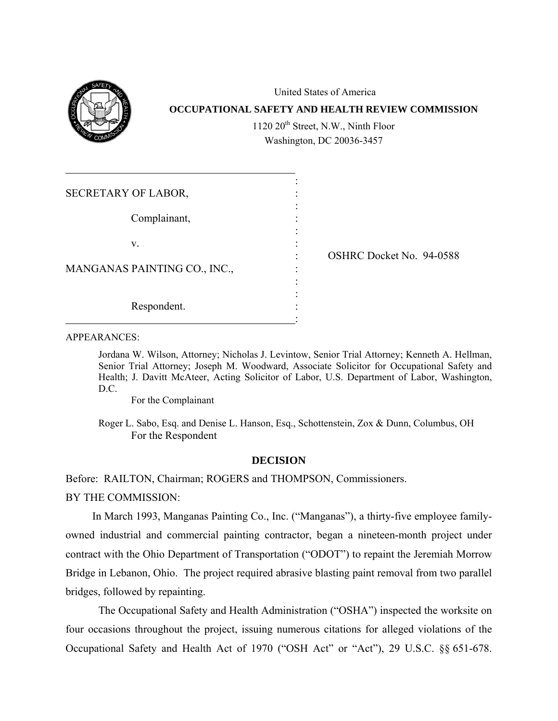

United States of America **OCCUPATIONAL SAFETY AND HEALTH REVIEW COMMISSION**  1120 20<sup>th</sup> Street, N.W., Ninth Floor Washington, DC 20036-3457

| SECRETARY OF LABOR,          |                          |
|------------------------------|--------------------------|
| Complainant,                 |                          |
| V.                           | OSHRC Docket No. 94-0588 |
| MANGANAS PAINTING CO., INC., |                          |
| Respondent.                  |                          |

APPEARANCES:

Jordana W. Wilson, Attorney; Nicholas J. Levintow, Senior Trial Attorney; Kenneth A. Hellman, Senior Trial Attorney; Joseph M. Woodward, Associate Solicitor for Occupational Safety and Health; J. Davitt McAteer, Acting Solicitor of Labor, U.S. Department of Labor, Washington, D.C.

For the Complainant

Roger L. Sabo, Esq. and Denise L. Hanson, Esq., Schottenstein, Zox & Dunn, Columbus, OH For the Respondent

# **DECISION**

Before: RAILTON, Chairman; ROGERS and THOMPSON, Commissioners.

BY THE COMMISSION:

In March 1993, Manganas Painting Co., Inc. ("Manganas"), a thirty-five employee familyowned industrial and commercial painting contractor, began a nineteen-month project under contract with the Ohio Department of Transportation ("ODOT") to repaint the Jeremiah Morrow Bridge in Lebanon, Ohio. The project required abrasive blasting paint removal from two parallel bridges, followed by repainting.

The Occupational Safety and Health Administration ("OSHA") inspected the worksite on four occasions throughout the project, issuing numerous citations for alleged violations of the Occupational Safety and Health Act of 1970 ("OSH Act" or "Act"), 29 U.S.C. §§ 651-678.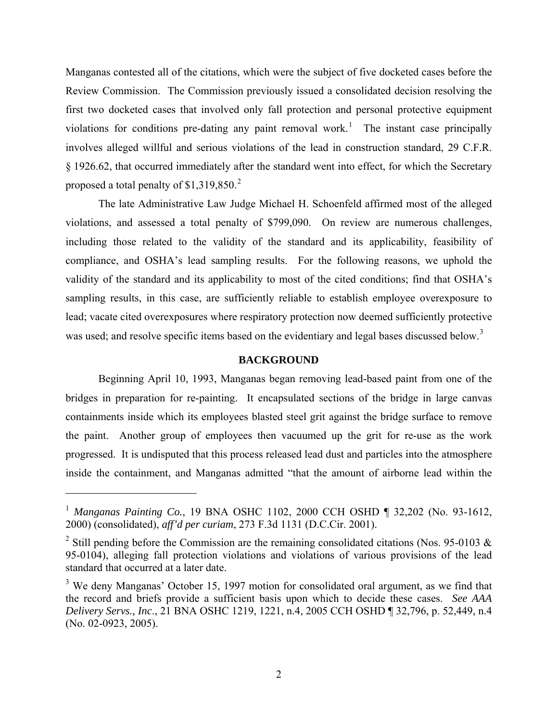Manganas contested all of the citations, which were the subject of five docketed cases before the Review Commission. The Commission previously issued a consolidated decision resolving the first two docketed cases that involved only fall protection and personal protective equipment violations for conditions pre-dating any paint removal work.<sup>[1](#page-1-0)</sup> The instant case principally involves alleged willful and serious violations of the lead in construction standard, 29 C.F.R. § 1926.62, that occurred immediately after the standard went into effect, for which the Secretary proposed a total penalty of  $$1,319,850.<sup>2</sup>$ 

The late Administrative Law Judge Michael H. Schoenfeld affirmed most of the alleged violations, and assessed a total penalty of \$799,090. On review are numerous challenges, including those related to the validity of the standard and its applicability, feasibility of compliance, and OSHA's lead sampling results. For the following reasons, we uphold the validity of the standard and its applicability to most of the cited conditions; find that OSHA's sampling results, in this case, are sufficiently reliable to establish employee overexposure to lead; vacate cited overexposures where respiratory protection now deemed sufficiently protective was used; and resolve specific items based on the evidentiary and legal bases discussed below.<sup>3</sup>

### **BACKGROUND**

Beginning April 10, 1993, Manganas began removing lead-based paint from one of the bridges in preparation for re-painting. It encapsulated sections of the bridge in large canvas containments inside which its employees blasted steel grit against the bridge surface to remove the paint. Another group of employees then vacuumed up the grit for re-use as the work progressed. It is undisputed that this process released lead dust and particles into the atmosphere inside the containment, and Manganas admitted "that the amount of airborne lead within the

<span id="page-1-0"></span><sup>&</sup>lt;sup>1</sup> Manganas Painting Co., 19 BNA OSHC 1102, 2000 CCH OSHD ¶ 32,202 (No. 93-1612, 2000) (consolidated), *aff'd per curiam*, 273 F.3d 1131 (D.C.Cir. 2001).

<span id="page-1-1"></span><sup>&</sup>lt;sup>2</sup> Still pending before the Commission are the remaining consolidated citations (Nos. 95-0103  $\&$ 95-0104), alleging fall protection violations and violations of various provisions of the lead standard that occurred at a later date.

<span id="page-1-2"></span> $3$  We deny Manganas' October 15, 1997 motion for consolidated oral argument, as we find that the record and briefs provide a sufficient basis upon which to decide these cases. *See AAA Delivery Servs., Inc*., 21 BNA OSHC 1219, 1221, n.4, 2005 CCH OSHD ¶ 32,796, p. 52,449, n.4 (No. 02-0923, 2005).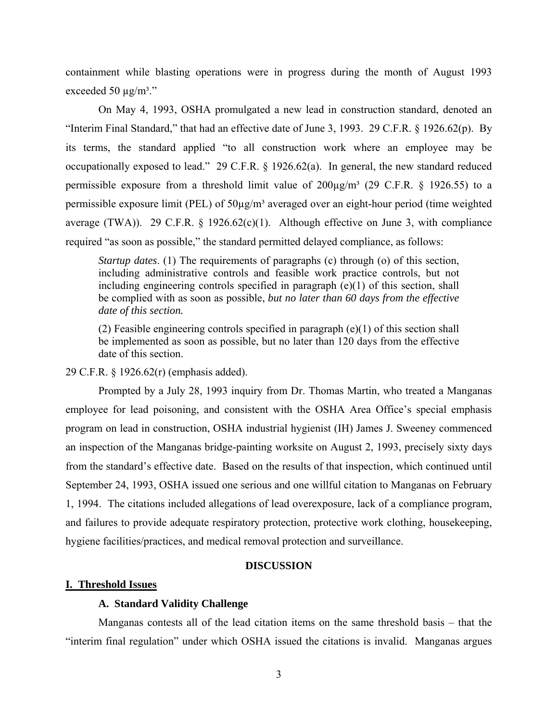containment while blasting operations were in progress during the month of August 1993 exceeded 50  $\mu$ g/m<sup>3</sup>."

On May 4, 1993, OSHA promulgated a new lead in construction standard, denoted an "Interim Final Standard," that had an effective date of June 3, 1993. 29 C.F.R. § 1926.62(p). By its terms, the standard applied "to all construction work where an employee may be occupationally exposed to lead." 29 C.F.R. § 1926.62(a). In general, the new standard reduced permissible exposure from a threshold limit value of  $200\mu\text{g/m}^3$  (29 C.F.R. § 1926.55) to a permissible exposure limit (PEL) of 50µg/m³ averaged over an eight-hour period (time weighted average (TWA)). 29 C.F.R. § 1926.62(c)(1). Although effective on June 3, with compliance required "as soon as possible," the standard permitted delayed compliance, as follows:

*Startup dates*. (1) The requirements of paragraphs (c) through (o) of this section, including administrative controls and feasible work practice controls, but not including engineering controls specified in paragraph (e)(1) of this section, shall be complied with as soon as possible, *but no later than 60 days from the effective date of this section.* 

(2) Feasible engineering controls specified in paragraph  $(e)(1)$  of this section shall be implemented as soon as possible, but no later than 120 days from the effective date of this section.

29 C.F.R. § 1926.62(r) (emphasis added).

Prompted by a July 28, 1993 inquiry from Dr. Thomas Martin, who treated a Manganas employee for lead poisoning, and consistent with the OSHA Area Office's special emphasis program on lead in construction, OSHA industrial hygienist (IH) James J. Sweeney commenced an inspection of the Manganas bridge-painting worksite on August 2, 1993, precisely sixty days from the standard's effective date. Based on the results of that inspection, which continued until September 24, 1993, OSHA issued one serious and one willful citation to Manganas on February 1, 1994. The citations included allegations of lead overexposure, lack of a compliance program, and failures to provide adequate respiratory protection, protective work clothing, housekeeping, hygiene facilities/practices, and medical removal protection and surveillance.

## **DISCUSSION**

#### **I. Threshold Issues**

#### **A. Standard Validity Challenge**

Manganas contests all of the lead citation items on the same threshold basis – that the "interim final regulation" under which OSHA issued the citations is invalid. Manganas argues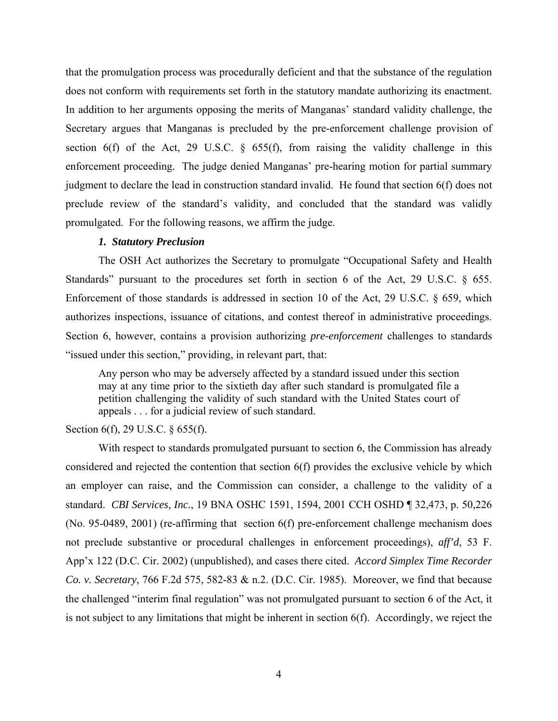that the promulgation process was procedurally deficient and that the substance of the regulation does not conform with requirements set forth in the statutory mandate authorizing its enactment. In addition to her arguments opposing the merits of Manganas' standard validity challenge, the Secretary argues that Manganas is precluded by the pre-enforcement challenge provision of section 6(f) of the Act, 29 U.S.C.  $\frac{1}{2}$  655(f), from raising the validity challenge in this enforcement proceeding. The judge denied Manganas' pre-hearing motion for partial summary judgment to declare the lead in construction standard invalid. He found that section 6(f) does not preclude review of the standard's validity, and concluded that the standard was validly promulgated. For the following reasons, we affirm the judge.

#### *1. Statutory Preclusion*

The OSH Act authorizes the Secretary to promulgate "Occupational Safety and Health Standards" pursuant to the procedures set forth in section 6 of the Act, 29 U.S.C. § 655. Enforcement of those standards is addressed in section 10 of the Act, 29 U.S.C. § 659, which authorizes inspections, issuance of citations, and contest thereof in administrative proceedings. Section 6, however, contains a provision authorizing *pre-enforcement* challenges to standards "issued under this section," providing, in relevant part, that:

Any person who may be adversely affected by a standard issued under this section may at any time prior to the sixtieth day after such standard is promulgated file a petition challenging the validity of such standard with the United States court of appeals . . . for a judicial review of such standard.

Section 6(f), 29 U.S.C. § 655(f).

With respect to standards promulgated pursuant to section 6, the Commission has already considered and rejected the contention that section 6(f) provides the exclusive vehicle by which an employer can raise, and the Commission can consider, a challenge to the validity of a standard. *CBI Services, Inc.*, 19 BNA OSHC 1591, 1594, 2001 CCH OSHD ¶ 32,473, p. 50,226 (No. 95-0489, 2001) (re-affirming that section 6(f) pre-enforcement challenge mechanism does not preclude substantive or procedural challenges in enforcement proceedings), *aff'd*, 53 F. App'x 122 (D.C. Cir. 2002) (unpublished), and cases there cited. *Accord Simplex Time Recorder Co. v. Secretary*, 766 F.2d 575, 582-83 & n.2. (D.C. Cir. 1985). Moreover, we find that because the challenged "interim final regulation" was not promulgated pursuant to section 6 of the Act, it is not subject to any limitations that might be inherent in section 6(f). Accordingly, we reject the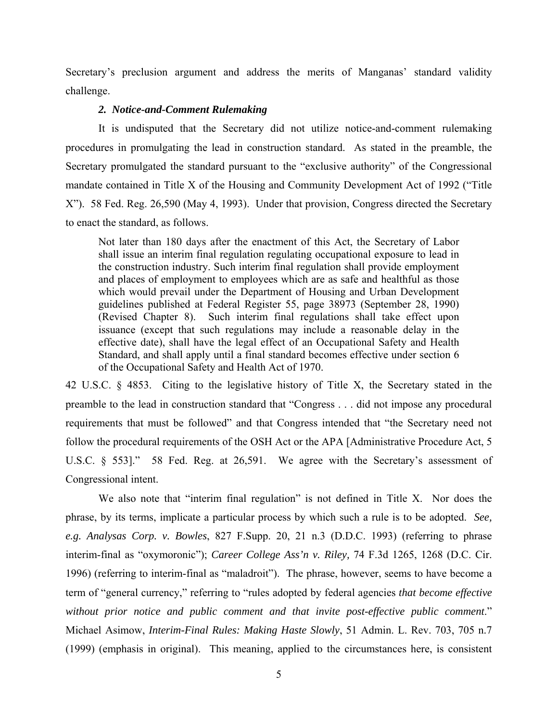Secretary's preclusion argument and address the merits of Manganas' standard validity challenge.

# *2. Notice-and-Comment Rulemaking*

It is undisputed that the Secretary did not utilize notice-and-comment rulemaking procedures in promulgating the lead in construction standard. As stated in the preamble, the Secretary promulgated the standard pursuant to the "exclusive authority" of the Congressional mandate contained in Title X of the Housing and Community Development Act of 1992 ("Title X"). 58 Fed. Reg. 26,590 (May 4, 1993). Under that provision, Congress directed the Secretary to enact the standard, as follows.

Not later than 180 days after the enactment of this Act, the Secretary of Labor shall issue an interim final regulation regulating occupational exposure to lead in the construction industry. Such interim final regulation shall provide employment and places of employment to employees which are as safe and healthful as those which would prevail under the Department of Housing and Urban Development guidelines published at Federal Register 55, page 38973 (September 28, 1990) (Revised Chapter 8). Such interim final regulations shall take effect upon issuance (except that such regulations may include a reasonable delay in the effective date), shall have the legal effect of an Occupational Safety and Health Standard, and shall apply until a final standard becomes effective under section 6 of the Occupational Safety and Health Act of 1970.

42 U.S.C. § 4853. Citing to the legislative history of Title X, the Secretary stated in the preamble to the lead in construction standard that "Congress . . . did not impose any procedural requirements that must be followed" and that Congress intended that "the Secretary need not follow the procedural requirements of the OSH Act or the APA [Administrative Procedure Act, 5 U.S.C. § 553]." 58 Fed. Reg. at 26,591. We agree with the Secretary's assessment of Congressional intent.

We also note that "interim final regulation" is not defined in Title X. Nor does the phrase, by its terms, implicate a particular process by which such a rule is to be adopted. *See, e.g. Analysas Corp. v. Bowles*, 827 F.Supp. 20, 21 n.3 (D.D.C. 1993) (referring to phrase interim-final as "oxymoronic"); *Career College Ass'n v. Riley,* 74 F.3d 1265, 1268 (D.C. Cir. 1996) (referring to interim-final as "maladroit"). The phrase, however, seems to have become a term of "general currency," referring to "rules adopted by federal agencies *that become effective without prior notice and public comment and that invite post-effective public comment*." Michael Asimow, *Interim-Final Rules: Making Haste Slowly*, 51 Admin. L. Rev. 703, 705 n.7 (1999) (emphasis in original). This meaning, applied to the circumstances here, is consistent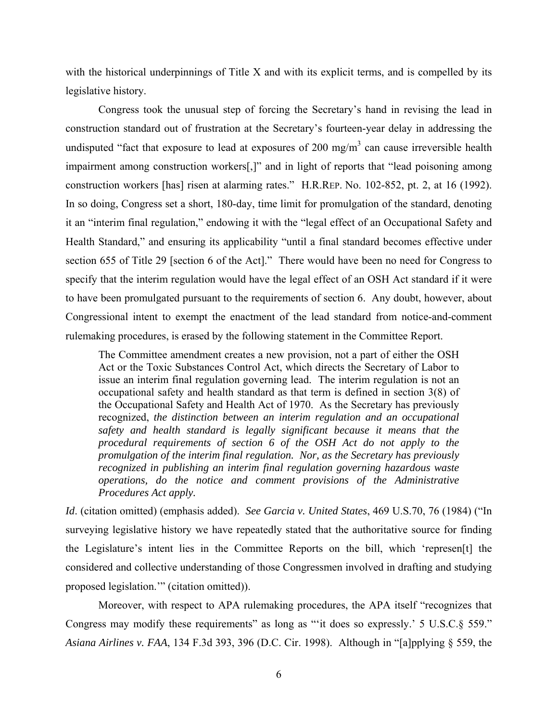with the historical underpinnings of Title X and with its explicit terms, and is compelled by its legislative history.

Congress took the unusual step of forcing the Secretary's hand in revising the lead in construction standard out of frustration at the Secretary's fourteen-year delay in addressing the undisputed "fact that exposure to lead at exposures of 200 mg/m<sup>3</sup> can cause irreversible health impairment among construction workers[,]" and in light of reports that "lead poisoning among construction workers [has] risen at alarming rates." H.R.REP. No. 102-852, pt. 2, at 16 (1992). In so doing, Congress set a short, 180-day, time limit for promulgation of the standard, denoting it an "interim final regulation," endowing it with the "legal effect of an Occupational Safety and Health Standard," and ensuring its applicability "until a final standard becomes effective under section 655 of Title 29 [section 6 of the Act]." There would have been no need for Congress to specify that the interim regulation would have the legal effect of an OSH Act standard if it were to have been promulgated pursuant to the requirements of section 6. Any doubt, however, about Congressional intent to exempt the enactment of the lead standard from notice-and-comment rulemaking procedures, is erased by the following statement in the Committee Report.

The Committee amendment creates a new provision, not a part of either the OSH Act or the Toxic Substances Control Act, which directs the Secretary of Labor to issue an interim final regulation governing lead. The interim regulation is not an occupational safety and health standard as that term is defined in section 3(8) of the Occupational Safety and Health Act of 1970. As the Secretary has previously recognized, *the distinction between an interim regulation and an occupational safety and health standard is legally significant because it means that the procedural requirements of section 6 of the OSH Act do not apply to the promulgation of the interim final regulation. Nor, as the Secretary has previously recognized in publishing an interim final regulation governing hazardous waste operations, do the notice and comment provisions of the Administrative Procedures Act apply.* 

*Id*. (citation omitted) (emphasis added). *See Garcia v. United States*, 469 U.S.70, 76 (1984) ("In surveying legislative history we have repeatedly stated that the authoritative source for finding the Legislature's intent lies in the Committee Reports on the bill, which 'represen[t] the considered and collective understanding of those Congressmen involved in drafting and studying proposed legislation.'" (citation omitted)).

Moreover, with respect to APA rulemaking procedures, the APA itself "recognizes that Congress may modify these requirements" as long as "'it does so expressly.' 5 U.S.C.§ 559." *Asiana Airlines v. FAA*, 134 F.3d 393, 396 (D.C. Cir. 1998). Although in "[a]pplying § 559, the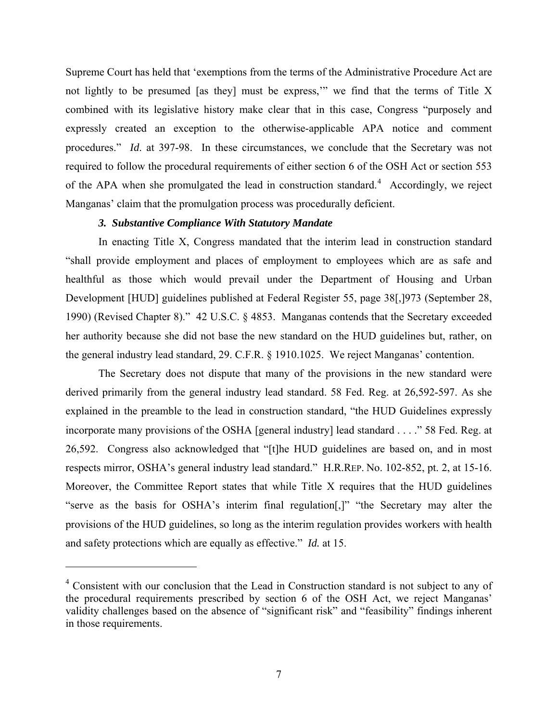Supreme Court has held that 'exemptions from the terms of the Administrative Procedure Act are not lightly to be presumed [as they] must be express,'" we find that the terms of Title X combined with its legislative history make clear that in this case, Congress "purposely and expressly created an exception to the otherwise-applicable APA notice and comment procedures." *Id*. at 397-98. In these circumstances, we conclude that the Secretary was not required to follow the procedural requirements of either section 6 of the OSH Act or section 553 of the APA when she promulgated the lead in construction standard.<sup>[4](#page-6-0)</sup> Accordingly, we reject Manganas' claim that the promulgation process was procedurally deficient.

### *3. Substantive Compliance With Statutory Mandate*

In enacting Title X, Congress mandated that the interim lead in construction standard "shall provide employment and places of employment to employees which are as safe and healthful as those which would prevail under the Department of Housing and Urban Development [HUD] guidelines published at Federal Register 55, page 38[,]973 (September 28, 1990) (Revised Chapter 8)." 42 U.S.C. § 4853. Manganas contends that the Secretary exceeded her authority because she did not base the new standard on the HUD guidelines but, rather, on the general industry lead standard, 29. C.F.R. § 1910.1025. We reject Manganas' contention.

The Secretary does not dispute that many of the provisions in the new standard were derived primarily from the general industry lead standard. 58 Fed. Reg. at 26,592-597. As she explained in the preamble to the lead in construction standard, "the HUD Guidelines expressly incorporate many provisions of the OSHA [general industry] lead standard . . . ." 58 Fed. Reg. at 26,592. Congress also acknowledged that "[t]he HUD guidelines are based on, and in most respects mirror, OSHA's general industry lead standard." H.R.REP. No. 102-852, pt. 2, at 15-16. Moreover, the Committee Report states that while Title X requires that the HUD guidelines "serve as the basis for OSHA's interim final regulation[,]" "the Secretary may alter the provisions of the HUD guidelines, so long as the interim regulation provides workers with health and safety protections which are equally as effective." *Id.* at 15.

<span id="page-6-0"></span><sup>&</sup>lt;sup>4</sup> Consistent with our conclusion that the Lead in Construction standard is not subject to any of the procedural requirements prescribed by section 6 of the OSH Act, we reject Manganas' validity challenges based on the absence of "significant risk" and "feasibility" findings inherent in those requirements.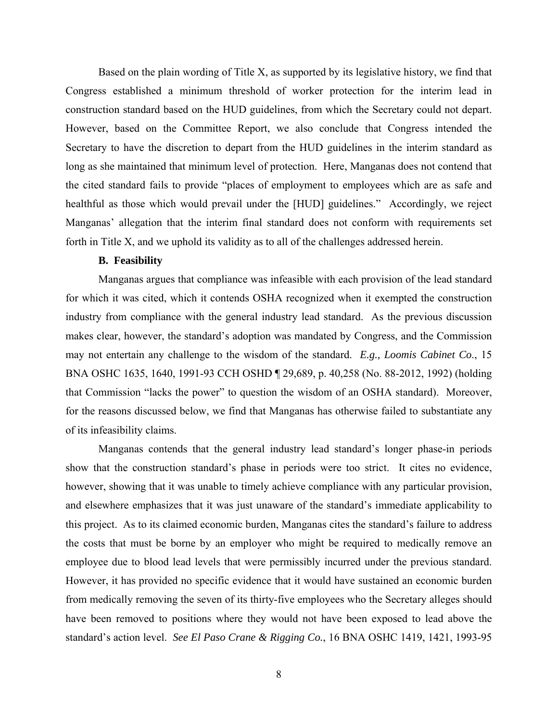Based on the plain wording of Title X, as supported by its legislative history, we find that Congress established a minimum threshold of worker protection for the interim lead in construction standard based on the HUD guidelines, from which the Secretary could not depart. However, based on the Committee Report, we also conclude that Congress intended the Secretary to have the discretion to depart from the HUD guidelines in the interim standard as long as she maintained that minimum level of protection. Here, Manganas does not contend that the cited standard fails to provide "places of employment to employees which are as safe and healthful as those which would prevail under the [HUD] guidelines." Accordingly, we reject Manganas' allegation that the interim final standard does not conform with requirements set forth in Title X, and we uphold its validity as to all of the challenges addressed herein.

## **B. Feasibility**

Manganas argues that compliance was infeasible with each provision of the lead standard for which it was cited, which it contends OSHA recognized when it exempted the construction industry from compliance with the general industry lead standard. As the previous discussion makes clear, however, the standard's adoption was mandated by Congress, and the Commission may not entertain any challenge to the wisdom of the standard. *E.g., Loomis Cabinet Co*., 15 BNA OSHC 1635, 1640, 1991-93 CCH OSHD ¶ 29,689, p. 40,258 (No. 88-2012, 1992) (holding that Commission "lacks the power" to question the wisdom of an OSHA standard). Moreover, for the reasons discussed below, we find that Manganas has otherwise failed to substantiate any of its infeasibility claims.

Manganas contends that the general industry lead standard's longer phase-in periods show that the construction standard's phase in periods were too strict. It cites no evidence, however, showing that it was unable to timely achieve compliance with any particular provision, and elsewhere emphasizes that it was just unaware of the standard's immediate applicability to this project. As to its claimed economic burden, Manganas cites the standard's failure to address the costs that must be borne by an employer who might be required to medically remove an employee due to blood lead levels that were permissibly incurred under the previous standard. However, it has provided no specific evidence that it would have sustained an economic burden from medically removing the seven of its thirty-five employees who the Secretary alleges should have been removed to positions where they would not have been exposed to lead above the standard's action level. *See El Paso Crane & Rigging Co.*, 16 BNA OSHC 1419, 1421, 1993-95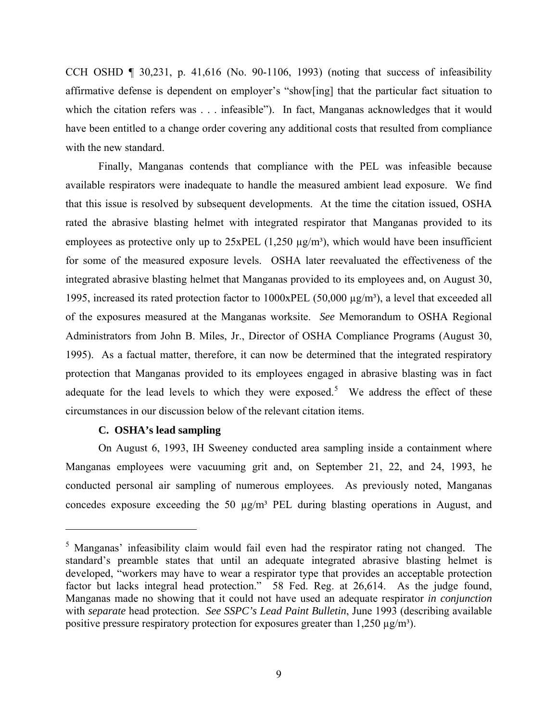CCH OSHD  $\P$  30,231, p. 41,616 (No. 90-1106, 1993) (noting that success of infeasibility affirmative defense is dependent on employer's "show[ing] that the particular fact situation to which the citation refers was . . . infeasible"). In fact, Manganas acknowledges that it would have been entitled to a change order covering any additional costs that resulted from compliance with the new standard.

Finally, Manganas contends that compliance with the PEL was infeasible because available respirators were inadequate to handle the measured ambient lead exposure. We find that this issue is resolved by subsequent developments. At the time the citation issued, OSHA rated the abrasive blasting helmet with integrated respirator that Manganas provided to its employees as protective only up to  $25xPEL$  (1,250  $\mu$ g/m<sup>3</sup>), which would have been insufficient for some of the measured exposure levels. OSHA later reevaluated the effectiveness of the integrated abrasive blasting helmet that Manganas provided to its employees and, on August 30, 1995, increased its rated protection factor to  $1000xPEL (50,000 \mu g/m<sup>3</sup>)$ , a level that exceeded all of the exposures measured at the Manganas worksite. *See* Memorandum to OSHA Regional Administrators from John B. Miles, Jr., Director of OSHA Compliance Programs (August 30, 1995). As a factual matter, therefore, it can now be determined that the integrated respiratory protection that Manganas provided to its employees engaged in abrasive blasting was in fact adequate for the lead levels to which they were exposed.<sup>[5](#page-8-0)</sup> We address the effect of these circumstances in our discussion below of the relevant citation items.

#### **C. OSHA's lead sampling**

On August 6, 1993, IH Sweeney conducted area sampling inside a containment where Manganas employees were vacuuming grit and, on September 21, 22, and 24, 1993, he conducted personal air sampling of numerous employees. As previously noted, Manganas concedes exposure exceeding the 50  $\mu$ g/m<sup>3</sup> PEL during blasting operations in August, and

<span id="page-8-0"></span><sup>&</sup>lt;sup>5</sup> Manganas' infeasibility claim would fail even had the respirator rating not changed. The standard's preamble states that until an adequate integrated abrasive blasting helmet is developed, "workers may have to wear a respirator type that provides an acceptable protection factor but lacks integral head protection." 58 Fed. Reg. at 26,614. As the judge found, Manganas made no showing that it could not have used an adequate respirator *in conjunction*  with *separate* head protection. *See SSPC's Lead Paint Bulletin*, June 1993 (describing available positive pressure respiratory protection for exposures greater than 1,250  $\mu$ g/m<sup>3</sup>).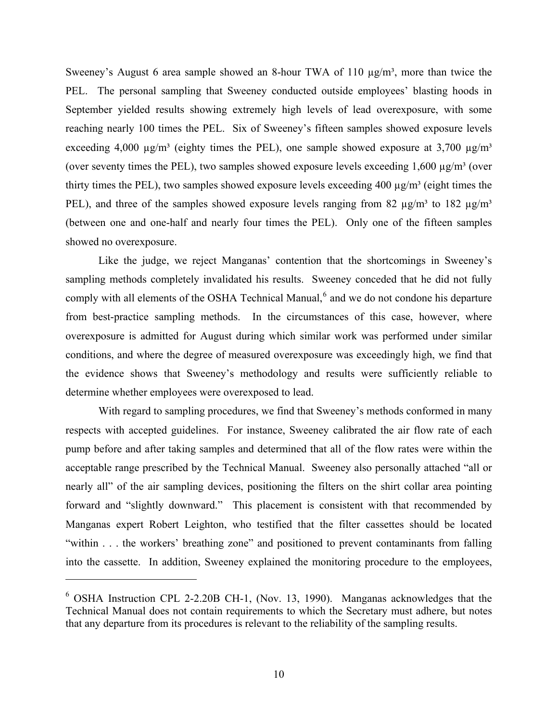Sweeney's August 6 area sample showed an 8-hour TWA of 110  $\mu$ g/m<sup>3</sup>, more than twice the PEL. The personal sampling that Sweeney conducted outside employees' blasting hoods in September yielded results showing extremely high levels of lead overexposure, with some reaching nearly 100 times the PEL. Six of Sweeney's fifteen samples showed exposure levels exceeding 4,000  $\mu$ g/m<sup>3</sup> (eighty times the PEL), one sample showed exposure at 3,700  $\mu$ g/m<sup>3</sup> (over seventy times the PEL), two samples showed exposure levels exceeding  $1,600 \mu g/m<sup>3</sup>$  (over thirty times the PEL), two samples showed exposure levels exceeding 400  $\mu$ g/m<sup>3</sup> (eight times the PEL), and three of the samples showed exposure levels ranging from 82  $\mu$ g/m<sup>3</sup> to 182  $\mu$ g/m<sup>3</sup> (between one and one-half and nearly four times the PEL). Only one of the fifteen samples showed no overexposure.

Like the judge, we reject Manganas' contention that the shortcomings in Sweeney's sampling methods completely invalidated his results. Sweeney conceded that he did not fully comply with all elements of the OSHA Technical Manual,<sup>[6](#page-9-0)</sup> and we do not condone his departure from best-practice sampling methods. In the circumstances of this case, however, where overexposure is admitted for August during which similar work was performed under similar conditions, and where the degree of measured overexposure was exceedingly high, we find that the evidence shows that Sweeney's methodology and results were sufficiently reliable to determine whether employees were overexposed to lead.

With regard to sampling procedures, we find that Sweeney's methods conformed in many respects with accepted guidelines. For instance, Sweeney calibrated the air flow rate of each pump before and after taking samples and determined that all of the flow rates were within the acceptable range prescribed by the Technical Manual. Sweeney also personally attached "all or nearly all" of the air sampling devices, positioning the filters on the shirt collar area pointing forward and "slightly downward." This placement is consistent with that recommended by Manganas expert Robert Leighton, who testified that the filter cassettes should be located "within . . . the workers' breathing zone" and positioned to prevent contaminants from falling into the cassette. In addition, Sweeney explained the monitoring procedure to the employees,

<span id="page-9-0"></span><sup>&</sup>lt;sup>6</sup> OSHA Instruction CPL 2-2.20B CH-1, (Nov. 13, 1990). Manganas acknowledges that the Technical Manual does not contain requirements to which the Secretary must adhere, but notes that any departure from its procedures is relevant to the reliability of the sampling results.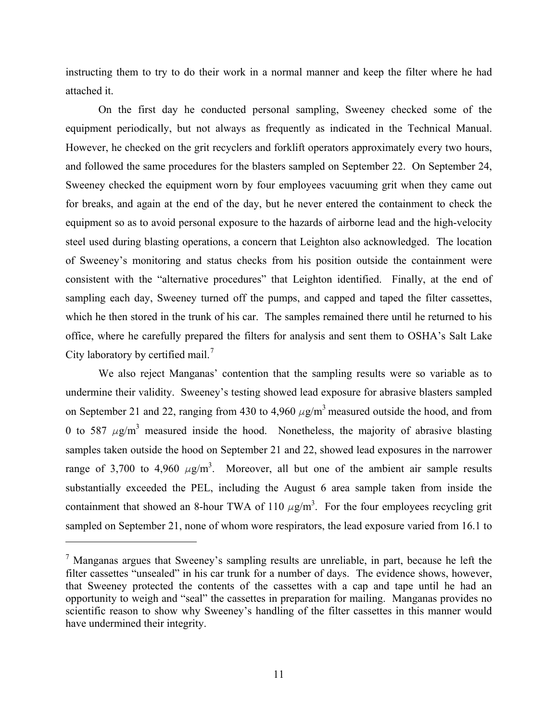instructing them to try to do their work in a normal manner and keep the filter where he had attached it.

On the first day he conducted personal sampling, Sweeney checked some of the equipment periodically, but not always as frequently as indicated in the Technical Manual. However, he checked on the grit recyclers and forklift operators approximately every two hours, and followed the same procedures for the blasters sampled on September 22. On September 24, Sweeney checked the equipment worn by four employees vacuuming grit when they came out for breaks, and again at the end of the day, but he never entered the containment to check the equipment so as to avoid personal exposure to the hazards of airborne lead and the high-velocity steel used during blasting operations, a concern that Leighton also acknowledged. The location of Sweeney's monitoring and status checks from his position outside the containment were consistent with the "alternative procedures" that Leighton identified. Finally, at the end of sampling each day, Sweeney turned off the pumps, and capped and taped the filter cassettes, which he then stored in the trunk of his car. The samples remained there until he returned to his office, where he carefully prepared the filters for analysis and sent them to OSHA's Salt Lake City laboratory by certified mail.<sup>7</sup>

We also reject Manganas' contention that the sampling results were so variable as to undermine their validity. Sweeney's testing showed lead exposure for abrasive blasters sampled on September 21 and 22, ranging from 430 to 4,960  $\mu$ g/m<sup>3</sup> measured outside the hood, and from 0 to 587  $\mu$ g/m<sup>3</sup> measured inside the hood. Nonetheless, the majority of abrasive blasting samples taken outside the hood on September 21 and 22, showed lead exposures in the narrower range of 3,700 to 4,960  $\mu$ g/m<sup>3</sup>. Moreover, all but one of the ambient air sample results substantially exceeded the PEL, including the August 6 area sample taken from inside the containment that showed an 8-hour TWA of 110  $\mu$ g/m<sup>3</sup>. For the four employees recycling grit sampled on September 21, none of whom wore respirators, the lead exposure varied from 16.1 to

<span id="page-10-0"></span> $<sup>7</sup>$  Manganas argues that Sweeney's sampling results are unreliable, in part, because he left the</sup> filter cassettes "unsealed" in his car trunk for a number of days. The evidence shows, however, that Sweeney protected the contents of the cassettes with a cap and tape until he had an opportunity to weigh and "seal" the cassettes in preparation for mailing. Manganas provides no scientific reason to show why Sweeney's handling of the filter cassettes in this manner would have undermined their integrity.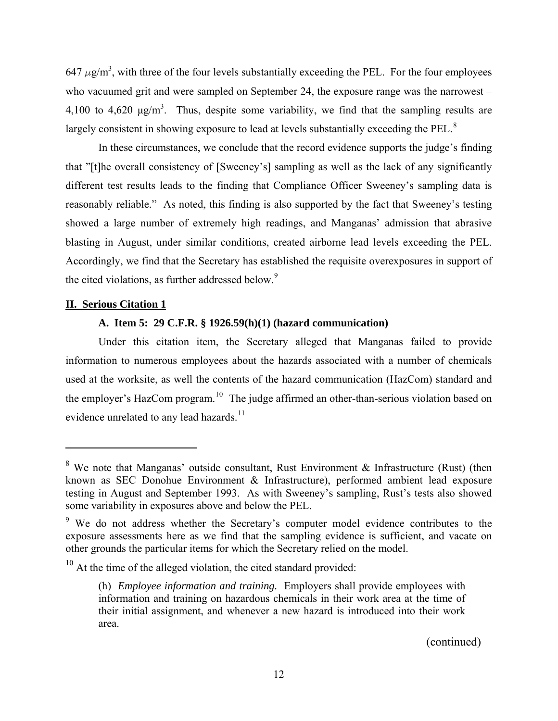647  $\mu$ g/m<sup>3</sup>, with three of the four levels substantially exceeding the PEL. For the four employees who vacuumed grit and were sampled on September 24, the exposure range was the narrowest – 4,100 to 4,620  $\mu$ g/m<sup>3</sup>. Thus, despite some variability, we find that the sampling results are largely consistent in showing exposure to lead at levels substantially exceeding the PEL.<sup>[8](#page-11-0)</sup>

In these circumstances, we conclude that the record evidence supports the judge's finding that "[t]he overall consistency of [Sweeney's] sampling as well as the lack of any significantly different test results leads to the finding that Compliance Officer Sweeney's sampling data is reasonably reliable." As noted, this finding is also supported by the fact that Sweeney's testing showed a large number of extremely high readings, and Manganas' admission that abrasive blasting in August, under similar conditions, created airborne lead levels exceeding the PEL. Accordingly, we find that the Secretary has established the requisite overexposures in support of the cited violations, as further addressed below.<sup>9</sup>

### **II. Serious Citation 1**

# **A. Item 5: 29 C.F.R. § 1926.59(h)(1) (hazard communication)**

<span id="page-11-3"></span>Under this citation item, the Secretary alleged that Manganas failed to provide information to numerous employees about the hazards associated with a number of chemicals used at the worksite, as well the contents of the hazard communication (HazCom) standard and the employer's HazCom program.<sup>[10](#page-11-2)</sup> The judge affirmed an other-than-serious violation based on evidence unrelated to any lead hazards.<sup>[11](#page-11-3)</sup>

<span id="page-11-0"></span><sup>&</sup>lt;sup>8</sup> We note that Manganas' outside consultant, Rust Environment & Infrastructure (Rust) (then known as SEC Donohue Environment & Infrastructure), performed ambient lead exposure testing in August and September 1993. As with Sweeney's sampling, Rust's tests also showed some variability in exposures above and below the PEL.

<span id="page-11-1"></span><sup>&</sup>lt;sup>9</sup> We do not address whether the Secretary's computer model evidence contributes to the exposure assessments here as we find that the sampling evidence is sufficient, and vacate on other grounds the particular items for which the Secretary relied on the model.

<span id="page-11-2"></span> $10<sup>10</sup>$  At the time of the alleged violation, the cited standard provided:

<sup>(</sup>h) *Employee information and training.* Employers shall provide employees with information and training on hazardous chemicals in their work area at the time of their initial assignment, and whenever a new hazard is introduced into their work area.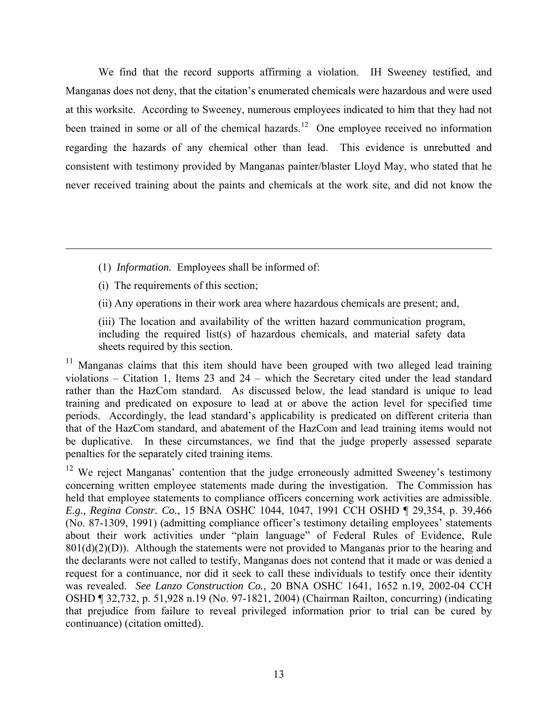We find that the record supports affirming a violation. IH Sweeney testified, and Manganas does not deny, that the citation's enumerated chemicals were hazardous and were used at this worksite. According to Sweeney, numerous employees indicated to him that they had not been trained in some or all of the chemical hazards.<sup>[12](#page-12-0)</sup> One employee received no information regarding the hazards of any chemical other than lead. This evidence is unrebutted and consistent with testimony provided by Manganas painter/blaster Lloyd May, who stated that he never received training about the paints and chemicals at the work site, and did not know the

- (1) *Information.* Employees shall be informed of:
- (i) The requirements of this section;
- (ii) Any operations in their work area where hazardous chemicals are present; and,
- (iii) The location and availability of the written hazard communication program, including the required list(s) of hazardous chemicals, and material safety data sheets required by this section.

<sup>11</sup> Manganas claims that this item should have been grouped with two alleged lead training violations – Citation 1, Items 23 and 24 – which the Secretary cited under the lead standard rather than the HazCom standard. As discussed below, the lead standard is unique to lead training and predicated on exposure to lead at or above the action level for specified time periods. Accordingly, the lead standard's applicability is predicated on different criteria than that of the HazCom standard, and abatement of the HazCom and lead training items would not be duplicative. In these circumstances, we find that the judge properly assessed separate penalties for the separately cited training items.

<span id="page-12-0"></span><sup>12</sup> We reject Manganas' contention that the judge erroneously admitted Sweeney's testimony concerning written employee statements made during the investigation. The Commission has held that employee statements to compliance officers concerning work activities are admissible. *E.g., Regina Constr. Co.*, 15 BNA OSHC 1044, 1047, 1991 CCH OSHD ¶ 29,354, p. 39,466 (No. 87-1309, 1991) (admitting compliance officer's testimony detailing employees' statements about their work activities under "plain language" of Federal Rules of Evidence, Rule  $801(d)(2)(D)$ ). Although the statements were not provided to Manganas prior to the hearing and the declarants were not called to testify, Manganas does not contend that it made or was denied a request for a continuance, nor did it seek to call these individuals to testify once their identity was revealed. *See Lanzo Construction Co.*, 20 BNA OSHC 1641, 1652 n.19, 2002-04 CCH OSHD ¶ 32,732, p. 51,928 n.19 (No. 97-1821, 2004) (Chairman Railton, concurring) (indicating that prejudice from failure to reveal privileged information prior to trial can be cured by continuance) (citation omitted).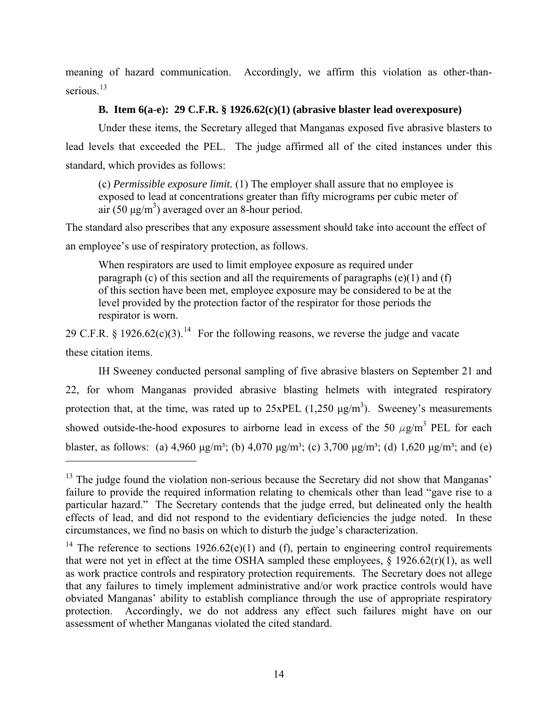meaning of hazard communication. Accordingly, we affirm this violation as other-thanserious $13$ 

# **B. Item 6(a-e): 29 C.F.R. § 1926.62(c)(1) (abrasive blaster lead overexposure)**

Under these items, the Secretary alleged that Manganas exposed five abrasive blasters to lead levels that exceeded the PEL. The judge affirmed all of the cited instances under this standard, which provides as follows:

(c) *Permissible exposure limit.* (1) The employer shall assure that no employee is exposed to lead at concentrations greater than fifty micrograms per cubic meter of  $\arccos(50 \text{ }\mu\text{g/m}^3)$  averaged over an 8-hour period.

The standard also prescribes that any exposure assessment should take into account the effect of an employee's use of respiratory protection, as follows.

When respirators are used to limit employee exposure as required under paragraph (c) of this section and all the requirements of paragraphs  $(e)(1)$  and  $(f)$ of this section have been met, employee exposure may be considered to be at the level provided by the protection factor of the respirator for those periods the respirator is worn.

29 C.F.R. § 1926.62(c)(3).<sup>[14](#page-13-1)</sup> For the following reasons, we reverse the judge and vacate these citation items.

IH Sweeney conducted personal sampling of five abrasive blasters on September 21 and 22, for whom Manganas provided abrasive blasting helmets with integrated respiratory protection that, at the time, was rated up to  $25xPEL (1,250 \mu g/m^3)$ . Sweeney's measurements showed outside-the-hood exposures to airborne lead in excess of the 50  $\mu$ g/m<sup>3</sup> PEL for each blaster, as follows: (a)  $4.960 \mu\text{g/m}^3$ ; (b)  $4.070 \mu\text{g/m}^3$ ; (c)  $3.700 \mu\text{g/m}^3$ ; (d)  $1.620 \mu\text{g/m}^3$ ; and (e)

<span id="page-13-0"></span> $<sup>13</sup>$  The judge found the violation non-serious because the Secretary did not show that Manganas'</sup> failure to provide the required information relating to chemicals other than lead "gave rise to a particular hazard." The Secretary contends that the judge erred, but delineated only the health effects of lead, and did not respond to the evidentiary deficiencies the judge noted. In these circumstances, we find no basis on which to disturb the judge's characterization.

<span id="page-13-1"></span><sup>&</sup>lt;sup>14</sup> The reference to sections 1926.62(e)(1) and (f), pertain to engineering control requirements that were not yet in effect at the time OSHA sampled these employees,  $\S$  1926.62(r)(1), as well as work practice controls and respiratory protection requirements. The Secretary does not allege that any failures to timely implement administrative and/or work practice controls would have obviated Manganas' ability to establish compliance through the use of appropriate respiratory protection. Accordingly, we do not address any effect such failures might have on our assessment of whether Manganas violated the cited standard.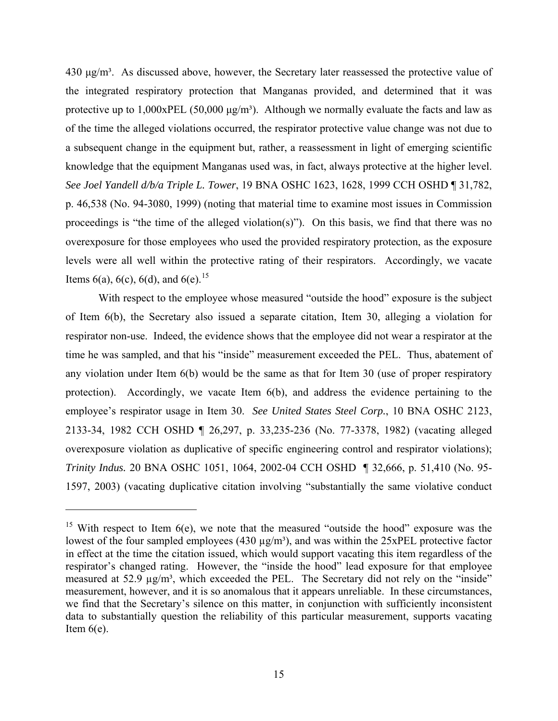$430 \mu g/m<sup>3</sup>$ . As discussed above, however, the Secretary later reassessed the protective value of the integrated respiratory protection that Manganas provided, and determined that it was protective up to  $1,000xPEL (50,000 \mu g/m<sup>3</sup>)$ . Although we normally evaluate the facts and law as of the time the alleged violations occurred, the respirator protective value change was not due to a subsequent change in the equipment but, rather, a reassessment in light of emerging scientific knowledge that the equipment Manganas used was, in fact, always protective at the higher level. *See Joel Yandell d/b/a Triple L. Tower*, 19 BNA OSHC 1623, 1628, 1999 CCH OSHD ¶ 31,782, p. 46,538 (No. 94-3080, 1999) (noting that material time to examine most issues in Commission proceedings is "the time of the alleged violation(s)"). On this basis, we find that there was no overexposure for those employees who used the provided respiratory protection, as the exposure levels were all well within the protective rating of their respirators. Accordingly, we vacate Items 6(a), 6(c), 6(d), and 6(e).<sup>[15](#page-14-0)</sup>

With respect to the employee whose measured "outside the hood" exposure is the subject of Item 6(b), the Secretary also issued a separate citation, Item 30, alleging a violation for respirator non-use. Indeed, the evidence shows that the employee did not wear a respirator at the time he was sampled, and that his "inside" measurement exceeded the PEL. Thus, abatement of any violation under Item 6(b) would be the same as that for Item 30 (use of proper respiratory protection). Accordingly, we vacate Item 6(b), and address the evidence pertaining to the employee's respirator usage in Item 30. *See United States Steel Corp.*, 10 BNA OSHC 2123, 2133-34, 1982 CCH OSHD ¶ 26,297, p. 33,235-236 (No. 77-3378, 1982) (vacating alleged overexposure violation as duplicative of specific engineering control and respirator violations); *Trinity Indus.* 20 BNA OSHC 1051, 1064, 2002-04 CCH OSHD ¶ 32,666, p. 51,410 (No. 95 1597, 2003) (vacating duplicative citation involving "substantially the same violative conduct

<span id="page-14-0"></span><sup>&</sup>lt;sup>15</sup> With respect to Item  $6(e)$ , we note that the measured "outside the hood" exposure was the lowest of the four sampled employees (430  $\mu$ g/m<sup>3</sup>), and was within the 25xPEL protective factor in effect at the time the citation issued, which would support vacating this item regardless of the respirator's changed rating. However, the "inside the hood" lead exposure for that employee measured at 52.9  $\mu$ g/m<sup>3</sup>, which exceeded the PEL. The Secretary did not rely on the "inside" measurement, however, and it is so anomalous that it appears unreliable. In these circumstances, we find that the Secretary's silence on this matter, in conjunction with sufficiently inconsistent data to substantially question the reliability of this particular measurement, supports vacating Item  $6(e)$ .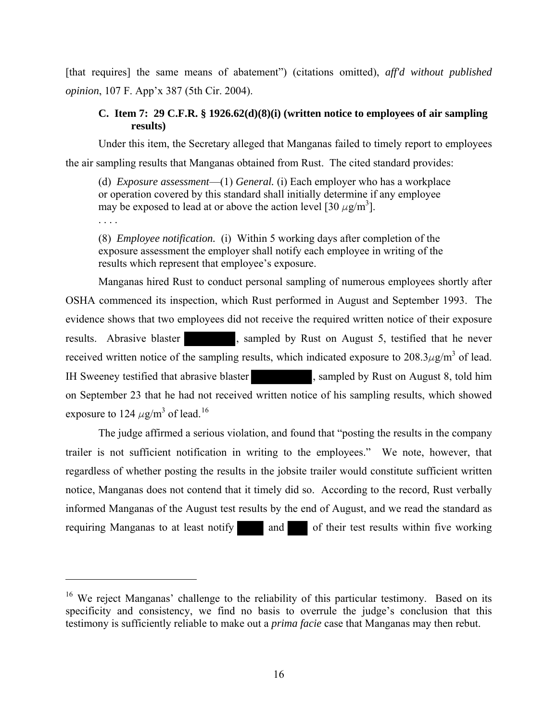[that requires] the same means of abatement") (citations omitted), *aff'd without published opinion*, 107 F. App'x 387 (5th Cir. 2004).

## **C. Item 7: 29 C.F.R. § 1926.62(d)(8)(i) (written notice to employees of air sampling results)**

Under this item, the Secretary alleged that Manganas failed to timely report to employees

the air sampling results that Manganas obtained from Rust. The cited standard provides:

(d) *Exposure assessment*—(1) *General.* (i) Each employer who has a workplace or operation covered by this standard shall initially determine if any employee may be exposed to lead at or above the action level [30  $\mu$ g/m<sup>3</sup>].

. . . .

(8) *Employee notification.* (i) Within 5 working days after completion of the exposure assessment the employer shall notify each employee in writing of the results which represent that employee's exposure.

Manganas hired Rust to conduct personal sampling of numerous employees shortly after OSHA commenced its inspection, which Rust performed in August and September 1993. The evidence shows that two employees did not receive the required written notice of their exposure results. Abrasive blaster , sampled by Rust on August 5, testified that he never received written notice of the sampling results, which indicated exposure to  $208.3\mu$ g/m<sup>3</sup> of lead. IH Sweeney testified that abrasive blaster , sampled by Rust on August 8, told him on September 23 that he had not received written notice of his sampling results, which showed exposure to 124  $\mu$ g/m<sup>3</sup> of lead.<sup>[16](#page-15-0)</sup>

The judge affirmed a serious violation, and found that "posting the results in the company trailer is not sufficient notification in writing to the employees." We note, however, that regardless of whether posting the results in the jobsite trailer would constitute sufficient written notice, Manganas does not contend that it timely did so. According to the record, Rust verbally informed Manganas of the August test results by the end of August, and we read the standard as requiring Manganas to at least notify and of their test results within five working

<span id="page-15-0"></span><sup>&</sup>lt;sup>16</sup> We reject Manganas' challenge to the reliability of this particular testimony. Based on its specificity and consistency, we find no basis to overrule the judge's conclusion that this testimony is sufficiently reliable to make out a *prima facie* case that Manganas may then rebut.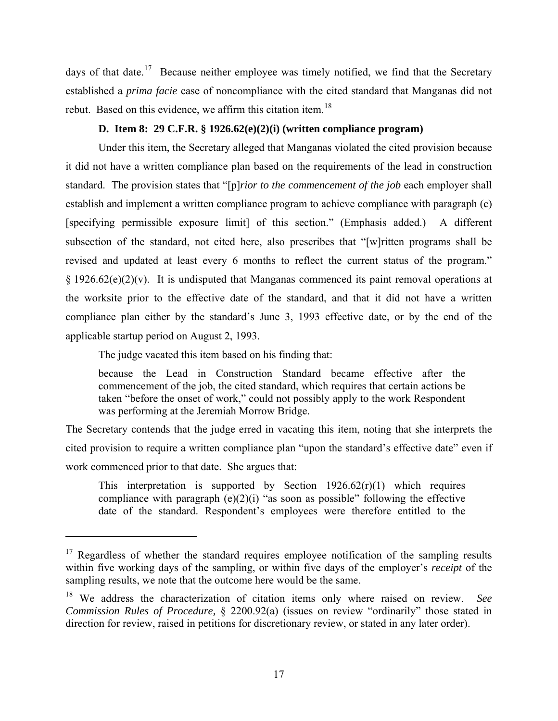days of that date.<sup>[17](#page-16-0)</sup> Because neither employee was timely notified, we find that the Secretary established a *prima facie* case of noncompliance with the cited standard that Manganas did not rebut. Based on this evidence, we affirm this citation item.<sup>[18](#page-16-1)</sup>

# **D. Item 8: 29 C.F.R. § 1926.62(e)(2)(i) (written compliance program)**

Under this item, the Secretary alleged that Manganas violated the cited provision because it did not have a written compliance plan based on the requirements of the lead in construction standard. The provision states that "[p]*rior to the commencement of the job* each employer shall establish and implement a written compliance program to achieve compliance with paragraph (c) [specifying permissible exposure limit] of this section." (Emphasis added.) A different subsection of the standard, not cited here, also prescribes that "[w]ritten programs shall be revised and updated at least every 6 months to reflect the current status of the program."  $\S 1926.62(e)(2)(v)$ . It is undisputed that Manganas commenced its paint removal operations at the worksite prior to the effective date of the standard, and that it did not have a written compliance plan either by the standard's June 3, 1993 effective date, or by the end of the applicable startup period on August 2, 1993.

The judge vacated this item based on his finding that:

because the Lead in Construction Standard became effective after the commencement of the job, the cited standard, which requires that certain actions be taken "before the onset of work," could not possibly apply to the work Respondent was performing at the Jeremiah Morrow Bridge.

The Secretary contends that the judge erred in vacating this item, noting that she interprets the cited provision to require a written compliance plan "upon the standard's effective date" even if work commenced prior to that date. She argues that:

This interpretation is supported by Section  $1926.62(r)(1)$  which requires compliance with paragraph  $(e)(2)(i)$  "as soon as possible" following the effective date of the standard. Respondent's employees were therefore entitled to the

<span id="page-16-0"></span> $17$  Regardless of whether the standard requires employee notification of the sampling results within five working days of the sampling, or within five days of the employer's *receipt* of the sampling results, we note that the outcome here would be the same.

<span id="page-16-1"></span><sup>18</sup> We address the characterization of citation items only where raised on review. *See Commission Rules of Procedure,* § 2200.92(a) (issues on review "ordinarily" those stated in direction for review, raised in petitions for discretionary review, or stated in any later order).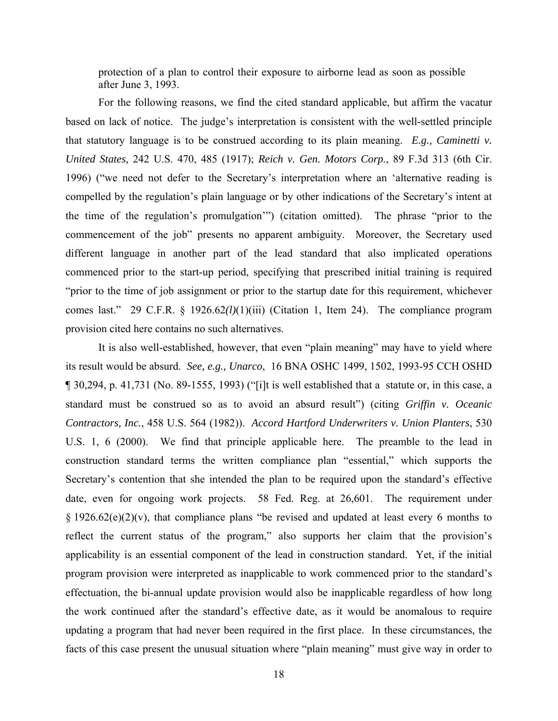protection of a plan to control their exposure to airborne lead as soon as possible after June 3, 1993.

For the following reasons, we find the cited standard applicable, but affirm the vacatur based on lack of notice. The judge's interpretation is consistent with the well-settled principle that statutory language is to be construed according to its plain meaning. *E.g., Caminetti v. United States,* 242 U.S. 470, 485 (1917); *Reich v. Gen. Motors Corp.*, 89 F.3d 313 (6th Cir. 1996) ("we need not defer to the Secretary's interpretation where an 'alternative reading is compelled by the regulation's plain language or by other indications of the Secretary's intent at the time of the regulation's promulgation'") (citation omitted). The phrase "prior to the commencement of the job" presents no apparent ambiguity. Moreover, the Secretary used different language in another part of the lead standard that also implicated operations commenced prior to the start-up period, specifying that prescribed initial training is required "prior to the time of job assignment or prior to the startup date for this requirement, whichever comes last." 29 C.F.R. § 1926.62*(l)*(1)(iii) (Citation 1, Item 24). The compliance program provision cited here contains no such alternatives.

It is also well-established, however, that even "plain meaning" may have to yield where its result would be absurd. *See, e.g., Unarco*, 16 BNA OSHC 1499, 1502, 1993-95 CCH OSHD ¶ 30,294, p. 41,731 (No. 89-1555, 1993) ("[i]t is well established that a statute or, in this case, a standard must be construed so as to avoid an absurd result") (citing *Griffin v. Oceanic Contractors, Inc.*, 458 U.S. 564 (1982)). *Accord Hartford Underwriters v. Union Planters*, 530 U.S. 1, 6 (2000). We find that principle applicable here. The preamble to the lead in construction standard terms the written compliance plan "essential," which supports the Secretary's contention that she intended the plan to be required upon the standard's effective date, even for ongoing work projects. 58 Fed. Reg. at 26,601. The requirement under  $\S 1926.62(e)(2)(v)$ , that compliance plans "be revised and updated at least every 6 months to reflect the current status of the program," also supports her claim that the provision's applicability is an essential component of the lead in construction standard. Yet, if the initial program provision were interpreted as inapplicable to work commenced prior to the standard's effectuation, the bi-annual update provision would also be inapplicable regardless of how long the work continued after the standard's effective date, as it would be anomalous to require updating a program that had never been required in the first place. In these circumstances, the facts of this case present the unusual situation where "plain meaning" must give way in order to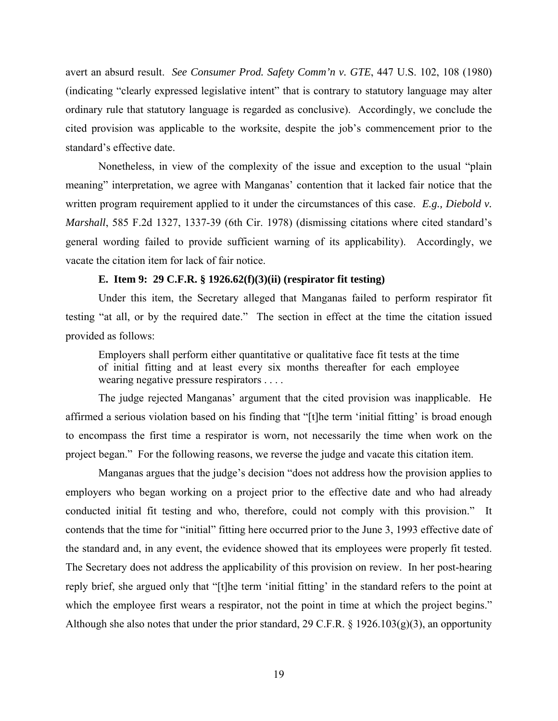avert an absurd result. *See Consumer Prod. Safety Comm'n v. GTE*, 447 U.S. 102, 108 (1980) (indicating "clearly expressed legislative intent" that is contrary to statutory language may alter ordinary rule that statutory language is regarded as conclusive). Accordingly, we conclude the cited provision was applicable to the worksite, despite the job's commencement prior to the standard's effective date.

Nonetheless, in view of the complexity of the issue and exception to the usual "plain meaning" interpretation, we agree with Manganas' contention that it lacked fair notice that the written program requirement applied to it under the circumstances of this case. *E.g., Diebold v. Marshall*, 585 F.2d 1327, 1337-39 (6th Cir. 1978) (dismissing citations where cited standard's general wording failed to provide sufficient warning of its applicability). Accordingly, we vacate the citation item for lack of fair notice.

### **E. Item 9: 29 C.F.R. § 1926.62(f)(3)(ii) (respirator fit testing)**

Under this item, the Secretary alleged that Manganas failed to perform respirator fit testing "at all, or by the required date." The section in effect at the time the citation issued provided as follows:

Employers shall perform either quantitative or qualitative face fit tests at the time of initial fitting and at least every six months thereafter for each employee wearing negative pressure respirators . . . .

The judge rejected Manganas' argument that the cited provision was inapplicable. He affirmed a serious violation based on his finding that "[t]he term 'initial fitting' is broad enough to encompass the first time a respirator is worn, not necessarily the time when work on the project began." For the following reasons, we reverse the judge and vacate this citation item.

Manganas argues that the judge's decision "does not address how the provision applies to employers who began working on a project prior to the effective date and who had already conducted initial fit testing and who, therefore, could not comply with this provision." It contends that the time for "initial" fitting here occurred prior to the June 3, 1993 effective date of the standard and, in any event, the evidence showed that its employees were properly fit tested. The Secretary does not address the applicability of this provision on review. In her post-hearing reply brief, she argued only that "[t]he term 'initial fitting' in the standard refers to the point at which the employee first wears a respirator, not the point in time at which the project begins." Although she also notes that under the prior standard, 29 C.F.R. § 1926.103(g)(3), an opportunity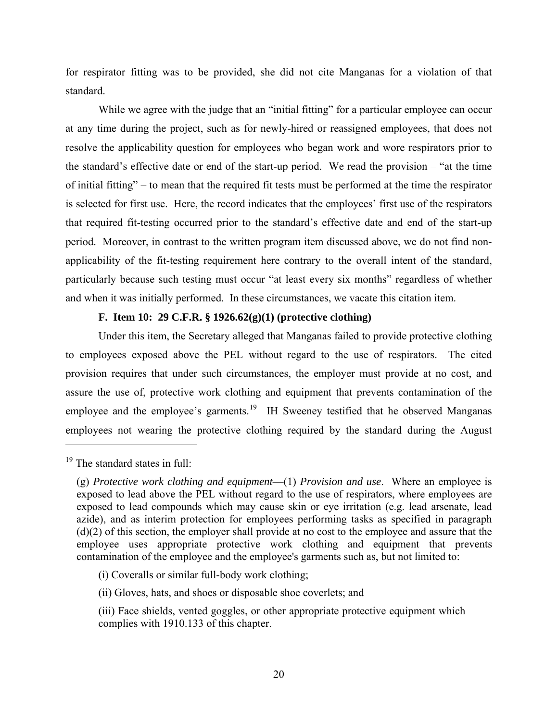for respirator fitting was to be provided, she did not cite Manganas for a violation of that standard.

While we agree with the judge that an "initial fitting" for a particular employee can occur at any time during the project, such as for newly-hired or reassigned employees, that does not resolve the applicability question for employees who began work and wore respirators prior to the standard's effective date or end of the start-up period. We read the provision – "at the time of initial fitting" – to mean that the required fit tests must be performed at the time the respirator is selected for first use. Here, the record indicates that the employees' first use of the respirators that required fit-testing occurred prior to the standard's effective date and end of the start-up period. Moreover, in contrast to the written program item discussed above, we do not find nonapplicability of the fit-testing requirement here contrary to the overall intent of the standard, particularly because such testing must occur "at least every six months" regardless of whether and when it was initially performed. In these circumstances, we vacate this citation item.

### **F. Item 10: 29 C.F.R. § 1926.62(g)(1) (protective clothing)**

Under this item, the Secretary alleged that Manganas failed to provide protective clothing to employees exposed above the PEL without regard to the use of respirators. The cited provision requires that under such circumstances, the employer must provide at no cost, and assure the use of, protective work clothing and equipment that prevents contamination of the employee and the employee's garments.<sup>[19](#page-19-0)</sup> IH Sweeney testified that he observed Manganas employees not wearing the protective clothing required by the standard during the August

<span id="page-19-0"></span> $19$  The standard states in full:

<sup>(</sup>g) *Protective work clothing and equipment*—(1) *Provision and use*. Where an employee is exposed to lead above the PEL without regard to the use of respirators, where employees are exposed to lead compounds which may cause skin or eye irritation (e.g. lead arsenate, lead azide), and as interim protection for employees performing tasks as specified in paragraph (d)(2) of this section, the employer shall provide at no cost to the employee and assure that the employee uses appropriate protective work clothing and equipment that prevents contamination of the employee and the employee's garments such as, but not limited to:

<sup>(</sup>i) Coveralls or similar full-body work clothing;

<sup>(</sup>ii) Gloves, hats, and shoes or disposable shoe coverlets; and

<sup>(</sup>iii) Face shields, vented goggles, or other appropriate protective equipment which complies with 1910.133 of this chapter.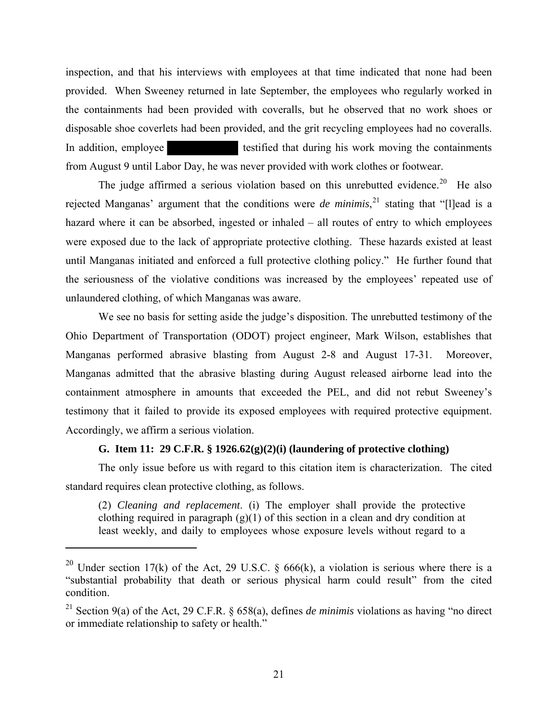inspection, and that his interviews with employees at that time indicated that none had been provided. When Sweeney returned in late September, the employees who regularly worked in the containments had been provided with coveralls, but he observed that no work shoes or disposable shoe coverlets had been provided, and the grit recycling employees had no coveralls. In addition, employee the testified that during his work moving the containments from August 9 until Labor Day, he was never provided with work clothes or footwear.

The judge affirmed a serious violation based on this unrebutted evidence.<sup>[20](#page-20-0)</sup> He also rejected Manganas' argument that the conditions were *de minimis*, [21](#page-20-1) stating that "[l]ead is a hazard where it can be absorbed, ingested or inhaled – all routes of entry to which employees were exposed due to the lack of appropriate protective clothing. These hazards existed at least until Manganas initiated and enforced a full protective clothing policy." He further found that the seriousness of the violative conditions was increased by the employees' repeated use of unlaundered clothing, of which Manganas was aware.

We see no basis for setting aside the judge's disposition. The unrebutted testimony of the Ohio Department of Transportation (ODOT) project engineer, Mark Wilson, establishes that Manganas performed abrasive blasting from August 2-8 and August 17-31. Moreover, Manganas admitted that the abrasive blasting during August released airborne lead into the containment atmosphere in amounts that exceeded the PEL, and did not rebut Sweeney's testimony that it failed to provide its exposed employees with required protective equipment. Accordingly, we affirm a serious violation.

# **G. Item 11: 29 C.F.R. § 1926.62(g)(2)(i) (laundering of protective clothing)**

The only issue before us with regard to this citation item is characterization. The cited standard requires clean protective clothing, as follows.

(2) *Cleaning and replacement*. (i) The employer shall provide the protective clothing required in paragraph  $(g)(1)$  of this section in a clean and dry condition at least weekly, and daily to employees whose exposure levels without regard to a

<span id="page-20-0"></span><sup>&</sup>lt;sup>20</sup> Under section 17(k) of the Act, 29 U.S.C. § 666(k), a violation is serious where there is a "substantial probability that death or serious physical harm could result" from the cited condition.

<span id="page-20-1"></span><sup>&</sup>lt;sup>21</sup> Section 9(a) of the Act, 29 C.F.R. § 658(a), defines *de minimis* violations as having "no direct or immediate relationship to safety or health."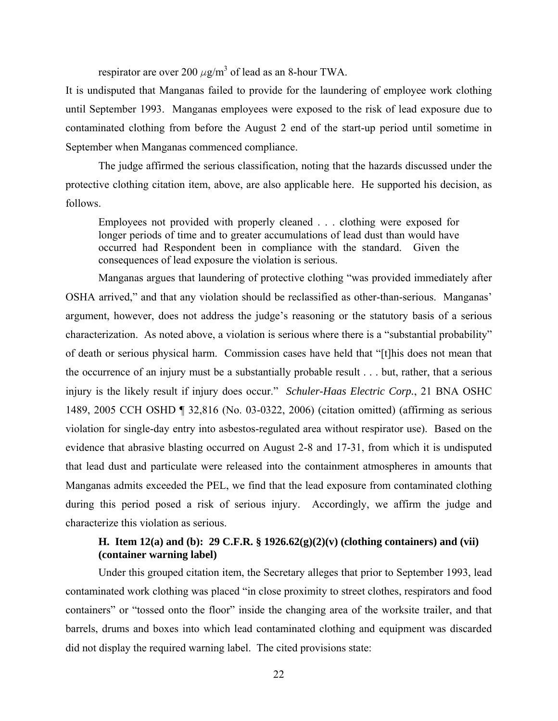respirator are over 200  $\mu$ g/m<sup>3</sup> of lead as an 8-hour TWA.

It is undisputed that Manganas failed to provide for the laundering of employee work clothing until September 1993. Manganas employees were exposed to the risk of lead exposure due to contaminated clothing from before the August 2 end of the start-up period until sometime in September when Manganas commenced compliance.

The judge affirmed the serious classification, noting that the hazards discussed under the protective clothing citation item, above, are also applicable here. He supported his decision, as follows.

Employees not provided with properly cleaned . . . clothing were exposed for longer periods of time and to greater accumulations of lead dust than would have occurred had Respondent been in compliance with the standard. Given the consequences of lead exposure the violation is serious.

Manganas argues that laundering of protective clothing "was provided immediately after OSHA arrived," and that any violation should be reclassified as other-than-serious. Manganas' argument, however, does not address the judge's reasoning or the statutory basis of a serious characterization. As noted above, a violation is serious where there is a "substantial probability" of death or serious physical harm. Commission cases have held that "[t]his does not mean that the occurrence of an injury must be a substantially probable result . . . but, rather, that a serious injury is the likely result if injury does occur." *Schuler-Haas Electric Corp.*, 21 BNA OSHC 1489, 2005 CCH OSHD ¶ 32,816 (No. 03-0322, 2006) (citation omitted) (affirming as serious violation for single-day entry into asbestos-regulated area without respirator use). Based on the evidence that abrasive blasting occurred on August 2-8 and 17-31, from which it is undisputed that lead dust and particulate were released into the containment atmospheres in amounts that Manganas admits exceeded the PEL, we find that the lead exposure from contaminated clothing during this period posed a risk of serious injury. Accordingly, we affirm the judge and characterize this violation as serious.

# **H. Item 12(a) and (b): 29 C.F.R. § 1926.62(g)(2)(v) (clothing containers) and (vii) (container warning label)**

Under this grouped citation item, the Secretary alleges that prior to September 1993, lead contaminated work clothing was placed "in close proximity to street clothes, respirators and food containers" or "tossed onto the floor" inside the changing area of the worksite trailer, and that barrels, drums and boxes into which lead contaminated clothing and equipment was discarded did not display the required warning label. The cited provisions state: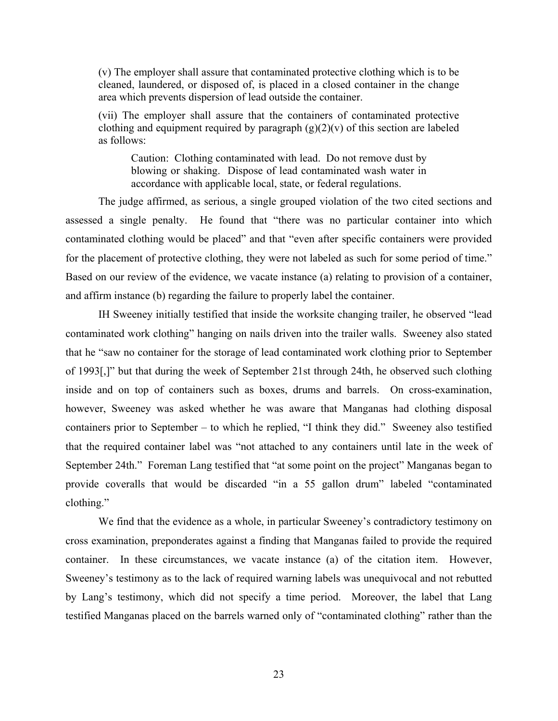(v) The employer shall assure that contaminated protective clothing which is to be cleaned, laundered, or disposed of, is placed in a closed container in the change area which prevents dispersion of lead outside the container.

(vii) The employer shall assure that the containers of contaminated protective clothing and equipment required by paragraph  $(g)(2)(v)$  of this section are labeled as follows:

Caution: Clothing contaminated with lead. Do not remove dust by blowing or shaking. Dispose of lead contaminated wash water in accordance with applicable local, state, or federal regulations.

The judge affirmed, as serious, a single grouped violation of the two cited sections and assessed a single penalty. He found that "there was no particular container into which contaminated clothing would be placed" and that "even after specific containers were provided for the placement of protective clothing, they were not labeled as such for some period of time." Based on our review of the evidence, we vacate instance (a) relating to provision of a container, and affirm instance (b) regarding the failure to properly label the container.

IH Sweeney initially testified that inside the worksite changing trailer, he observed "lead contaminated work clothing" hanging on nails driven into the trailer walls. Sweeney also stated that he "saw no container for the storage of lead contaminated work clothing prior to September of 1993[,]" but that during the week of September 21st through 24th, he observed such clothing inside and on top of containers such as boxes, drums and barrels. On cross-examination, however, Sweeney was asked whether he was aware that Manganas had clothing disposal containers prior to September – to which he replied, "I think they did." Sweeney also testified that the required container label was "not attached to any containers until late in the week of September 24th." Foreman Lang testified that "at some point on the project" Manganas began to provide coveralls that would be discarded "in a 55 gallon drum" labeled "contaminated clothing."

We find that the evidence as a whole, in particular Sweeney's contradictory testimony on cross examination, preponderates against a finding that Manganas failed to provide the required container. In these circumstances, we vacate instance (a) of the citation item. However, Sweeney's testimony as to the lack of required warning labels was unequivocal and not rebutted by Lang's testimony, which did not specify a time period. Moreover, the label that Lang testified Manganas placed on the barrels warned only of "contaminated clothing" rather than the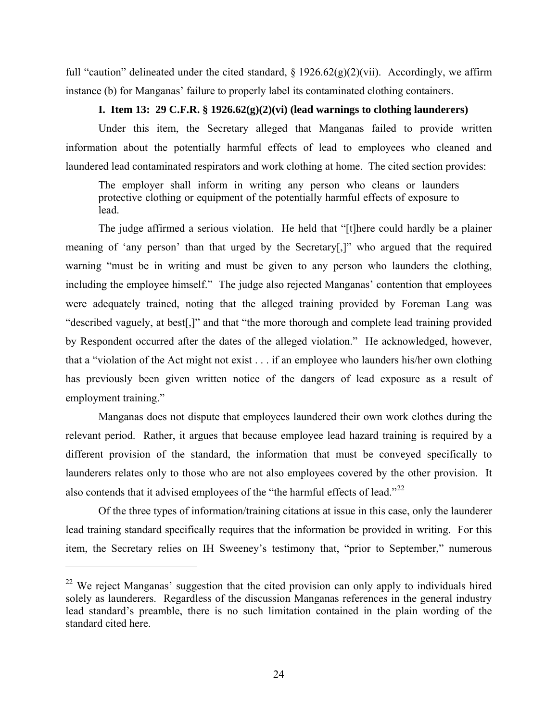full "caution" delineated under the cited standard,  $\S 1926.62(g)(2)(vi)$ . Accordingly, we affirm instance (b) for Manganas' failure to properly label its contaminated clothing containers.

# **I. Item 13: 29 C.F.R. § 1926.62(g)(2)(vi) (lead warnings to clothing launderers)**

Under this item, the Secretary alleged that Manganas failed to provide written information about the potentially harmful effects of lead to employees who cleaned and laundered lead contaminated respirators and work clothing at home. The cited section provides:

The employer shall inform in writing any person who cleans or launders protective clothing or equipment of the potentially harmful effects of exposure to lead.

The judge affirmed a serious violation. He held that "[t]here could hardly be a plainer meaning of 'any person' than that urged by the Secretary[,]" who argued that the required warning "must be in writing and must be given to any person who launders the clothing, including the employee himself." The judge also rejected Manganas' contention that employees were adequately trained, noting that the alleged training provided by Foreman Lang was "described vaguely, at best[,]" and that "the more thorough and complete lead training provided by Respondent occurred after the dates of the alleged violation." He acknowledged, however, that a "violation of the Act might not exist . . . if an employee who launders his/her own clothing has previously been given written notice of the dangers of lead exposure as a result of employment training."

Manganas does not dispute that employees laundered their own work clothes during the relevant period. Rather, it argues that because employee lead hazard training is required by a different provision of the standard, the information that must be conveyed specifically to launderers relates only to those who are not also employees covered by the other provision. It also contends that it advised employees of the "the harmful effects of lead."<sup>[22](#page-23-0)</sup>

Of the three types of information/training citations at issue in this case, only the launderer lead training standard specifically requires that the information be provided in writing. For this item, the Secretary relies on IH Sweeney's testimony that, "prior to September," numerous

<span id="page-23-0"></span> $22$  We reject Manganas' suggestion that the cited provision can only apply to individuals hired solely as launderers. Regardless of the discussion Manganas references in the general industry lead standard's preamble, there is no such limitation contained in the plain wording of the standard cited here.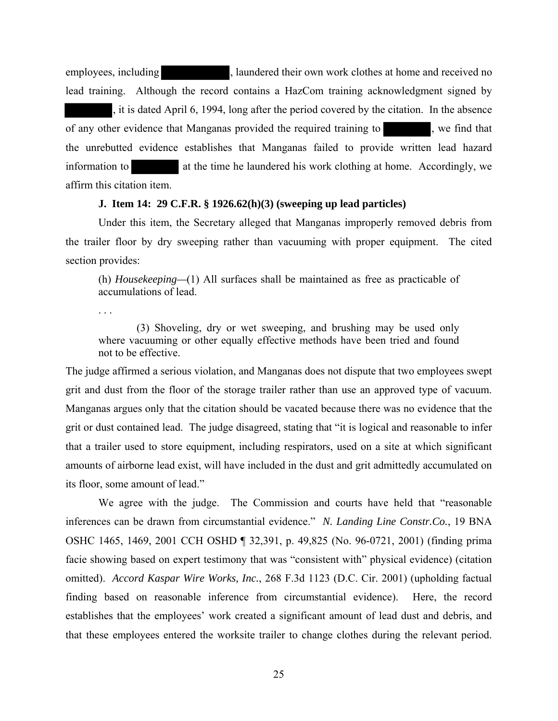employees, including states at home and received no semployees, including states at home and received no lead training. Although the record contains a HazCom training acknowledgment signed by , it is dated April 6, 1994, long after the period covered by the citation. In the absence of any other evidence that Manganas provided the required training to , we find that the unrebutted evidence establishes that Manganas failed to provide written lead hazard information to at the time he laundered his work clothing at home. Accordingly, we affirm this citation item.

#### **J. Item 14: 29 C.F.R. § 1926.62(h)(3) (sweeping up lead particles)**

Under this item, the Secretary alleged that Manganas improperly removed debris from the trailer floor by dry sweeping rather than vacuuming with proper equipment. The cited section provides:

(h) *Housekeeping—*(1) All surfaces shall be maintained as free as practicable of accumulations of lead.

. . .

(3) Shoveling, dry or wet sweeping, and brushing may be used only where vacuuming or other equally effective methods have been tried and found not to be effective.

The judge affirmed a serious violation, and Manganas does not dispute that two employees swept grit and dust from the floor of the storage trailer rather than use an approved type of vacuum. Manganas argues only that the citation should be vacated because there was no evidence that the grit or dust contained lead. The judge disagreed, stating that "it is logical and reasonable to infer that a trailer used to store equipment, including respirators, used on a site at which significant amounts of airborne lead exist, will have included in the dust and grit admittedly accumulated on its floor, some amount of lead."

We agree with the judge. The Commission and courts have held that "reasonable inferences can be drawn from circumstantial evidence." *N. Landing Line Constr.Co.*, 19 BNA OSHC 1465, 1469, 2001 CCH OSHD ¶ 32,391, p. 49,825 (No. 96-0721, 2001) (finding prima facie showing based on expert testimony that was "consistent with" physical evidence) (citation omitted). *Accord Kaspar Wire Works, Inc.*, 268 F.3d 1123 (D.C. Cir. 2001) (upholding factual finding based on reasonable inference from circumstantial evidence). Here, the record establishes that the employees' work created a significant amount of lead dust and debris, and that these employees entered the worksite trailer to change clothes during the relevant period.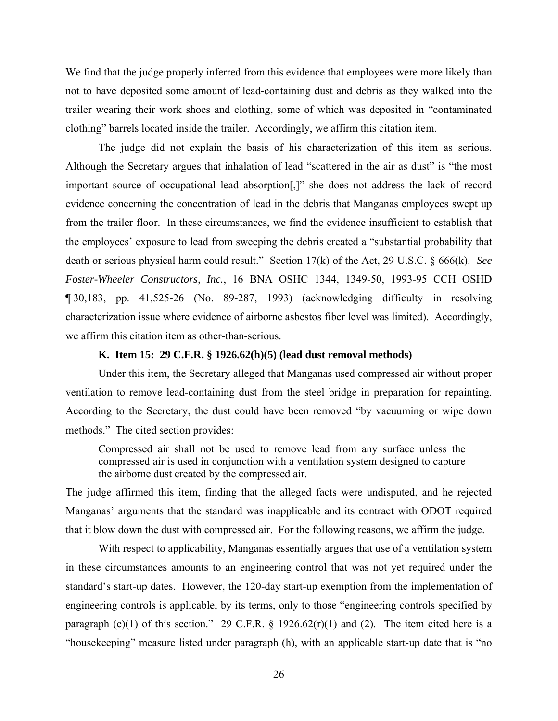We find that the judge properly inferred from this evidence that employees were more likely than not to have deposited some amount of lead-containing dust and debris as they walked into the trailer wearing their work shoes and clothing, some of which was deposited in "contaminated clothing" barrels located inside the trailer. Accordingly, we affirm this citation item.

The judge did not explain the basis of his characterization of this item as serious. Although the Secretary argues that inhalation of lead "scattered in the air as dust" is "the most important source of occupational lead absorption[,]" she does not address the lack of record evidence concerning the concentration of lead in the debris that Manganas employees swept up from the trailer floor. In these circumstances, we find the evidence insufficient to establish that the employees' exposure to lead from sweeping the debris created a "substantial probability that death or serious physical harm could result." Section 17(k) of the Act, 29 U.S.C. § 666(k). *See Foster-Wheeler Constructors, Inc.*, 16 BNA OSHC 1344, 1349-50, 1993-95 CCH OSHD ¶ 30,183, pp. 41,525-26 (No. 89-287, 1993) (acknowledging difficulty in resolving characterization issue where evidence of airborne asbestos fiber level was limited). Accordingly, we affirm this citation item as other-than-serious.

### **K. Item 15: 29 C.F.R. § 1926.62(h)(5) (lead dust removal methods)**

Under this item, the Secretary alleged that Manganas used compressed air without proper ventilation to remove lead-containing dust from the steel bridge in preparation for repainting. According to the Secretary, the dust could have been removed "by vacuuming or wipe down methods." The cited section provides:

Compressed air shall not be used to remove lead from any surface unless the compressed air is used in conjunction with a ventilation system designed to capture the airborne dust created by the compressed air.

The judge affirmed this item, finding that the alleged facts were undisputed, and he rejected Manganas' arguments that the standard was inapplicable and its contract with ODOT required that it blow down the dust with compressed air. For the following reasons, we affirm the judge.

With respect to applicability, Manganas essentially argues that use of a ventilation system in these circumstances amounts to an engineering control that was not yet required under the standard's start-up dates. However, the 120-day start-up exemption from the implementation of engineering controls is applicable, by its terms, only to those "engineering controls specified by paragraph (e)(1) of this section." 29 C.F.R.  $\S$  1926.62(r)(1) and (2). The item cited here is a "housekeeping" measure listed under paragraph (h), with an applicable start-up date that is "no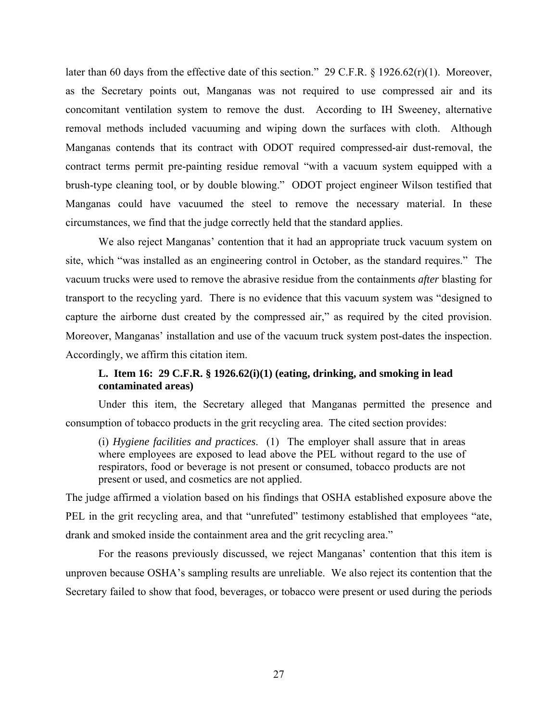later than 60 days from the effective date of this section." 29 C.F.R. § 1926.62(r)(1). Moreover, as the Secretary points out, Manganas was not required to use compressed air and its concomitant ventilation system to remove the dust. According to IH Sweeney, alternative removal methods included vacuuming and wiping down the surfaces with cloth. Although Manganas contends that its contract with ODOT required compressed-air dust-removal, the contract terms permit pre-painting residue removal "with a vacuum system equipped with a brush-type cleaning tool, or by double blowing." ODOT project engineer Wilson testified that Manganas could have vacuumed the steel to remove the necessary material. In these circumstances, we find that the judge correctly held that the standard applies.

We also reject Manganas' contention that it had an appropriate truck vacuum system on site, which "was installed as an engineering control in October, as the standard requires." The vacuum trucks were used to remove the abrasive residue from the containments *after* blasting for transport to the recycling yard. There is no evidence that this vacuum system was "designed to capture the airborne dust created by the compressed air," as required by the cited provision. Moreover, Manganas' installation and use of the vacuum truck system post-dates the inspection. Accordingly, we affirm this citation item.

# **L. Item 16: 29 C.F.R. § 1926.62(i)(1) (eating, drinking, and smoking in lead contaminated areas)**

Under this item, the Secretary alleged that Manganas permitted the presence and consumption of tobacco products in the grit recycling area. The cited section provides:

(i) *Hygiene facilities and practices*. (1) The employer shall assure that in areas where employees are exposed to lead above the PEL without regard to the use of respirators, food or beverage is not present or consumed, tobacco products are not present or used, and cosmetics are not applied.

The judge affirmed a violation based on his findings that OSHA established exposure above the PEL in the grit recycling area, and that "unrefuted" testimony established that employees "ate, drank and smoked inside the containment area and the grit recycling area."

For the reasons previously discussed, we reject Manganas' contention that this item is unproven because OSHA's sampling results are unreliable. We also reject its contention that the Secretary failed to show that food, beverages, or tobacco were present or used during the periods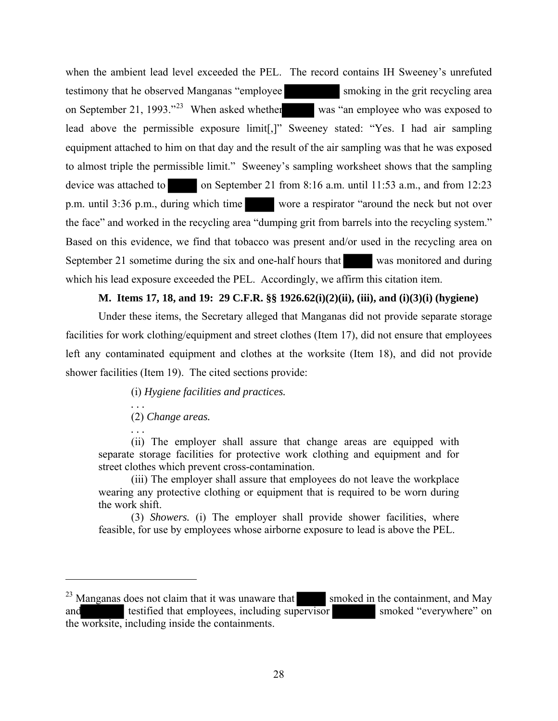when the ambient lead level exceeded the PEL. The record contains IH Sweeney's unrefuted testimony that he observed Manganas "employee smoking in the grit recycling area on September 21, 1993."<sup>[23](#page-27-0)</sup> When asked whether was "an employee who was exposed to lead above the permissible exposure limit[,]" Sweeney stated: "Yes. I had air sampling equipment attached to him on that day and the result of the air sampling was that he was exposed to almost triple the permissible limit." Sweeney's sampling worksheet shows that the sampling device was attached to on September 21 from 8:16 a.m. until 11:53 a.m., and from 12:23 p.m. until 3:36 p.m., during which time wore a respirator "around the neck but not over the face" and worked in the recycling area "dumping grit from barrels into the recycling system." Based on this evidence, we find that tobacco was present and/or used in the recycling area on September 21 sometime during the six and one-half hours that was monitored and during which his lead exposure exceeded the PEL. Accordingly, we affirm this citation item.

# **M. Items 17, 18, and 19: 29 C.F.R. §§ 1926.62(i)(2)(ii), (iii), and (i)(3)(i) (hygiene)**

Under these items, the Secretary alleged that Manganas did not provide separate storage facilities for work clothing/equipment and street clothes (Item 17), did not ensure that employees left any contaminated equipment and clothes at the worksite (Item 18), and did not provide shower facilities (Item 19). The cited sections provide:

(i) *Hygiene facilities and practices.* 

*. . .* (2) *Change areas.* 

*. . .* 

(ii) The employer shall assure that change areas are equipped with separate storage facilities for protective work clothing and equipment and for street clothes which prevent cross-contamination.

(iii) The employer shall assure that employees do not leave the workplace wearing any protective clothing or equipment that is required to be worn during the work shift.

(3) *Showers.* (i) The employer shall provide shower facilities, where feasible, for use by employees whose airborne exposure to lead is above the PEL.

<span id="page-27-0"></span> $^{23}$  Manganas does not claim that it was unaware that smoked in the containment, and May and testified that employees, including supervisor smoked "everywhere" on the worksite, including inside the containments.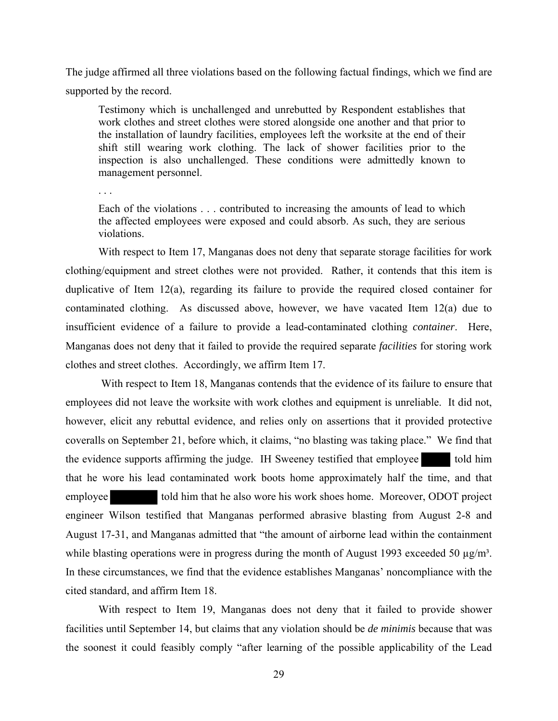The judge affirmed all three violations based on the following factual findings, which we find are supported by the record.

Testimony which is unchallenged and unrebutted by Respondent establishes that work clothes and street clothes were stored alongside one another and that prior to the installation of laundry facilities, employees left the worksite at the end of their shift still wearing work clothing. The lack of shower facilities prior to the inspection is also unchallenged. These conditions were admittedly known to management personnel.

. . .

Each of the violations . . . contributed to increasing the amounts of lead to which the affected employees were exposed and could absorb. As such, they are serious violations.

With respect to Item 17, Manganas does not deny that separate storage facilities for work clothing/equipment and street clothes were not provided. Rather, it contends that this item is duplicative of Item 12(a), regarding its failure to provide the required closed container for contaminated clothing. As discussed above, however, we have vacated Item 12(a) due to insufficient evidence of a failure to provide a lead-contaminated clothing *container*. Here, Manganas does not deny that it failed to provide the required separate *facilities* for storing work clothes and street clothes. Accordingly, we affirm Item 17.

 With respect to Item 18, Manganas contends that the evidence of its failure to ensure that employees did not leave the worksite with work clothes and equipment is unreliable. It did not, however, elicit any rebuttal evidence, and relies only on assertions that it provided protective coveralls on September 21, before which, it claims, "no blasting was taking place." We find that the evidence supports affirming the judge. IH Sweeney testified that employee told him that he wore his lead contaminated work boots home approximately half the time, and that employee told him that he also wore his work shoes home. Moreover, ODOT project engineer Wilson testified that Manganas performed abrasive blasting from August 2-8 and August 17-31, and Manganas admitted that "the amount of airborne lead within the containment while blasting operations were in progress during the month of August 1993 exceeded 50  $\mu$ g/m<sup>3</sup>. In these circumstances, we find that the evidence establishes Manganas' noncompliance with the cited standard, and affirm Item 18.

With respect to Item 19, Manganas does not deny that it failed to provide shower facilities until September 14, but claims that any violation should be *de minimis* because that was the soonest it could feasibly comply "after learning of the possible applicability of the Lead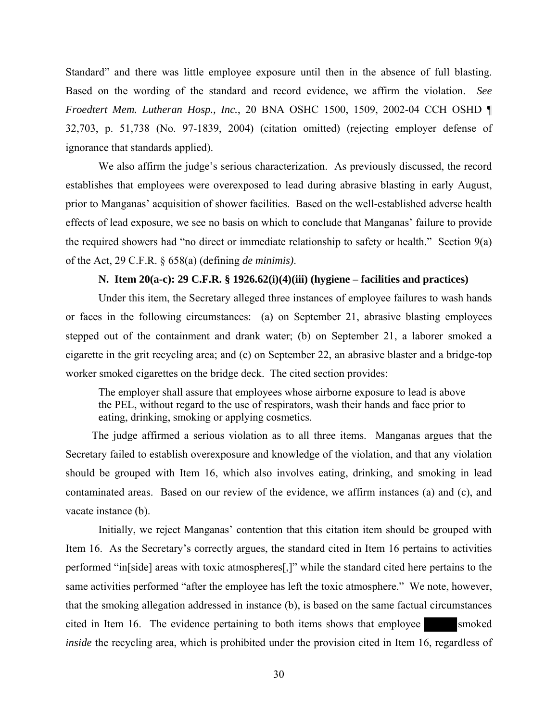Standard" and there was little employee exposure until then in the absence of full blasting. Based on the wording of the standard and record evidence, we affirm the violation. *See Froedtert Mem. Lutheran Hosp., Inc.*, 20 BNA OSHC 1500, 1509, 2002-04 CCH OSHD ¶ 32,703, p. 51,738 (No. 97-1839, 2004) (citation omitted) (rejecting employer defense of ignorance that standards applied).

We also affirm the judge's serious characterization. As previously discussed, the record establishes that employees were overexposed to lead during abrasive blasting in early August, prior to Manganas' acquisition of shower facilities. Based on the well-established adverse health effects of lead exposure, we see no basis on which to conclude that Manganas' failure to provide the required showers had "no direct or immediate relationship to safety or health." Section 9(a) of the Act, 29 C.F.R. § 658(a) (defining *de minimis)*.

## **N. Item 20(a-c): 29 C.F.R. § 1926.62(i)(4)(iii) (hygiene – facilities and practices)**

Under this item, the Secretary alleged three instances of employee failures to wash hands or faces in the following circumstances: (a) on September 21, abrasive blasting employees stepped out of the containment and drank water; (b) on September 21, a laborer smoked a cigarette in the grit recycling area; and (c) on September 22, an abrasive blaster and a bridge-top worker smoked cigarettes on the bridge deck. The cited section provides:

The employer shall assure that employees whose airborne exposure to lead is above the PEL, without regard to the use of respirators, wash their hands and face prior to eating, drinking, smoking or applying cosmetics.

The judge affirmed a serious violation as to all three items. Manganas argues that the Secretary failed to establish overexposure and knowledge of the violation, and that any violation should be grouped with Item 16, which also involves eating, drinking, and smoking in lead contaminated areas. Based on our review of the evidence, we affirm instances (a) and (c), and vacate instance (b).

Initially, we reject Manganas' contention that this citation item should be grouped with Item 16. As the Secretary's correctly argues, the standard cited in Item 16 pertains to activities performed "in[side] areas with toxic atmospheres[,]" while the standard cited here pertains to the same activities performed "after the employee has left the toxic atmosphere." We note, however, that the smoking allegation addressed in instance (b), is based on the same factual circumstances cited in Item 16. The evidence pertaining to both items shows that employee smoked *inside* the recycling area, which is prohibited under the provision cited in Item 16, regardless of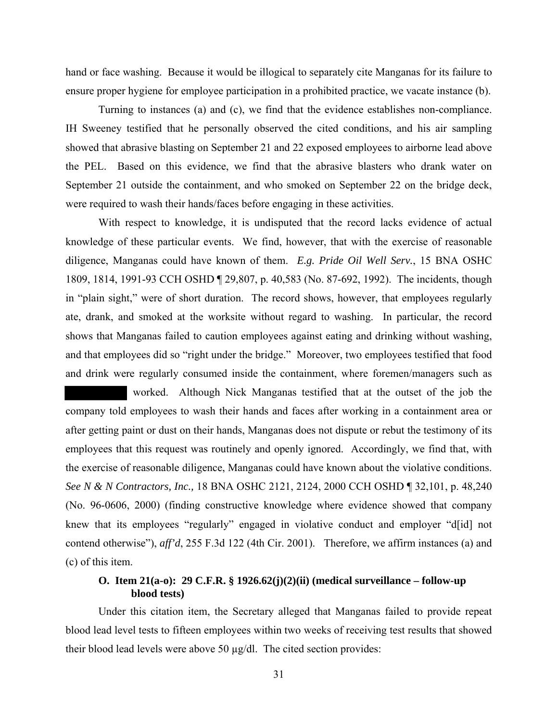hand or face washing. Because it would be illogical to separately cite Manganas for its failure to ensure proper hygiene for employee participation in a prohibited practice, we vacate instance (b).

Turning to instances (a) and (c), we find that the evidence establishes non-compliance. IH Sweeney testified that he personally observed the cited conditions, and his air sampling showed that abrasive blasting on September 21 and 22 exposed employees to airborne lead above the PEL. Based on this evidence, we find that the abrasive blasters who drank water on September 21 outside the containment, and who smoked on September 22 on the bridge deck, were required to wash their hands/faces before engaging in these activities.

With respect to knowledge, it is undisputed that the record lacks evidence of actual knowledge of these particular events. We find, however, that with the exercise of reasonable diligence, Manganas could have known of them. *E.g. Pride Oil Well Serv.*, 15 BNA OSHC 1809, 1814, 1991-93 CCH OSHD ¶ 29,807, p. 40,583 (No. 87-692, 1992). The incidents, though in "plain sight," were of short duration. The record shows, however, that employees regularly ate, drank, and smoked at the worksite without regard to washing. In particular, the record shows that Manganas failed to caution employees against eating and drinking without washing, and that employees did so "right under the bridge." Moreover, two employees testified that food and drink were regularly consumed inside the containment, where foremen/managers such as

 worked. Although Nick Manganas testified that at the outset of the job the company told employees to wash their hands and faces after working in a containment area or after getting paint or dust on their hands, Manganas does not dispute or rebut the testimony of its employees that this request was routinely and openly ignored. Accordingly, we find that, with the exercise of reasonable diligence, Manganas could have known about the violative conditions. *See N & N Contractors, Inc.,* 18 BNA OSHC 2121, 2124, 2000 CCH OSHD ¶ 32,101, p. 48,240 (No. 96-0606, 2000) (finding constructive knowledge where evidence showed that company knew that its employees "regularly" engaged in violative conduct and employer "d[id] not contend otherwise"), *aff'd*, 255 F.3d 122 (4th Cir. 2001). Therefore, we affirm instances (a) and (c) of this item.

# **O. Item 21(a-o): 29 C.F.R. § 1926.62(j)(2)(ii) (medical surveillance – follow-up blood tests)**

Under this citation item, the Secretary alleged that Manganas failed to provide repeat blood lead level tests to fifteen employees within two weeks of receiving test results that showed their blood lead levels were above 50 µg/dl. The cited section provides: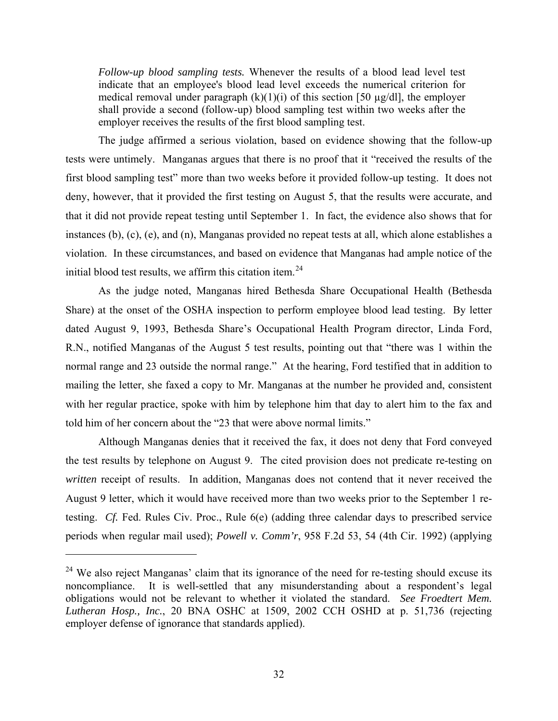*Follow-up blood sampling tests.* Whenever the results of a blood lead level test indicate that an employee's blood lead level exceeds the numerical criterion for medical removal under paragraph  $(k)(1)(i)$  of this section [50  $\mu$ g/dl], the employer shall provide a second (follow-up) blood sampling test within two weeks after the employer receives the results of the first blood sampling test.

The judge affirmed a serious violation, based on evidence showing that the follow-up tests were untimely. Manganas argues that there is no proof that it "received the results of the first blood sampling test" more than two weeks before it provided follow-up testing. It does not deny, however, that it provided the first testing on August 5, that the results were accurate, and that it did not provide repeat testing until September 1. In fact, the evidence also shows that for instances (b), (c), (e), and (n), Manganas provided no repeat tests at all, which alone establishes a violation. In these circumstances, and based on evidence that Manganas had ample notice of the initial blood test results, we affirm this citation item.<sup>[24](#page-31-0)</sup>

As the judge noted, Manganas hired Bethesda Share Occupational Health (Bethesda Share) at the onset of the OSHA inspection to perform employee blood lead testing. By letter dated August 9, 1993, Bethesda Share's Occupational Health Program director, Linda Ford, R.N., notified Manganas of the August 5 test results, pointing out that "there was 1 within the normal range and 23 outside the normal range." At the hearing, Ford testified that in addition to mailing the letter, she faxed a copy to Mr. Manganas at the number he provided and, consistent with her regular practice, spoke with him by telephone him that day to alert him to the fax and told him of her concern about the "23 that were above normal limits."

Although Manganas denies that it received the fax, it does not deny that Ford conveyed the test results by telephone on August 9. The cited provision does not predicate re-testing on *written* receipt of results. In addition, Manganas does not contend that it never received the August 9 letter, which it would have received more than two weeks prior to the September 1 retesting. *Cf.* Fed. Rules Civ. Proc., Rule 6(e) (adding three calendar days to prescribed service periods when regular mail used); *Powell v. Comm'r*, 958 F.2d 53, 54 (4th Cir. 1992) (applying

<span id="page-31-0"></span><sup>&</sup>lt;sup>24</sup> We also reject Manganas' claim that its ignorance of the need for re-testing should excuse its noncompliance. It is well-settled that any misunderstanding about a respondent's legal obligations would not be relevant to whether it violated the standard. *See Froedtert Mem. Lutheran Hosp., Inc.*, 20 BNA OSHC at 1509, 2002 CCH OSHD at p. 51,736 (rejecting employer defense of ignorance that standards applied).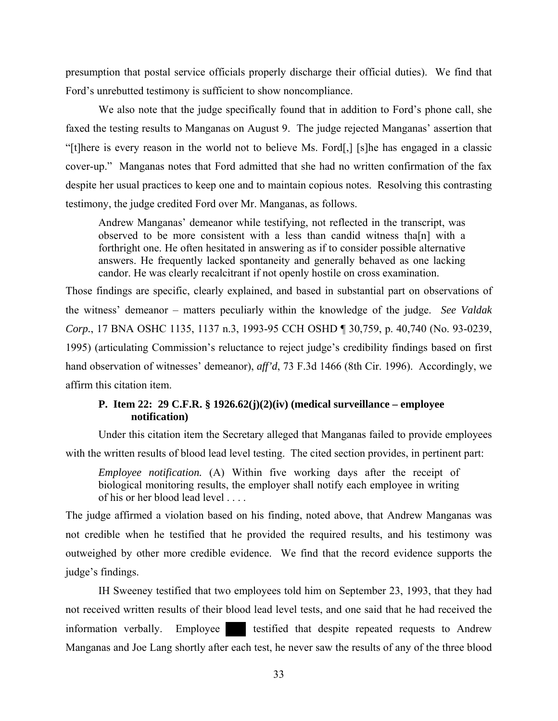presumption that postal service officials properly discharge their official duties). We find that Ford's unrebutted testimony is sufficient to show noncompliance.

We also note that the judge specifically found that in addition to Ford's phone call, she faxed the testing results to Manganas on August 9. The judge rejected Manganas' assertion that "[t]here is every reason in the world not to believe Ms. Ford[,] [s]he has engaged in a classic cover-up." Manganas notes that Ford admitted that she had no written confirmation of the fax despite her usual practices to keep one and to maintain copious notes. Resolving this contrasting testimony, the judge credited Ford over Mr. Manganas, as follows.

Andrew Manganas' demeanor while testifying, not reflected in the transcript, was observed to be more consistent with a less than candid witness tha[n] with a forthright one. He often hesitated in answering as if to consider possible alternative answers. He frequently lacked spontaneity and generally behaved as one lacking candor. He was clearly recalcitrant if not openly hostile on cross examination.

Those findings are specific, clearly explained, and based in substantial part on observations of the witness' demeanor – matters peculiarly within the knowledge of the judge. *See Valdak Corp.*, 17 BNA OSHC 1135, 1137 n.3, 1993-95 CCH OSHD ¶ 30,759, p. 40,740 (No. 93-0239, 1995) (articulating Commission's reluctance to reject judge's credibility findings based on first hand observation of witnesses' demeanor), *aff'd*, 73 F.3d 1466 (8th Cir. 1996). Accordingly, we affirm this citation item.

# **P. Item 22: 29 C.F.R. § 1926.62(j)(2)(iv) (medical surveillance – employee notification)**

Under this citation item the Secretary alleged that Manganas failed to provide employees with the written results of blood lead level testing. The cited section provides, in pertinent part:

*Employee notification.* (A) Within five working days after the receipt of biological monitoring results, the employer shall notify each employee in writing of his or her blood lead level

The judge affirmed a violation based on his finding, noted above, that Andrew Manganas was not credible when he testified that he provided the required results, and his testimony was outweighed by other more credible evidence. We find that the record evidence supports the judge's findings.

IH Sweeney testified that two employees told him on September 23, 1993, that they had not received written results of their blood lead level tests, and one said that he had received the information verbally. Employee testified that despite repeated requests to Andrew Manganas and Joe Lang shortly after each test, he never saw the results of any of the three blood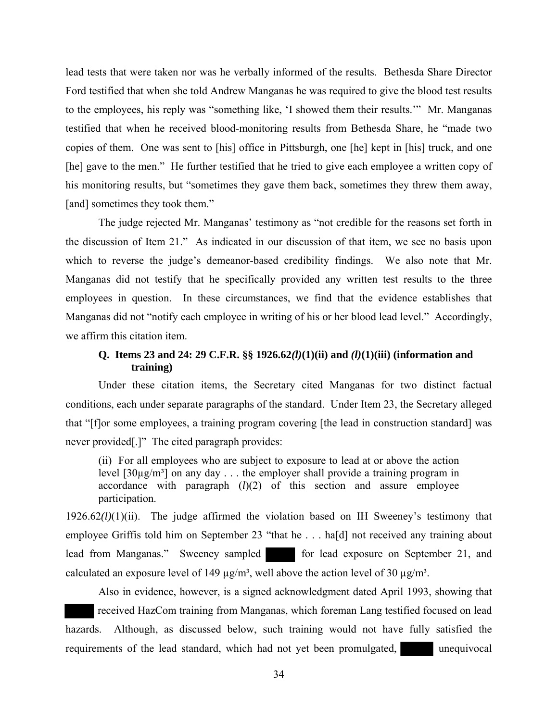lead tests that were taken nor was he verbally informed of the results. Bethesda Share Director Ford testified that when she told Andrew Manganas he was required to give the blood test results to the employees, his reply was "something like, 'I showed them their results.'" Mr. Manganas testified that when he received blood-monitoring results from Bethesda Share, he "made two copies of them. One was sent to [his] office in Pittsburgh, one [he] kept in [his] truck, and one [he] gave to the men." He further testified that he tried to give each employee a written copy of his monitoring results, but "sometimes they gave them back, sometimes they threw them away, [and] sometimes they took them."

The judge rejected Mr. Manganas' testimony as "not credible for the reasons set forth in the discussion of Item 21." As indicated in our discussion of that item, we see no basis upon which to reverse the judge's demeanor-based credibility findings. We also note that Mr. Manganas did not testify that he specifically provided any written test results to the three employees in question. In these circumstances, we find that the evidence establishes that Manganas did not "notify each employee in writing of his or her blood lead level." Accordingly, we affirm this citation item.

# **Q. Items 23 and 24: 29 C.F.R. §§ 1926.62***(l)***(1)(ii) and** *(l)***(1)(iii) (information and training)**

Under these citation items, the Secretary cited Manganas for two distinct factual conditions, each under separate paragraphs of the standard. Under Item 23, the Secretary alleged that "[f]or some employees, a training program covering [the lead in construction standard] was never provided[.]" The cited paragraph provides:

(ii) For all employees who are subject to exposure to lead at or above the action level  $[30\mu g/m^3]$  on any day ... the employer shall provide a training program in accordance with paragraph (*l*)(2) of this section and assure employee participation.

1926.62*(l)*(1)(ii). The judge affirmed the violation based on IH Sweeney's testimony that employee Griffis told him on September 23 "that he . . . ha[d] not received any training about lead from Manganas." Sweeney sampled for lead exposure on September 21, and calculated an exposure level of 149  $\mu$ g/m<sup>3</sup>, well above the action level of 30  $\mu$ g/m<sup>3</sup>.

Also in evidence, however, is a signed acknowledgment dated April 1993, showing that received HazCom training from Manganas, which foreman Lang testified focused on lead hazards. Although, as discussed below, such training would not have fully satisfied the requirements of the lead standard, which had not yet been promulgated, unequivocal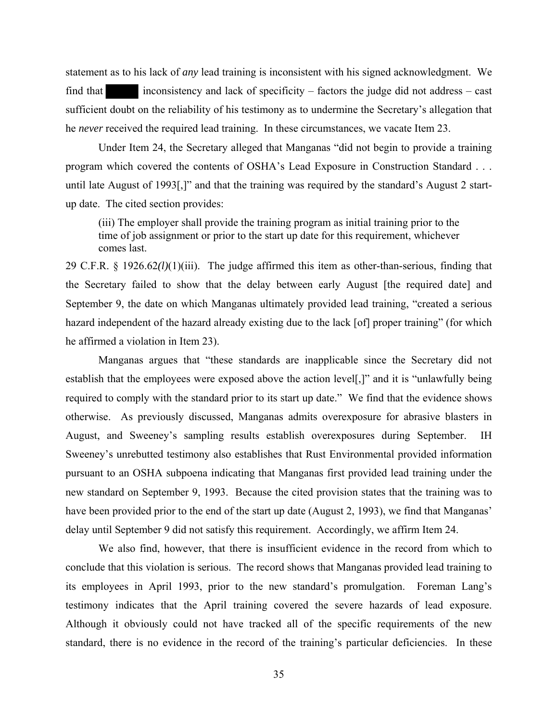statement as to his lack of *any* lead training is inconsistent with his signed acknowledgment. We find that inconsistency and lack of specificity – factors the judge did not address – cast sufficient doubt on the reliability of his testimony as to undermine the Secretary's allegation that he *never* received the required lead training. In these circumstances, we vacate Item 23.

Under Item 24, the Secretary alleged that Manganas "did not begin to provide a training program which covered the contents of OSHA's Lead Exposure in Construction Standard . . . until late August of 1993[,]" and that the training was required by the standard's August 2 startup date. The cited section provides:

(iii) The employer shall provide the training program as initial training prior to the time of job assignment or prior to the start up date for this requirement, whichever comes last.

29 C.F.R. § 1926.62*(l)*(1)(iii). The judge affirmed this item as other-than-serious, finding that the Secretary failed to show that the delay between early August [the required date] and September 9, the date on which Manganas ultimately provided lead training, "created a serious hazard independent of the hazard already existing due to the lack [of] proper training" (for which he affirmed a violation in Item 23).

Manganas argues that "these standards are inapplicable since the Secretary did not establish that the employees were exposed above the action level[,]" and it is "unlawfully being required to comply with the standard prior to its start up date." We find that the evidence shows otherwise. As previously discussed, Manganas admits overexposure for abrasive blasters in August, and Sweeney's sampling results establish overexposures during September. IH Sweeney's unrebutted testimony also establishes that Rust Environmental provided information pursuant to an OSHA subpoena indicating that Manganas first provided lead training under the new standard on September 9, 1993. Because the cited provision states that the training was to have been provided prior to the end of the start up date (August 2, 1993), we find that Manganas' delay until September 9 did not satisfy this requirement. Accordingly, we affirm Item 24.

We also find, however, that there is insufficient evidence in the record from which to conclude that this violation is serious. The record shows that Manganas provided lead training to its employees in April 1993, prior to the new standard's promulgation. Foreman Lang's testimony indicates that the April training covered the severe hazards of lead exposure. Although it obviously could not have tracked all of the specific requirements of the new standard, there is no evidence in the record of the training's particular deficiencies. In these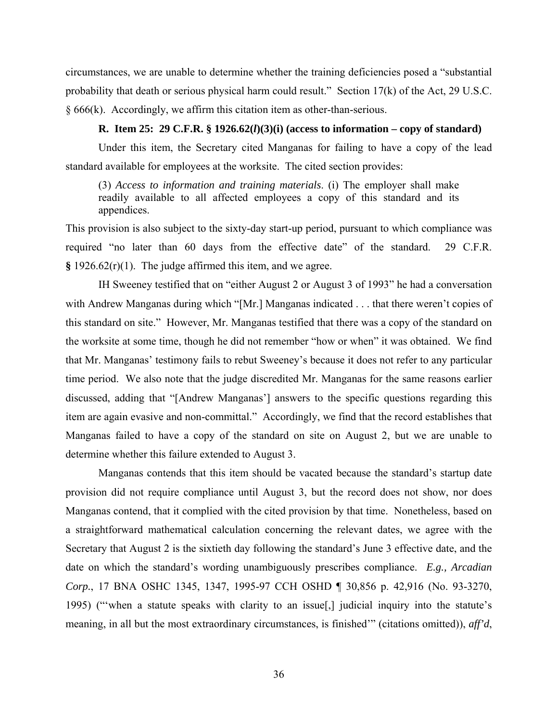circumstances, we are unable to determine whether the training deficiencies posed a "substantial probability that death or serious physical harm could result." Section 17(k) of the Act, 29 U.S.C. § 666(k). Accordingly, we affirm this citation item as other-than-serious.

#### **R. Item 25: 29 C.F.R. § 1926.62(***l***)(3)(i) (access to information – copy of standard)**

Under this item, the Secretary cited Manganas for failing to have a copy of the lead standard available for employees at the worksite. The cited section provides:

(3) *Access to information and training materials*. (i) The employer shall make readily available to all affected employees a copy of this standard and its appendices.

This provision is also subject to the sixty-day start-up period, pursuant to which compliance was required "no later than 60 days from the effective date" of the standard. 29 C.F.R. **§** 1926.62(r)(1). The judge affirmed this item, and we agree.

IH Sweeney testified that on "either August 2 or August 3 of 1993" he had a conversation with Andrew Manganas during which "[Mr.] Manganas indicated . . . that there weren't copies of this standard on site." However, Mr. Manganas testified that there was a copy of the standard on the worksite at some time, though he did not remember "how or when" it was obtained. We find that Mr. Manganas' testimony fails to rebut Sweeney's because it does not refer to any particular time period. We also note that the judge discredited Mr. Manganas for the same reasons earlier discussed, adding that "[Andrew Manganas'] answers to the specific questions regarding this item are again evasive and non-committal." Accordingly, we find that the record establishes that Manganas failed to have a copy of the standard on site on August 2, but we are unable to determine whether this failure extended to August 3.

Manganas contends that this item should be vacated because the standard's startup date provision did not require compliance until August 3, but the record does not show, nor does Manganas contend, that it complied with the cited provision by that time. Nonetheless, based on a straightforward mathematical calculation concerning the relevant dates, we agree with the Secretary that August 2 is the sixtieth day following the standard's June 3 effective date, and the date on which the standard's wording unambiguously prescribes compliance. *E.g., Arcadian Corp.*, 17 BNA OSHC 1345, 1347, 1995-97 CCH OSHD ¶ 30,856 p. 42,916 (No. 93-3270, 1995) ("'when a statute speaks with clarity to an issue[,] judicial inquiry into the statute's meaning, in all but the most extraordinary circumstances, is finished'" (citations omitted)), *aff'd*,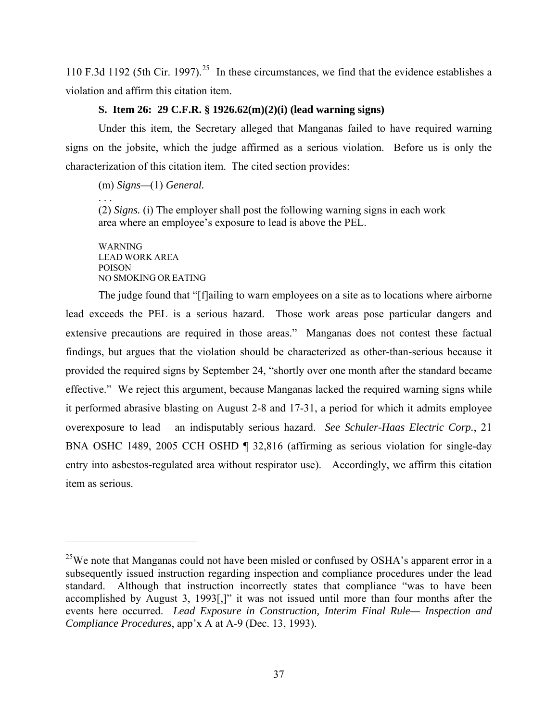110 F.3d 1192 (5th Cir. 1997).<sup>[25](#page-36-0)</sup> In these circumstances, we find that the evidence establishes a violation and affirm this citation item.

## **S. Item 26: 29 C.F.R. § 1926.62(m)(2)(i) (lead warning signs)**

Under this item, the Secretary alleged that Manganas failed to have required warning signs on the jobsite, which the judge affirmed as a serious violation. Before us is only the characterization of this citation item. The cited section provides:

(m) *Signs—*(1) *General.* 

. . . (2) *Signs.* (i) The employer shall post the following warning signs in each work area where an employee's exposure to lead is above the PEL.

WARNING LEAD WORK AREA POISON NO SMOKING OR EATING

The judge found that "[f]ailing to warn employees on a site as to locations where airborne lead exceeds the PEL is a serious hazard. Those work areas pose particular dangers and extensive precautions are required in those areas." Manganas does not contest these factual findings, but argues that the violation should be characterized as other-than-serious because it provided the required signs by September 24, "shortly over one month after the standard became effective." We reject this argument, because Manganas lacked the required warning signs while it performed abrasive blasting on August 2-8 and 17-31, a period for which it admits employee overexposure to lead – an indisputably serious hazard. *See Schuler-Haas Electric Corp.*, 21 BNA OSHC 1489, 2005 CCH OSHD ¶ 32,816 (affirming as serious violation for single-day entry into asbestos-regulated area without respirator use). Accordingly, we affirm this citation item as serious.

<span id="page-36-0"></span> $^{25}$ We note that Manganas could not have been misled or confused by OSHA's apparent error in a subsequently issued instruction regarding inspection and compliance procedures under the lead standard. Although that instruction incorrectly states that compliance "was to have been accomplished by August 3, 1993[,]" it was not issued until more than four months after the events here occurred. *Lead Exposure in Construction, Interim Final Rule— Inspection and Compliance Procedures*, app'x A at A-9 (Dec. 13, 1993).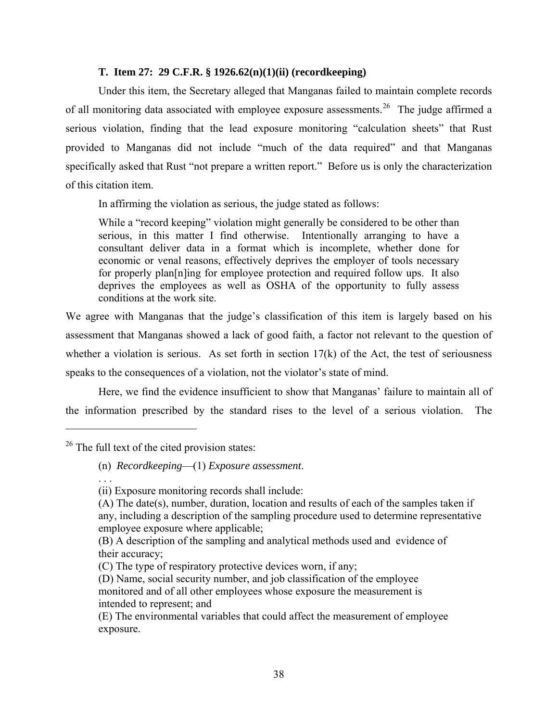#### **T. Item 27: 29 C.F.R. § 1926.62(n)(1)(ii) (recordkeeping)**

Under this item, the Secretary alleged that Manganas failed to maintain complete records of all monitoring data associated with employee exposure assessments.<sup>[26](#page-37-0)</sup> The judge affirmed a serious violation, finding that the lead exposure monitoring "calculation sheets" that Rust provided to Manganas did not include "much of the data required" and that Manganas specifically asked that Rust "not prepare a written report." Before us is only the characterization of this citation item.

In affirming the violation as serious, the judge stated as follows:

While a "record keeping" violation might generally be considered to be other than serious, in this matter I find otherwise. Intentionally arranging to have a consultant deliver data in a format which is incomplete, whether done for economic or venal reasons, effectively deprives the employer of tools necessary for properly plan[n]ing for employee protection and required follow ups. It also deprives the employees as well as OSHA of the opportunity to fully assess conditions at the work site.

We agree with Manganas that the judge's classification of this item is largely based on his assessment that Manganas showed a lack of good faith, a factor not relevant to the question of whether a violation is serious. As set forth in section  $17(k)$  of the Act, the test of seriousness speaks to the consequences of a violation, not the violator's state of mind.

Here, we find the evidence insufficient to show that Manganas' failure to maintain all of the information prescribed by the standard rises to the level of a serious violation. The

. . .

<span id="page-37-0"></span><sup>&</sup>lt;sup>26</sup> The full text of the cited provision states:

<sup>(</sup>n) *Recordkeeping*—(1) *Exposure assessment*.

<sup>(</sup>ii) Exposure monitoring records shall include:

<sup>(</sup>A) The date(s), number, duration, location and results of each of the samples taken if any, including a description of the sampling procedure used to determine representative employee exposure where applicable;

<sup>(</sup>B) A description of the sampling and analytical methods used and evidence of their accuracy;

<sup>(</sup>C) The type of respiratory protective devices worn, if any;

<sup>(</sup>D) Name, social security number, and job classification of the employee monitored and of all other employees whose exposure the measurement is intended to represent; and

<sup>(</sup>E) The environmental variables that could affect the measurement of employee exposure.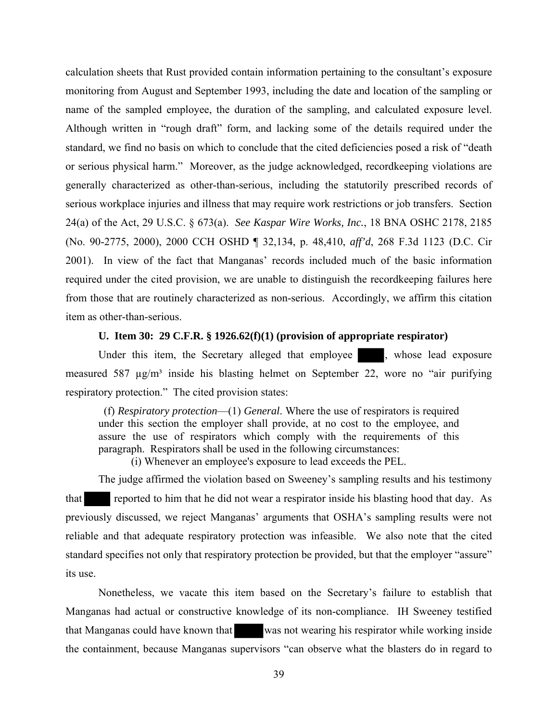calculation sheets that Rust provided contain information pertaining to the consultant's exposure monitoring from August and September 1993, including the date and location of the sampling or name of the sampled employee, the duration of the sampling, and calculated exposure level. Although written in "rough draft" form, and lacking some of the details required under the standard, we find no basis on which to conclude that the cited deficiencies posed a risk of "death or serious physical harm." Moreover, as the judge acknowledged, recordkeeping violations are generally characterized as other-than-serious, including the statutorily prescribed records of serious workplace injuries and illness that may require work restrictions or job transfers. Section 24(a) of the Act, 29 U.S.C. § 673(a). *See Kaspar Wire Works, Inc.*, 18 BNA OSHC 2178, 2185 (No. 90-2775, 2000), 2000 CCH OSHD ¶ 32,134, p. 48,410, *aff'd*, 268 F.3d 1123 (D.C. Cir 2001). In view of the fact that Manganas' records included much of the basic information required under the cited provision, we are unable to distinguish the recordkeeping failures here from those that are routinely characterized as non-serious. Accordingly, we affirm this citation item as other-than-serious.

## **U. Item 30: 29 C.F.R. § 1926.62(f)(1) (provision of appropriate respirator)**

Under this item, the Secretary alleged that employee , whose lead exposure measured 587  $\mu$ g/m<sup>3</sup> inside his blasting helmet on September 22, wore no "air purifying respiratory protection." The cited provision states:

(f) *Respiratory protection*—(1) *General*. Where the use of respirators is required under this section the employer shall provide, at no cost to the employee, and assure the use of respirators which comply with the requirements of this paragraph. Respirators shall be used in the following circumstances:

(i) Whenever an employee's exposure to lead exceeds the PEL.

The judge affirmed the violation based on Sweeney's sampling results and his testimony that reported to him that he did not wear a respirator inside his blasting hood that day. As previously discussed, we reject Manganas' arguments that OSHA's sampling results were not reliable and that adequate respiratory protection was infeasible. We also note that the cited standard specifies not only that respiratory protection be provided, but that the employer "assure" its use.

Nonetheless, we vacate this item based on the Secretary's failure to establish that Manganas had actual or constructive knowledge of its non-compliance. IH Sweeney testified that Manganas could have known that was not wearing his respirator while working inside the containment, because Manganas supervisors "can observe what the blasters do in regard to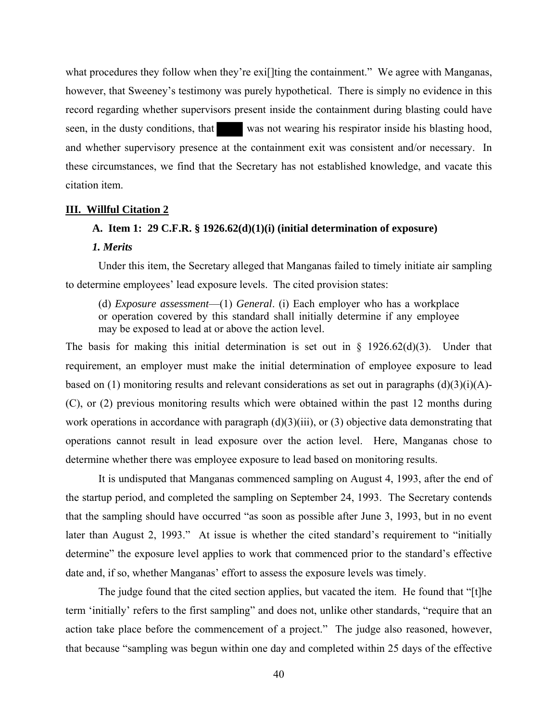what procedures they follow when they're exill ting the containment." We agree with Manganas, however, that Sweeney's testimony was purely hypothetical. There is simply no evidence in this record regarding whether supervisors present inside the containment during blasting could have seen, in the dusty conditions, that was not wearing his respirator inside his blasting hood, and whether supervisory presence at the containment exit was consistent and/or necessary. In these circumstances, we find that the Secretary has not established knowledge, and vacate this citation item.

#### **III. Willful Citation 2**

#### **A. Item 1: 29 C.F.R. § 1926.62(d)(1)(i) (initial determination of exposure)**

#### *1. Merits*

Under this item, the Secretary alleged that Manganas failed to timely initiate air sampling to determine employees' lead exposure levels. The cited provision states:

(d) *Exposure assessment*—(1) *General*. (i) Each employer who has a workplace or operation covered by this standard shall initially determine if any employee may be exposed to lead at or above the action level.

The basis for making this initial determination is set out in  $\S$  1926.62(d)(3). Under that requirement, an employer must make the initial determination of employee exposure to lead based on (1) monitoring results and relevant considerations as set out in paragraphs (d)(3)(i)(A)-(C), or (2) previous monitoring results which were obtained within the past 12 months during work operations in accordance with paragraph  $(d)(3)(iii)$ , or  $(3)$  objective data demonstrating that operations cannot result in lead exposure over the action level. Here, Manganas chose to determine whether there was employee exposure to lead based on monitoring results.

It is undisputed that Manganas commenced sampling on August 4, 1993, after the end of the startup period, and completed the sampling on September 24, 1993. The Secretary contends that the sampling should have occurred "as soon as possible after June 3, 1993, but in no event later than August 2, 1993." At issue is whether the cited standard's requirement to "initially determine" the exposure level applies to work that commenced prior to the standard's effective date and, if so, whether Manganas' effort to assess the exposure levels was timely.

The judge found that the cited section applies, but vacated the item. He found that "[t]he term 'initially' refers to the first sampling" and does not, unlike other standards, "require that an action take place before the commencement of a project." The judge also reasoned, however, that because "sampling was begun within one day and completed within 25 days of the effective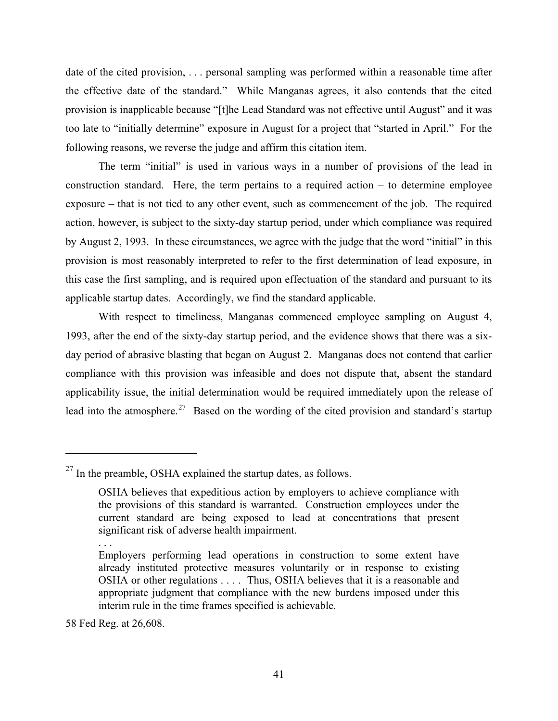date of the cited provision, . . . personal sampling was performed within a reasonable time after the effective date of the standard." While Manganas agrees, it also contends that the cited provision is inapplicable because "[t]he Lead Standard was not effective until August" and it was too late to "initially determine" exposure in August for a project that "started in April." For the following reasons, we reverse the judge and affirm this citation item.

The term "initial" is used in various ways in a number of provisions of the lead in construction standard. Here, the term pertains to a required action – to determine employee exposure – that is not tied to any other event, such as commencement of the job. The required action, however, is subject to the sixty-day startup period, under which compliance was required by August 2, 1993. In these circumstances, we agree with the judge that the word "initial" in this provision is most reasonably interpreted to refer to the first determination of lead exposure, in this case the first sampling, and is required upon effectuation of the standard and pursuant to its applicable startup dates. Accordingly, we find the standard applicable.

With respect to timeliness, Manganas commenced employee sampling on August 4, 1993, after the end of the sixty-day startup period, and the evidence shows that there was a sixday period of abrasive blasting that began on August 2. Manganas does not contend that earlier compliance with this provision was infeasible and does not dispute that, absent the standard applicability issue, the initial determination would be required immediately upon the release of lead into the atmosphere.<sup>[27](#page-40-0)</sup> Based on the wording of the cited provision and standard's startup

58 Fed Reg. at 26,608.

<span id="page-40-0"></span> $^{27}$  In the preamble, OSHA explained the startup dates, as follows.

OSHA believes that expeditious action by employers to achieve compliance with the provisions of this standard is warranted. Construction employees under the current standard are being exposed to lead at concentrations that present significant risk of adverse health impairment.

<sup>. . .</sup> 

Employers performing lead operations in construction to some extent have already instituted protective measures voluntarily or in response to existing OSHA or other regulations . . . . Thus, OSHA believes that it is a reasonable and appropriate judgment that compliance with the new burdens imposed under this interim rule in the time frames specified is achievable.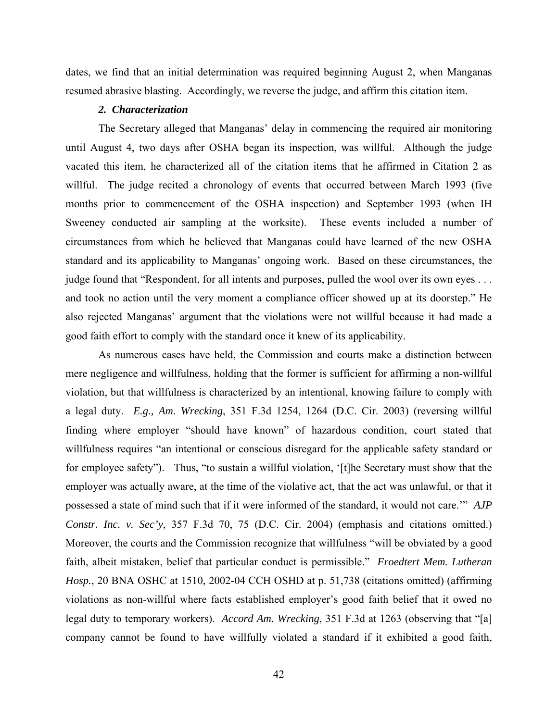dates, we find that an initial determination was required beginning August 2, when Manganas resumed abrasive blasting. Accordingly, we reverse the judge, and affirm this citation item.

#### *2. Characterization*

The Secretary alleged that Manganas' delay in commencing the required air monitoring until August 4, two days after OSHA began its inspection, was willful. Although the judge vacated this item, he characterized all of the citation items that he affirmed in Citation 2 as willful. The judge recited a chronology of events that occurred between March 1993 (five months prior to commencement of the OSHA inspection) and September 1993 (when IH Sweeney conducted air sampling at the worksite). These events included a number of circumstances from which he believed that Manganas could have learned of the new OSHA standard and its applicability to Manganas' ongoing work. Based on these circumstances, the judge found that "Respondent, for all intents and purposes, pulled the wool over its own eyes . . . and took no action until the very moment a compliance officer showed up at its doorstep." He also rejected Manganas' argument that the violations were not willful because it had made a good faith effort to comply with the standard once it knew of its applicability.

As numerous cases have held, the Commission and courts make a distinction between mere negligence and willfulness, holding that the former is sufficient for affirming a non-willful violation, but that willfulness is characterized by an intentional, knowing failure to comply with a legal duty. *E.g., Am. Wrecking*, 351 F.3d 1254, 1264 (D.C. Cir. 2003) (reversing willful finding where employer "should have known" of hazardous condition, court stated that willfulness requires "an intentional or conscious disregard for the applicable safety standard or for employee safety"). Thus, "to sustain a willful violation, '[t]he Secretary must show that the employer was actually aware, at the time of the violative act, that the act was unlawful, or that it possessed a state of mind such that if it were informed of the standard, it would not care.'" *AJP Constr. Inc. v. Sec'y*, 357 F.3d 70, 75 (D.C. Cir. 2004) (emphasis and citations omitted.) Moreover, the courts and the Commission recognize that willfulness "will be obviated by a good faith, albeit mistaken, belief that particular conduct is permissible." *Froedtert Mem. Lutheran Hosp.*, 20 BNA OSHC at 1510, 2002-04 CCH OSHD at p. 51,738 (citations omitted) (affirming violations as non-willful where facts established employer's good faith belief that it owed no legal duty to temporary workers). *Accord Am. Wrecking*, 351 F.3d at 1263 (observing that "[a] company cannot be found to have willfully violated a standard if it exhibited a good faith,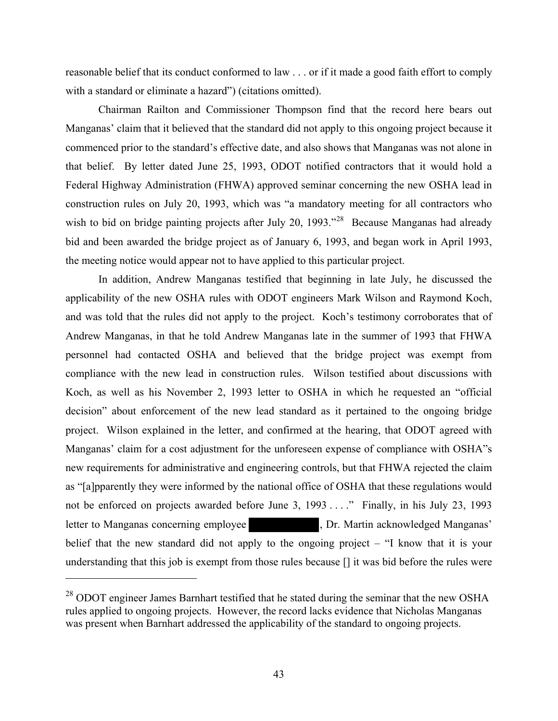reasonable belief that its conduct conformed to law . . . or if it made a good faith effort to comply with a standard or eliminate a hazard") (citations omitted).

Chairman Railton and Commissioner Thompson find that the record here bears out Manganas' claim that it believed that the standard did not apply to this ongoing project because it commenced prior to the standard's effective date, and also shows that Manganas was not alone in that belief. By letter dated June 25, 1993, ODOT notified contractors that it would hold a Federal Highway Administration (FHWA) approved seminar concerning the new OSHA lead in construction rules on July 20, 1993, which was "a mandatory meeting for all contractors who wish to bid on bridge painting projects after July 20, 1993.<sup>7[28](#page-42-0)</sup> Because Manganas had already bid and been awarded the bridge project as of January 6, 1993, and began work in April 1993, the meeting notice would appear not to have applied to this particular project.

In addition, Andrew Manganas testified that beginning in late July, he discussed the applicability of the new OSHA rules with ODOT engineers Mark Wilson and Raymond Koch, and was told that the rules did not apply to the project. Koch's testimony corroborates that of Andrew Manganas, in that he told Andrew Manganas late in the summer of 1993 that FHWA personnel had contacted OSHA and believed that the bridge project was exempt from compliance with the new lead in construction rules. Wilson testified about discussions with Koch, as well as his November 2, 1993 letter to OSHA in which he requested an "official decision" about enforcement of the new lead standard as it pertained to the ongoing bridge project. Wilson explained in the letter, and confirmed at the hearing, that ODOT agreed with Manganas' claim for a cost adjustment for the unforeseen expense of compliance with OSHA"s new requirements for administrative and engineering controls, but that FHWA rejected the claim as "[a]pparently they were informed by the national office of OSHA that these regulations would not be enforced on projects awarded before June 3, 1993 . . . ." Finally, in his July 23, 1993 letter to Manganas concerning employee , Dr. Martin acknowledged Manganas' belief that the new standard did not apply to the ongoing project – "I know that it is your understanding that this job is exempt from those rules because [] it was bid before the rules were

<span id="page-42-0"></span><sup>&</sup>lt;sup>28</sup> ODOT engineer James Barnhart testified that he stated during the seminar that the new OSHA rules applied to ongoing projects. However, the record lacks evidence that Nicholas Manganas was present when Barnhart addressed the applicability of the standard to ongoing projects.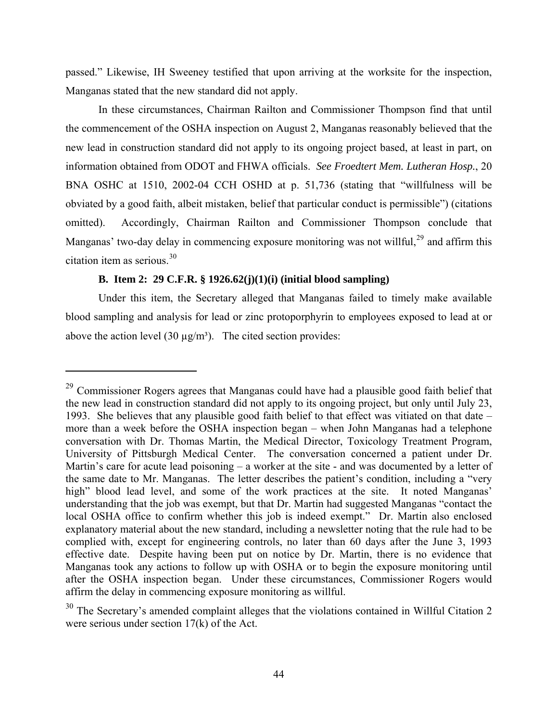passed." Likewise, IH Sweeney testified that upon arriving at the worksite for the inspection, Manganas stated that the new standard did not apply.

In these circumstances, Chairman Railton and Commissioner Thompson find that until the commencement of the OSHA inspection on August 2, Manganas reasonably believed that the new lead in construction standard did not apply to its ongoing project based, at least in part, on information obtained from ODOT and FHWA officials. *See Froedtert Mem. Lutheran Hosp.*, 20 BNA OSHC at 1510, 2002-04 CCH OSHD at p. 51,736 (stating that "willfulness will be obviated by a good faith, albeit mistaken, belief that particular conduct is permissible") (citations omitted). Accordingly, Chairman Railton and Commissioner Thompson conclude that Manganas' two-day delay in commencing exposure monitoring was not willful,  $29$  and affirm this citation item as serious.[30](#page-43-1) 

## **B. Item 2: 29 C.F.R. § 1926.62(j)(1)(i) (initial blood sampling)**

Under this item, the Secretary alleged that Manganas failed to timely make available blood sampling and analysis for lead or zinc protoporphyrin to employees exposed to lead at or above the action level  $(30 \mu g/m<sup>3</sup>)$ . The cited section provides:

<span id="page-43-0"></span><sup>&</sup>lt;sup>29</sup> Commissioner Rogers agrees that Manganas could have had a plausible good faith belief that the new lead in construction standard did not apply to its ongoing project, but only until July 23, 1993. She believes that any plausible good faith belief to that effect was vitiated on that date – more than a week before the OSHA inspection began – when John Manganas had a telephone conversation with Dr. Thomas Martin, the Medical Director, Toxicology Treatment Program, University of Pittsburgh Medical Center. The conversation concerned a patient under Dr. Martin's care for acute lead poisoning – a worker at the site - and was documented by a letter of the same date to Mr. Manganas. The letter describes the patient's condition, including a "very high" blood lead level, and some of the work practices at the site. It noted Manganas' understanding that the job was exempt, but that Dr. Martin had suggested Manganas "contact the local OSHA office to confirm whether this job is indeed exempt." Dr. Martin also enclosed explanatory material about the new standard, including a newsletter noting that the rule had to be complied with, except for engineering controls, no later than 60 days after the June 3, 1993 effective date. Despite having been put on notice by Dr. Martin, there is no evidence that Manganas took any actions to follow up with OSHA or to begin the exposure monitoring until after the OSHA inspection began. Under these circumstances, Commissioner Rogers would affirm the delay in commencing exposure monitoring as willful.

<span id="page-43-1"></span><sup>&</sup>lt;sup>30</sup> The Secretary's amended complaint alleges that the violations contained in Willful Citation 2 were serious under section 17(k) of the Act.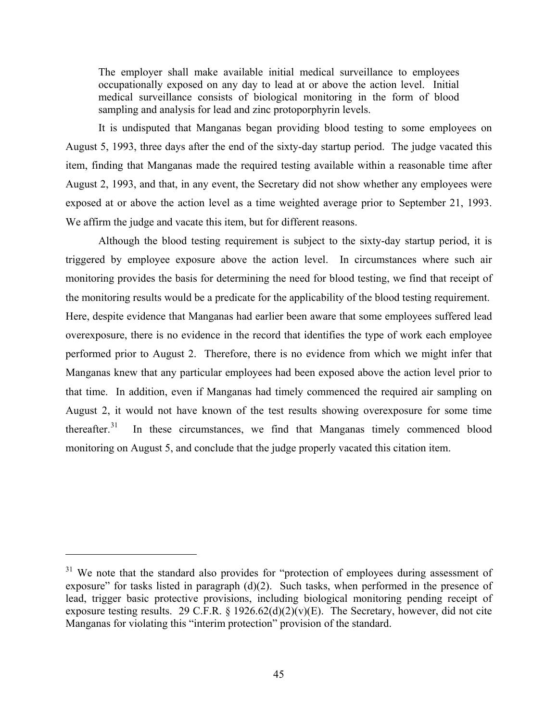The employer shall make available initial medical surveillance to employees occupationally exposed on any day to lead at or above the action level. Initial medical surveillance consists of biological monitoring in the form of blood sampling and analysis for lead and zinc protoporphyrin levels.

It is undisputed that Manganas began providing blood testing to some employees on August 5, 1993, three days after the end of the sixty-day startup period. The judge vacated this item, finding that Manganas made the required testing available within a reasonable time after August 2, 1993, and that, in any event, the Secretary did not show whether any employees were exposed at or above the action level as a time weighted average prior to September 21, 1993. We affirm the judge and vacate this item, but for different reasons.

Although the blood testing requirement is subject to the sixty-day startup period, it is triggered by employee exposure above the action level. In circumstances where such air monitoring provides the basis for determining the need for blood testing, we find that receipt of the monitoring results would be a predicate for the applicability of the blood testing requirement. Here, despite evidence that Manganas had earlier been aware that some employees suffered lead overexposure, there is no evidence in the record that identifies the type of work each employee performed prior to August 2. Therefore, there is no evidence from which we might infer that Manganas knew that any particular employees had been exposed above the action level prior to that time. In addition, even if Manganas had timely commenced the required air sampling on August 2, it would not have known of the test results showing overexposure for some time thereafter. $31$  In these circumstances, we find that Manganas timely commenced blood monitoring on August 5, and conclude that the judge properly vacated this citation item.

<span id="page-44-0"></span> $31$  We note that the standard also provides for "protection of employees during assessment of exposure" for tasks listed in paragraph  $(d)(2)$ . Such tasks, when performed in the presence of lead, trigger basic protective provisions, including biological monitoring pending receipt of exposure testing results. 29 C.F.R. § 1926.62(d)(2)(v)(E). The Secretary, however, did not cite Manganas for violating this "interim protection" provision of the standard.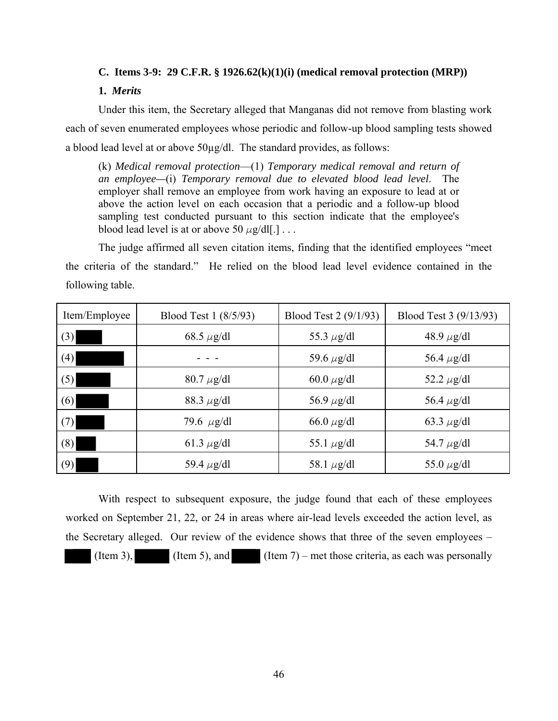## **C. Items 3-9: 29 C.F.R. § 1926.62(k)(1)(i) (medical removal protection (MRP))**

## **1.** *Merits*

Under this item, the Secretary alleged that Manganas did not remove from blasting work each of seven enumerated employees whose periodic and follow-up blood sampling tests showed a blood lead level at or above 50µg/dl. The standard provides, as follows:

(k) *Medical removal protection*—(1) *Temporary medical removal and return of an employee—*(i) *Temporary removal due to elevated blood lead level*. The employer shall remove an employee from work having an exposure to lead at or above the action level on each occasion that a periodic and a follow-up blood sampling test conducted pursuant to this section indicate that the employee's blood lead level is at or above 50  $\mu$ g/dl[.] . . .

The judge affirmed all seven citation items, finding that the identified employees "meet the criteria of the standard." He relied on the blood lead level evidence contained in the following table.

| Item/Employee | Blood Test 1 (8/5/93) | Blood Test 2 (9/1/93) | Blood Test 3 (9/13/93) |
|---------------|-----------------------|-----------------------|------------------------|
| (3)           | 68.5 $\mu$ g/dl       | 55.3 $\mu$ g/dl       | 48.9 $\mu$ g/dl        |
| (4)           |                       | 59.6 $\mu$ g/dl       | 56.4 $\mu$ g/dl        |
| (5)           | $80.7 \mu g/dl$       | 60.0 $\mu$ g/dl       | 52.2 $\mu$ g/dl        |
| (6)           | 88.3 $\mu$ g/dl       | 56.9 $\mu$ g/dl       | 56.4 $\mu$ g/dl        |
| (7)           | 79.6 $\mu$ g/dl       | 66.0 $\mu$ g/dl       | 63.3 $\mu$ g/dl        |
| (8)           | 61.3 $\mu$ g/dl       | 55.1 $\mu$ g/dl       | 54.7 $\mu$ g/dl        |
| (9)           | 59.4 $\mu$ g/dl       | 58.1 $\mu$ g/dl       | 55.0 $\mu$ g/dl        |

With respect to subsequent exposure, the judge found that each of these employees worked on September 21, 22, or 24 in areas where air-lead levels exceeded the action level, as the Secretary alleged. Our review of the evidence shows that three of the seven employees – (Item 3), (Item 5), and (Item 7) – met those criteria, as each was personally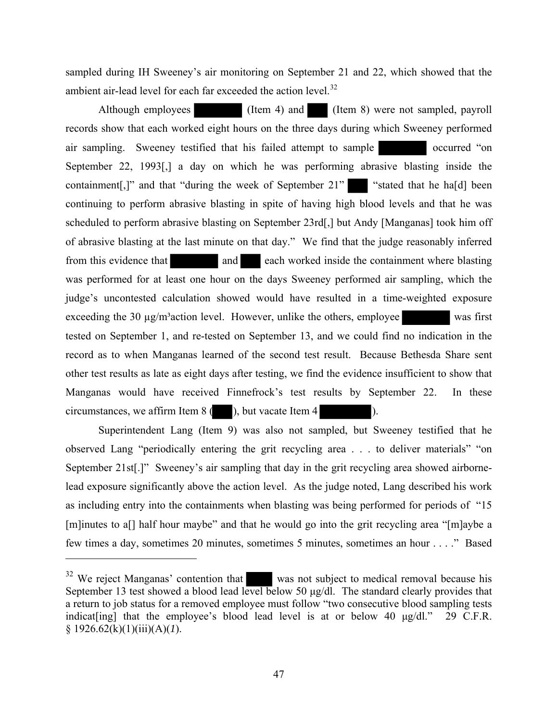sampled during IH Sweeney's air monitoring on September 21 and 22, which showed that the ambient air-lead level for each far exceeded the action level. $32$ 

Although employees (Item 4) and (Item 8) were not sampled, payroll records show that each worked eight hours on the three days during which Sweeney performed air sampling. Sweeney testified that his failed attempt to sample occurred "on September 22, 1993[,] a day on which he was performing abrasive blasting inside the containment[,]" and that "during the week of September 21" "stated that he ha[d] been continuing to perform abrasive blasting in spite of having high blood levels and that he was scheduled to perform abrasive blasting on September 23rd[,] but Andy [Manganas] took him off of abrasive blasting at the last minute on that day." We find that the judge reasonably inferred from this evidence that and each worked inside the containment where blasting was performed for at least one hour on the days Sweeney performed air sampling, which the judge's uncontested calculation showed would have resulted in a time-weighted exposure exceeding the  $30 \mu g/m^3$  action level. However, unlike the others, employee was first tested on September 1, and re-tested on September 13, and we could find no indication in the record as to when Manganas learned of the second test result. Because Bethesda Share sent other test results as late as eight days after testing, we find the evidence insufficient to show that Manganas would have received Finnefrock's test results by September 22. In these circumstances, we affirm Item  $8($  ), but vacate Item  $4$  ).

Superintendent Lang (Item 9) was also not sampled, but Sweeney testified that he observed Lang "periodically entering the grit recycling area . . . to deliver materials" "on September 21st[.]" Sweeney's air sampling that day in the grit recycling area showed airbornelead exposure significantly above the action level. As the judge noted, Lang described his work as including entry into the containments when blasting was being performed for periods of "15 [m]inutes to a<sup>[]</sup> half hour maybe" and that he would go into the grit recycling area "[m]aybe a few times a day, sometimes 20 minutes, sometimes 5 minutes, sometimes an hour . . . ." Based

<span id="page-46-0"></span><sup>&</sup>lt;sup>32</sup> We reject Manganas' contention that was not subject to medical removal because his September 13 test showed a blood lead level below 50 μg/dl. The standard clearly provides that a return to job status for a removed employee must follow "two consecutive blood sampling tests indicat [ing] that the employee's blood lead level is at or below 40  $\mu$ g/dl." 29 C.F.R. § 1926.62(k)(1)(iii)(A)(*1*).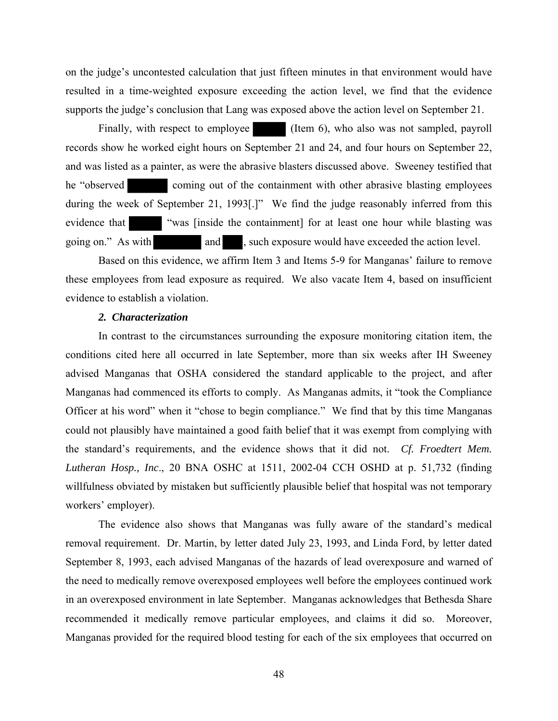on the judge's uncontested calculation that just fifteen minutes in that environment would have resulted in a time-weighted exposure exceeding the action level, we find that the evidence supports the judge's conclusion that Lang was exposed above the action level on September 21.

Finally, with respect to employee (Item 6), who also was not sampled, payroll records show he worked eight hours on September 21 and 24, and four hours on September 22, and was listed as a painter, as were the abrasive blasters discussed above. Sweeney testified that he "observed coming out of the containment with other abrasive blasting employees during the week of September 21, 1993[.]" We find the judge reasonably inferred from this evidence that "was [inside the containment] for at least one hour while blasting was going on." As with and , such exposure would have exceeded the action level.

Based on this evidence, we affirm Item 3 and Items 5-9 for Manganas' failure to remove these employees from lead exposure as required. We also vacate Item 4, based on insufficient evidence to establish a violation.

#### *2. Characterization*

In contrast to the circumstances surrounding the exposure monitoring citation item, the conditions cited here all occurred in late September, more than six weeks after IH Sweeney advised Manganas that OSHA considered the standard applicable to the project, and after Manganas had commenced its efforts to comply. As Manganas admits, it "took the Compliance Officer at his word" when it "chose to begin compliance." We find that by this time Manganas could not plausibly have maintained a good faith belief that it was exempt from complying with the standard's requirements, and the evidence shows that it did not. *Cf. Froedtert Mem. Lutheran Hosp., Inc*., 20 BNA OSHC at 1511, 2002-04 CCH OSHD at p. 51,732 (finding willfulness obviated by mistaken but sufficiently plausible belief that hospital was not temporary workers' employer).

The evidence also shows that Manganas was fully aware of the standard's medical removal requirement. Dr. Martin, by letter dated July 23, 1993, and Linda Ford, by letter dated September 8, 1993, each advised Manganas of the hazards of lead overexposure and warned of the need to medically remove overexposed employees well before the employees continued work in an overexposed environment in late September. Manganas acknowledges that Bethesda Share recommended it medically remove particular employees, and claims it did so. Moreover, Manganas provided for the required blood testing for each of the six employees that occurred on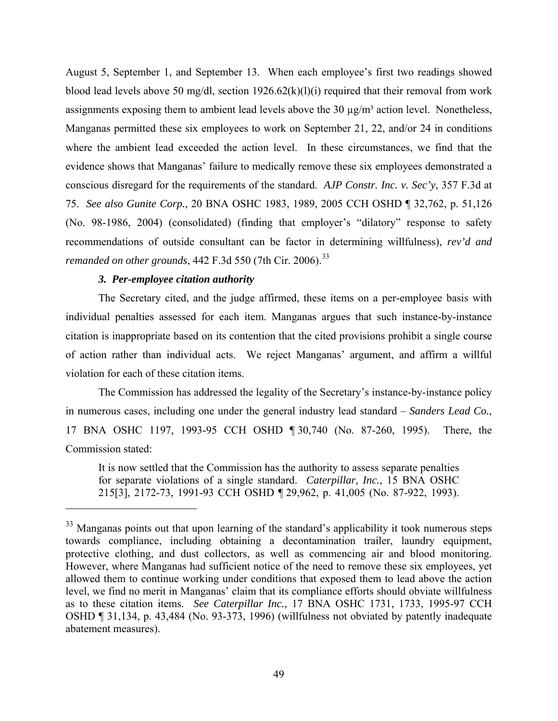August 5, September 1, and September 13. When each employee's first two readings showed blood lead levels above 50 mg/dl, section 1926.62(k)(l)(i) required that their removal from work assignments exposing them to ambient lead levels above the  $30 \mu g/m<sup>3</sup>$  action level. Nonetheless, Manganas permitted these six employees to work on September 21, 22, and/or 24 in conditions where the ambient lead exceeded the action level. In these circumstances, we find that the evidence shows that Manganas' failure to medically remove these six employees demonstrated a conscious disregard for the requirements of the standard. *AJP Constr. Inc. v. Sec'y*, 357 F.3d at 75. *See also Gunite Corp.*, 20 BNA OSHC 1983, 1989, 2005 CCH OSHD ¶ 32,762, p. 51,126 (No. 98-1986, 2004) (consolidated) (finding that employer's "dilatory" response to safety recommendations of outside consultant can be factor in determining willfulness), *rev'd and remanded on other grounds*, 442 F.3d 550 (7th Cir. 2006).<sup>33</sup>

#### *3. Per-employee citation authority*

The Secretary cited, and the judge affirmed, these items on a per-employee basis with individual penalties assessed for each item. Manganas argues that such instance-by-instance citation is inappropriate based on its contention that the cited provisions prohibit a single course of action rather than individual acts. We reject Manganas' argument, and affirm a willful violation for each of these citation items.

The Commission has addressed the legality of the Secretary's instance-by-instance policy in numerous cases, including one under the general industry lead standard – *Sanders Lead Co.*, 17 BNA OSHC 1197, 1993-95 CCH OSHD ¶ 30,740 (No. 87-260, 1995). There, the Commission stated:

It is now settled that the Commission has the authority to assess separate penalties for separate violations of a single standard. *Caterpillar, Inc.*, 15 BNA OSHC 215[3], 2172-73, 1991-93 CCH OSHD ¶ 29,962, p. 41,005 (No. 87-922, 1993).

<span id="page-48-0"></span><sup>&</sup>lt;sup>33</sup> Manganas points out that upon learning of the standard's applicability it took numerous steps towards compliance, including obtaining a decontamination trailer, laundry equipment, protective clothing, and dust collectors, as well as commencing air and blood monitoring. However, where Manganas had sufficient notice of the need to remove these six employees, yet allowed them to continue working under conditions that exposed them to lead above the action level, we find no merit in Manganas' claim that its compliance efforts should obviate willfulness as to these citation items. *See Caterpillar Inc.*, 17 BNA OSHC 1731, 1733, 1995-97 CCH OSHD ¶ 31,134, p. 43,484 (No. 93-373, 1996) (willfulness not obviated by patently inadequate abatement measures).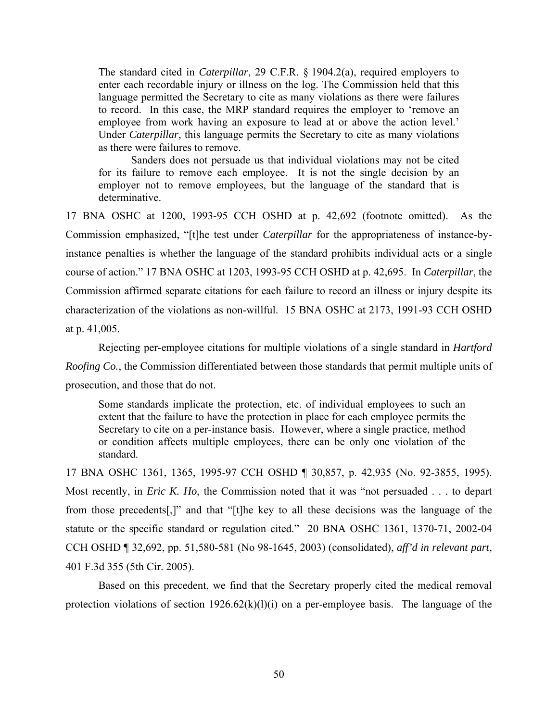The standard cited in *Caterpillar*, 29 C.F.R. § 1904.2(a), required employers to enter each recordable injury or illness on the log. The Commission held that this language permitted the Secretary to cite as many violations as there were failures to record. In this case, the MRP standard requires the employer to 'remove an employee from work having an exposure to lead at or above the action level.' Under *Caterpillar*, this language permits the Secretary to cite as many violations as there were failures to remove.

Sanders does not persuade us that individual violations may not be cited for its failure to remove each employee. It is not the single decision by an employer not to remove employees, but the language of the standard that is determinative.

17 BNA OSHC at 1200, 1993-95 CCH OSHD at p. 42,692 (footnote omitted). As the Commission emphasized, "[t]he test under *Caterpillar* for the appropriateness of instance-byinstance penalties is whether the language of the standard prohibits individual acts or a single course of action." 17 BNA OSHC at 1203, 1993-95 CCH OSHD at p. 42,695. In *Caterpillar*, the Commission affirmed separate citations for each failure to record an illness or injury despite its characterization of the violations as non-willful. 15 BNA OSHC at 2173, 1991-93 CCH OSHD at p. 41,005.

Rejecting per-employee citations for multiple violations of a single standard in *Hartford Roofing Co.*, the Commission differentiated between those standards that permit multiple units of prosecution, and those that do not.

Some standards implicate the protection, etc. of individual employees to such an extent that the failure to have the protection in place for each employee permits the Secretary to cite on a per-instance basis. However, where a single practice, method or condition affects multiple employees, there can be only one violation of the standard.

17 BNA OSHC 1361, 1365, 1995-97 CCH OSHD ¶ 30,857, p. 42,935 (No. 92-3855, 1995). Most recently, in *Eric K. Ho*, the Commission noted that it was "not persuaded . . . to depart from those precedents[,]" and that "[t]he key to all these decisions was the language of the statute or the specific standard or regulation cited." 20 BNA OSHC 1361, 1370-71, 2002-04 CCH OSHD ¶ 32,692, pp. 51,580-581 (No 98-1645, 2003) (consolidated), *aff'd in relevant part*, 401 F.3d 355 (5th Cir. 2005).

Based on this precedent, we find that the Secretary properly cited the medical removal protection violations of section  $1926.62(k)(l)(i)$  on a per-employee basis. The language of the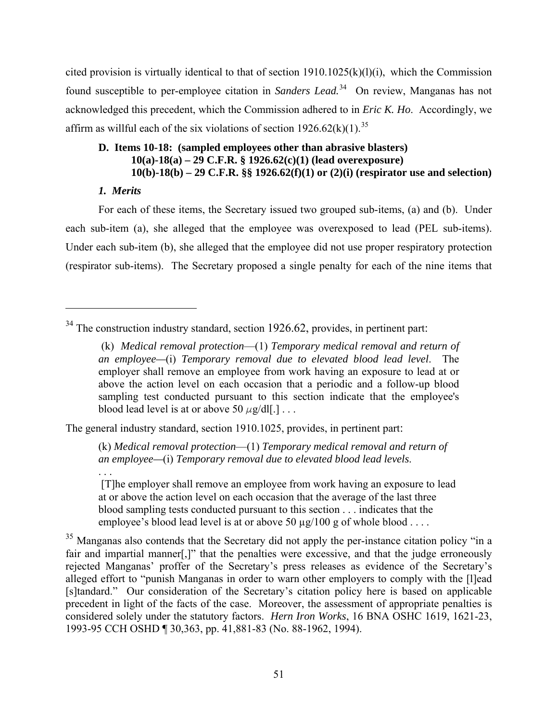cited provision is virtually identical to that of section  $1910.1025(k)(l)(i)$ , which the Commission found susceptible to per-employee citation in *Sanders Lead.*[34](#page-50-0) On review, Manganas has not acknowledged this precedent, which the Commission adhered to in *Eric K. Ho*. Accordingly, we affirm as willful each of the six violations of section  $1926.62(k)(1)$ .<sup>35</sup>

# **D. Items 10-18: (sampled employees other than abrasive blasters) 10(a)-18(a) – 29 C.F.R. § 1926.62(c)(1) (lead overexposure) 10(b)-18(b) – 29 C.F.R. §§ 1926.62(f)(1) or (2)(i) (respirator use and selection)**

## *1. Merits*

. . .

For each of these items, the Secretary issued two grouped sub-items, (a) and (b). Under each sub-item (a), she alleged that the employee was overexposed to lead (PEL sub-items). Under each sub-item (b), she alleged that the employee did not use proper respiratory protection (respirator sub-items). The Secretary proposed a single penalty for each of the nine items that

The general industry standard, section 1910.1025, provides, in pertinent part:

(k) *Medical removal protection*—(1) *Temporary medical removal and return of an employee—*(i) *Temporary removal due to elevated blood lead levels*.

 [T]he employer shall remove an employee from work having an exposure to lead at or above the action level on each occasion that the average of the last three blood sampling tests conducted pursuant to this section . . . indicates that the employee's blood lead level is at or above 50  $\mu$ g/100 g of whole blood ...

<span id="page-50-1"></span><sup>35</sup> Manganas also contends that the Secretary did not apply the per-instance citation policy "in a fair and impartial manner[,]" that the penalties were excessive, and that the judge erroneously rejected Manganas' proffer of the Secretary's press releases as evidence of the Secretary's alleged effort to "punish Manganas in order to warn other employers to comply with the [l]ead [s]tandard." Our consideration of the Secretary's citation policy here is based on applicable precedent in light of the facts of the case. Moreover, the assessment of appropriate penalties is considered solely under the statutory factors. *Hern Iron Works*, 16 BNA OSHC 1619, 1621-23, 1993-95 CCH OSHD ¶ 30,363, pp. 41,881-83 (No. 88-1962, 1994).

<span id="page-50-0"></span><sup>&</sup>lt;sup>34</sup> The construction industry standard, section 1926.62, provides, in pertinent part:

<sup>(</sup>k) *Medical removal protection*—(1) *Temporary medical removal and return of an employee—*(i) *Temporary removal due to elevated blood lead level*. The employer shall remove an employee from work having an exposure to lead at or above the action level on each occasion that a periodic and a follow-up blood sampling test conducted pursuant to this section indicate that the employee's blood lead level is at or above 50  $\mu$ g/dl[.] . . .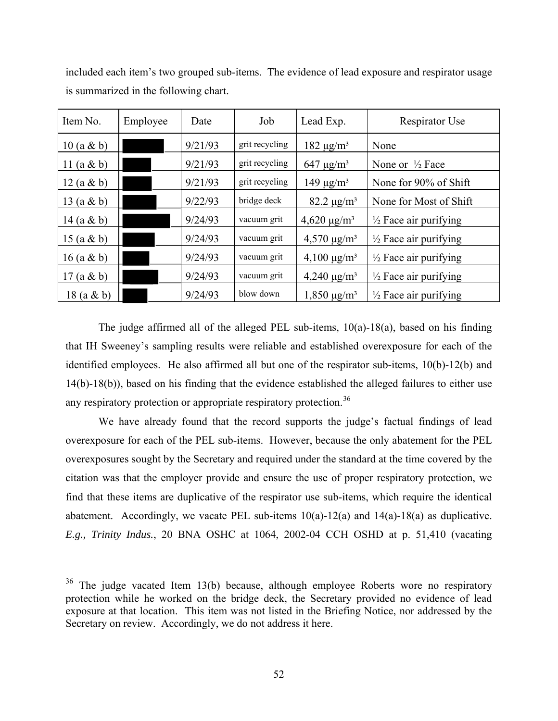| Item No.      | Employee | Date    | Job            | Lead Exp.                    | Respirator Use                   |
|---------------|----------|---------|----------------|------------------------------|----------------------------------|
| $10 (a \& b)$ |          | 9/21/93 | grit recycling | $182 \mu g/m^3$              | None                             |
| 11 $(a & b)$  |          | 9/21/93 | grit recycling | $647 \mu g/m^3$              | None or $\frac{1}{2}$ Face       |
| 12(a & b)     |          | 9/21/93 | grit recycling | 149 $\mu$ g/m <sup>3</sup>   | None for 90% of Shift            |
| 13 $(a & b)$  |          | 9/22/93 | bridge deck    | $82.2 \,\mu g/m^3$           | None for Most of Shift           |
| 14 $(a & b)$  |          | 9/24/93 | vacuum grit    | $4,620 \,\mathrm{\mu g/m^3}$ | $\frac{1}{2}$ Face air purifying |
| 15 $(a & b)$  |          | 9/24/93 | vacuum grit    | $4,570 \mu g/m^3$            | $\frac{1}{2}$ Face air purifying |
| $16$ (a & b)  |          | 9/24/93 | vacuum grit    | $4,100 \mu g/m^3$            | $\frac{1}{2}$ Face air purifying |
| 17(a & b)     |          | 9/24/93 | vacuum grit    | $4,240 \mu g/m^3$            | $\frac{1}{2}$ Face air purifying |
| $18$ (a & b)  |          | 9/24/93 | blow down      | $1,850 \,\mu g/m^3$          | $\frac{1}{2}$ Face air purifying |

included each item's two grouped sub-items. The evidence of lead exposure and respirator usage is summarized in the following chart.

The judge affirmed all of the alleged PEL sub-items,  $10(a)$ -18 $(a)$ , based on his finding that IH Sweeney's sampling results were reliable and established overexposure for each of the identified employees. He also affirmed all but one of the respirator sub-items, 10(b)-12(b) and 14(b)-18(b)), based on his finding that the evidence established the alleged failures to either use any respiratory protection or appropriate respiratory protection.<sup>36</sup>

We have already found that the record supports the judge's factual findings of lead overexposure for each of the PEL sub-items. However, because the only abatement for the PEL overexposures sought by the Secretary and required under the standard at the time covered by the citation was that the employer provide and ensure the use of proper respiratory protection, we find that these items are duplicative of the respirator use sub-items, which require the identical abatement. Accordingly, we vacate PEL sub-items  $10(a)$ -12(a) and  $14(a)$ -18(a) as duplicative. *E.g., Trinity Indus.*, 20 BNA OSHC at 1064, 2002-04 CCH OSHD at p. 51,410 (vacating

<span id="page-51-0"></span> $36$  The judge vacated Item 13(b) because, although employee Roberts wore no respiratory protection while he worked on the bridge deck, the Secretary provided no evidence of lead exposure at that location. This item was not listed in the Briefing Notice, nor addressed by the Secretary on review. Accordingly, we do not address it here.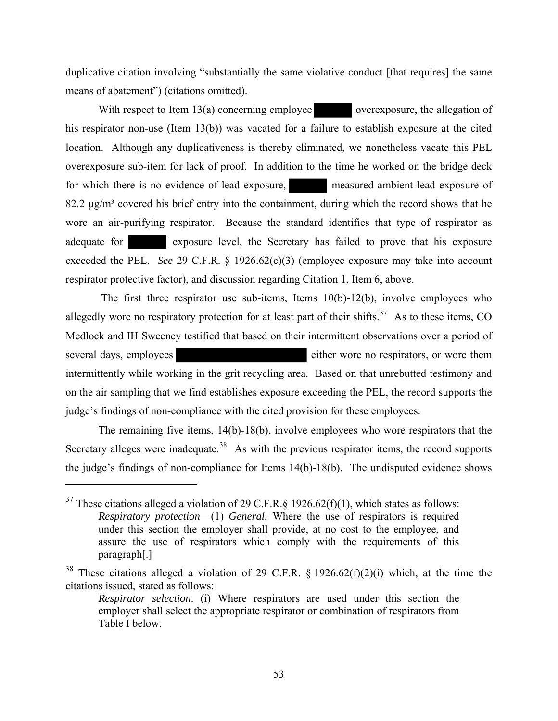duplicative citation involving "substantially the same violative conduct [that requires] the same means of abatement") (citations omitted).

With respect to Item  $13(a)$  concerning employee overexposure, the allegation of his respirator non-use (Item 13(b)) was vacated for a failure to establish exposure at the cited location. Although any duplicativeness is thereby eliminated, we nonetheless vacate this PEL overexposure sub-item for lack of proof. In addition to the time he worked on the bridge deck for which there is no evidence of lead exposure, measured ambient lead exposure of 82.2  $\mu$ g/m<sup>3</sup> covered his brief entry into the containment, during which the record shows that he wore an air-purifying respirator. Because the standard identifies that type of respirator as adequate for exposure level, the Secretary has failed to prove that his exposure exceeded the PEL. *See* 29 C.F.R. § 1926.62(c)(3) (employee exposure may take into account respirator protective factor), and discussion regarding Citation 1, Item 6, above.

The first three respirator use sub-items, Items  $10(b)$ -12(b), involve employees who allegedly wore no respiratory protection for at least part of their shifts.<sup>[37](#page-52-0)</sup> As to these items, CO Medlock and IH Sweeney testified that based on their intermittent observations over a period of several days, employees either wore no respirators, or wore them intermittently while working in the grit recycling area. Based on that unrebutted testimony and on the air sampling that we find establishes exposure exceeding the PEL, the record supports the judge's findings of non-compliance with the cited provision for these employees.

The remaining five items, 14(b)-18(b), involve employees who wore respirators that the Secretary alleges were inadequate.<sup>[38](#page-52-1)</sup> As with the previous respirator items, the record supports the judge's findings of non-compliance for Items 14(b)-18(b). The undisputed evidence shows

<span id="page-52-0"></span><sup>&</sup>lt;sup>37</sup> These citations alleged a violation of 29 C.F.R. § 1926.62(f)(1), which states as follows: *Respiratory protection*—(1) *General.* Where the use of respirators is required under this section the employer shall provide, at no cost to the employee, and assure the use of respirators which comply with the requirements of this paragraph[.]

<span id="page-52-1"></span><sup>&</sup>lt;sup>38</sup> These citations alleged a violation of 29 C.F.R. § 1926.62(f)(2)(i) which, at the time the citations issued, stated as follows:

*Respirator selection*. (i) Where respirators are used under this section the employer shall select the appropriate respirator or combination of respirators from Table I below.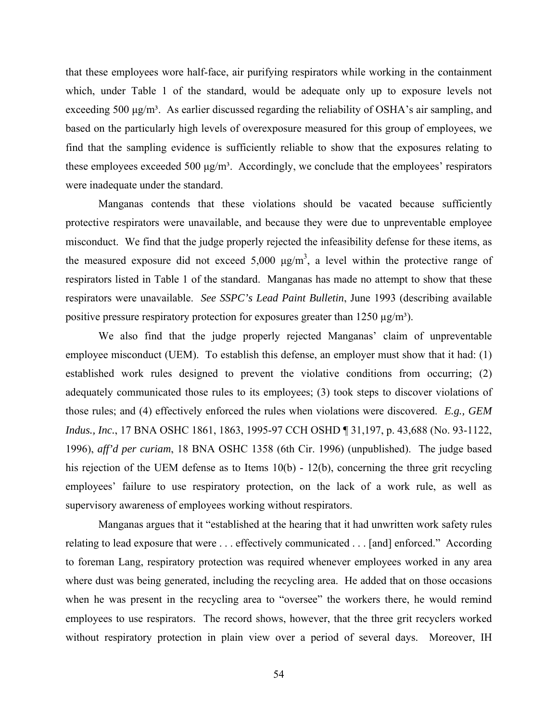that these employees wore half-face, air purifying respirators while working in the containment which, under Table 1 of the standard, would be adequate only up to exposure levels not exceeding 500  $\mu$ g/m<sup>3</sup>. As earlier discussed regarding the reliability of OSHA's air sampling, and based on the particularly high levels of overexposure measured for this group of employees, we find that the sampling evidence is sufficiently reliable to show that the exposures relating to these employees exceeded 500  $\mu$ g/m<sup>3</sup>. Accordingly, we conclude that the employees' respirators were inadequate under the standard.

Manganas contends that these violations should be vacated because sufficiently protective respirators were unavailable, and because they were due to unpreventable employee misconduct. We find that the judge properly rejected the infeasibility defense for these items, as the measured exposure did not exceed  $5,000 \mu g/m^3$ , a level within the protective range of respirators listed in Table 1 of the standard. Manganas has made no attempt to show that these respirators were unavailable. *See SSPC's Lead Paint Bulletin*, June 1993 (describing available positive pressure respiratory protection for exposures greater than  $1250 \mu g/m^3$ .

We also find that the judge properly rejected Manganas' claim of unpreventable employee misconduct (UEM). To establish this defense, an employer must show that it had: (1) established work rules designed to prevent the violative conditions from occurring; (2) adequately communicated those rules to its employees; (3) took steps to discover violations of those rules; and (4) effectively enforced the rules when violations were discovered. *E.g., GEM Indus., Inc.*, 17 BNA OSHC 1861, 1863, 1995-97 CCH OSHD ¶ 31,197, p. 43,688 (No. 93-1122, 1996), *aff'd per curiam*, 18 BNA OSHC 1358 (6th Cir. 1996) (unpublished). The judge based his rejection of the UEM defense as to Items 10(b) - 12(b), concerning the three grit recycling employees' failure to use respiratory protection, on the lack of a work rule, as well as supervisory awareness of employees working without respirators.

Manganas argues that it "established at the hearing that it had unwritten work safety rules relating to lead exposure that were . . . effectively communicated . . . [and] enforced." According to foreman Lang, respiratory protection was required whenever employees worked in any area where dust was being generated, including the recycling area. He added that on those occasions when he was present in the recycling area to "oversee" the workers there, he would remind employees to use respirators. The record shows, however, that the three grit recyclers worked without respiratory protection in plain view over a period of several days. Moreover, IH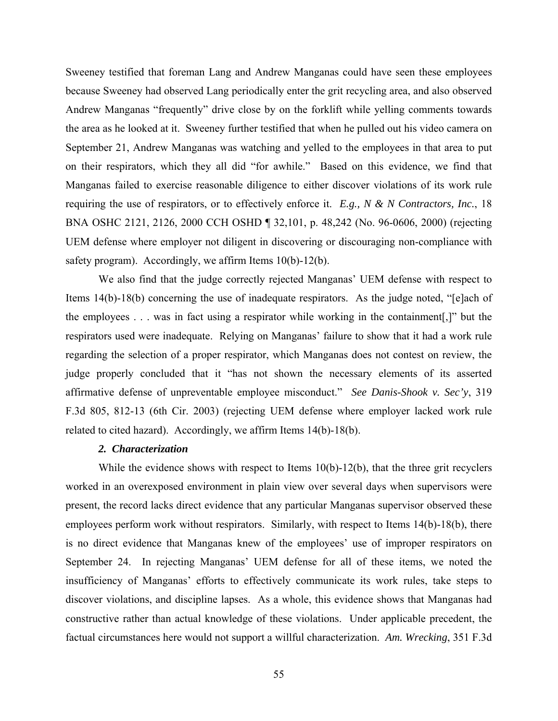Sweeney testified that foreman Lang and Andrew Manganas could have seen these employees because Sweeney had observed Lang periodically enter the grit recycling area, and also observed Andrew Manganas "frequently" drive close by on the forklift while yelling comments towards the area as he looked at it. Sweeney further testified that when he pulled out his video camera on September 21, Andrew Manganas was watching and yelled to the employees in that area to put on their respirators, which they all did "for awhile." Based on this evidence, we find that Manganas failed to exercise reasonable diligence to either discover violations of its work rule requiring the use of respirators, or to effectively enforce it. *E.g., N & N Contractors, Inc.*, 18 BNA OSHC 2121, 2126, 2000 CCH OSHD ¶ 32,101, p. 48,242 (No. 96-0606, 2000) (rejecting UEM defense where employer not diligent in discovering or discouraging non-compliance with safety program). Accordingly, we affirm Items 10(b)-12(b).

We also find that the judge correctly rejected Manganas' UEM defense with respect to Items 14(b)-18(b) concerning the use of inadequate respirators. As the judge noted, "[e]ach of the employees . . . was in fact using a respirator while working in the containment[,]" but the respirators used were inadequate. Relying on Manganas' failure to show that it had a work rule regarding the selection of a proper respirator, which Manganas does not contest on review, the judge properly concluded that it "has not shown the necessary elements of its asserted affirmative defense of unpreventable employee misconduct." *See Danis-Shook v. Sec'y*, 319 F.3d 805, 812-13 (6th Cir. 2003) (rejecting UEM defense where employer lacked work rule related to cited hazard). Accordingly, we affirm Items 14(b)-18(b).

### *2. Characterization*

While the evidence shows with respect to Items 10(b)-12(b), that the three grit recyclers worked in an overexposed environment in plain view over several days when supervisors were present, the record lacks direct evidence that any particular Manganas supervisor observed these employees perform work without respirators. Similarly, with respect to Items 14(b)-18(b), there is no direct evidence that Manganas knew of the employees' use of improper respirators on September 24. In rejecting Manganas' UEM defense for all of these items, we noted the insufficiency of Manganas' efforts to effectively communicate its work rules, take steps to discover violations, and discipline lapses. As a whole, this evidence shows that Manganas had constructive rather than actual knowledge of these violations. Under applicable precedent, the factual circumstances here would not support a willful characterization. *Am. Wrecking*, 351 F.3d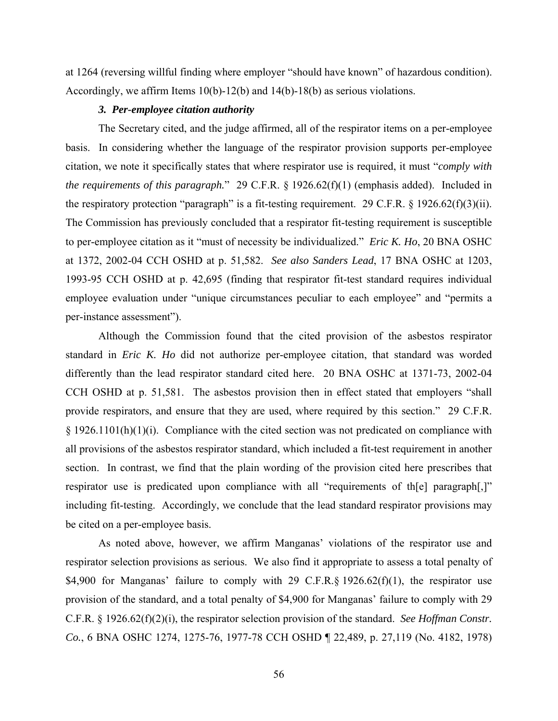at 1264 (reversing willful finding where employer "should have known" of hazardous condition). Accordingly, we affirm Items 10(b)-12(b) and 14(b)-18(b) as serious violations.

#### *3. Per-employee citation authority*

The Secretary cited, and the judge affirmed, all of the respirator items on a per-employee basis. In considering whether the language of the respirator provision supports per-employee citation, we note it specifically states that where respirator use is required, it must "*comply with the requirements of this paragraph.*" 29 C.F.R. § 1926.62(f)(1) (emphasis added). Included in the respiratory protection "paragraph" is a fit-testing requirement. 29 C.F.R.  $\S$  1926.62(f)(3)(ii). The Commission has previously concluded that a respirator fit-testing requirement is susceptible to per-employee citation as it "must of necessity be individualized." *Eric K. Ho*, 20 BNA OSHC at 1372, 2002-04 CCH OSHD at p. 51,582. *See also Sanders Lead*, 17 BNA OSHC at 1203, 1993-95 CCH OSHD at p. 42,695 (finding that respirator fit-test standard requires individual employee evaluation under "unique circumstances peculiar to each employee" and "permits a per-instance assessment").

Although the Commission found that the cited provision of the asbestos respirator standard in *Eric K. Ho* did not authorize per-employee citation, that standard was worded differently than the lead respirator standard cited here. 20 BNA OSHC at 1371-73, 2002-04 CCH OSHD at p. 51,581. The asbestos provision then in effect stated that employers "shall provide respirators, and ensure that they are used, where required by this section." 29 C.F.R. § 1926.1101(h)(1)(i). Compliance with the cited section was not predicated on compliance with all provisions of the asbestos respirator standard, which included a fit-test requirement in another section. In contrast, we find that the plain wording of the provision cited here prescribes that respirator use is predicated upon compliance with all "requirements of th[e] paragraph[,]" including fit-testing. Accordingly, we conclude that the lead standard respirator provisions may be cited on a per-employee basis.

As noted above, however, we affirm Manganas' violations of the respirator use and respirator selection provisions as serious. We also find it appropriate to assess a total penalty of \$4,900 for Manganas' failure to comply with 29 C.F.R.§ 1926.62(f)(1), the respirator use provision of the standard, and a total penalty of \$4,900 for Manganas' failure to comply with 29 C.F.R. § 1926.62(f)(2)(i), the respirator selection provision of the standard. *See Hoffman Constr. Co.*, 6 BNA OSHC 1274, 1275-76, 1977-78 CCH OSHD ¶ 22,489, p. 27,119 (No. 4182, 1978)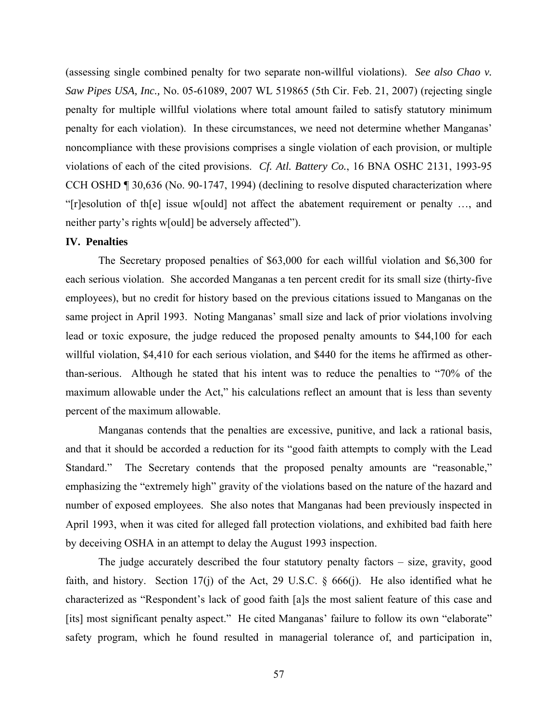(assessing single combined penalty for two separate non-willful violations). *See also Chao v. Saw Pipes USA, Inc.,* No. 05-61089, 2007 WL 519865 (5th Cir. Feb. 21, 2007) (rejecting single penalty for multiple willful violations where total amount failed to satisfy statutory minimum penalty for each violation). In these circumstances, we need not determine whether Manganas' noncompliance with these provisions comprises a single violation of each provision, or multiple violations of each of the cited provisions. *Cf. Atl. Battery Co.*, 16 BNA OSHC 2131, 1993-95 CCH OSHD ¶ 30,636 (No. 90-1747, 1994) (declining to resolve disputed characterization where "[r]esolution of th[e] issue w[ould] not affect the abatement requirement or penalty …, and neither party's rights w[ould] be adversely affected").

#### **IV. Penalties**

The Secretary proposed penalties of \$63,000 for each willful violation and \$6,300 for each serious violation. She accorded Manganas a ten percent credit for its small size (thirty-five employees), but no credit for history based on the previous citations issued to Manganas on the same project in April 1993. Noting Manganas' small size and lack of prior violations involving lead or toxic exposure, the judge reduced the proposed penalty amounts to \$44,100 for each willful violation, \$4,410 for each serious violation, and \$440 for the items he affirmed as otherthan-serious. Although he stated that his intent was to reduce the penalties to "70% of the maximum allowable under the Act," his calculations reflect an amount that is less than seventy percent of the maximum allowable.

Manganas contends that the penalties are excessive, punitive, and lack a rational basis, and that it should be accorded a reduction for its "good faith attempts to comply with the Lead Standard." The Secretary contends that the proposed penalty amounts are "reasonable," emphasizing the "extremely high" gravity of the violations based on the nature of the hazard and number of exposed employees. She also notes that Manganas had been previously inspected in April 1993, when it was cited for alleged fall protection violations, and exhibited bad faith here by deceiving OSHA in an attempt to delay the August 1993 inspection.

The judge accurately described the four statutory penalty factors – size, gravity, good faith, and history. Section 17(j) of the Act, 29 U.S.C.  $\S$  666(j). He also identified what he characterized as "Respondent's lack of good faith [a]s the most salient feature of this case and [its] most significant penalty aspect." He cited Manganas' failure to follow its own "elaborate" safety program, which he found resulted in managerial tolerance of, and participation in,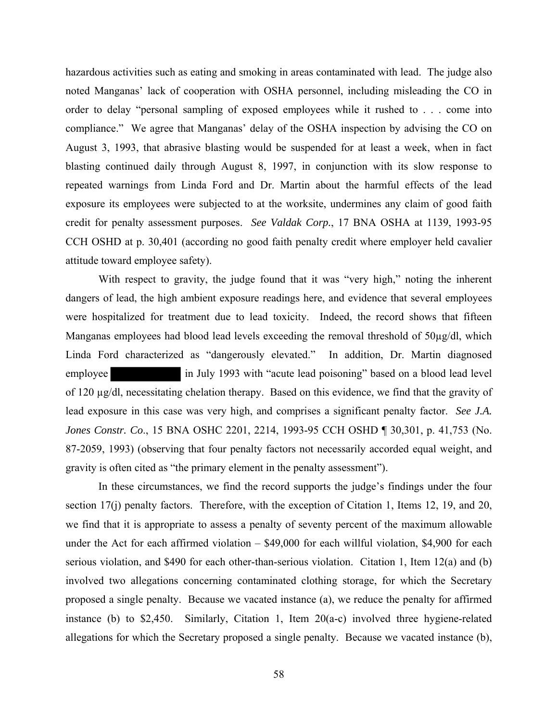hazardous activities such as eating and smoking in areas contaminated with lead. The judge also noted Manganas' lack of cooperation with OSHA personnel, including misleading the CO in order to delay "personal sampling of exposed employees while it rushed to . . . come into compliance." We agree that Manganas' delay of the OSHA inspection by advising the CO on August 3, 1993, that abrasive blasting would be suspended for at least a week, when in fact blasting continued daily through August 8, 1997, in conjunction with its slow response to repeated warnings from Linda Ford and Dr. Martin about the harmful effects of the lead exposure its employees were subjected to at the worksite, undermines any claim of good faith credit for penalty assessment purposes. *See Valdak Corp.*, 17 BNA OSHA at 1139, 1993-95 CCH OSHD at p. 30,401 (according no good faith penalty credit where employer held cavalier attitude toward employee safety).

With respect to gravity, the judge found that it was "very high," noting the inherent dangers of lead, the high ambient exposure readings here, and evidence that several employees were hospitalized for treatment due to lead toxicity. Indeed, the record shows that fifteen Manganas employees had blood lead levels exceeding the removal threshold of  $50\mu\text{g/d}$ , which Linda Ford characterized as "dangerously elevated." In addition, Dr. Martin diagnosed employee in July 1993 with "acute lead poisoning" based on a blood lead level of 120 µg/dl, necessitating chelation therapy. Based on this evidence, we find that the gravity of lead exposure in this case was very high, and comprises a significant penalty factor. *See J.A. Jones Constr. Co*., 15 BNA OSHC 2201, 2214, 1993-95 CCH OSHD ¶ 30,301, p. 41,753 (No. 87-2059, 1993) (observing that four penalty factors not necessarily accorded equal weight, and gravity is often cited as "the primary element in the penalty assessment").

In these circumstances, we find the record supports the judge's findings under the four section 17(j) penalty factors. Therefore, with the exception of Citation 1, Items 12, 19, and 20, we find that it is appropriate to assess a penalty of seventy percent of the maximum allowable under the Act for each affirmed violation – \$49,000 for each willful violation, \$4,900 for each serious violation, and \$490 for each other-than-serious violation. Citation 1, Item 12(a) and (b) involved two allegations concerning contaminated clothing storage, for which the Secretary proposed a single penalty. Because we vacated instance (a), we reduce the penalty for affirmed instance (b) to \$2,450. Similarly, Citation 1, Item 20(a-c) involved three hygiene-related allegations for which the Secretary proposed a single penalty. Because we vacated instance (b),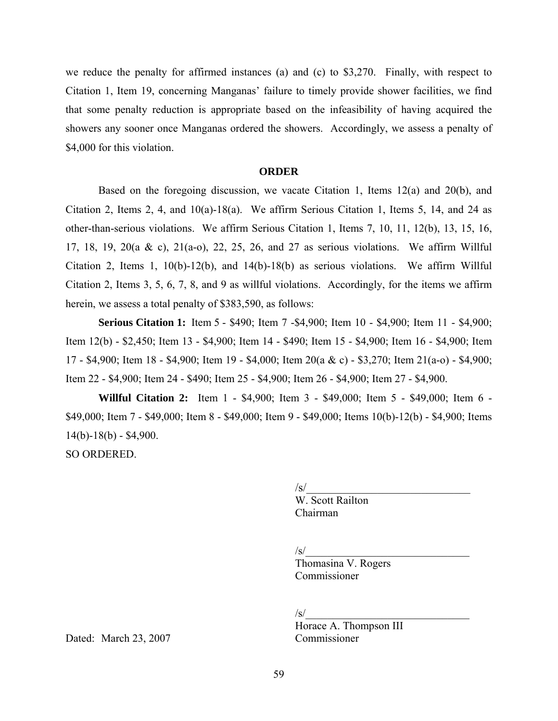we reduce the penalty for affirmed instances (a) and (c) to \$3,270. Finally, with respect to Citation 1, Item 19, concerning Manganas' failure to timely provide shower facilities, we find that some penalty reduction is appropriate based on the infeasibility of having acquired the showers any sooner once Manganas ordered the showers. Accordingly, we assess a penalty of \$4,000 for this violation.

#### **ORDER**

Based on the foregoing discussion, we vacate Citation 1, Items 12(a) and 20(b), and Citation 2, Items 2, 4, and 10(a)-18(a). We affirm Serious Citation 1, Items 5, 14, and 24 as other-than-serious violations. We affirm Serious Citation 1, Items 7, 10, 11, 12(b), 13, 15, 16, 17, 18, 19, 20(a & c), 21(a-o), 22, 25, 26, and 27 as serious violations. We affirm Willful Citation 2, Items 1, 10(b)-12(b), and 14(b)-18(b) as serious violations. We affirm Willful Citation 2, Items 3, 5, 6, 7, 8, and 9 as willful violations. Accordingly, for the items we affirm herein, we assess a total penalty of \$383,590, as follows:

**Serious Citation 1:** Item 5 - \$490; Item 7 - \$4,900; Item 10 - \$4,900; Item 11 - \$4,900; Item 12(b) - \$2,450; Item 13 - \$4,900; Item 14 - \$490; Item 15 - \$4,900; Item 16 - \$4,900; Item 17 - \$4,900; Item 18 - \$4,900; Item 19 - \$4,000; Item 20(a & c) - \$3,270; Item 21(a-o) - \$4,900; Item 22 - \$4,900; Item 24 - \$490; Item 25 - \$4,900; Item 26 - \$4,900; Item 27 - \$4,900.

**Willful Citation 2:** Item 1 - \$4,900; Item 3 - \$49,000; Item 5 - \$49,000; Item 6 \$49,000; Item 7 - \$49,000; Item 8 - \$49,000; Item 9 - \$49,000; Items 10(b)-12(b) - \$4,900; Items  $14(b)-18(b) - $4,900.$ 

SO ORDERED.

 $\sqrt{s}/$  W. Scott Railton Chairman

 $\sqrt{s}$ /

 Thomasina V. Rogers Commissioner

 $\sqrt{s}$ /

Horace A. Thompson  $\overline{III}$ 

Dated: March 23, 2007 Commissioner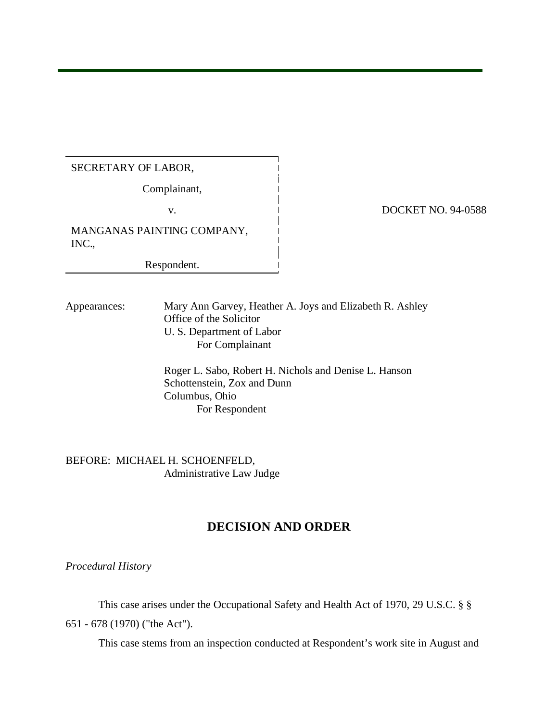# SECRETARY OF LABOR,

Complainant,

MANGANAS PAINTING COMPANY, INC.,

Respondent.

#### v. DOCKET NO. 94-0588

Appearances: Mary Ann Garvey, Heather A. Joys and Elizabeth R. Ashley Office of the Solicitor U. S. Department of Labor For Complainant

> Roger L. Sabo, Robert H. Nichols and Denise L. Hanson Schottenstein, Zox and Dunn Columbus, Ohio For Respondent

BEFORE: MICHAEL H. SCHOENFELD, Administrative Law Judge

# **DECISION AND ORDER**

*Procedural History* 

This case arises under the Occupational Safety and Health Act of 1970, 29 U.S.C. § § 651 - 678 (1970) ("the Act").

This case stems from an inspection conducted at Respondent's work site in August and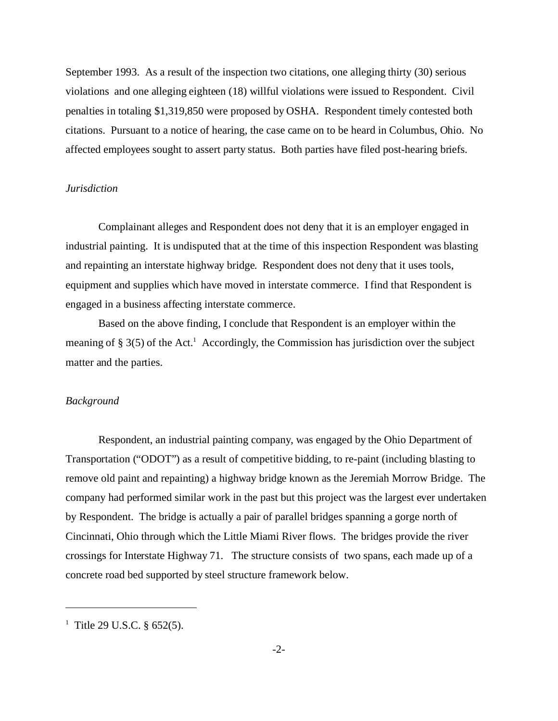September 1993. As a result of the inspection two citations, one alleging thirty (30) serious violations and one alleging eighteen (18) willful violations were issued to Respondent. Civil penalties in totaling \$1,319,850 were proposed by OSHA. Respondent timely contested both citations. Pursuant to a notice of hearing, the case came on to be heard in Columbus, Ohio. No affected employees sought to assert party status. Both parties have filed post-hearing briefs.

#### *Jurisdiction*

Complainant alleges and Respondent does not deny that it is an employer engaged in industrial painting. It is undisputed that at the time of this inspection Respondent was blasting and repainting an interstate highway bridge. Respondent does not deny that it uses tools, equipment and supplies which have moved in interstate commerce. I find that Respondent is engaged in a business affecting interstate commerce.

Based on the above finding, I conclude that Respondent is an employer within the meaning of  $\S 3(5)$  of the Act.<sup>1</sup> Accordingly, the Commission has jurisdiction over the subject matter and the parties.

#### *Background*

Respondent, an industrial painting company, was engaged by the Ohio Department of Transportation ("ODOT") as a result of competitive bidding, to re-paint (including blasting to remove old paint and repainting) a highway bridge known as the Jeremiah Morrow Bridge. The company had performed similar work in the past but this project was the largest ever undertaken by Respondent. The bridge is actually a pair of parallel bridges spanning a gorge north of Cincinnati, Ohio through which the Little Miami River flows. The bridges provide the river crossings for Interstate Highway 71. The structure consists of two spans, each made up of a concrete road bed supported by steel structure framework below.

<sup>&</sup>lt;sup>1</sup> Title 29 U.S.C. § 652(5).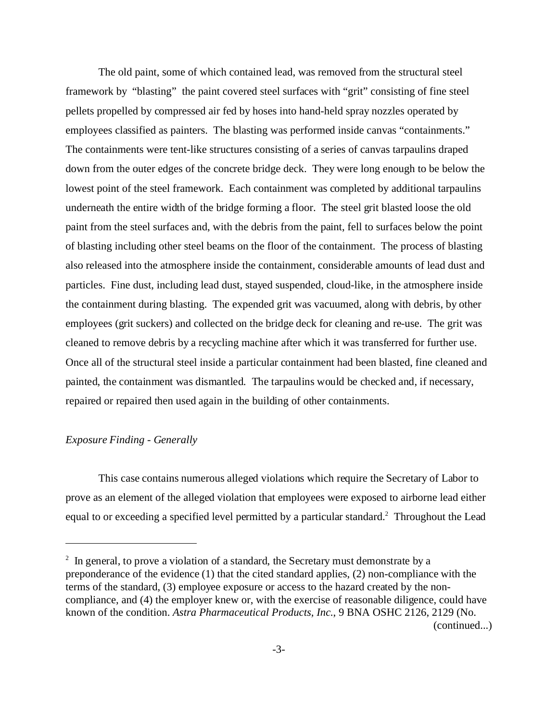The old paint, some of which contained lead, was removed from the structural steel framework by "blasting" the paint covered steel surfaces with "grit" consisting of fine steel pellets propelled by compressed air fed by hoses into hand-held spray nozzles operated by employees classified as painters. The blasting was performed inside canvas "containments." The containments were tent-like structures consisting of a series of canvas tarpaulins draped down from the outer edges of the concrete bridge deck. They were long enough to be below the lowest point of the steel framework. Each containment was completed by additional tarpaulins underneath the entire width of the bridge forming a floor. The steel grit blasted loose the old paint from the steel surfaces and, with the debris from the paint, fell to surfaces below the point of blasting including other steel beams on the floor of the containment. The process of blasting also released into the atmosphere inside the containment, considerable amounts of lead dust and particles. Fine dust, including lead dust, stayed suspended, cloud-like, in the atmosphere inside the containment during blasting. The expended grit was vacuumed, along with debris, by other employees (grit suckers) and collected on the bridge deck for cleaning and re-use. The grit was cleaned to remove debris by a recycling machine after which it was transferred for further use. Once all of the structural steel inside a particular containment had been blasted, fine cleaned and painted, the containment was dismantled. The tarpaulins would be checked and, if necessary, repaired or repaired then used again in the building of other containments.

## *Exposure Finding - Generally*

This case contains numerous alleged violations which require the Secretary of Labor to prove as an element of the alleged violation that employees were exposed to airborne lead either equal to or exceeding a specified level permitted by a particular standard.<sup>2</sup> Throughout the Lead

 $2$  In general, to prove a violation of a standard, the Secretary must demonstrate by a preponderance of the evidence (1) that the cited standard applies, (2) non-compliance with the terms of the standard, (3) employee exposure or access to the hazard created by the noncompliance, and (4) the employer knew or, with the exercise of reasonable diligence, could have known of the condition. *Astra Pharmaceutical Products, Inc.*, 9 BNA OSHC 2126, 2129 (No. (continued...)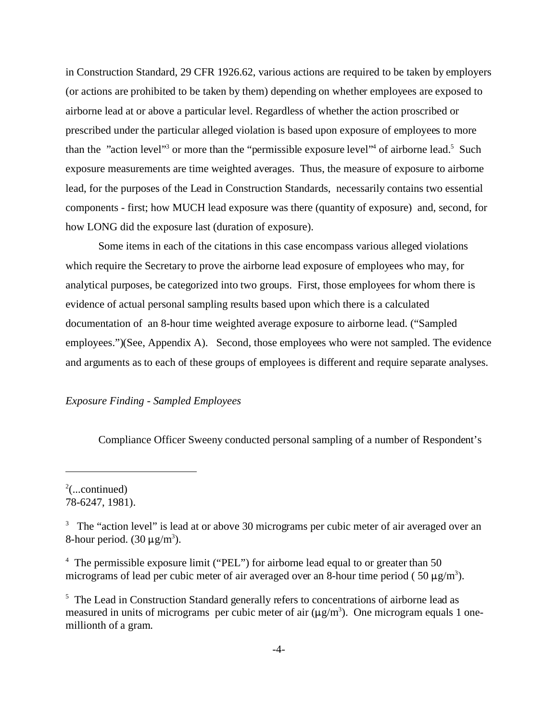in Construction Standard, 29 CFR 1926.62, various actions are required to be taken by employers (or actions are prohibited to be taken by them) depending on whether employees are exposed to airborne lead at or above a particular level. Regardless of whether the action proscribed or prescribed under the particular alleged violation is based upon exposure of employees to more than the "action level"<sup>3</sup> or more than the "permissible exposure level"<sup>4</sup> of airborne lead.<sup>5</sup> Such exposure measurements are time weighted averages. Thus, the measure of exposure to airborne lead, for the purposes of the Lead in Construction Standards, necessarily contains two essential components - first; how MUCH lead exposure was there (quantity of exposure) and, second, for how LONG did the exposure last (duration of exposure).

Some items in each of the citations in this case encompass various alleged violations which require the Secretary to prove the airborne lead exposure of employees who may, for analytical purposes, be categorized into two groups. First, those employees for whom there is evidence of actual personal sampling results based upon which there is a calculated documentation of an 8-hour time weighted average exposure to airborne lead. ("Sampled employees.")(See, Appendix A). Second, those employees who were not sampled. The evidence and arguments as to each of these groups of employees is different and require separate analyses.

#### *Exposure Finding - Sampled Employees*

Compliance Officer Sweeny conducted personal sampling of a number of Respondent's

 $2$ (...continued) 78-6247, 1981).

 $3$  The "action level" is lead at or above 30 micrograms per cubic meter of air averaged over an 8-hour period.  $(30 \,\mu\text{g/m}^3)$ .

<sup>&</sup>lt;sup>4</sup> The permissible exposure limit ("PEL") for airborne lead equal to or greater than 50 micrograms of lead per cubic meter of air averaged over an 8-hour time period (50  $\mu$ g/m<sup>3</sup>).

<sup>&</sup>lt;sup>5</sup> The Lead in Construction Standard generally refers to concentrations of airborne lead as measured in units of micrograms per cubic meter of air  $(\mu g/m^3)$ . One microgram equals 1 onemillionth of a gram.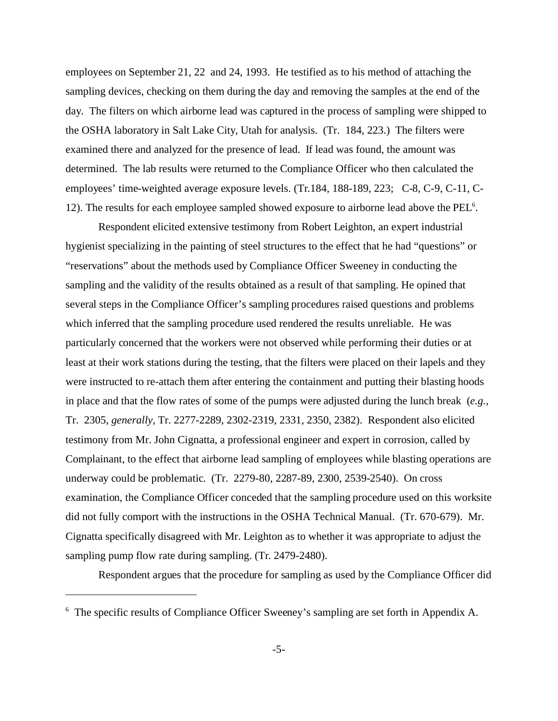employees on September 21, 22 and 24, 1993. He testified as to his method of attaching the sampling devices, checking on them during the day and removing the samples at the end of the day. The filters on which airborne lead was captured in the process of sampling were shipped to the OSHA laboratory in Salt Lake City, Utah for analysis. (Tr. 184, 223.) The filters were examined there and analyzed for the presence of lead. If lead was found, the amount was determined. The lab results were returned to the Compliance Officer who then calculated the employees' time-weighted average exposure levels. (Tr.184, 188-189, 223; C-8, C-9, C-11, C-12). The results for each employee sampled showed exposure to airborne lead above the PEL<sup>6</sup>.

Respondent elicited extensive testimony from Robert Leighton, an expert industrial hygienist specializing in the painting of steel structures to the effect that he had "questions" or "reservations" about the methods used by Compliance Officer Sweeney in conducting the sampling and the validity of the results obtained as a result of that sampling. He opined that several steps in the Compliance Officer's sampling procedures raised questions and problems which inferred that the sampling procedure used rendered the results unreliable. He was particularly concerned that the workers were not observed while performing their duties or at least at their work stations during the testing, that the filters were placed on their lapels and they were instructed to re-attach them after entering the containment and putting their blasting hoods in place and that the flow rates of some of the pumps were adjusted during the lunch break (*e.g.,*  Tr. 2305, *generally,* Tr. 2277-2289, 2302-2319, 2331, 2350, 2382). Respondent also elicited testimony from Mr. John Cignatta, a professional engineer and expert in corrosion, called by Complainant, to the effect that airborne lead sampling of employees while blasting operations are underway could be problematic. (Tr. 2279-80, 2287-89, 2300, 2539-2540). On cross examination, the Compliance Officer conceded that the sampling procedure used on this worksite did not fully comport with the instructions in the OSHA Technical Manual. (Tr. 670-679). Mr. Cignatta specifically disagreed with Mr. Leighton as to whether it was appropriate to adjust the sampling pump flow rate during sampling. (Tr. 2479-2480).

Respondent argues that the procedure for sampling as used by the Compliance Officer did

<sup>&</sup>lt;sup>6</sup> The specific results of Compliance Officer Sweeney's sampling are set forth in Appendix A.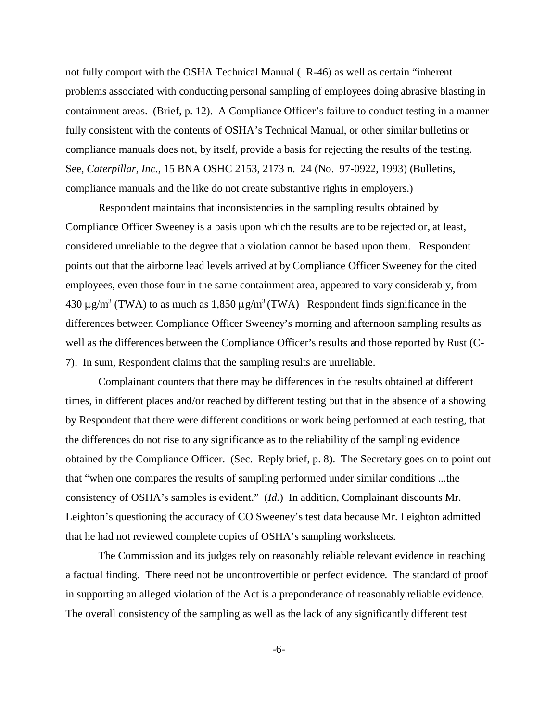not fully comport with the OSHA Technical Manual ( R-46) as well as certain "inherent problems associated with conducting personal sampling of employees doing abrasive blasting in containment areas. (Brief, p. 12). A Compliance Officer's failure to conduct testing in a manner fully consistent with the contents of OSHA's Technical Manual, or other similar bulletins or compliance manuals does not, by itself, provide a basis for rejecting the results of the testing. See, *Caterpillar, Inc.,* 15 BNA OSHC 2153, 2173 n. 24 (No. 97-0922, 1993) (Bulletins, compliance manuals and the like do not create substantive rights in employers.)

Respondent maintains that inconsistencies in the sampling results obtained by Compliance Officer Sweeney is a basis upon which the results are to be rejected or, at least, considered unreliable to the degree that a violation cannot be based upon them. Respondent points out that the airborne lead levels arrived at by Compliance Officer Sweeney for the cited employees, even those four in the same containment area, appeared to vary considerably, from 430  $\mu$ g/m<sup>3</sup> (TWA) to as much as 1,850  $\mu$ g/m<sup>3</sup> (TWA) Respondent finds significance in the differences between Compliance Officer Sweeney's morning and afternoon sampling results as well as the differences between the Compliance Officer's results and those reported by Rust (C-7). In sum, Respondent claims that the sampling results are unreliable.

Complainant counters that there may be differences in the results obtained at different times, in different places and/or reached by different testing but that in the absence of a showing by Respondent that there were different conditions or work being performed at each testing, that the differences do not rise to any significance as to the reliability of the sampling evidence obtained by the Compliance Officer. (Sec. Reply brief, p. 8). The Secretary goes on to point out that "when one compares the results of sampling performed under similar conditions ...the consistency of OSHA's samples is evident." (*Id.*) In addition, Complainant discounts Mr. Leighton's questioning the accuracy of CO Sweeney's test data because Mr. Leighton admitted that he had not reviewed complete copies of OSHA's sampling worksheets.

The Commission and its judges rely on reasonably reliable relevant evidence in reaching a factual finding. There need not be uncontrovertible or perfect evidence. The standard of proof in supporting an alleged violation of the Act is a preponderance of reasonably reliable evidence. The overall consistency of the sampling as well as the lack of any significantly different test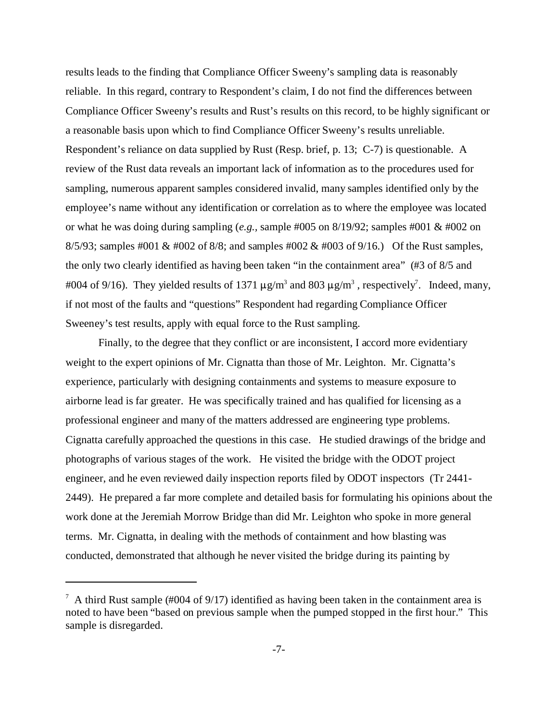results leads to the finding that Compliance Officer Sweeny's sampling data is reasonably reliable. In this regard, contrary to Respondent's claim, I do not find the differences between Compliance Officer Sweeny's results and Rust's results on this record, to be highly significant or a reasonable basis upon which to find Compliance Officer Sweeny's results unreliable. Respondent's reliance on data supplied by Rust (Resp. brief, p. 13; C-7) is questionable. A review of the Rust data reveals an important lack of information as to the procedures used for sampling, numerous apparent samples considered invalid, many samples identified only by the employee's name without any identification or correlation as to where the employee was located or what he was doing during sampling (*e.g.,* sample #005 on 8/19/92; samples #001 & #002 on 8/5/93; samples #001 & #002 of 8/8; and samples #002 & #003 of 9/16.) Of the Rust samples, the only two clearly identified as having been taken "in the containment area" (#3 of 8/5 and #004 of 9/16). They yielded results of 1371  $\mu$ g/m<sup>3</sup> and 803  $\mu$ g/m<sup>3</sup>, respectively<sup>7</sup>. Indeed, many, if not most of the faults and "questions" Respondent had regarding Compliance Officer Sweeney's test results, apply with equal force to the Rust sampling.

Finally, to the degree that they conflict or are inconsistent, I accord more evidentiary weight to the expert opinions of Mr. Cignatta than those of Mr. Leighton. Mr. Cignatta's experience, particularly with designing containments and systems to measure exposure to airborne lead is far greater. He was specifically trained and has qualified for licensing as a professional engineer and many of the matters addressed are engineering type problems. Cignatta carefully approached the questions in this case. He studied drawings of the bridge and photographs of various stages of the work. He visited the bridge with the ODOT project engineer, and he even reviewed daily inspection reports filed by ODOT inspectors (Tr 2441-2449). He prepared a far more complete and detailed basis for formulating his opinions about the work done at the Jeremiah Morrow Bridge than did Mr. Leighton who spoke in more general terms. Mr. Cignatta, in dealing with the methods of containment and how blasting was conducted, demonstrated that although he never visited the bridge during its painting by

 $^7$  A third Rust sample (#004 of 9/17) identified as having been taken in the containment area is noted to have been "based on previous sample when the pumped stopped in the first hour." This sample is disregarded.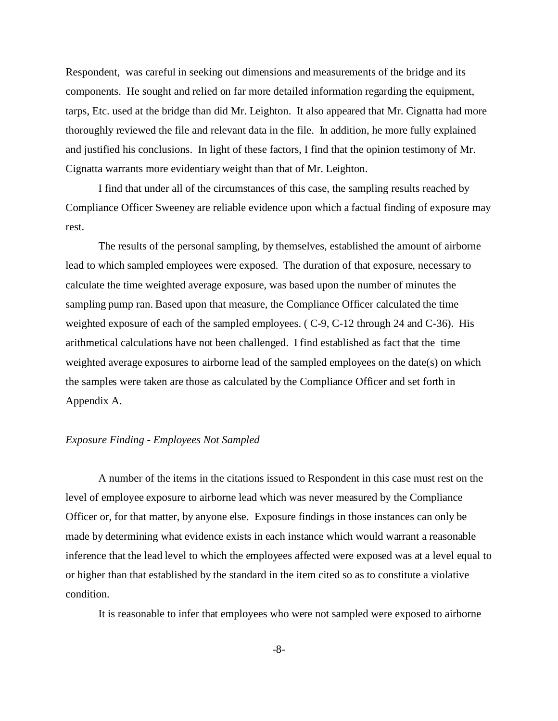Respondent, was careful in seeking out dimensions and measurements of the bridge and its components. He sought and relied on far more detailed information regarding the equipment, tarps, Etc. used at the bridge than did Mr. Leighton. It also appeared that Mr. Cignatta had more thoroughly reviewed the file and relevant data in the file. In addition, he more fully explained and justified his conclusions. In light of these factors, I find that the opinion testimony of Mr. Cignatta warrants more evidentiary weight than that of Mr. Leighton.

I find that under all of the circumstances of this case, the sampling results reached by Compliance Officer Sweeney are reliable evidence upon which a factual finding of exposure may rest.

The results of the personal sampling, by themselves, established the amount of airborne lead to which sampled employees were exposed. The duration of that exposure, necessary to calculate the time weighted average exposure, was based upon the number of minutes the sampling pump ran. Based upon that measure, the Compliance Officer calculated the time weighted exposure of each of the sampled employees. ( C-9, C-12 through 24 and C-36). His arithmetical calculations have not been challenged. I find established as fact that the time weighted average exposures to airborne lead of the sampled employees on the date(s) on which the samples were taken are those as calculated by the Compliance Officer and set forth in Appendix A.

#### *Exposure Finding - Employees Not Sampled*

A number of the items in the citations issued to Respondent in this case must rest on the level of employee exposure to airborne lead which was never measured by the Compliance Officer or, for that matter, by anyone else. Exposure findings in those instances can only be made by determining what evidence exists in each instance which would warrant a reasonable inference that the lead level to which the employees affected were exposed was at a level equal to or higher than that established by the standard in the item cited so as to constitute a violative condition.

It is reasonable to infer that employees who were not sampled were exposed to airborne

-8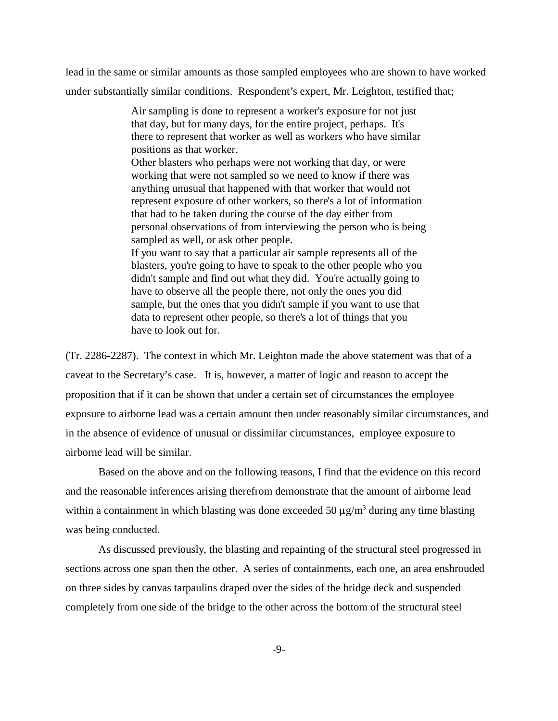lead in the same or similar amounts as those sampled employees who are shown to have worked under substantially similar conditions. Respondent's expert, Mr. Leighton, testified that;

> Air sampling is done to represent a worker's exposure for not just that day, but for many days, for the entire project, perhaps. It's there to represent that worker as well as workers who have similar positions as that worker. Other blasters who perhaps were not working that day, or were working that were not sampled so we need to know if there was anything unusual that happened with that worker that would not represent exposure of other workers, so there's a lot of information that had to be taken during the course of the day either from personal observations of from interviewing the person who is being sampled as well, or ask other people. If you want to say that a particular air sample represents all of the blasters, you're going to have to speak to the other people who you didn't sample and find out what they did. You're actually going to have to observe all the people there, not only the ones you did sample, but the ones that you didn't sample if you want to use that data to represent other people, so there's a lot of things that you have to look out for.

(Tr. 2286-2287). The context in which Mr. Leighton made the above statement was that of a caveat to the Secretary's case. It is, however, a matter of logic and reason to accept the proposition that if it can be shown that under a certain set of circumstances the employee exposure to airborne lead was a certain amount then under reasonably similar circumstances, and in the absence of evidence of unusual or dissimilar circumstances, employee exposure to airborne lead will be similar.

Based on the above and on the following reasons, I find that the evidence on this record and the reasonable inferences arising therefrom demonstrate that the amount of airborne lead within a containment in which blasting was done exceeded 50  $\mu$ g/m<sup>3</sup> during any time blasting was being conducted.

As discussed previously, the blasting and repainting of the structural steel progressed in sections across one span then the other. A series of containments, each one, an area enshrouded on three sides by canvas tarpaulins draped over the sides of the bridge deck and suspended completely from one side of the bridge to the other across the bottom of the structural steel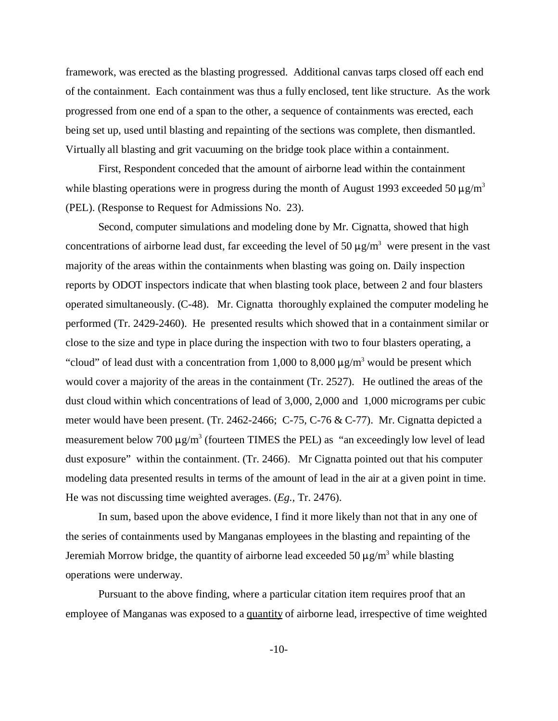framework, was erected as the blasting progressed. Additional canvas tarps closed off each end of the containment. Each containment was thus a fully enclosed, tent like structure. As the work progressed from one end of a span to the other, a sequence of containments was erected, each being set up, used until blasting and repainting of the sections was complete, then dismantled. Virtually all blasting and grit vacuuming on the bridge took place within a containment.

First, Respondent conceded that the amount of airborne lead within the containment while blasting operations were in progress during the month of August 1993 exceeded 50  $\mu$ g/m<sup>3</sup> (PEL). (Response to Request for Admissions No. 23).

Second, computer simulations and modeling done by Mr. Cignatta, showed that high concentrations of airborne lead dust, far exceeding the level of 50  $\mu$ g/m<sup>3</sup> were present in the vast majority of the areas within the containments when blasting was going on. Daily inspection reports by ODOT inspectors indicate that when blasting took place, between 2 and four blasters operated simultaneously. (C-48). Mr. Cignatta thoroughly explained the computer modeling he performed (Tr. 2429-2460). He presented results which showed that in a containment similar or close to the size and type in place during the inspection with two to four blasters operating, a "cloud" of lead dust with a concentration from 1,000 to 8,000  $\mu$ g/m<sup>3</sup> would be present which would cover a majority of the areas in the containment (Tr. 2527). He outlined the areas of the dust cloud within which concentrations of lead of 3,000, 2,000 and 1,000 micrograms per cubic meter would have been present. (Tr. 2462-2466; C-75, C-76 & C-77). Mr. Cignatta depicted a measurement below 700  $\mu$ g/m<sup>3</sup> (fourteen TIMES the PEL) as "an exceedingly low level of lead dust exposure" within the containment. (Tr. 2466). Mr Cignatta pointed out that his computer modeling data presented results in terms of the amount of lead in the air at a given point in time. He was not discussing time weighted averages. (*Eg.,* Tr. 2476).

In sum, based upon the above evidence, I find it more likely than not that in any one of the series of containments used by Manganas employees in the blasting and repainting of the Jeremiah Morrow bridge, the quantity of airborne lead exceeded 50  $\mu$ g/m<sup>3</sup> while blasting operations were underway.

Pursuant to the above finding, where a particular citation item requires proof that an employee of Manganas was exposed to a quantity of airborne lead, irrespective of time weighted

 $-10-$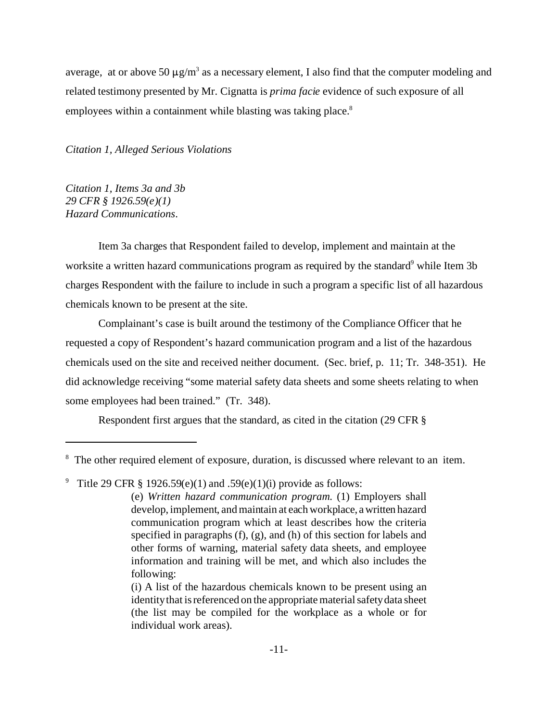average, at or above 50  $\mu$ g/m<sup>3</sup> as a necessary element, I also find that the computer modeling and related testimony presented by Mr. Cignatta is *prima facie* evidence of such exposure of all employees within a containment while blasting was taking place.<sup>8</sup>

*Citation 1, Alleged Serious Violations* 

*Citation 1, Items 3a and 3b 29 CFR § 1926.59(e)(1) Hazard Communications*.

Item 3a charges that Respondent failed to develop, implement and maintain at the worksite a written hazard communications program as required by the standard<sup>9</sup> while Item 3b charges Respondent with the failure to include in such a program a specific list of all hazardous chemicals known to be present at the site.

Complainant's case is built around the testimony of the Compliance Officer that he requested a copy of Respondent's hazard communication program and a list of the hazardous chemicals used on the site and received neither document. (Sec. brief, p. 11; Tr. 348-351). He did acknowledge receiving "some material safety data sheets and some sheets relating to when some employees had been trained." (Tr. 348).

Respondent first argues that the standard, as cited in the citation (29 CFR §

<sup>&</sup>lt;sup>8</sup> The other required element of exposure, duration, is discussed where relevant to an item.

<sup>9</sup> Title 29 CFR  $\S$  1926.59(e)(1) and .59(e)(1)(i) provide as follows:

<sup>(</sup>e) *Written hazard communication program*. (1) Employers shall develop, implement, and maintain at each workplace, a written hazard communication program which at least describes how the criteria specified in paragraphs (f), (g), and (h) of this section for labels and other forms of warning, material safety data sheets, and employee information and training will be met, and which also includes the following:

<sup>(</sup>i) A list of the hazardous chemicals known to be present using an identity that is referenced on the appropriate material safety data sheet (the list may be compiled for the workplace as a whole or for individual work areas).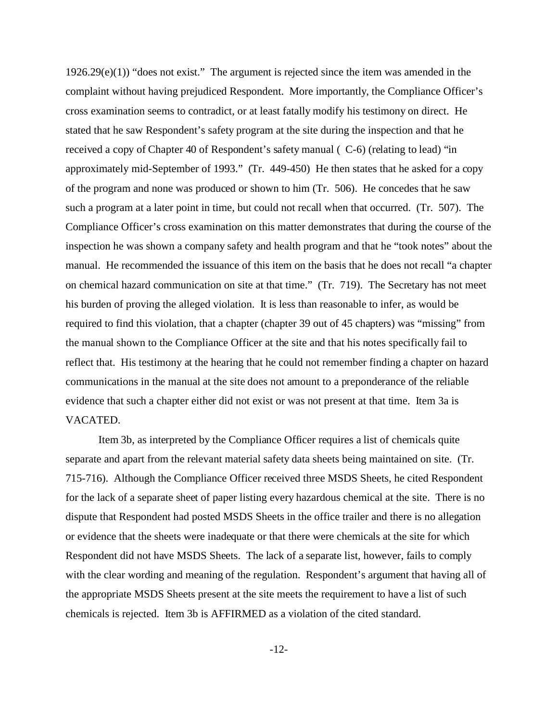$1926.29(e)(1)$ ) "does not exist." The argument is rejected since the item was amended in the complaint without having prejudiced Respondent. More importantly, the Compliance Officer's cross examination seems to contradict, or at least fatally modify his testimony on direct. He stated that he saw Respondent's safety program at the site during the inspection and that he received a copy of Chapter 40 of Respondent's safety manual ( C-6) (relating to lead) "in approximately mid-September of 1993." (Tr. 449-450) He then states that he asked for a copy of the program and none was produced or shown to him (Tr. 506). He concedes that he saw such a program at a later point in time, but could not recall when that occurred. (Tr. 507). The Compliance Officer's cross examination on this matter demonstrates that during the course of the inspection he was shown a company safety and health program and that he "took notes" about the manual. He recommended the issuance of this item on the basis that he does not recall "a chapter on chemical hazard communication on site at that time." (Tr. 719). The Secretary has not meet his burden of proving the alleged violation. It is less than reasonable to infer, as would be required to find this violation, that a chapter (chapter 39 out of 45 chapters) was "missing" from the manual shown to the Compliance Officer at the site and that his notes specifically fail to reflect that. His testimony at the hearing that he could not remember finding a chapter on hazard communications in the manual at the site does not amount to a preponderance of the reliable evidence that such a chapter either did not exist or was not present at that time. Item 3a is VACATED.

Item 3b, as interpreted by the Compliance Officer requires a list of chemicals quite separate and apart from the relevant material safety data sheets being maintained on site. (Tr. 715-716). Although the Compliance Officer received three MSDS Sheets, he cited Respondent for the lack of a separate sheet of paper listing every hazardous chemical at the site. There is no dispute that Respondent had posted MSDS Sheets in the office trailer and there is no allegation or evidence that the sheets were inadequate or that there were chemicals at the site for which Respondent did not have MSDS Sheets. The lack of a separate list, however, fails to comply with the clear wording and meaning of the regulation. Respondent's argument that having all of the appropriate MSDS Sheets present at the site meets the requirement to have a list of such chemicals is rejected. Item 3b is AFFIRMED as a violation of the cited standard.

 $-12-$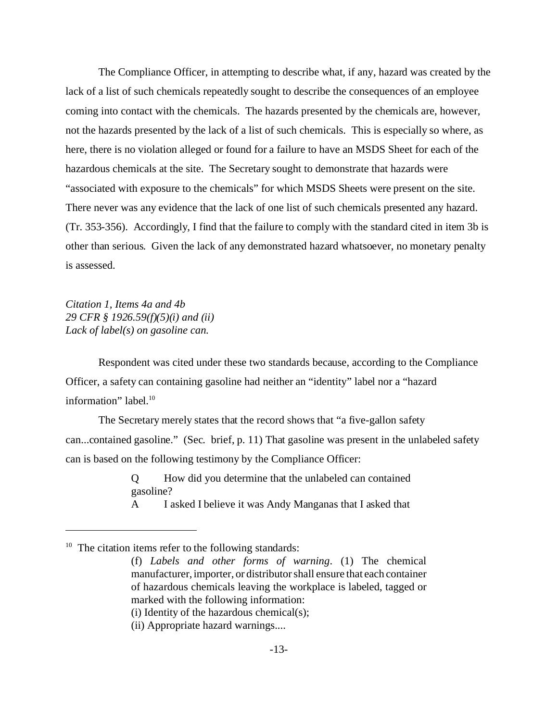The Compliance Officer, in attempting to describe what, if any, hazard was created by the lack of a list of such chemicals repeatedly sought to describe the consequences of an employee coming into contact with the chemicals. The hazards presented by the chemicals are, however, not the hazards presented by the lack of a list of such chemicals. This is especially so where, as here, there is no violation alleged or found for a failure to have an MSDS Sheet for each of the hazardous chemicals at the site. The Secretary sought to demonstrate that hazards were "associated with exposure to the chemicals" for which MSDS Sheets were present on the site. There never was any evidence that the lack of one list of such chemicals presented any hazard. (Tr. 353-356). Accordingly, I find that the failure to comply with the standard cited in item 3b is other than serious. Given the lack of any demonstrated hazard whatsoever, no monetary penalty is assessed.

*Citation 1, Items 4a and 4b 29 CFR § 1926.59(f)(5)(i) and (ii) Lack of label(s) on gasoline can.* 

Respondent was cited under these two standards because, according to the Compliance Officer, a safety can containing gasoline had neither an "identity" label nor a "hazard information" label.<sup>10</sup>

The Secretary merely states that the record shows that "a five-gallon safety can...contained gasoline." (Sec. brief, p. 11) That gasoline was present in the unlabeled safety can is based on the following testimony by the Compliance Officer:

> Q How did you determine that the unlabeled can contained gasoline?

> A I asked I believe it was Andy Manganas that I asked that

<sup>10</sup> The citation items refer to the following standards:

(ii) Appropriate hazard warnings....

<sup>(</sup>f) *Labels and other forms of warning*. (1) The chemical manufacturer, importer, or distributor shall ensure that each container of hazardous chemicals leaving the workplace is labeled, tagged or marked with the following information: (i) Identity of the hazardous chemical(s);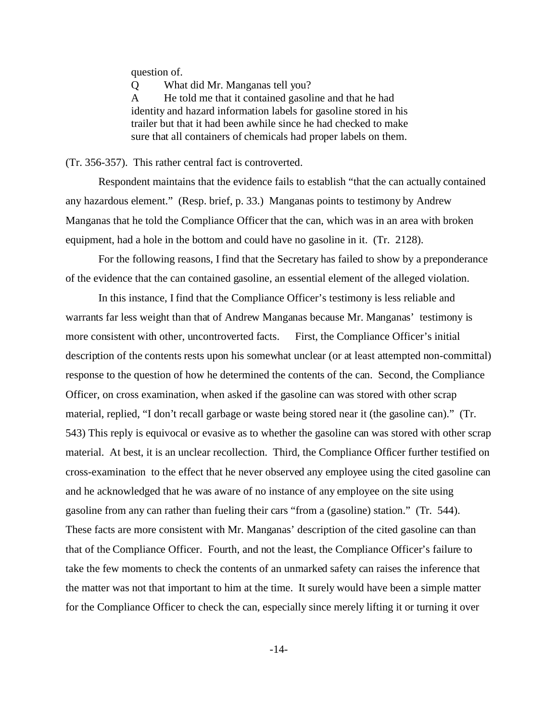question of.

Q What did Mr. Manganas tell you?

A He told me that it contained gasoline and that he had identity and hazard information labels for gasoline stored in his trailer but that it had been awhile since he had checked to make sure that all containers of chemicals had proper labels on them.

(Tr. 356-357). This rather central fact is controverted.

Respondent maintains that the evidence fails to establish "that the can actually contained any hazardous element." (Resp. brief, p. 33.) Manganas points to testimony by Andrew Manganas that he told the Compliance Officer that the can, which was in an area with broken equipment, had a hole in the bottom and could have no gasoline in it. (Tr. 2128).

For the following reasons, I find that the Secretary has failed to show by a preponderance of the evidence that the can contained gasoline, an essential element of the alleged violation.

In this instance, I find that the Compliance Officer's testimony is less reliable and warrants far less weight than that of Andrew Manganas because Mr. Manganas' testimony is more consistent with other, uncontroverted facts. First, the Compliance Officer's initial description of the contents rests upon his somewhat unclear (or at least attempted non-committal) response to the question of how he determined the contents of the can. Second, the Compliance Officer, on cross examination, when asked if the gasoline can was stored with other scrap material, replied, "I don't recall garbage or waste being stored near it (the gasoline can)." (Tr. 543) This reply is equivocal or evasive as to whether the gasoline can was stored with other scrap material. At best, it is an unclear recollection. Third, the Compliance Officer further testified on cross-examination to the effect that he never observed any employee using the cited gasoline can and he acknowledged that he was aware of no instance of any employee on the site using gasoline from any can rather than fueling their cars "from a (gasoline) station." (Tr. 544). These facts are more consistent with Mr. Manganas' description of the cited gasoline can than that of the Compliance Officer. Fourth, and not the least, the Compliance Officer's failure to take the few moments to check the contents of an unmarked safety can raises the inference that the matter was not that important to him at the time. It surely would have been a simple matter for the Compliance Officer to check the can, especially since merely lifting it or turning it over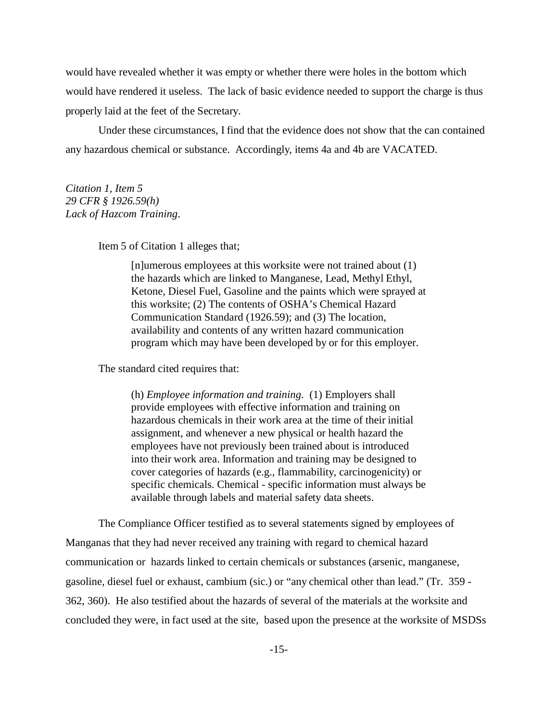would have revealed whether it was empty or whether there were holes in the bottom which would have rendered it useless. The lack of basic evidence needed to support the charge is thus properly laid at the feet of the Secretary.

Under these circumstances, I find that the evidence does not show that the can contained any hazardous chemical or substance. Accordingly, items 4a and 4b are VACATED.

*Citation 1, Item 5 29 CFR § 1926.59(h) Lack of Hazcom Training*.

Item 5 of Citation 1 alleges that;

[n]umerous employees at this worksite were not trained about (1) the hazards which are linked to Manganese, Lead, Methyl Ethyl, Ketone, Diesel Fuel, Gasoline and the paints which were sprayed at this worksite; (2) The contents of OSHA's Chemical Hazard Communication Standard (1926.59); and (3) The location, availability and contents of any written hazard communication program which may have been developed by or for this employer.

The standard cited requires that:

(h) *Employee information and training*. (1) Employers shall provide employees with effective information and training on hazardous chemicals in their work area at the time of their initial assignment, and whenever a new physical or health hazard the employees have not previously been trained about is introduced into their work area. Information and training may be designed to cover categories of hazards (e.g., flammability, carcinogenicity) or specific chemicals. Chemical - specific information must always be available through labels and material safety data sheets.

The Compliance Officer testified as to several statements signed by employees of Manganas that they had never received any training with regard to chemical hazard communication or hazards linked to certain chemicals or substances (arsenic, manganese, gasoline, diesel fuel or exhaust, cambium (sic.) or "any chemical other than lead." (Tr. 359 362, 360). He also testified about the hazards of several of the materials at the worksite and concluded they were, in fact used at the site, based upon the presence at the worksite of MSDSs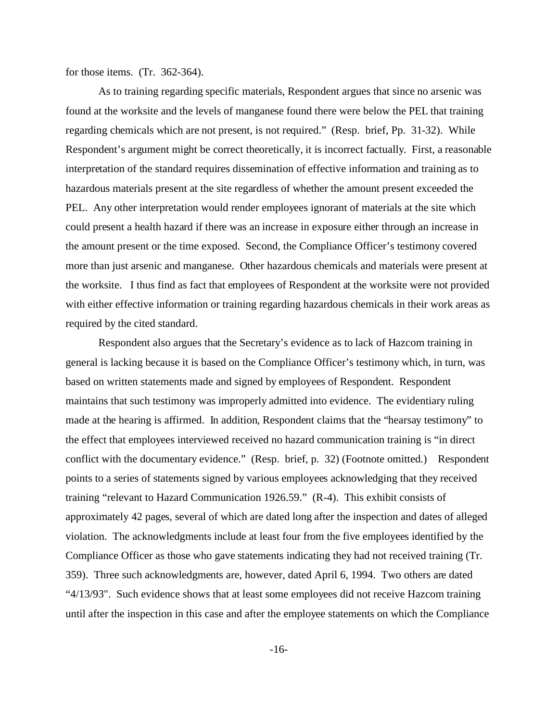for those items. (Tr. 362-364).

As to training regarding specific materials, Respondent argues that since no arsenic was found at the worksite and the levels of manganese found there were below the PEL that training regarding chemicals which are not present, is not required." (Resp. brief, Pp. 31-32). While Respondent's argument might be correct theoretically, it is incorrect factually. First, a reasonable interpretation of the standard requires dissemination of effective information and training as to hazardous materials present at the site regardless of whether the amount present exceeded the PEL. Any other interpretation would render employees ignorant of materials at the site which could present a health hazard if there was an increase in exposure either through an increase in the amount present or the time exposed. Second, the Compliance Officer's testimony covered more than just arsenic and manganese. Other hazardous chemicals and materials were present at the worksite. I thus find as fact that employees of Respondent at the worksite were not provided with either effective information or training regarding hazardous chemicals in their work areas as required by the cited standard.

 conflict with the documentary evidence." (Resp. brief, p. 32) (Footnote omitted.) Respondent Respondent also argues that the Secretary's evidence as to lack of Hazcom training in general is lacking because it is based on the Compliance Officer's testimony which, in turn, was based on written statements made and signed by employees of Respondent. Respondent maintains that such testimony was improperly admitted into evidence. The evidentiary ruling made at the hearing is affirmed. In addition, Respondent claims that the "hearsay testimony" to the effect that employees interviewed received no hazard communication training is "in direct points to a series of statements signed by various employees acknowledging that they received training "relevant to Hazard Communication 1926.59." (R-4). This exhibit consists of approximately 42 pages, several of which are dated long after the inspection and dates of alleged violation. The acknowledgments include at least four from the five employees identified by the Compliance Officer as those who gave statements indicating they had not received training (Tr. 359). Three such acknowledgments are, however, dated April 6, 1994. Two others are dated "4/13/93". Such evidence shows that at least some employees did not receive Hazcom training until after the inspection in this case and after the employee statements on which the Compliance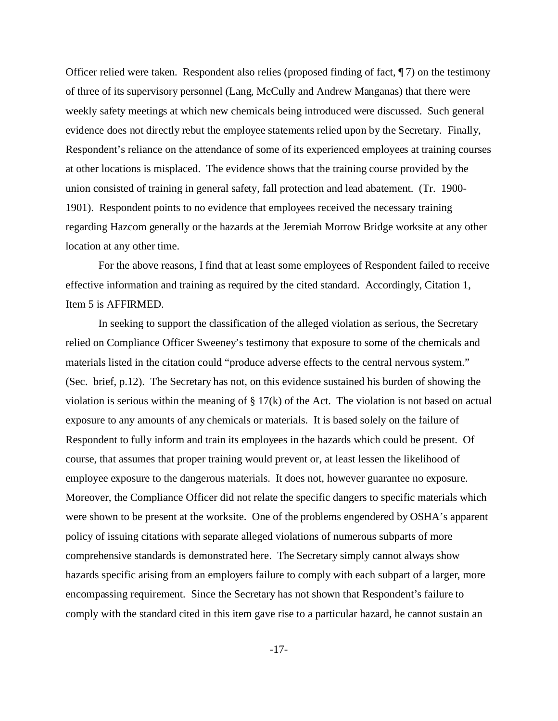Officer relied were taken. Respondent also relies (proposed finding of fact, ¶ 7) on the testimony of three of its supervisory personnel (Lang, McCully and Andrew Manganas) that there were weekly safety meetings at which new chemicals being introduced were discussed. Such general evidence does not directly rebut the employee statements relied upon by the Secretary. Finally, Respondent's reliance on the attendance of some of its experienced employees at training courses at other locations is misplaced. The evidence shows that the training course provided by the union consisted of training in general safety, fall protection and lead abatement. (Tr. 1900 1901). Respondent points to no evidence that employees received the necessary training regarding Hazcom generally or the hazards at the Jeremiah Morrow Bridge worksite at any other location at any other time.

For the above reasons, I find that at least some employees of Respondent failed to receive effective information and training as required by the cited standard. Accordingly, Citation 1, Item 5 is AFFIRMED.

In seeking to support the classification of the alleged violation as serious, the Secretary relied on Compliance Officer Sweeney's testimony that exposure to some of the chemicals and materials listed in the citation could "produce adverse effects to the central nervous system." (Sec. brief, p.12). The Secretary has not, on this evidence sustained his burden of showing the violation is serious within the meaning of § 17(k) of the Act. The violation is not based on actual exposure to any amounts of any chemicals or materials. It is based solely on the failure of Respondent to fully inform and train its employees in the hazards which could be present. Of course, that assumes that proper training would prevent or, at least lessen the likelihood of employee exposure to the dangerous materials. It does not, however guarantee no exposure. Moreover, the Compliance Officer did not relate the specific dangers to specific materials which were shown to be present at the worksite. One of the problems engendered by OSHA's apparent policy of issuing citations with separate alleged violations of numerous subparts of more comprehensive standards is demonstrated here. The Secretary simply cannot always show hazards specific arising from an employers failure to comply with each subpart of a larger, more encompassing requirement. Since the Secretary has not shown that Respondent's failure to comply with the standard cited in this item gave rise to a particular hazard, he cannot sustain an

 $-17-$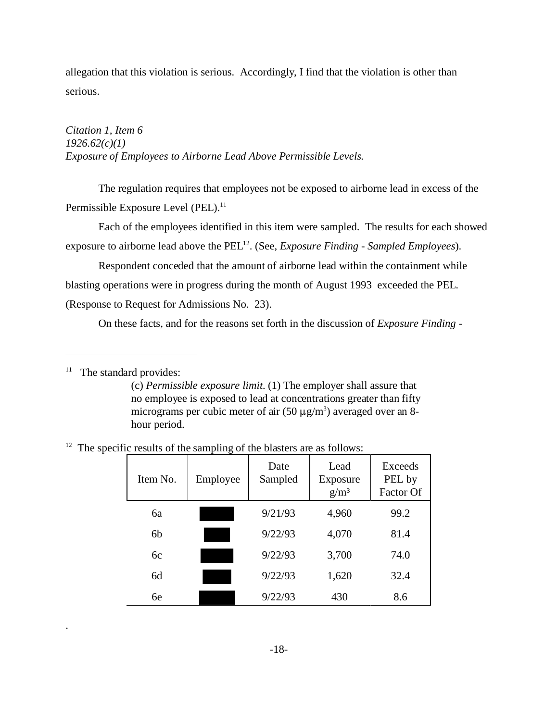allegation that this violation is serious. Accordingly, I find that the violation is other than serious.

*Citation 1, Item 6 1926.62(c)(1) Exposure of Employees to Airborne Lead Above Permissible Levels*.

The regulation requires that employees not be exposed to airborne lead in excess of the Permissible Exposure Level (PEL).<sup>11</sup>

Each of the employees identified in this item were sampled. The results for each showed exposure to airborne lead above the PEL<sup>12</sup>. (See, *Exposure Finding - Sampled Employees*).

Respondent conceded that the amount of airborne lead within the containment while blasting operations were in progress during the month of August 1993 exceeded the PEL. (Response to Request for Admissions No. 23).

On these facts, and for the reasons set forth in the discussion of *Exposure Finding* 

 $11$  The standard provides:

.

(c) *Permissible exposure limit.* (1) The employer shall assure that no employee is exposed to lead at concentrations greater than fifty micrograms per cubic meter of air  $(50 \mu g/m^3)$  averaged over an 8hour period.

|  |  |  |  | $12$ The specific results of the sampling of the blasters are as follows: |  |
|--|--|--|--|---------------------------------------------------------------------------|--|
|  |  |  |  |                                                                           |  |

| Item No.       | Employee | Date<br>Sampled | Lead<br>Exposure<br>g/m <sup>3</sup> | Exceeds<br>PEL by<br>Factor Of |
|----------------|----------|-----------------|--------------------------------------|--------------------------------|
| ба             |          | 9/21/93         | 4,960                                | 99.2                           |
| 6 <sub>b</sub> |          | 9/22/93         | 4,070                                | 81.4                           |
| 6c             |          | 9/22/93         | 3,700                                | 74.0                           |
| 6d             |          | 9/22/93         | 1,620                                | 32.4                           |
| 6e             |          | 9/22/93         | 430                                  | 8.6                            |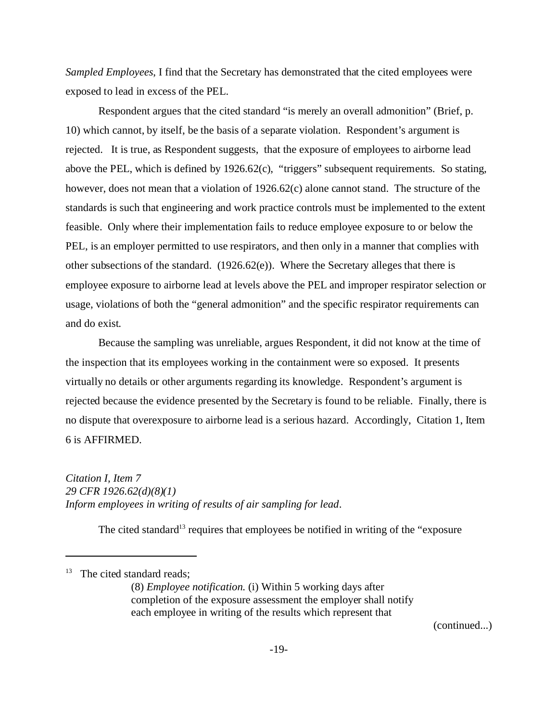*Sampled Employees*, I find that the Secretary has demonstrated that the cited employees were exposed to lead in excess of the PEL.

Respondent argues that the cited standard "is merely an overall admonition" (Brief, p. 10) which cannot, by itself, be the basis of a separate violation. Respondent's argument is rejected. It is true, as Respondent suggests, that the exposure of employees to airborne lead above the PEL, which is defined by 1926.62(c), "triggers" subsequent requirements. So stating, however, does not mean that a violation of 1926.62(c) alone cannot stand. The structure of the standards is such that engineering and work practice controls must be implemented to the extent feasible. Only where their implementation fails to reduce employee exposure to or below the PEL, is an employer permitted to use respirators, and then only in a manner that complies with other subsections of the standard. (1926.62(e)). Where the Secretary alleges that there is employee exposure to airborne lead at levels above the PEL and improper respirator selection or usage, violations of both the "general admonition" and the specific respirator requirements can and do exist.

Because the sampling was unreliable, argues Respondent, it did not know at the time of the inspection that its employees working in the containment were so exposed. It presents virtually no details or other arguments regarding its knowledge. Respondent's argument is rejected because the evidence presented by the Secretary is found to be reliable. Finally, there is no dispute that overexposure to airborne lead is a serious hazard. Accordingly, Citation 1, Item 6 is AFFIRMED.

*Citation I, Item 7 29 CFR 1926.62(d)(8)(1) Inform employees in writing of results of air sampling for lead*.

The cited standard<sup>13</sup> requires that employees be notified in writing of the "exposure"

(continued...)

<sup>&</sup>lt;sup>13</sup> The cited standard reads;

<sup>(8)</sup> *Employee notification.* (i) Within 5 working days after completion of the exposure assessment the employer shall notify each employee in writing of the results which represent that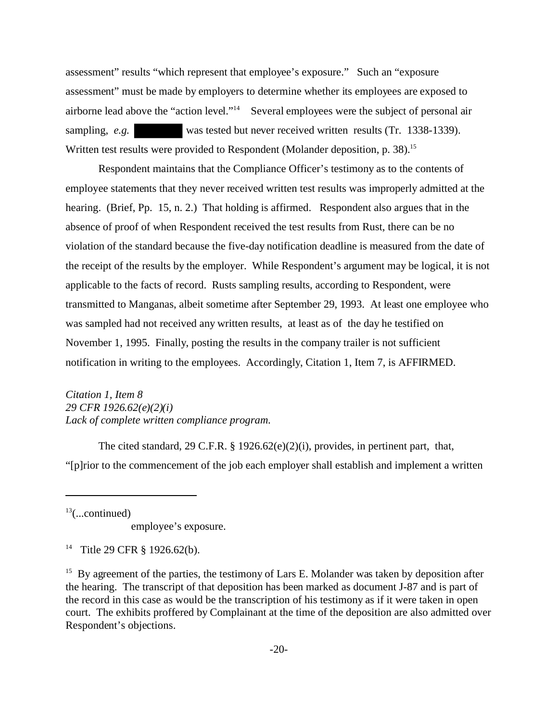assessment" results "which represent that employee's exposure." Such an "exposure assessment" must be made by employers to determine whether its employees are exposed to airborne lead above the "action level."14 Several employees were the subject of personal air sampling, *e.g.* was tested but never received written results (Tr. 1338-1339). Written test results were provided to Respondent (Molander deposition, p. 38).<sup>15</sup>

Respondent maintains that the Compliance Officer's testimony as to the contents of employee statements that they never received written test results was improperly admitted at the hearing. (Brief, Pp. 15, n. 2.) That holding is affirmed. Respondent also argues that in the absence of proof of when Respondent received the test results from Rust, there can be no violation of the standard because the five-day notification deadline is measured from the date of the receipt of the results by the employer. While Respondent's argument may be logical, it is not applicable to the facts of record. Rusts sampling results, according to Respondent, were transmitted to Manganas, albeit sometime after September 29, 1993. At least one employee who was sampled had not received any written results, at least as of the day he testified on November 1, 1995. Finally, posting the results in the company trailer is not sufficient notification in writing to the employees. Accordingly, Citation 1, Item 7, is AFFIRMED.

*Citation 1, Item 8 29 CFR 1926.62(e)(2)(i) Lack of complete written compliance program*.

The cited standard, 29 C.F.R.  $\S$  1926.62(e)(2)(i), provides, in pertinent part, that, "[p]rior to the commencement of the job each employer shall establish and implement a written

 $13$ (...continued)

employee's exposure.

14 Title 29 CFR § 1926.62(b).

 $15$  By agreement of the parties, the testimony of Lars E. Molander was taken by deposition after the hearing. The transcript of that deposition has been marked as document J-87 and is part of the record in this case as would be the transcription of his testimony as if it were taken in open court. The exhibits proffered by Complainant at the time of the deposition are also admitted over Respondent's objections.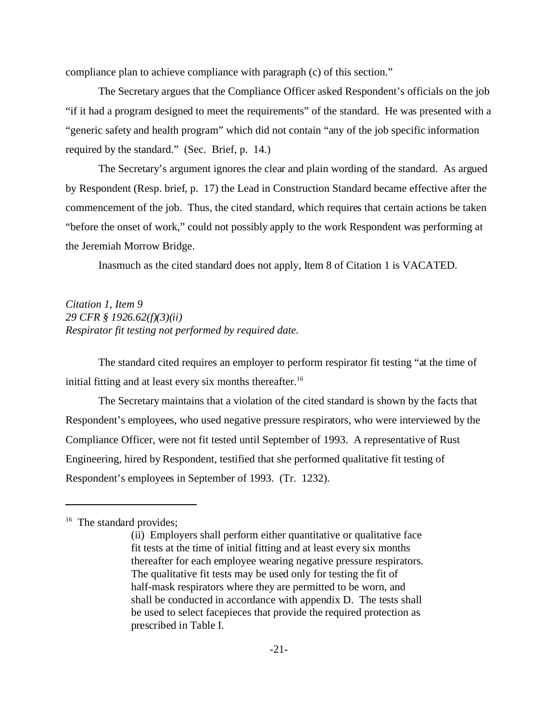compliance plan to achieve compliance with paragraph (c) of this section."

The Secretary argues that the Compliance Officer asked Respondent's officials on the job "if it had a program designed to meet the requirements" of the standard. He was presented with a "generic safety and health program" which did not contain "any of the job specific information required by the standard." (Sec. Brief, p. 14.)

The Secretary's argument ignores the clear and plain wording of the standard. As argued by Respondent (Resp. brief, p. 17) the Lead in Construction Standard became effective after the commencement of the job. Thus, the cited standard, which requires that certain actions be taken "before the onset of work," could not possibly apply to the work Respondent was performing at the Jeremiah Morrow Bridge.

Inasmuch as the cited standard does not apply, Item 8 of Citation 1 is VACATED.

*Citation 1, Item 9 29 CFR § 1926.62(f)(3)(ii) Respirator fit testing not performed by required date.*

The standard cited requires an employer to perform respirator fit testing "at the time of initial fitting and at least every six months thereafter.<sup>16</sup>

The Secretary maintains that a violation of the cited standard is shown by the facts that Respondent's employees, who used negative pressure respirators, who were interviewed by the Compliance Officer, were not fit tested until September of 1993. A representative of Rust Engineering, hired by Respondent, testified that she performed qualitative fit testing of Respondent's employees in September of 1993. (Tr. 1232).

<sup>&</sup>lt;sup>16</sup> The standard provides;

<sup>(</sup>ii) Employers shall perform either quantitative or qualitative face fit tests at the time of initial fitting and at least every six months thereafter for each employee wearing negative pressure respirators. The qualitative fit tests may be used only for testing the fit of half-mask respirators where they are permitted to be worn, and shall be conducted in accordance with appendix D. The tests shall be used to select facepieces that provide the required protection as prescribed in Table I.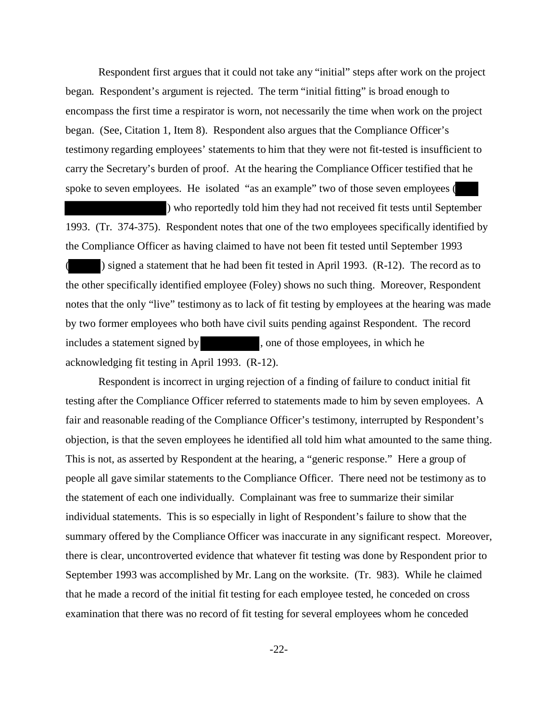Respondent first argues that it could not take any "initial" steps after work on the project began. Respondent's argument is rejected. The term "initial fitting" is broad enough to encompass the first time a respirator is worn, not necessarily the time when work on the project began. (See, Citation 1, Item 8). Respondent also argues that the Compliance Officer's testimony regarding employees' statements to him that they were not fit-tested is insufficient to carry the Secretary's burden of proof. At the hearing the Compliance Officer testified that he spoke to seven employees. He isolated "as an example" two of those seven employees (

) who reportedly told him they had not received fit tests until September 1993. (Tr. 374-375). Respondent notes that one of the two employees specifically identified by the Compliance Officer as having claimed to have not been fit tested until September 1993 ( ) signed a statement that he had been fit tested in April 1993. (R-12). The record as to the other specifically identified employee (Foley) shows no such thing. Moreover, Respondent notes that the only "live" testimony as to lack of fit testing by employees at the hearing was made by two former employees who both have civil suits pending against Respondent. The record includes a statement signed by , one of those employees, in which he acknowledging fit testing in April 1993. (R-12).

Respondent is incorrect in urging rejection of a finding of failure to conduct initial fit testing after the Compliance Officer referred to statements made to him by seven employees. A fair and reasonable reading of the Compliance Officer's testimony, interrupted by Respondent's objection, is that the seven employees he identified all told him what amounted to the same thing. This is not, as asserted by Respondent at the hearing, a "generic response." Here a group of people all gave similar statements to the Compliance Officer. There need not be testimony as to the statement of each one individually. Complainant was free to summarize their similar individual statements. This is so especially in light of Respondent's failure to show that the summary offered by the Compliance Officer was inaccurate in any significant respect. Moreover, there is clear, uncontroverted evidence that whatever fit testing was done by Respondent prior to September 1993 was accomplished by Mr. Lang on the worksite. (Tr. 983). While he claimed that he made a record of the initial fit testing for each employee tested, he conceded on cross examination that there was no record of fit testing for several employees whom he conceded

 $-22-$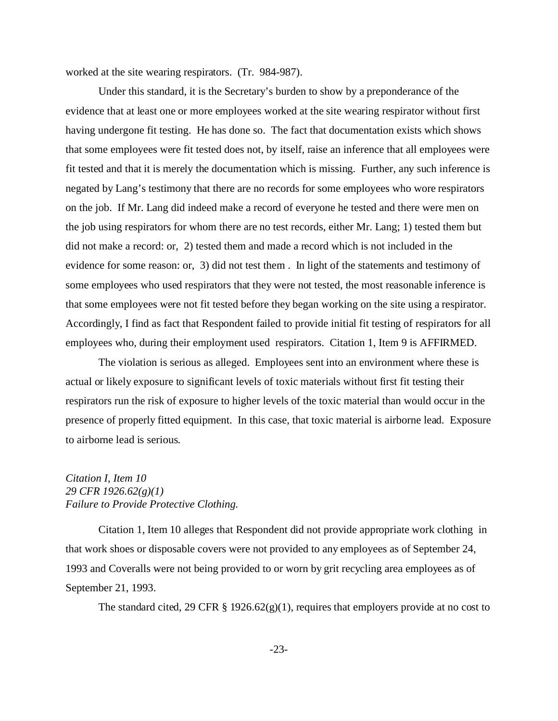worked at the site wearing respirators. (Tr. 984-987).

Under this standard, it is the Secretary's burden to show by a preponderance of the evidence that at least one or more employees worked at the site wearing respirator without first having undergone fit testing. He has done so. The fact that documentation exists which shows that some employees were fit tested does not, by itself, raise an inference that all employees were fit tested and that it is merely the documentation which is missing. Further, any such inference is negated by Lang's testimony that there are no records for some employees who wore respirators on the job. If Mr. Lang did indeed make a record of everyone he tested and there were men on the job using respirators for whom there are no test records, either Mr. Lang; 1) tested them but did not make a record: or, 2) tested them and made a record which is not included in the evidence for some reason: or, 3) did not test them . In light of the statements and testimony of some employees who used respirators that they were not tested, the most reasonable inference is that some employees were not fit tested before they began working on the site using a respirator. Accordingly, I find as fact that Respondent failed to provide initial fit testing of respirators for all employees who, during their employment used respirators. Citation 1, Item 9 is AFFIRMED.

The violation is serious as alleged. Employees sent into an environment where these is actual or likely exposure to significant levels of toxic materials without first fit testing their respirators run the risk of exposure to higher levels of the toxic material than would occur in the presence of properly fitted equipment. In this case, that toxic material is airborne lead. Exposure to airborne lead is serious.

### *Citation I, Item 10 29 CFR 1926.62(g)(1) Failure to Provide Protective Clothing.*

Citation 1, Item 10 alleges that Respondent did not provide appropriate work clothing in that work shoes or disposable covers were not provided to any employees as of September 24, 1993 and Coveralls were not being provided to or worn by grit recycling area employees as of September 21, 1993.

The standard cited, 29 CFR § 1926.62(g)(1), requires that employers provide at no cost to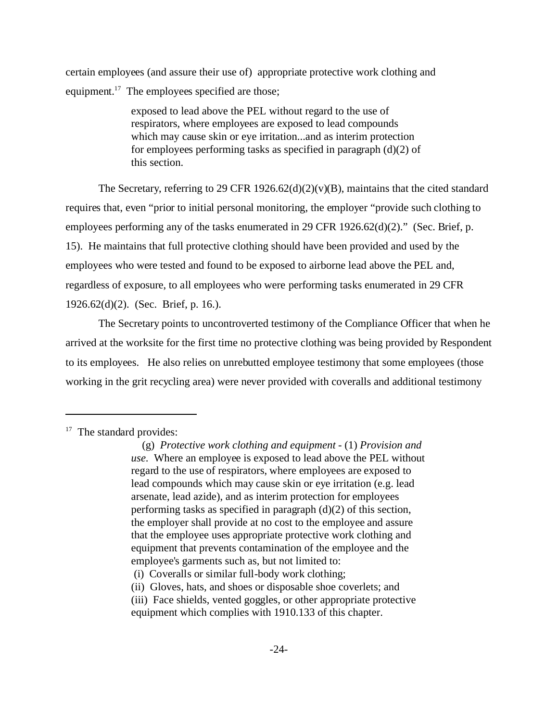certain employees (and assure their use of) appropriate protective work clothing and equipment. $17$  The employees specified are those;

> exposed to lead above the PEL without regard to the use of respirators, where employees are exposed to lead compounds which may cause skin or eye irritation...and as interim protection for employees performing tasks as specified in paragraph (d)(2) of this section.

The Secretary, referring to 29 CFR 1926.62(d)(2)(v)(B), maintains that the cited standard requires that, even "prior to initial personal monitoring, the employer "provide such clothing to employees performing any of the tasks enumerated in 29 CFR 1926.62(d)(2)." (Sec. Brief, p. 15). He maintains that full protective clothing should have been provided and used by the employees who were tested and found to be exposed to airborne lead above the PEL and, regardless of exposure, to all employees who were performing tasks enumerated in 29 CFR 1926.62(d)(2). (Sec. Brief, p. 16.).

The Secretary points to uncontroverted testimony of the Compliance Officer that when he arrived at the worksite for the first time no protective clothing was being provided by Respondent to its employees. He also relies on unrebutted employee testimony that some employees (those working in the grit recycling area) were never provided with coveralls and additional testimony

 $17$  The standard provides:

 <sup>(</sup>g) *Protective work clothing and equipment* - (1) *Provision and use*. Where an employee is exposed to lead above the PEL without regard to the use of respirators, where employees are exposed to lead compounds which may cause skin or eye irritation (e.g. lead arsenate, lead azide), and as interim protection for employees performing tasks as specified in paragraph (d)(2) of this section, the employer shall provide at no cost to the employee and assure that the employee uses appropriate protective work clothing and equipment that prevents contamination of the employee and the employee's garments such as, but not limited to:

 <sup>(</sup>i) Coveralls or similar full-body work clothing;

<sup>(</sup>ii) Gloves, hats, and shoes or disposable shoe coverlets; and

<sup>(</sup>iii) Face shields, vented goggles, or other appropriate protective

equipment which complies with 1910.133 of this chapter.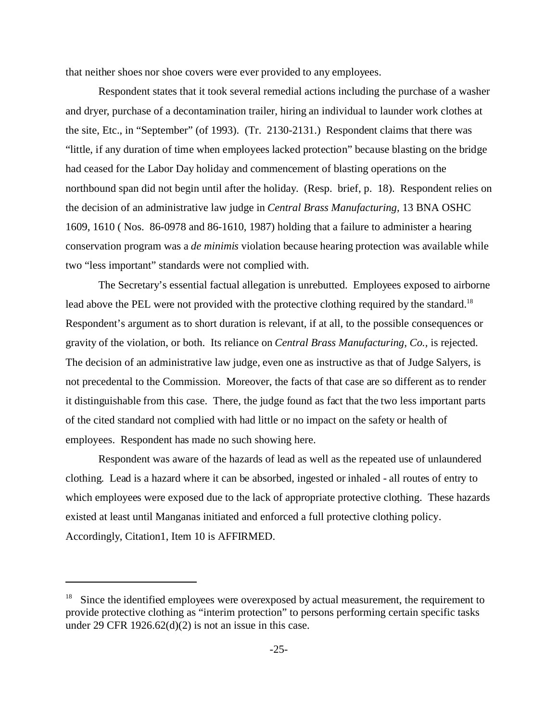that neither shoes nor shoe covers were ever provided to any employees.

Respondent states that it took several remedial actions including the purchase of a washer and dryer, purchase of a decontamination trailer, hiring an individual to launder work clothes at the site, Etc., in "September" (of 1993). (Tr. 2130-2131.) Respondent claims that there was "little, if any duration of time when employees lacked protection" because blasting on the bridge had ceased for the Labor Day holiday and commencement of blasting operations on the northbound span did not begin until after the holiday. (Resp. brief, p. 18). Respondent relies on the decision of an administrative law judge in *Central Brass Manufacturing,* 13 BNA OSHC 1609, 1610 ( Nos. 86-0978 and 86-1610, 1987) holding that a failure to administer a hearing conservation program was a *de minimis* violation because hearing protection was available while two "less important" standards were not complied with.

The Secretary's essential factual allegation is unrebutted. Employees exposed to airborne lead above the PEL were not provided with the protective clothing required by the standard.<sup>18</sup> Respondent's argument as to short duration is relevant, if at all, to the possible consequences or gravity of the violation, or both. Its reliance on *Central Brass Manufacturing, Co.,* is rejected. The decision of an administrative law judge, even one as instructive as that of Judge Salyers, is not precedental to the Commission. Moreover, the facts of that case are so different as to render it distinguishable from this case. There, the judge found as fact that the two less important parts of the cited standard not complied with had little or no impact on the safety or health of employees. Respondent has made no such showing here.

Respondent was aware of the hazards of lead as well as the repeated use of unlaundered clothing. Lead is a hazard where it can be absorbed, ingested or inhaled - all routes of entry to which employees were exposed due to the lack of appropriate protective clothing. These hazards existed at least until Manganas initiated and enforced a full protective clothing policy. Accordingly, Citation1, Item 10 is AFFIRMED.

 $18$  Since the identified employees were overexposed by actual measurement, the requirement to provide protective clothing as "interim protection" to persons performing certain specific tasks under 29 CFR 1926.62(d)(2) is not an issue in this case.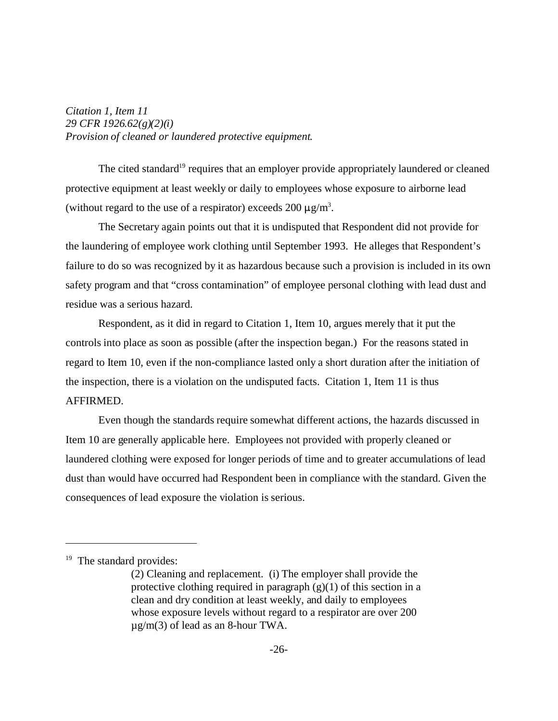*Citation 1, Item 11 29 CFR 1926.62(g)(2)(i) Provision of cleaned or laundered protective equipment.*

The cited standard<sup>19</sup> requires that an employer provide appropriately laundered or cleaned protective equipment at least weekly or daily to employees whose exposure to airborne lead (without regard to the use of a respirator) exceeds  $200 \mu g/m^3$ .

The Secretary again points out that it is undisputed that Respondent did not provide for the laundering of employee work clothing until September 1993. He alleges that Respondent's failure to do so was recognized by it as hazardous because such a provision is included in its own safety program and that "cross contamination" of employee personal clothing with lead dust and residue was a serious hazard.

Respondent, as it did in regard to Citation 1, Item 10, argues merely that it put the controls into place as soon as possible (after the inspection began.) For the reasons stated in regard to Item 10, even if the non-compliance lasted only a short duration after the initiation of the inspection, there is a violation on the undisputed facts. Citation 1, Item 11 is thus AFFIRMED.

Even though the standards require somewhat different actions, the hazards discussed in Item 10 are generally applicable here. Employees not provided with properly cleaned or laundered clothing were exposed for longer periods of time and to greater accumulations of lead dust than would have occurred had Respondent been in compliance with the standard. Given the consequences of lead exposure the violation is serious.

<sup>&</sup>lt;sup>19</sup> The standard provides:

<sup>(2)</sup> Cleaning and replacement. (i) The employer shall provide the protective clothing required in paragraph  $(g)(1)$  of this section in a clean and dry condition at least weekly, and daily to employees whose exposure levels without regard to a respirator are over 200 µg/m(3) of lead as an 8-hour TWA.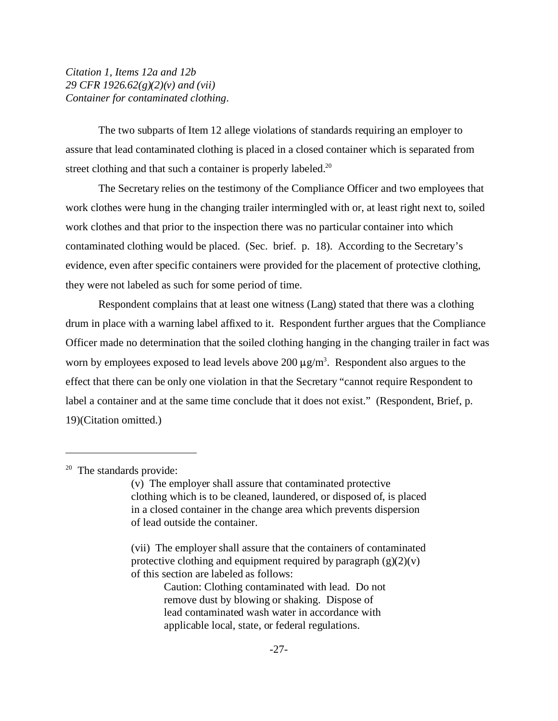*Citation 1, Items 12a and 12b 29 CFR 1926.62(g)(2)(v) and (vii) Container for contaminated clothing*.

The two subparts of Item 12 allege violations of standards requiring an employer to assure that lead contaminated clothing is placed in a closed container which is separated from street clothing and that such a container is properly labeled.<sup>20</sup>

The Secretary relies on the testimony of the Compliance Officer and two employees that work clothes were hung in the changing trailer intermingled with or, at least right next to, soiled work clothes and that prior to the inspection there was no particular container into which contaminated clothing would be placed. (Sec. brief. p. 18). According to the Secretary's evidence, even after specific containers were provided for the placement of protective clothing, they were not labeled as such for some period of time.

Respondent complains that at least one witness (Lang) stated that there was a clothing drum in place with a warning label affixed to it. Respondent further argues that the Compliance Officer made no determination that the soiled clothing hanging in the changing trailer in fact was worn by employees exposed to lead levels above  $200 \mu g/m<sup>3</sup>$ . Respondent also argues to the effect that there can be only one violation in that the Secretary "cannot require Respondent to label a container and at the same time conclude that it does not exist." (Respondent, Brief, p. 19)(Citation omitted.)

Caution: Clothing contaminated with lead. Do not remove dust by blowing or shaking. Dispose of lead contaminated wash water in accordance with applicable local, state, or federal regulations.

<sup>&</sup>lt;sup>20</sup> The standards provide:

<sup>(</sup>v) The employer shall assure that contaminated protective clothing which is to be cleaned, laundered, or disposed of, is placed in a closed container in the change area which prevents dispersion of lead outside the container.

<sup>(</sup>vii) The employer shall assure that the containers of contaminated protective clothing and equipment required by paragraph  $(g)(2)(v)$ of this section are labeled as follows: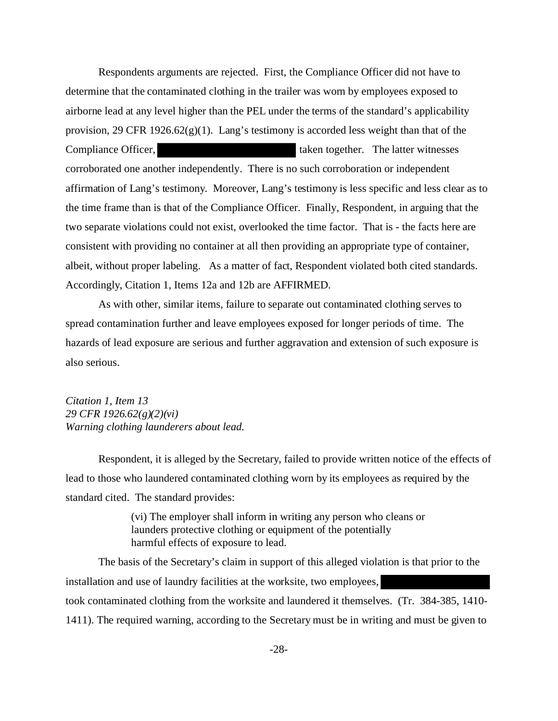Respondents arguments are rejected. First, the Compliance Officer did not have to determine that the contaminated clothing in the trailer was worn by employees exposed to airborne lead at any level higher than the PEL under the terms of the standard's applicability provision, 29 CFR 1926.62 $(g)(1)$ . Lang's testimony is accorded less weight than that of the Compliance Officer, the latter witnesses taken together. The latter witnesses corroborated one another independently. There is no such corroboration or independent affirmation of Lang's testimony. Moreover, Lang's testimony is less specific and less clear as to the time frame than is that of the Compliance Officer. Finally, Respondent, in arguing that the two separate violations could not exist, overlooked the time factor. That is - the facts here are consistent with providing no container at all then providing an appropriate type of container, albeit, without proper labeling. As a matter of fact, Respondent violated both cited standards. Accordingly, Citation 1, Items 12a and 12b are AFFIRMED.

As with other, similar items, failure to separate out contaminated clothing serves to spread contamination further and leave employees exposed for longer periods of time. The hazards of lead exposure are serious and further aggravation and extension of such exposure is also serious.

*Citation 1, Item 13 29 CFR 1926.62(g)(2)(vi) Warning clothing launderers about lead.* 

Respondent, it is alleged by the Secretary, failed to provide written notice of the effects of lead to those who laundered contaminated clothing worn by its employees as required by the standard cited. The standard provides:

> (vi) The employer shall inform in writing any person who cleans or launders protective clothing or equipment of the potentially harmful effects of exposure to lead.

The basis of the Secretary's claim in support of this alleged violation is that prior to the installation and use of laundry facilities at the worksite, two employees, took contaminated clothing from the worksite and laundered it themselves. (Tr. 384-385, 1410 1411). The required warning, according to the Secretary must be in writing and must be given to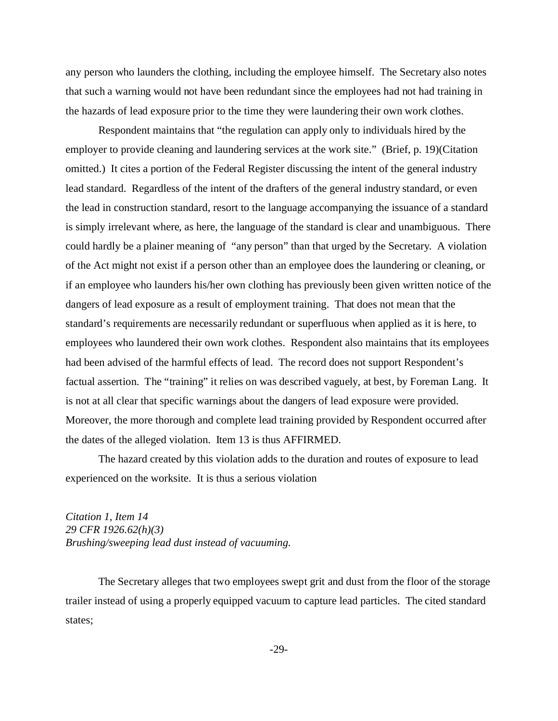any person who launders the clothing, including the employee himself. The Secretary also notes that such a warning would not have been redundant since the employees had not had training in the hazards of lead exposure prior to the time they were laundering their own work clothes.

Respondent maintains that "the regulation can apply only to individuals hired by the employer to provide cleaning and laundering services at the work site." (Brief, p. 19)(Citation omitted.) It cites a portion of the Federal Register discussing the intent of the general industry lead standard. Regardless of the intent of the drafters of the general industry standard, or even the lead in construction standard, resort to the language accompanying the issuance of a standard is simply irrelevant where, as here, the language of the standard is clear and unambiguous. There could hardly be a plainer meaning of "any person" than that urged by the Secretary. A violation of the Act might not exist if a person other than an employee does the laundering or cleaning, or if an employee who launders his/her own clothing has previously been given written notice of the dangers of lead exposure as a result of employment training. That does not mean that the standard's requirements are necessarily redundant or superfluous when applied as it is here, to employees who laundered their own work clothes. Respondent also maintains that its employees had been advised of the harmful effects of lead. The record does not support Respondent's factual assertion. The "training" it relies on was described vaguely, at best, by Foreman Lang. It is not at all clear that specific warnings about the dangers of lead exposure were provided. Moreover, the more thorough and complete lead training provided by Respondent occurred after the dates of the alleged violation. Item 13 is thus AFFIRMED.

The hazard created by this violation adds to the duration and routes of exposure to lead experienced on the worksite. It is thus a serious violation

*Citation 1, Item 14 29 CFR 1926.62(h)(3) Brushing/sweeping lead dust instead of vacuuming.*

The Secretary alleges that two employees swept grit and dust from the floor of the storage trailer instead of using a properly equipped vacuum to capture lead particles. The cited standard states;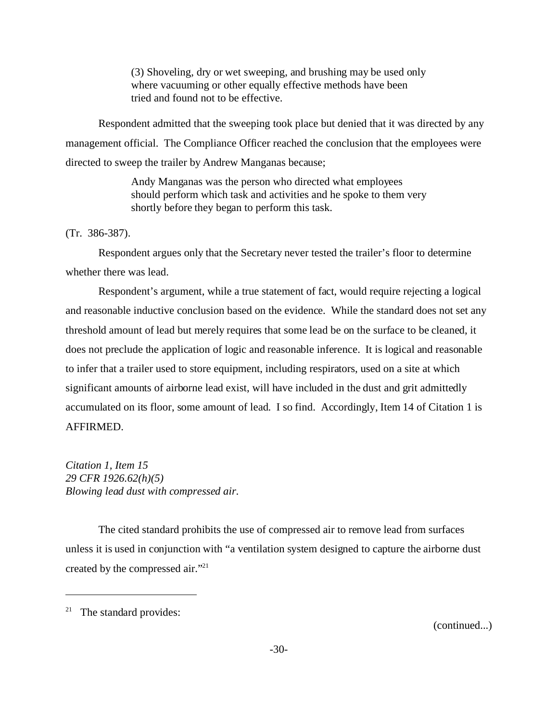(3) Shoveling, dry or wet sweeping, and brushing may be used only where vacuuming or other equally effective methods have been tried and found not to be effective.

Respondent admitted that the sweeping took place but denied that it was directed by any management official. The Compliance Officer reached the conclusion that the employees were directed to sweep the trailer by Andrew Manganas because;

> Andy Manganas was the person who directed what employees should perform which task and activities and he spoke to them very shortly before they began to perform this task.

#### (Tr. 386-387).

Respondent argues only that the Secretary never tested the trailer's floor to determine whether there was lead.

Respondent's argument, while a true statement of fact, would require rejecting a logical and reasonable inductive conclusion based on the evidence. While the standard does not set any threshold amount of lead but merely requires that some lead be on the surface to be cleaned, it does not preclude the application of logic and reasonable inference. It is logical and reasonable to infer that a trailer used to store equipment, including respirators, used on a site at which significant amounts of airborne lead exist, will have included in the dust and grit admittedly accumulated on its floor, some amount of lead. I so find. Accordingly, Item 14 of Citation 1 is AFFIRMED.

*Citation 1, Item 15 29 CFR 1926.62(h)(5) Blowing lead dust with compressed air*.

The cited standard prohibits the use of compressed air to remove lead from surfaces unless it is used in conjunction with "a ventilation system designed to capture the airborne dust created by the compressed air."21

(continued...)

<sup>&</sup>lt;sup>21</sup> The standard provides: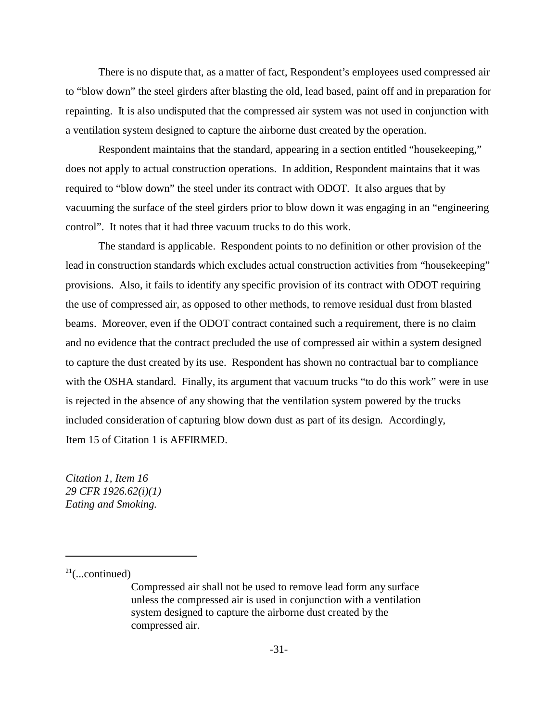There is no dispute that, as a matter of fact, Respondent's employees used compressed air to "blow down" the steel girders after blasting the old, lead based, paint off and in preparation for repainting. It is also undisputed that the compressed air system was not used in conjunction with a ventilation system designed to capture the airborne dust created by the operation.

Respondent maintains that the standard, appearing in a section entitled "housekeeping," does not apply to actual construction operations. In addition, Respondent maintains that it was required to "blow down" the steel under its contract with ODOT. It also argues that by vacuuming the surface of the steel girders prior to blow down it was engaging in an "engineering control". It notes that it had three vacuum trucks to do this work.

The standard is applicable. Respondent points to no definition or other provision of the lead in construction standards which excludes actual construction activities from "housekeeping" provisions. Also, it fails to identify any specific provision of its contract with ODOT requiring the use of compressed air, as opposed to other methods, to remove residual dust from blasted beams. Moreover, even if the ODOT contract contained such a requirement, there is no claim and no evidence that the contract precluded the use of compressed air within a system designed to capture the dust created by its use. Respondent has shown no contractual bar to compliance with the OSHA standard. Finally, its argument that vacuum trucks "to do this work" were in use is rejected in the absence of any showing that the ventilation system powered by the trucks included consideration of capturing blow down dust as part of its design. Accordingly, Item 15 of Citation 1 is AFFIRMED.

*Citation 1, Item 16 29 CFR 1926.62(i)(1) Eating and Smoking.* 

 $21$ (...continued)

Compressed air shall not be used to remove lead form any surface unless the compressed air is used in conjunction with a ventilation system designed to capture the airborne dust created by the compressed air.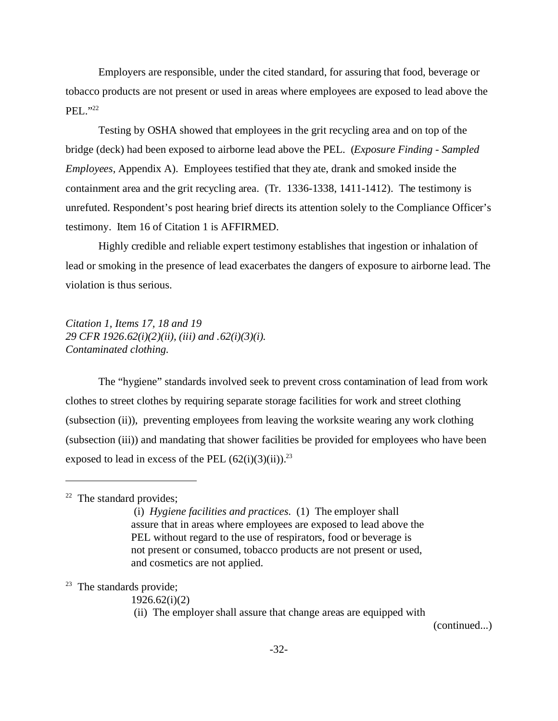Employers are responsible, under the cited standard, for assuring that food, beverage or tobacco products are not present or used in areas where employees are exposed to lead above the PEL."22

Testing by OSHA showed that employees in the grit recycling area and on top of the bridge (deck) had been exposed to airborne lead above the PEL. (*Exposure Finding - Sampled Employees,* Appendix A). Employees testified that they ate, drank and smoked inside the containment area and the grit recycling area. (Tr. 1336-1338, 1411-1412). The testimony is unrefuted. Respondent's post hearing brief directs its attention solely to the Compliance Officer's testimony. Item 16 of Citation 1 is AFFIRMED.

Highly credible and reliable expert testimony establishes that ingestion or inhalation of lead or smoking in the presence of lead exacerbates the dangers of exposure to airborne lead. The violation is thus serious.

*Citation 1, Items 17, 18 and 19 29 CFR 1926.62(i)(2)(ii), (iii) and .62(i)(3)(i). Contaminated clothing.* 

The "hygiene" standards involved seek to prevent cross contamination of lead from work clothes to street clothes by requiring separate storage facilities for work and street clothing (subsection (ii)), preventing employees from leaving the worksite wearing any work clothing (subsection (iii)) and mandating that shower facilities be provided for employees who have been exposed to lead in excess of the PEL  $(62(i)(3)(ii))$ .<sup>23</sup>

(ii) The employer shall assure that change areas are equipped with

(continued...)

 $22$  The standard provides;

 <sup>(</sup>i) *Hygiene facilities and practices*. (1) The employer shall assure that in areas where employees are exposed to lead above the PEL without regard to the use of respirators, food or beverage is not present or consumed, tobacco products are not present or used, and cosmetics are not applied.

 $23$  The standards provide;

<sup>1926.62(</sup>i)(2)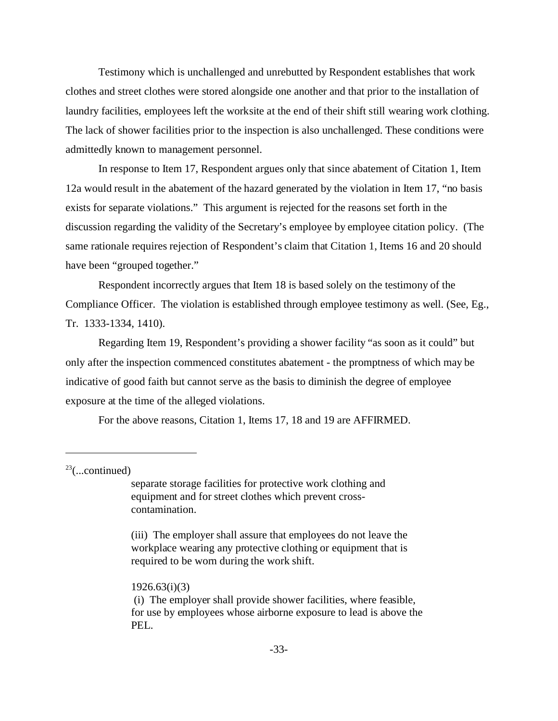Testimony which is unchallenged and unrebutted by Respondent establishes that work clothes and street clothes were stored alongside one another and that prior to the installation of laundry facilities, employees left the worksite at the end of their shift still wearing work clothing. The lack of shower facilities prior to the inspection is also unchallenged. These conditions were admittedly known to management personnel.

In response to Item 17, Respondent argues only that since abatement of Citation 1, Item 12a would result in the abatement of the hazard generated by the violation in Item 17, "no basis exists for separate violations." This argument is rejected for the reasons set forth in the discussion regarding the validity of the Secretary's employee by employee citation policy. (The same rationale requires rejection of Respondent's claim that Citation 1, Items 16 and 20 should have been "grouped together."

Respondent incorrectly argues that Item 18 is based solely on the testimony of the Compliance Officer. The violation is established through employee testimony as well. (See, Eg., Tr. 1333-1334, 1410).

Regarding Item 19, Respondent's providing a shower facility "as soon as it could" but only after the inspection commenced constitutes abatement - the promptness of which may be indicative of good faith but cannot serve as the basis to diminish the degree of employee exposure at the time of the alleged violations.

For the above reasons, Citation 1, Items 17, 18 and 19 are AFFIRMED.

 $23$ (...continued)

separate storage facilities for protective work clothing and equipment and for street clothes which prevent crosscontamination.

(iii) The employer shall assure that employees do not leave the workplace wearing any protective clothing or equipment that is required to be worn during the work shift.

#### 1926.63(i)(3)

 (i) The employer shall provide shower facilities, where feasible, for use by employees whose airborne exposure to lead is above the PEL.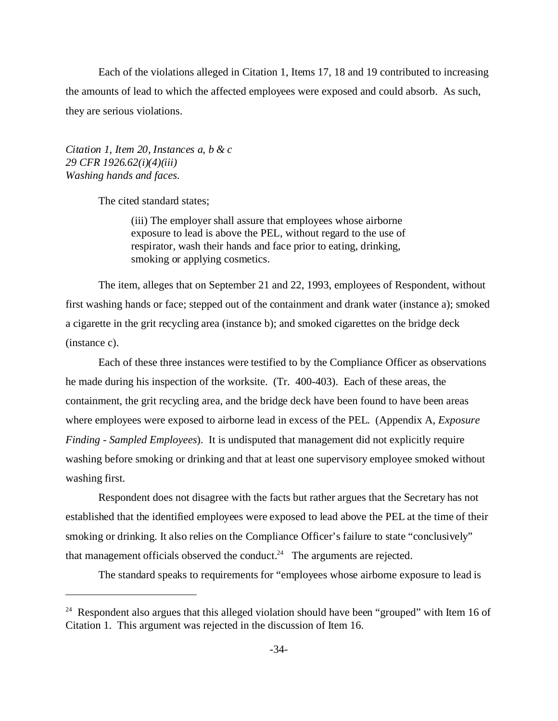Each of the violations alleged in Citation 1, Items 17, 18 and 19 contributed to increasing the amounts of lead to which the affected employees were exposed and could absorb. As such, they are serious violations.

*Citation 1, Item 20, Instances a, b & c 29 CFR 1926.62(i)(4)(iii) Washing hands and faces.* 

The cited standard states;

(iii) The employer shall assure that employees whose airborne exposure to lead is above the PEL, without regard to the use of respirator, wash their hands and face prior to eating, drinking, smoking or applying cosmetics.

The item, alleges that on September 21 and 22, 1993, employees of Respondent, without first washing hands or face; stepped out of the containment and drank water (instance a); smoked a cigarette in the grit recycling area (instance b); and smoked cigarettes on the bridge deck (instance c).

Each of these three instances were testified to by the Compliance Officer as observations he made during his inspection of the worksite. (Tr. 400-403). Each of these areas, the containment, the grit recycling area, and the bridge deck have been found to have been areas where employees were exposed to airborne lead in excess of the PEL. (Appendix A, *Exposure Finding - Sampled Employees*). It is undisputed that management did not explicitly require washing before smoking or drinking and that at least one supervisory employee smoked without washing first.

Respondent does not disagree with the facts but rather argues that the Secretary has not established that the identified employees were exposed to lead above the PEL at the time of their smoking or drinking. It also relies on the Compliance Officer's failure to state "conclusively" that management officials observed the conduct.<sup>24</sup> The arguments are rejected.

The standard speaks to requirements for "employees whose airborne exposure to lead is

<sup>&</sup>lt;sup>24</sup> Respondent also argues that this alleged violation should have been "grouped" with Item 16 of Citation 1. This argument was rejected in the discussion of Item 16.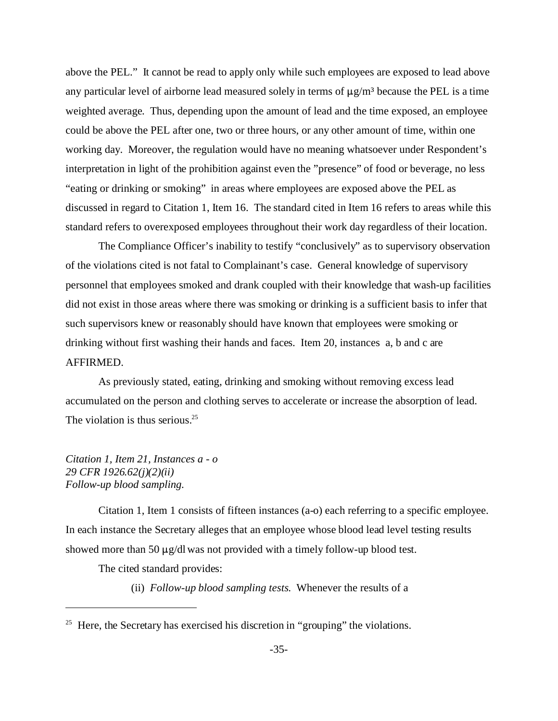above the PEL." It cannot be read to apply only while such employees are exposed to lead above any particular level of airborne lead measured solely in terms of  $\mu$ g/m<sup>3</sup> because the PEL is a time weighted average. Thus, depending upon the amount of lead and the time exposed, an employee could be above the PEL after one, two or three hours, or any other amount of time, within one working day. Moreover, the regulation would have no meaning whatsoever under Respondent's interpretation in light of the prohibition against even the "presence" of food or beverage, no less "eating or drinking or smoking" in areas where employees are exposed above the PEL as discussed in regard to Citation 1, Item 16. The standard cited in Item 16 refers to areas while this standard refers to overexposed employees throughout their work day regardless of their location.

The Compliance Officer's inability to testify "conclusively" as to supervisory observation of the violations cited is not fatal to Complainant's case. General knowledge of supervisory personnel that employees smoked and drank coupled with their knowledge that wash-up facilities did not exist in those areas where there was smoking or drinking is a sufficient basis to infer that such supervisors knew or reasonably should have known that employees were smoking or drinking without first washing their hands and faces. Item 20, instances a, b and c are AFFIRMED.

As previously stated, eating, drinking and smoking without removing excess lead accumulated on the person and clothing serves to accelerate or increase the absorption of lead. The violation is thus serious.<sup>25</sup>

*Citation 1, Item 21, Instances a - o 29 CFR 1926.62(j)(2)(ii) Follow-up blood sampling.* 

Citation 1, Item 1 consists of fifteen instances (a-o) each referring to a specific employee. In each instance the Secretary alleges that an employee whose blood lead level testing results showed more than 50  $\mu$ g/dl was not provided with a timely follow-up blood test.

The cited standard provides:

(ii) *Follow-up blood sampling tests*. Whenever the results of a

<sup>&</sup>lt;sup>25</sup> Here, the Secretary has exercised his discretion in "grouping" the violations.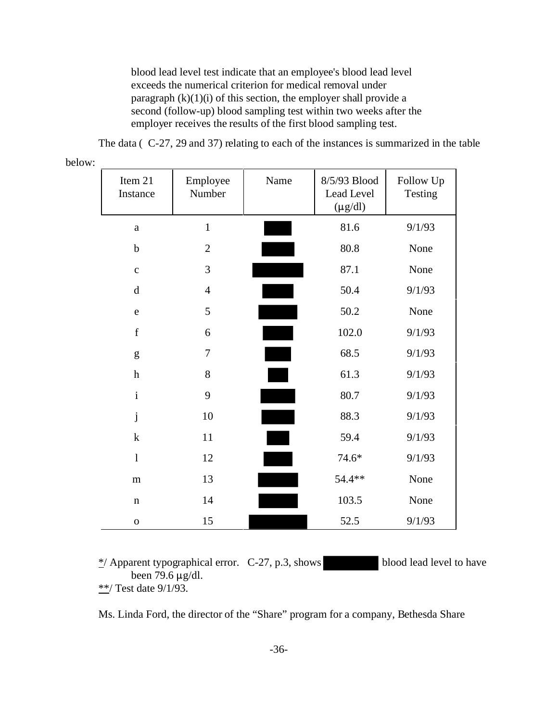blood lead level test indicate that an employee's blood lead level exceeds the numerical criterion for medical removal under paragraph  $(k)(1)(i)$  of this section, the employer shall provide a second (follow-up) blood sampling test within two weeks after the employer receives the results of the first blood sampling test.

The data ( C-27, 29 and 37) relating to each of the instances is summarized in the table

| Item 21<br>Instance       | Employee<br>Number | Name | 8/5/93 Blood<br>Lead Level<br>$(\mu g/dl)$ | Follow Up<br>Testing |
|---------------------------|--------------------|------|--------------------------------------------|----------------------|
| $\rm{a}$                  | $\mathbf{1}$       |      | 81.6                                       | 9/1/93               |
| $\mathbf b$               | $\mathfrak{2}$     |      | 80.8                                       | None                 |
| $\mathbf c$               | 3                  |      | 87.1                                       | None                 |
| $\mathbf d$               | $\overline{4}$     |      | 50.4                                       | 9/1/93               |
| $\mathbf e$               | 5                  |      | 50.2                                       | None                 |
| $\mathbf f$               | 6                  |      | 102.0                                      | 9/1/93               |
| g                         | 7                  |      | 68.5                                       | 9/1/93               |
| $\boldsymbol{\textbf{h}}$ | 8                  |      | 61.3                                       | 9/1/93               |
| $\mathbf{i}$              | 9                  |      | 80.7                                       | 9/1/93               |
| $\mathbf{j}$              | 10                 |      | 88.3                                       | 9/1/93               |
| $\mathbf k$               | 11                 |      | 59.4                                       | 9/1/93               |
| $\mathbf{l}$              | 12                 |      | $74.6*$                                    | 9/1/93               |
| m                         | 13                 |      | 54.4**                                     | None                 |
| $\mathbf n$               | 14                 |      | 103.5                                      | None                 |
| $\mathbf 0$               | 15                 |      | 52.5                                       | 9/1/93               |

below:

 $\frac{\ast}{2}$  Apparent typographical error. C-27, p.3, shows blood lead level to have been 79.6  $\mu$ g/dl. \*\*/ Test date 9/1/93.

Ms. Linda Ford, the director of the "Share" program for a company, Bethesda Share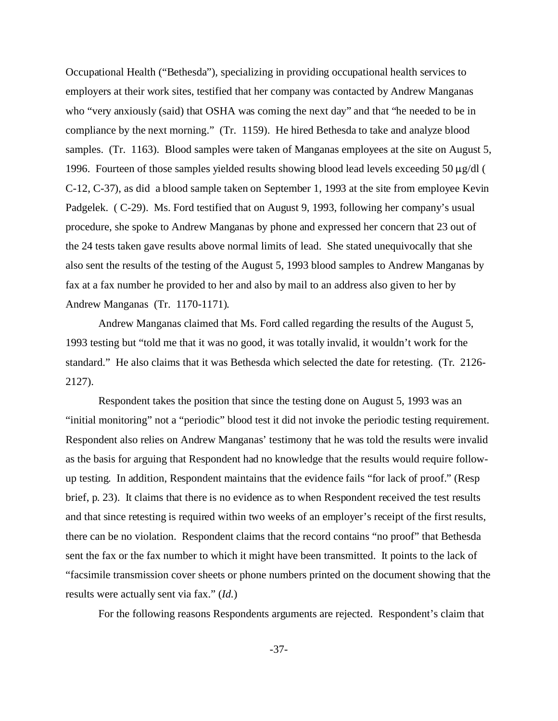Occupational Health ("Bethesda"), specializing in providing occupational health services to employers at their work sites, testified that her company was contacted by Andrew Manganas who "very anxiously (said) that OSHA was coming the next day" and that "he needed to be in compliance by the next morning." (Tr. 1159). He hired Bethesda to take and analyze blood samples. (Tr. 1163). Blood samples were taken of Manganas employees at the site on August 5, 1996. Fourteen of those samples yielded results showing blood lead levels exceeding 50  $\mu$ g/dl ( C-12, C-37), as did a blood sample taken on September 1, 1993 at the site from employee Kevin Padgelek. ( C-29). Ms. Ford testified that on August 9, 1993, following her company's usual procedure, she spoke to Andrew Manganas by phone and expressed her concern that 23 out of the 24 tests taken gave results above normal limits of lead. She stated unequivocally that she also sent the results of the testing of the August 5, 1993 blood samples to Andrew Manganas by fax at a fax number he provided to her and also by mail to an address also given to her by Andrew Manganas (Tr. 1170-1171).

Andrew Manganas claimed that Ms. Ford called regarding the results of the August 5, 1993 testing but "told me that it was no good, it was totally invalid, it wouldn't work for the standard." He also claims that it was Bethesda which selected the date for retesting. (Tr. 2126 2127).

Respondent takes the position that since the testing done on August 5, 1993 was an "initial monitoring" not a "periodic" blood test it did not invoke the periodic testing requirement. Respondent also relies on Andrew Manganas' testimony that he was told the results were invalid as the basis for arguing that Respondent had no knowledge that the results would require followup testing. In addition, Respondent maintains that the evidence fails "for lack of proof." (Resp brief, p. 23). It claims that there is no evidence as to when Respondent received the test results and that since retesting is required within two weeks of an employer's receipt of the first results, there can be no violation. Respondent claims that the record contains "no proof" that Bethesda sent the fax or the fax number to which it might have been transmitted. It points to the lack of "facsimile transmission cover sheets or phone numbers printed on the document showing that the results were actually sent via fax." (*Id.*)

For the following reasons Respondents arguments are rejected. Respondent's claim that

-37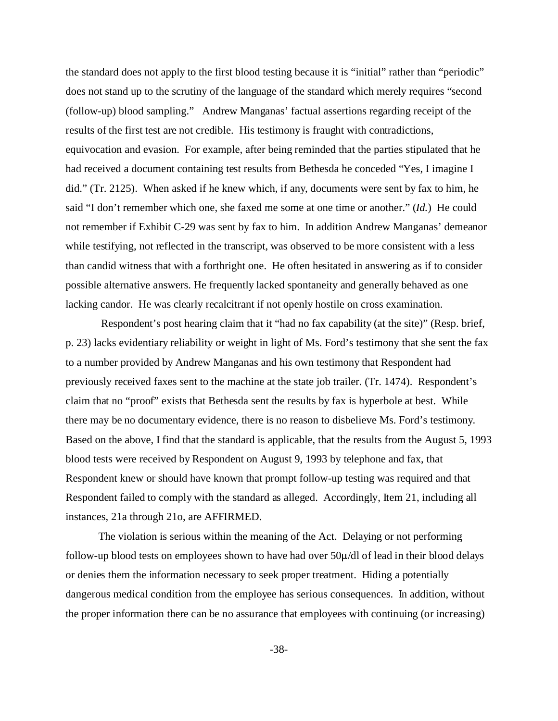the standard does not apply to the first blood testing because it is "initial" rather than "periodic" does not stand up to the scrutiny of the language of the standard which merely requires "second (follow-up) blood sampling." Andrew Manganas' factual assertions regarding receipt of the results of the first test are not credible. His testimony is fraught with contradictions, equivocation and evasion. For example, after being reminded that the parties stipulated that he had received a document containing test results from Bethesda he conceded "Yes, I imagine I did." (Tr. 2125). When asked if he knew which, if any, documents were sent by fax to him, he said "I don't remember which one, she faxed me some at one time or another." (*Id.*) He could not remember if Exhibit C-29 was sent by fax to him. In addition Andrew Manganas' demeanor while testifying, not reflected in the transcript, was observed to be more consistent with a less than candid witness that with a forthright one. He often hesitated in answering as if to consider possible alternative answers. He frequently lacked spontaneity and generally behaved as one lacking candor. He was clearly recalcitrant if not openly hostile on cross examination.

 Respondent's post hearing claim that it "had no fax capability (at the site)" (Resp. brief, p. 23) lacks evidentiary reliability or weight in light of Ms. Ford's testimony that she sent the fax to a number provided by Andrew Manganas and his own testimony that Respondent had previously received faxes sent to the machine at the state job trailer. (Tr. 1474). Respondent's claim that no "proof" exists that Bethesda sent the results by fax is hyperbole at best. While there may be no documentary evidence, there is no reason to disbelieve Ms. Ford's testimony. Based on the above, I find that the standard is applicable, that the results from the August 5, 1993 blood tests were received by Respondent on August 9, 1993 by telephone and fax, that Respondent knew or should have known that prompt follow-up testing was required and that Respondent failed to comply with the standard as alleged. Accordingly, Item 21, including all instances, 21a through 21o, are AFFIRMED.

The violation is serious within the meaning of the Act. Delaying or not performing follow-up blood tests on employees shown to have had over  $50\mu/d$  of lead in their blood delays or denies them the information necessary to seek proper treatment. Hiding a potentially dangerous medical condition from the employee has serious consequences. In addition, without the proper information there can be no assurance that employees with continuing (or increasing)

-38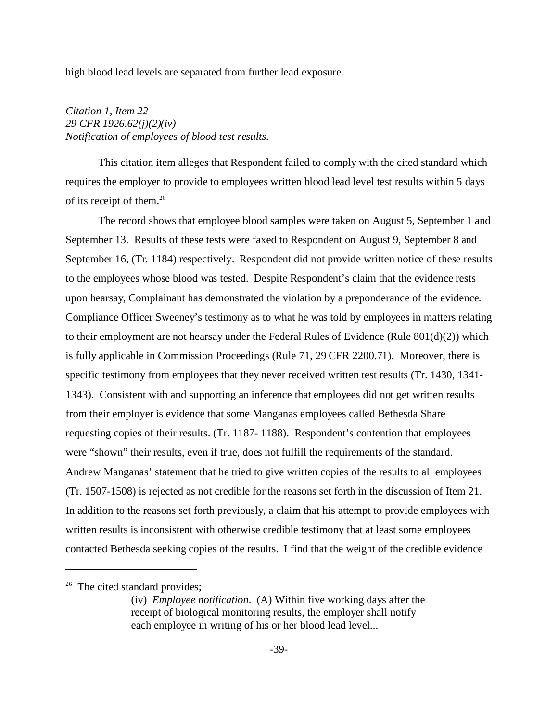high blood lead levels are separated from further lead exposure.

## *Citation 1, Item 22 29 CFR 1926.62(j)(2)(iv) Notification of employees of blood test results.*

This citation item alleges that Respondent failed to comply with the cited standard which requires the employer to provide to employees written blood lead level test results within 5 days of its receipt of them.26

The record shows that employee blood samples were taken on August 5, September 1 and September 13. Results of these tests were faxed to Respondent on August 9, September 8 and September 16, (Tr. 1184) respectively. Respondent did not provide written notice of these results to the employees whose blood was tested. Despite Respondent's claim that the evidence rests upon hearsay, Complainant has demonstrated the violation by a preponderance of the evidence. Compliance Officer Sweeney's testimony as to what he was told by employees in matters relating to their employment are not hearsay under the Federal Rules of Evidence (Rule  $801(d)(2)$ ) which is fully applicable in Commission Proceedings (Rule 71, 29 CFR 2200.71). Moreover, there is specific testimony from employees that they never received written test results (Tr. 1430, 1341 1343). Consistent with and supporting an inference that employees did not get written results from their employer is evidence that some Manganas employees called Bethesda Share requesting copies of their results. (Tr. 1187- 1188). Respondent's contention that employees were "shown" their results, even if true, does not fulfill the requirements of the standard. Andrew Manganas' statement that he tried to give written copies of the results to all employees (Tr. 1507-1508) is rejected as not credible for the reasons set forth in the discussion of Item 21. In addition to the reasons set forth previously, a claim that his attempt to provide employees with written results is inconsistent with otherwise credible testimony that at least some employees contacted Bethesda seeking copies of the results. I find that the weight of the credible evidence

 $26$  The cited standard provides;

<sup>(</sup>iv) *Employee notification*. (A) Within five working days after the receipt of biological monitoring results, the employer shall notify each employee in writing of his or her blood lead level...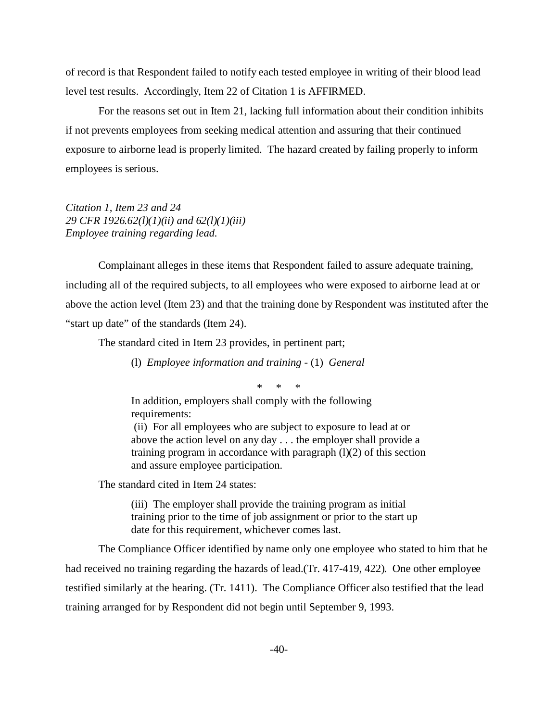of record is that Respondent failed to notify each tested employee in writing of their blood lead level test results. Accordingly, Item 22 of Citation 1 is AFFIRMED.

For the reasons set out in Item 21, lacking full information about their condition inhibits if not prevents employees from seeking medical attention and assuring that their continued exposure to airborne lead is properly limited. The hazard created by failing properly to inform employees is serious.

*Citation 1, Item 23 and 24 29 CFR 1926.62(l)(1)(ii) and 62(l)(1)(iii) Employee training regarding lead.* 

Complainant alleges in these items that Respondent failed to assure adequate training, including all of the required subjects, to all employees who were exposed to airborne lead at or above the action level (Item 23) and that the training done by Respondent was instituted after the "start up date" of the standards (Item 24).

The standard cited in Item 23 provides, in pertinent part;

(l) *Employee information and training* - (1) *General* 

\* \* \*

In addition, employers shall comply with the following requirements:

 (ii) For all employees who are subject to exposure to lead at or above the action level on any day . . . the employer shall provide a training program in accordance with paragraph (l)(2) of this section and assure employee participation.

The standard cited in Item 24 states:

(iii) The employer shall provide the training program as initial training prior to the time of job assignment or prior to the start up date for this requirement, whichever comes last.

The Compliance Officer identified by name only one employee who stated to him that he had received no training regarding the hazards of lead.(Tr. 417-419, 422). One other employee testified similarly at the hearing. (Tr. 1411). The Compliance Officer also testified that the lead training arranged for by Respondent did not begin until September 9, 1993.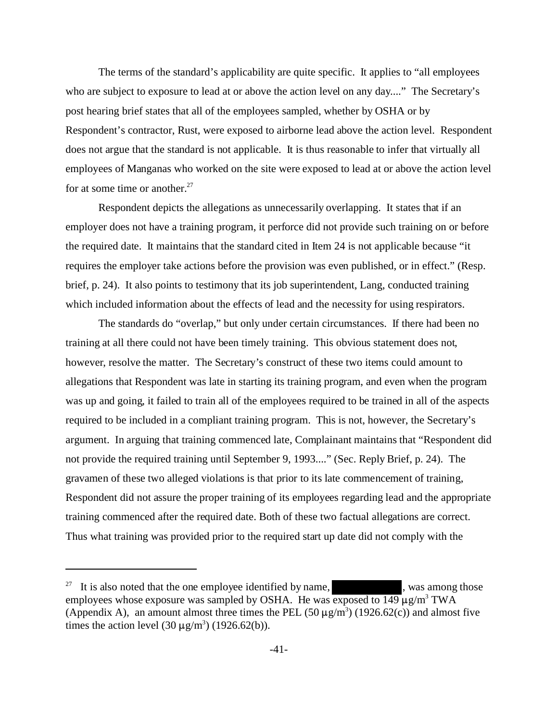The terms of the standard's applicability are quite specific. It applies to "all employees who are subject to exposure to lead at or above the action level on any day...." The Secretary's post hearing brief states that all of the employees sampled, whether by OSHA or by Respondent's contractor, Rust, were exposed to airborne lead above the action level. Respondent does not argue that the standard is not applicable. It is thus reasonable to infer that virtually all employees of Manganas who worked on the site were exposed to lead at or above the action level for at some time or another.<sup>27</sup>

Respondent depicts the allegations as unnecessarily overlapping. It states that if an employer does not have a training program, it perforce did not provide such training on or before the required date. It maintains that the standard cited in Item 24 is not applicable because "it requires the employer take actions before the provision was even published, or in effect." (Resp. brief, p. 24). It also points to testimony that its job superintendent, Lang, conducted training which included information about the effects of lead and the necessity for using respirators.

The standards do "overlap," but only under certain circumstances. If there had been no training at all there could not have been timely training. This obvious statement does not, however, resolve the matter. The Secretary's construct of these two items could amount to allegations that Respondent was late in starting its training program, and even when the program was up and going, it failed to train all of the employees required to be trained in all of the aspects required to be included in a compliant training program. This is not, however, the Secretary's argument. In arguing that training commenced late, Complainant maintains that "Respondent did not provide the required training until September 9, 1993...." (Sec. Reply Brief, p. 24). The gravamen of these two alleged violations is that prior to its late commencement of training, Respondent did not assure the proper training of its employees regarding lead and the appropriate training commenced after the required date. Both of these two factual allegations are correct. Thus what training was provided prior to the required start up date did not comply with the

<sup>&</sup>lt;sup>27</sup> It is also noted that the one employee identified by name,  $\frac{1}{27}$ , was among those employees whose exposure was sampled by OSHA. He was exposed to  $149 \mu g/m^3$  TWA (Appendix A), an amount almost three times the PEL  $(50 \,\mu\text{g/m}^3)$   $(1926.62(c))$  and almost five times the action level  $(30 \mu g/m^3)$  (1926.62(b)).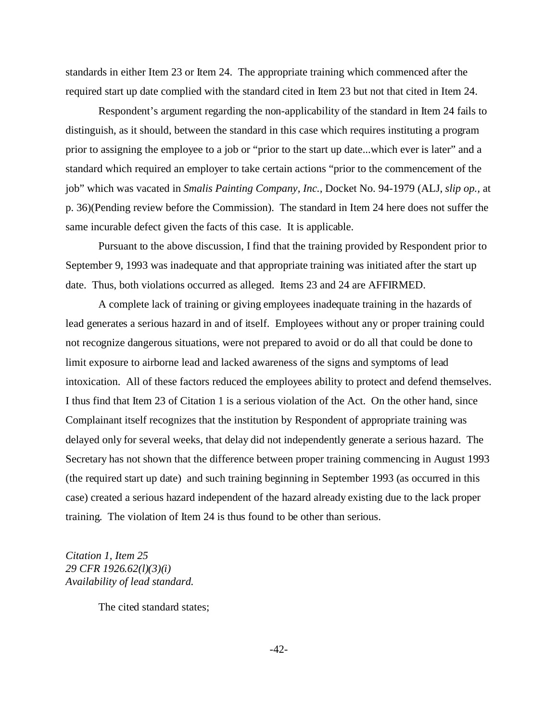standards in either Item 23 or Item 24. The appropriate training which commenced after the required start up date complied with the standard cited in Item 23 but not that cited in Item 24.

Respondent's argument regarding the non-applicability of the standard in Item 24 fails to distinguish, as it should, between the standard in this case which requires instituting a program prior to assigning the employee to a job or "prior to the start up date...which ever is later" and a standard which required an employer to take certain actions "prior to the commencement of the job" which was vacated in *Smalis Painting Company, Inc.,* Docket No. 94-1979 (ALJ, *slip op.,* at p. 36)(Pending review before the Commission). The standard in Item 24 here does not suffer the same incurable defect given the facts of this case. It is applicable.

Pursuant to the above discussion, I find that the training provided by Respondent prior to September 9, 1993 was inadequate and that appropriate training was initiated after the start up date. Thus, both violations occurred as alleged. Items 23 and 24 are AFFIRMED.

A complete lack of training or giving employees inadequate training in the hazards of lead generates a serious hazard in and of itself. Employees without any or proper training could not recognize dangerous situations, were not prepared to avoid or do all that could be done to limit exposure to airborne lead and lacked awareness of the signs and symptoms of lead intoxication. All of these factors reduced the employees ability to protect and defend themselves. I thus find that Item 23 of Citation 1 is a serious violation of the Act. On the other hand, since Complainant itself recognizes that the institution by Respondent of appropriate training was delayed only for several weeks, that delay did not independently generate a serious hazard. The Secretary has not shown that the difference between proper training commencing in August 1993 (the required start up date) and such training beginning in September 1993 (as occurred in this case) created a serious hazard independent of the hazard already existing due to the lack proper training. The violation of Item 24 is thus found to be other than serious.

*Citation 1, Item 25 29 CFR 1926.62(l)(3)(i) Availability of lead standard.* 

The cited standard states;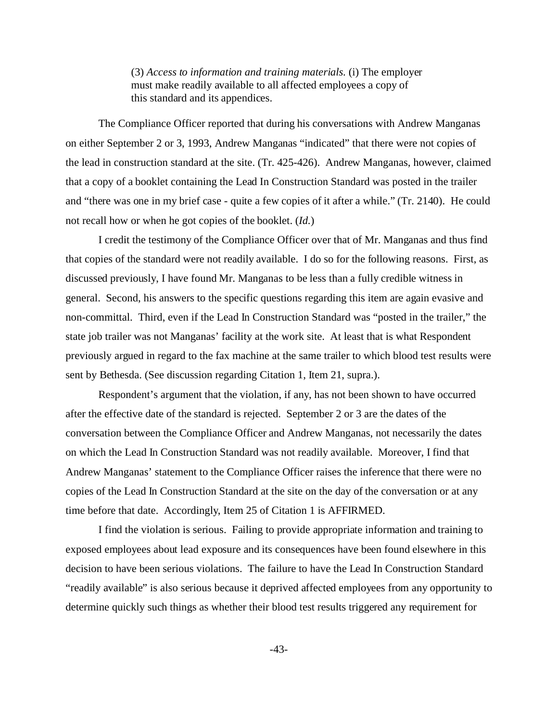(3) *Access to information and training materials.* (i) The employer must make readily available to all affected employees a copy of this standard and its appendices.

The Compliance Officer reported that during his conversations with Andrew Manganas on either September 2 or 3, 1993, Andrew Manganas "indicated" that there were not copies of the lead in construction standard at the site. (Tr. 425-426). Andrew Manganas, however, claimed that a copy of a booklet containing the Lead In Construction Standard was posted in the trailer and "there was one in my brief case - quite a few copies of it after a while." (Tr. 2140). He could not recall how or when he got copies of the booklet. (*Id.*)

I credit the testimony of the Compliance Officer over that of Mr. Manganas and thus find that copies of the standard were not readily available. I do so for the following reasons. First, as discussed previously, I have found Mr. Manganas to be less than a fully credible witness in general. Second, his answers to the specific questions regarding this item are again evasive and non-committal. Third, even if the Lead In Construction Standard was "posted in the trailer," the state job trailer was not Manganas' facility at the work site. At least that is what Respondent previously argued in regard to the fax machine at the same trailer to which blood test results were sent by Bethesda. (See discussion regarding Citation 1, Item 21, supra.).

Respondent's argument that the violation, if any, has not been shown to have occurred after the effective date of the standard is rejected. September 2 or 3 are the dates of the conversation between the Compliance Officer and Andrew Manganas, not necessarily the dates on which the Lead In Construction Standard was not readily available. Moreover, I find that Andrew Manganas' statement to the Compliance Officer raises the inference that there were no copies of the Lead In Construction Standard at the site on the day of the conversation or at any time before that date. Accordingly, Item 25 of Citation 1 is AFFIRMED.

I find the violation is serious. Failing to provide appropriate information and training to exposed employees about lead exposure and its consequences have been found elsewhere in this decision to have been serious violations. The failure to have the Lead In Construction Standard "readily available" is also serious because it deprived affected employees from any opportunity to determine quickly such things as whether their blood test results triggered any requirement for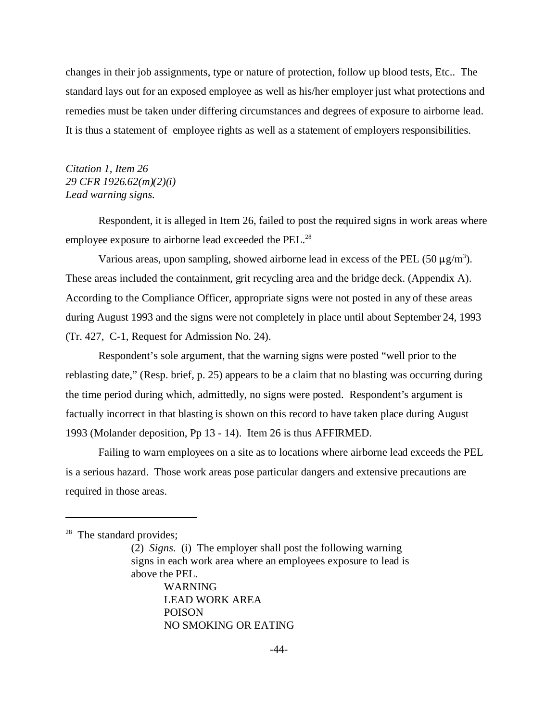changes in their job assignments, type or nature of protection, follow up blood tests, Etc.. The standard lays out for an exposed employee as well as his/her employer just what protections and remedies must be taken under differing circumstances and degrees of exposure to airborne lead. It is thus a statement of employee rights as well as a statement of employers responsibilities.

# *Citation 1, Item 26 29 CFR 1926.62(m)(2)(i) Lead warning signs.*

Respondent, it is alleged in Item 26, failed to post the required signs in work areas where employee exposure to airborne lead exceeded the PEL.<sup>28</sup>

Various areas, upon sampling, showed airborne lead in excess of the PEL (50  $\mu$ g/m<sup>3</sup>). These areas included the containment, grit recycling area and the bridge deck. (Appendix A). According to the Compliance Officer, appropriate signs were not posted in any of these areas during August 1993 and the signs were not completely in place until about September 24, 1993 (Tr. 427, C-1, Request for Admission No. 24).

Respondent's sole argument, that the warning signs were posted "well prior to the reblasting date," (Resp. brief, p. 25) appears to be a claim that no blasting was occurring during the time period during which, admittedly, no signs were posted. Respondent's argument is factually incorrect in that blasting is shown on this record to have taken place during August 1993 (Molander deposition, Pp 13 - 14). Item 26 is thus AFFIRMED.

Failing to warn employees on a site as to locations where airborne lead exceeds the PEL is a serious hazard. Those work areas pose particular dangers and extensive precautions are required in those areas.

POISON

NO SMOKING OR EATING

 $28$  The standard provides;

<sup>(2)</sup> *Signs.* (i) The employer shall post the following warning signs in each work area where an employees exposure to lead is above the PEL. WARNING LEAD WORK AREA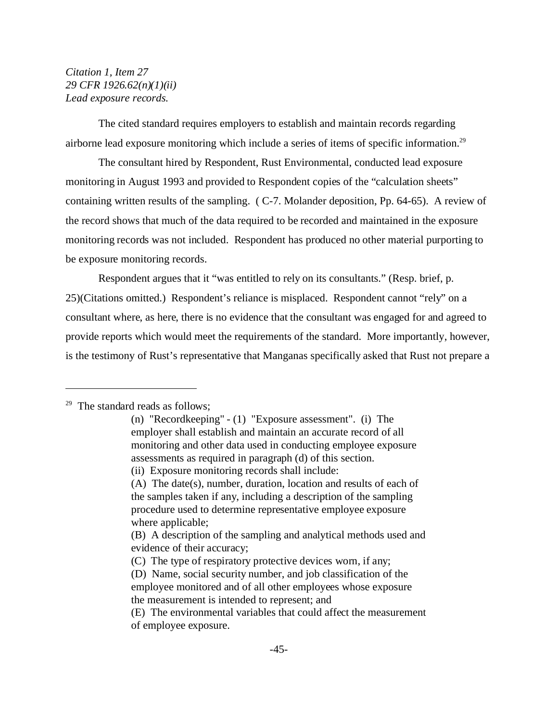# *Citation 1, Item 27 29 CFR 1926.62(n)(1)(ii) Lead exposure records.*

The cited standard requires employers to establish and maintain records regarding airborne lead exposure monitoring which include a series of items of specific information.29

The consultant hired by Respondent, Rust Environmental, conducted lead exposure monitoring in August 1993 and provided to Respondent copies of the "calculation sheets" containing written results of the sampling. ( C-7. Molander deposition, Pp. 64-65). A review of the record shows that much of the data required to be recorded and maintained in the exposure monitoring records was not included. Respondent has produced no other material purporting to be exposure monitoring records.

Respondent argues that it "was entitled to rely on its consultants." (Resp. brief, p. 25)(Citations omitted.) Respondent's reliance is misplaced. Respondent cannot "rely" on a consultant where, as here, there is no evidence that the consultant was engaged for and agreed to provide reports which would meet the requirements of the standard. More importantly, however, is the testimony of Rust's representative that Manganas specifically asked that Rust not prepare a

 $29$  The standard reads as follows;

<sup>(</sup>n) "Recordkeeping" - (1) "Exposure assessment". (i) The employer shall establish and maintain an accurate record of all monitoring and other data used in conducting employee exposure assessments as required in paragraph (d) of this section.

<sup>(</sup>ii) Exposure monitoring records shall include:

<sup>(</sup>A) The date(s), number, duration, location and results of each of the samples taken if any, including a description of the sampling procedure used to determine representative employee exposure where applicable;

<sup>(</sup>B) A description of the sampling and analytical methods used and evidence of their accuracy;

<sup>(</sup>C) The type of respiratory protective devices worn, if any;

<sup>(</sup>D) Name, social security number, and job classification of the employee monitored and of all other employees whose exposure the measurement is intended to represent; and

<sup>(</sup>E) The environmental variables that could affect the measurement of employee exposure.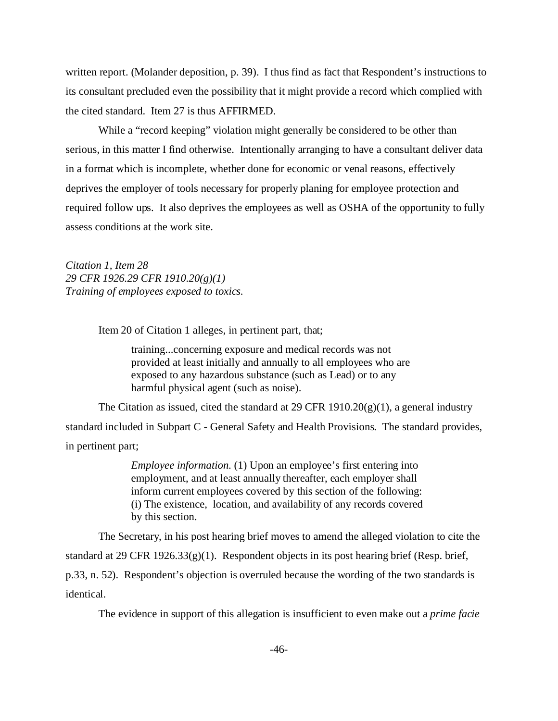written report. (Molander deposition, p. 39). I thus find as fact that Respondent's instructions to its consultant precluded even the possibility that it might provide a record which complied with the cited standard. Item 27 is thus AFFIRMED.

While a "record keeping" violation might generally be considered to be other than serious, in this matter I find otherwise. Intentionally arranging to have a consultant deliver data in a format which is incomplete, whether done for economic or venal reasons, effectively deprives the employer of tools necessary for properly planing for employee protection and required follow ups. It also deprives the employees as well as OSHA of the opportunity to fully assess conditions at the work site.

*Citation 1, Item 28 29 CFR 1926.29 CFR 1910.20(g)(1) Training of employees exposed to toxics.*

Item 20 of Citation 1 alleges, in pertinent part, that;

training...concerning exposure and medical records was not provided at least initially and annually to all employees who are exposed to any hazardous substance (such as Lead) or to any harmful physical agent (such as noise).

The Citation as issued, cited the standard at 29 CFR 1910.20(g)(1), a general industry standard included in Subpart C - General Safety and Health Provisions. The standard provides, in pertinent part;

> *Employee information.* (1) Upon an employee's first entering into employment, and at least annually thereafter, each employer shall inform current employees covered by this section of the following: (i) The existence, location, and availability of any records covered by this section.

The Secretary, in his post hearing brief moves to amend the alleged violation to cite the standard at 29 CFR 1926.33(g)(1). Respondent objects in its post hearing brief (Resp. brief, p.33, n. 52). Respondent's objection is overruled because the wording of the two standards is identical.

The evidence in support of this allegation is insufficient to even make out a *prime facie*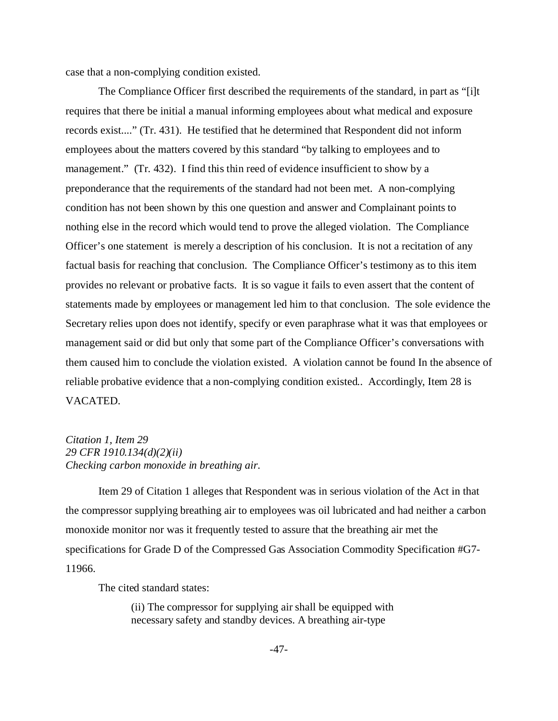case that a non-complying condition existed.

The Compliance Officer first described the requirements of the standard, in part as "[i]t requires that there be initial a manual informing employees about what medical and exposure records exist...." (Tr. 431). He testified that he determined that Respondent did not inform employees about the matters covered by this standard "by talking to employees and to management." (Tr. 432). I find this thin reed of evidence insufficient to show by a preponderance that the requirements of the standard had not been met. A non-complying condition has not been shown by this one question and answer and Complainant points to nothing else in the record which would tend to prove the alleged violation. The Compliance Officer's one statement is merely a description of his conclusion. It is not a recitation of any factual basis for reaching that conclusion. The Compliance Officer's testimony as to this item provides no relevant or probative facts. It is so vague it fails to even assert that the content of statements made by employees or management led him to that conclusion. The sole evidence the Secretary relies upon does not identify, specify or even paraphrase what it was that employees or management said or did but only that some part of the Compliance Officer's conversations with them caused him to conclude the violation existed. A violation cannot be found In the absence of reliable probative evidence that a non-complying condition existed.. Accordingly, Item 28 is VACATED.

# *Citation 1, Item 29 29 CFR 1910.134(d)(2)(ii) Checking carbon monoxide in breathing air.*

Item 29 of Citation 1 alleges that Respondent was in serious violation of the Act in that the compressor supplying breathing air to employees was oil lubricated and had neither a carbon monoxide monitor nor was it frequently tested to assure that the breathing air met the specifications for Grade D of the Compressed Gas Association Commodity Specification #G7 11966.

The cited standard states:

(ii) The compressor for supplying air shall be equipped with necessary safety and standby devices. A breathing air-type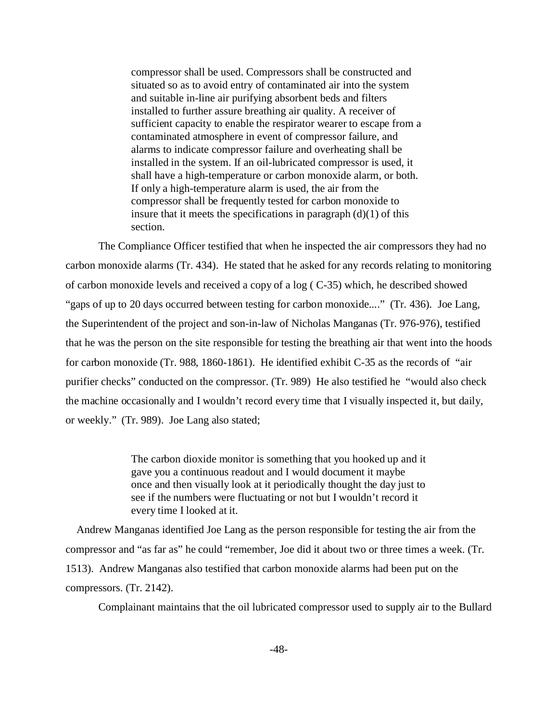compressor shall be used. Compressors shall be constructed and situated so as to avoid entry of contaminated air into the system and suitable in-line air purifying absorbent beds and filters installed to further assure breathing air quality. A receiver of sufficient capacity to enable the respirator wearer to escape from a contaminated atmosphere in event of compressor failure, and alarms to indicate compressor failure and overheating shall be installed in the system. If an oil-lubricated compressor is used, it shall have a high-temperature or carbon monoxide alarm, or both. If only a high-temperature alarm is used, the air from the compressor shall be frequently tested for carbon monoxide to insure that it meets the specifications in paragraph  $(d)(1)$  of this section.

The Compliance Officer testified that when he inspected the air compressors they had no carbon monoxide alarms (Tr. 434). He stated that he asked for any records relating to monitoring of carbon monoxide levels and received a copy of a log ( C-35) which, he described showed "gaps of up to 20 days occurred between testing for carbon monoxide...." (Tr. 436). Joe Lang, the Superintendent of the project and son-in-law of Nicholas Manganas (Tr. 976-976), testified that he was the person on the site responsible for testing the breathing air that went into the hoods for carbon monoxide (Tr. 988, 1860-1861). He identified exhibit C-35 as the records of "air purifier checks" conducted on the compressor. (Tr. 989) He also testified he "would also check the machine occasionally and I wouldn't record every time that I visually inspected it, but daily, or weekly." (Tr. 989). Joe Lang also stated;

> The carbon dioxide monitor is something that you hooked up and it gave you a continuous readout and I would document it maybe once and then visually look at it periodically thought the day just to see if the numbers were fluctuating or not but I wouldn't record it every time I looked at it.

 Andrew Manganas identified Joe Lang as the person responsible for testing the air from the compressor and "as far as" he could "remember, Joe did it about two or three times a week. (Tr. 1513). Andrew Manganas also testified that carbon monoxide alarms had been put on the compressors. (Tr. 2142).

Complainant maintains that the oil lubricated compressor used to supply air to the Bullard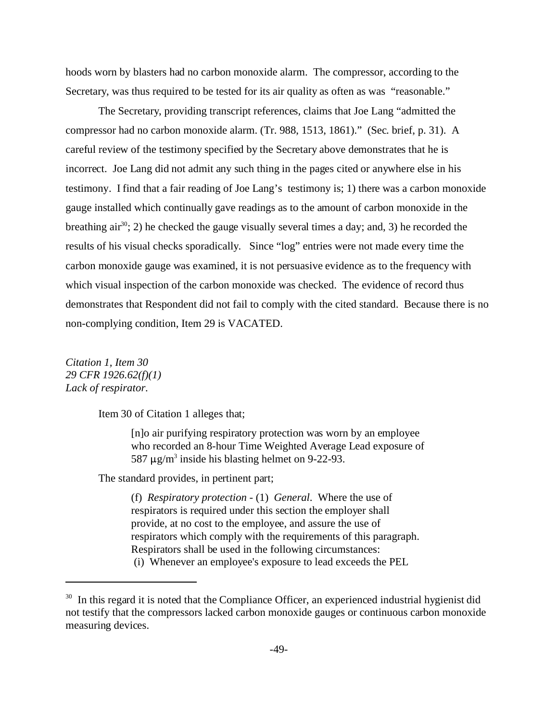hoods worn by blasters had no carbon monoxide alarm. The compressor, according to the Secretary, was thus required to be tested for its air quality as often as was "reasonable."

The Secretary, providing transcript references, claims that Joe Lang "admitted the compressor had no carbon monoxide alarm. (Tr. 988, 1513, 1861)." (Sec. brief, p. 31). A careful review of the testimony specified by the Secretary above demonstrates that he is incorrect. Joe Lang did not admit any such thing in the pages cited or anywhere else in his testimony. I find that a fair reading of Joe Lang's testimony is; 1) there was a carbon monoxide gauge installed which continually gave readings as to the amount of carbon monoxide in the breathing air<sup>30</sup>; 2) he checked the gauge visually several times a day; and, 3) he recorded the results of his visual checks sporadically. Since "log" entries were not made every time the carbon monoxide gauge was examined, it is not persuasive evidence as to the frequency with which visual inspection of the carbon monoxide was checked. The evidence of record thus demonstrates that Respondent did not fail to comply with the cited standard. Because there is no non-complying condition, Item 29 is VACATED.

*Citation 1, Item 30 29 CFR 1926.62(f)(1) Lack of respirator.* 

Item 30 of Citation 1 alleges that;

[n]o air purifying respiratory protection was worn by an employee who recorded an 8-hour Time Weighted Average Lead exposure of 587  $\mu$ g/m<sup>3</sup> inside his blasting helmet on 9-22-93.

The standard provides, in pertinent part;

(f) *Respiratory protection* - (1) *General*. Where the use of respirators is required under this section the employer shall provide, at no cost to the employee, and assure the use of respirators which comply with the requirements of this paragraph. Respirators shall be used in the following circumstances: (i) Whenever an employee's exposure to lead exceeds the PEL

<sup>&</sup>lt;sup>30</sup> In this regard it is noted that the Compliance Officer, an experienced industrial hygienist did not testify that the compressors lacked carbon monoxide gauges or continuous carbon monoxide measuring devices.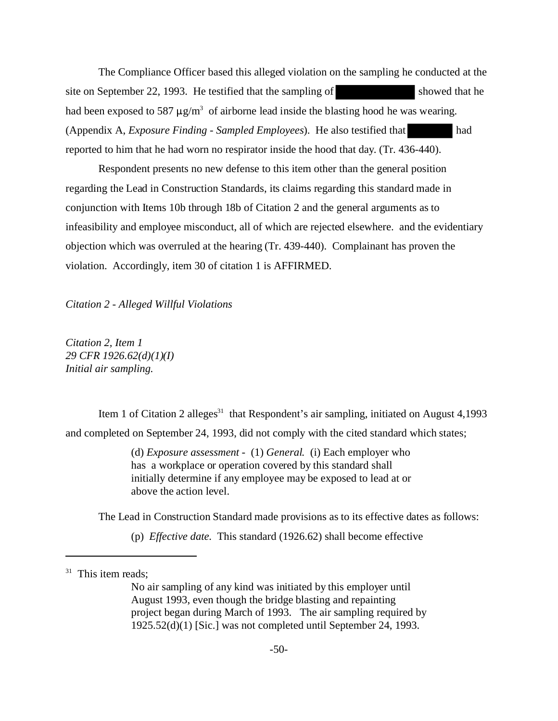The Compliance Officer based this alleged violation on the sampling he conducted at the site on September 22, 1993. He testified that the sampling of showed that he had been exposed to 587  $\mu$ g/m<sup>3</sup> of airborne lead inside the blasting hood he was wearing. (Appendix A, *Exposure Finding - Sampled Employees*). He also testified that had reported to him that he had worn no respirator inside the hood that day. (Tr. 436-440).

Respondent presents no new defense to this item other than the general position regarding the Lead in Construction Standards, its claims regarding this standard made in conjunction with Items 10b through 18b of Citation 2 and the general arguments as to infeasibility and employee misconduct, all of which are rejected elsewhere. and the evidentiary objection which was overruled at the hearing (Tr. 439-440). Complainant has proven the violation. Accordingly, item 30 of citation 1 is AFFIRMED.

*Citation 2 - Alleged Willful Violations* 

*Citation 2, Item 1 29 CFR 1926.62(d)(1)(I) Initial air sampling.* 

Item 1 of Citation 2 alleges<sup>31</sup> that Respondent's air sampling, initiated on August 4,1993 and completed on September 24, 1993, did not comply with the cited standard which states;

> (d) *Exposure assessment* - (1) *General.* (i) Each employer who has a workplace or operation covered by this standard shall initially determine if any employee may be exposed to lead at or above the action level.

The Lead in Construction Standard made provisions as to its effective dates as follows:

(p) *Effective date.* This standard (1926.62) shall become effective

No air sampling of any kind was initiated by this employer until August 1993, even though the bridge blasting and repainting project began during March of 1993. The air sampling required by 1925.52(d)(1) [Sic.] was not completed until September 24, 1993.

 $31$  This item reads;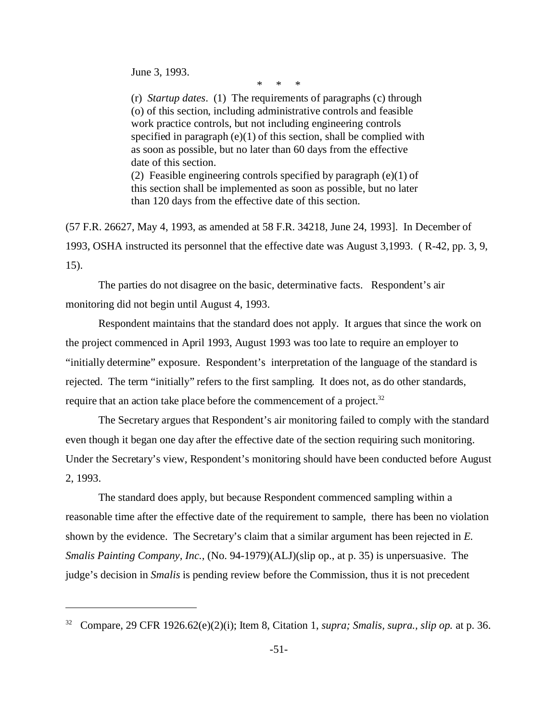June 3, 1993.

\* \* \*

(r) *Startup dates*. (1) The requirements of paragraphs (c) through (o) of this section, including administrative controls and feasible work practice controls, but not including engineering controls specified in paragraph (e)(1) of this section, shall be complied with as soon as possible, but no later than 60 days from the effective date of this section. (2) Feasible engineering controls specified by paragraph (e)(1) of

this section shall be implemented as soon as possible, but no later than 120 days from the effective date of this section.

(57 F.R. 26627, May 4, 1993, as amended at 58 F.R. 34218, June 24, 1993]. In December of 1993, OSHA instructed its personnel that the effective date was August 3,1993. ( R-42, pp. 3, 9, 15).

The parties do not disagree on the basic, determinative facts. Respondent's air monitoring did not begin until August 4, 1993.

Respondent maintains that the standard does not apply. It argues that since the work on the project commenced in April 1993, August 1993 was too late to require an employer to "initially determine" exposure. Respondent's interpretation of the language of the standard is rejected. The term "initially" refers to the first sampling. It does not, as do other standards, require that an action take place before the commencement of a project.<sup>32</sup>

The Secretary argues that Respondent's air monitoring failed to comply with the standard even though it began one day after the effective date of the section requiring such monitoring. Under the Secretary's view, Respondent's monitoring should have been conducted before August 2, 1993.

The standard does apply, but because Respondent commenced sampling within a reasonable time after the effective date of the requirement to sample, there has been no violation shown by the evidence. The Secretary's claim that a similar argument has been rejected in *E. Smalis Painting Company, Inc.,* (No. 94-1979)(ALJ)(slip op., at p. 35) is unpersuasive. The judge's decision in *Smalis* is pending review before the Commission, thus it is not precedent

<sup>32</sup> Compare, 29 CFR 1926.62(e)(2)(i); Item 8, Citation 1, *supra; Smalis, supra., slip op.* at p. 36.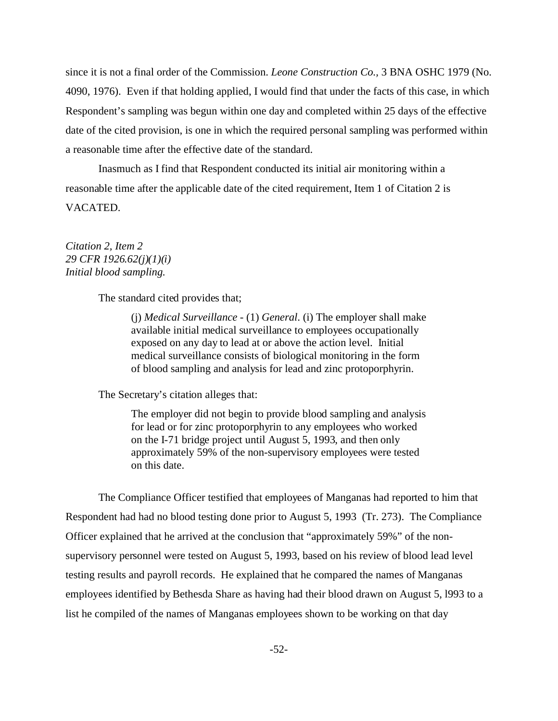since it is not a final order of the Commission. *Leone Construction Co.,* 3 BNA OSHC 1979 (No. 4090, 1976). Even if that holding applied, I would find that under the facts of this case, in which Respondent's sampling was begun within one day and completed within 25 days of the effective date of the cited provision, is one in which the required personal sampling was performed within a reasonable time after the effective date of the standard.

Inasmuch as I find that Respondent conducted its initial air monitoring within a reasonable time after the applicable date of the cited requirement, Item 1 of Citation 2 is VACATED.

### *Citation 2, Item 2 29 CFR 1926.62(j)(1)(i) Initial blood sampling.*

The standard cited provides that;

(j) *Medical Surveillance* - (1) *General*. (i) The employer shall make available initial medical surveillance to employees occupationally exposed on any day to lead at or above the action level. Initial medical surveillance consists of biological monitoring in the form of blood sampling and analysis for lead and zinc protoporphyrin.

The Secretary's citation alleges that:

The employer did not begin to provide blood sampling and analysis for lead or for zinc protoporphyrin to any employees who worked on the I-71 bridge project until August 5, 1993, and then only approximately 59% of the non-supervisory employees were tested on this date.

The Compliance Officer testified that employees of Manganas had reported to him that Respondent had had no blood testing done prior to August 5, 1993 (Tr. 273). The Compliance Officer explained that he arrived at the conclusion that "approximately 59%" of the nonsupervisory personnel were tested on August 5, 1993, based on his review of blood lead level testing results and payroll records. He explained that he compared the names of Manganas employees identified by Bethesda Share as having had their blood drawn on August 5, l993 to a list he compiled of the names of Manganas employees shown to be working on that day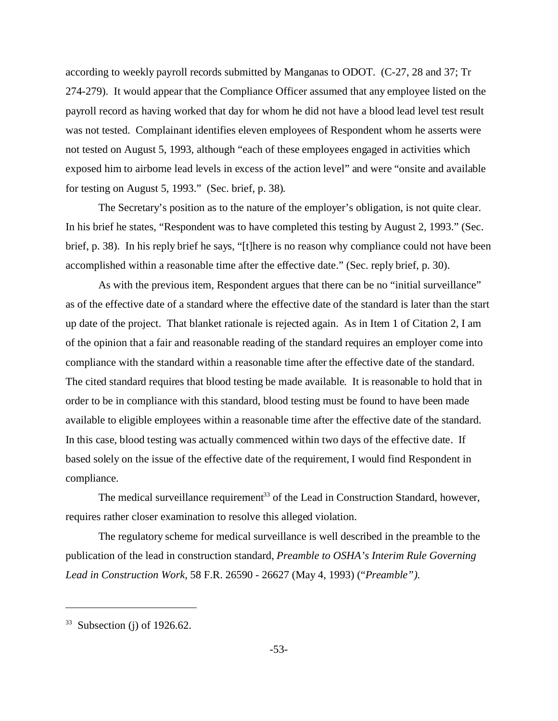according to weekly payroll records submitted by Manganas to ODOT. (C-27, 28 and 37; Tr 274-279). It would appear that the Compliance Officer assumed that any employee listed on the payroll record as having worked that day for whom he did not have a blood lead level test result was not tested. Complainant identifies eleven employees of Respondent whom he asserts were not tested on August 5, 1993, although "each of these employees engaged in activities which exposed him to airborne lead levels in excess of the action level" and were "onsite and available for testing on August 5, 1993." (Sec. brief, p. 38).

The Secretary's position as to the nature of the employer's obligation, is not quite clear. In his brief he states, "Respondent was to have completed this testing by August 2, 1993." (Sec. brief, p. 38). In his reply brief he says, "[t]here is no reason why compliance could not have been accomplished within a reasonable time after the effective date." (Sec. reply brief, p. 30).

As with the previous item, Respondent argues that there can be no "initial surveillance" as of the effective date of a standard where the effective date of the standard is later than the start up date of the project. That blanket rationale is rejected again. As in Item 1 of Citation 2, I am of the opinion that a fair and reasonable reading of the standard requires an employer come into compliance with the standard within a reasonable time after the effective date of the standard. The cited standard requires that blood testing be made available. It is reasonable to hold that in order to be in compliance with this standard, blood testing must be found to have been made available to eligible employees within a reasonable time after the effective date of the standard. In this case, blood testing was actually commenced within two days of the effective date. If based solely on the issue of the effective date of the requirement, I would find Respondent in compliance.

The medical surveillance requirement<sup>33</sup> of the Lead in Construction Standard, however, requires rather closer examination to resolve this alleged violation.

The regulatory scheme for medical surveillance is well described in the preamble to the publication of the lead in construction standard, *Preamble to OSHA's Interim Rule Governing Lead in Construction Work,* 58 F.R. 26590 - 26627 (May 4, 1993) ("*Preamble").* 

 $33$  Subsection (j) of 1926.62.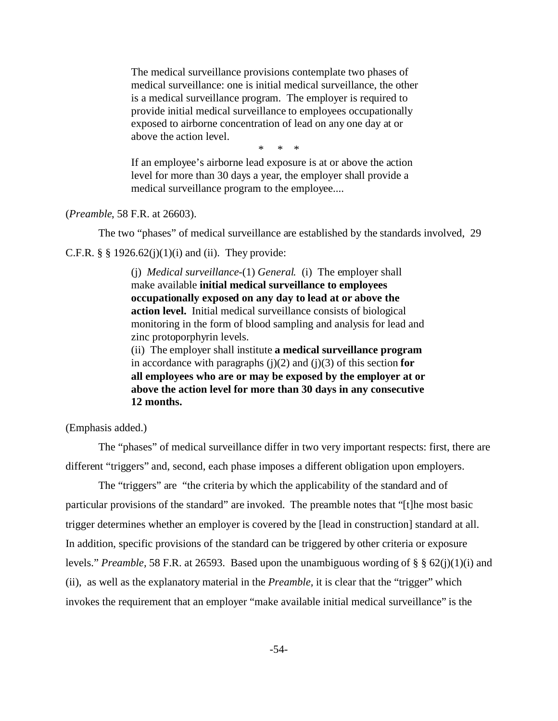The medical surveillance provisions contemplate two phases of medical surveillance: one is initial medical surveillance, the other is a medical surveillance program. The employer is required to provide initial medical surveillance to employees occupationally exposed to airborne concentration of lead on any one day at or above the action level.

\* \* \*

If an employee's airborne lead exposure is at or above the action level for more than 30 days a year, the employer shall provide a medical surveillance program to the employee....

(*Preamble*, 58 F.R. at 26603).

The two "phases" of medical surveillance are established by the standards involved, 29

C.F.R.  $\S$   $\S$  1926.62(j)(1)(i) and (ii). They provide:

(j) *Medical surveillance*-(1) *General.* (i) The employer shall make available **initial medical surveillance to employees occupationally exposed on any day to lead at or above the action level.** Initial medical surveillance consists of biological monitoring in the form of blood sampling and analysis for lead and zinc protoporphyrin levels.

(ii) The employer shall institute **a medical surveillance program**  in accordance with paragraphs  $(j)(2)$  and  $(j)(3)$  of this section **for all employees who are or may be exposed by the employer at or above the action level for more than 30 days in any consecutive 12 months.** 

(Emphasis added.)

The "phases" of medical surveillance differ in two very important respects: first, there are different "triggers" and, second, each phase imposes a different obligation upon employers.

The "triggers" are "the criteria by which the applicability of the standard and of particular provisions of the standard" are invoked. The preamble notes that "[t]he most basic trigger determines whether an employer is covered by the [lead in construction] standard at all. In addition, specific provisions of the standard can be triggered by other criteria or exposure levels." *Preamble,* 58 F.R. at 26593. Based upon the unambiguous wording of § § 62(j)(1)(i) and (ii), as well as the explanatory material in the *Preamble,* it is clear that the "trigger" which invokes the requirement that an employer "make available initial medical surveillance" is the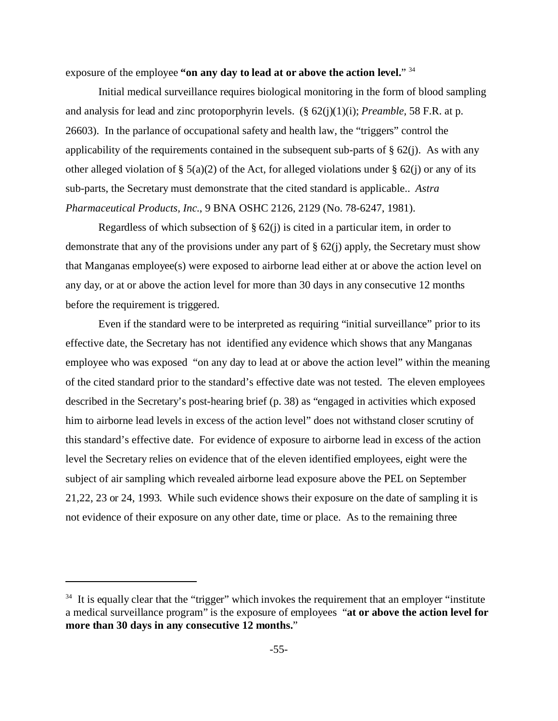exposure of the employee **"on any day to lead at or above the action level.**" 34

Initial medical surveillance requires biological monitoring in the form of blood sampling and analysis for lead and zinc protoporphyrin levels. (§ 62(j)(1)(i); *Preamble,* 58 F.R. at p. 26603). In the parlance of occupational safety and health law, the "triggers" control the applicability of the requirements contained in the subsequent sub-parts of  $\S 62(i)$ . As with any other alleged violation of § 5(a)(2) of the Act, for alleged violations under § 62(j) or any of its sub-parts, the Secretary must demonstrate that the cited standard is applicable.. *Astra Pharmaceutical Products, Inc.*, 9 BNA OSHC 2126, 2129 (No. 78-6247, 1981).

Regardless of which subsection of  $\S 62(i)$  is cited in a particular item, in order to demonstrate that any of the provisions under any part of § 62(j) apply, the Secretary must show that Manganas employee(s) were exposed to airborne lead either at or above the action level on any day, or at or above the action level for more than 30 days in any consecutive 12 months before the requirement is triggered.

Even if the standard were to be interpreted as requiring "initial surveillance" prior to its effective date, the Secretary has not identified any evidence which shows that any Manganas employee who was exposed "on any day to lead at or above the action level" within the meaning of the cited standard prior to the standard's effective date was not tested. The eleven employees described in the Secretary's post-hearing brief (p. 38) as "engaged in activities which exposed him to airborne lead levels in excess of the action level" does not withstand closer scrutiny of this standard's effective date. For evidence of exposure to airborne lead in excess of the action level the Secretary relies on evidence that of the eleven identified employees, eight were the subject of air sampling which revealed airborne lead exposure above the PEL on September 21,22, 23 or 24, 1993. While such evidence shows their exposure on the date of sampling it is not evidence of their exposure on any other date, time or place. As to the remaining three

 $34$  It is equally clear that the "trigger" which invokes the requirement that an employer "institute" a medical surveillance program" is the exposure of employees "**at or above the action level for more than 30 days in any consecutive 12 months.**"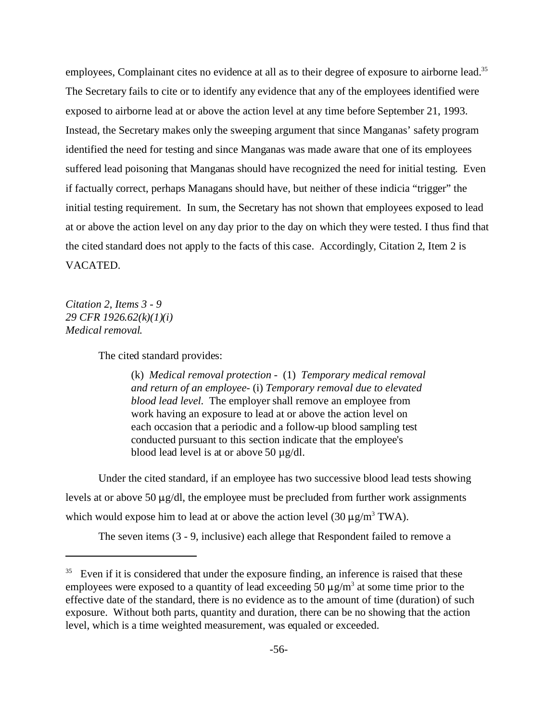employees, Complainant cites no evidence at all as to their degree of exposure to airborne lead.<sup>35</sup> The Secretary fails to cite or to identify any evidence that any of the employees identified were exposed to airborne lead at or above the action level at any time before September 21, 1993. Instead, the Secretary makes only the sweeping argument that since Manganas' safety program identified the need for testing and since Manganas was made aware that one of its employees suffered lead poisoning that Manganas should have recognized the need for initial testing. Even if factually correct, perhaps Managans should have, but neither of these indicia "trigger" the initial testing requirement. In sum, the Secretary has not shown that employees exposed to lead at or above the action level on any day prior to the day on which they were tested. I thus find that the cited standard does not apply to the facts of this case. Accordingly, Citation 2, Item 2 is VACATED.

*Citation 2, Items 3 - 9 29 CFR 1926.62(k)(1)(i) Medical removal.* 

The cited standard provides:

(k) *Medical removal protection* - (1) *Temporary medical removal and return of an employee*- (i) *Temporary removal due to elevated blood lead level*. The employer shall remove an employee from work having an exposure to lead at or above the action level on each occasion that a periodic and a follow-up blood sampling test conducted pursuant to this section indicate that the employee's blood lead level is at or above 50 µg/dl.

Under the cited standard, if an employee has two successive blood lead tests showing levels at or above 50  $\mu$ g/dl, the employee must be precluded from further work assignments which would expose him to lead at or above the action level  $(30 \,\mu g/m^3 \text{ TWA})$ .

The seven items (3 - 9, inclusive) each allege that Respondent failed to remove a

 $35$  Even if it is considered that under the exposure finding, an inference is raised that these employees were exposed to a quantity of lead exceeding 50  $\mu$ g/m<sup>3</sup> at some time prior to the effective date of the standard, there is no evidence as to the amount of time (duration) of such exposure. Without both parts, quantity and duration, there can be no showing that the action level, which is a time weighted measurement, was equaled or exceeded.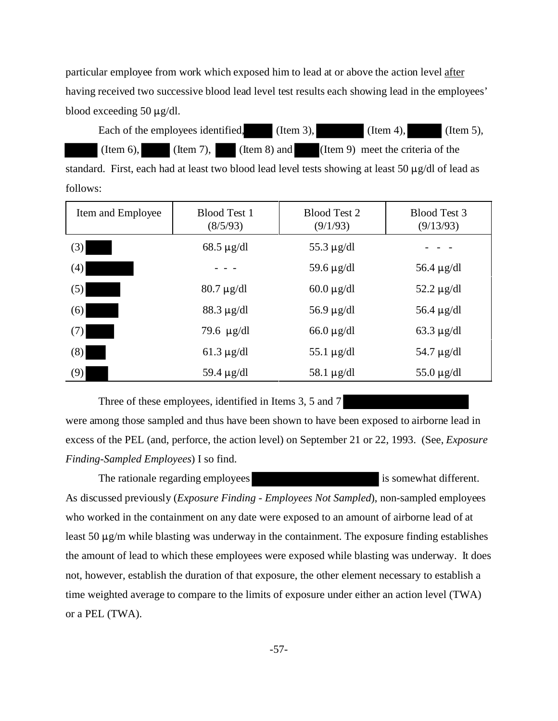particular employee from work which exposed him to lead at or above the action level after having received two successive blood lead level test results each showing lead in the employees' blood exceeding 50  $\mu$ g/dl.

|              | Each of the employees identified, | (Item 3),    | $(Item 4)$ ,                      | (Item 5), |
|--------------|-----------------------------------|--------------|-----------------------------------|-----------|
| $(Item 6)$ , | $($ Item 7 $), \Box$              | (Item 8) and | (Item 9) meet the criteria of the |           |

standard. First, each had at least two blood lead level tests showing at least 50  $\mu$ g/dl of lead as follows:

| Item and Employee | <b>Blood Test 1</b><br>(8/5/93) | Blood Test 2<br>(9/1/93) | <b>Blood Test 3</b><br>(9/13/93) |
|-------------------|---------------------------------|--------------------------|----------------------------------|
| (3)               | $68.5 \mu g/dl$                 | 55.3 $\mu$ g/dl          |                                  |
| (4)               |                                 | 59.6 $\mu$ g/dl          | 56.4 $\mu$ g/dl                  |
| (5)               | $80.7 \mu g/dl$                 | $60.0 \mu g/dl$          | 52.2 $\mu$ g/dl                  |
| (6)               | $88.3 \mu g/dl$                 | $56.9 \mu g/dl$          | 56.4 $\mu$ g/dl                  |
| (7)               | 79.6 $\mu$ g/dl                 | $66.0 \mu$ g/dl          | $63.3 \mu$ g/dl                  |
| (8)               | $61.3 \mu g/dl$                 | 55.1 $\mu$ g/dl          | 54.7 $\mu$ g/dl                  |
| (9)               | 59.4 $\mu$ g/dl                 | 58.1 $\mu$ g/dl          | 55.0 $\mu$ g/dl                  |

Three of these employees, identified in Items 3, 5 and 7

were among those sampled and thus have been shown to have been exposed to airborne lead in excess of the PEL (and, perforce, the action level) on September 21 or 22, 1993. (See, *Exposure Finding-Sampled Employees*) I so find.

The rationale regarding employees is somewhat different. As discussed previously (*Exposure Finding - Employees Not Sampled*), non-sampled employees who worked in the containment on any date were exposed to an amount of airborne lead of at least 50  $\mu$ g/m while blasting was underway in the containment. The exposure finding establishes the amount of lead to which these employees were exposed while blasting was underway. It does not, however, establish the duration of that exposure, the other element necessary to establish a time weighted average to compare to the limits of exposure under either an action level (TWA) or a PEL (TWA).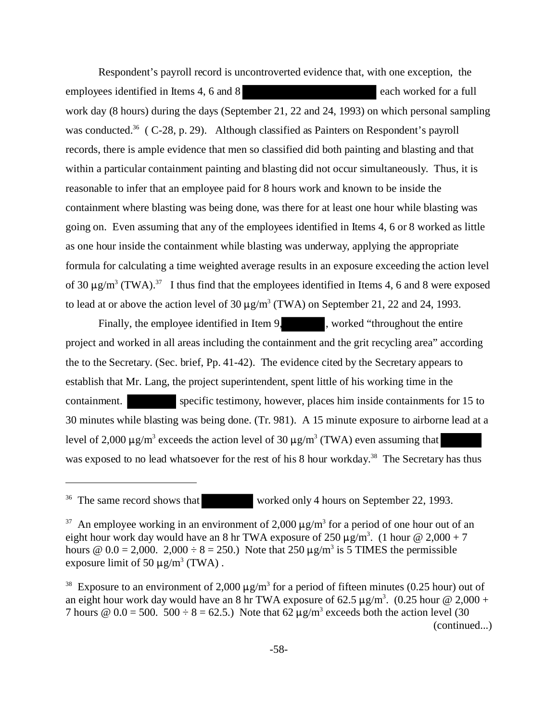Respondent's payroll record is uncontroverted evidence that, with one exception, the employees identified in Items 4, 6 and 8 each worked for a full work day (8 hours) during the days (September 21, 22 and 24, 1993) on which personal sampling was conducted.<sup>36</sup> ( C-28, p. 29). Although classified as Painters on Respondent's payroll records, there is ample evidence that men so classified did both painting and blasting and that within a particular containment painting and blasting did not occur simultaneously. Thus, it is reasonable to infer that an employee paid for 8 hours work and known to be inside the containment where blasting was being done, was there for at least one hour while blasting was going on. Even assuming that any of the employees identified in Items 4, 6 or 8 worked as little as one hour inside the containment while blasting was underway, applying the appropriate formula for calculating a time weighted average results in an exposure exceeding the action level of 30  $\mu$ g/m<sup>3</sup> (TWA).<sup>37</sup> I thus find that the employees identified in Items 4, 6 and 8 were exposed to lead at or above the action level of  $30 \,\mu g/m^3$  (TWA) on September 21, 22 and 24, 1993.

Finally, the employee identified in Item 9, worked "throughout the entire" project and worked in all areas including the containment and the grit recycling area" according the to the Secretary. (Sec. brief, Pp. 41-42). The evidence cited by the Secretary appears to establish that Mr. Lang, the project superintendent, spent little of his working time in the containment. specific testimony, however, places him inside containments for 15 to 30 minutes while blasting was being done. (Tr. 981). A 15 minute exposure to airborne lead at a level of 2,000  $\mu$ g/m<sup>3</sup> exceeds the action level of 30  $\mu$ g/m<sup>3</sup> (TWA) even assuming that was exposed to no lead whatsoever for the rest of his 8 hour workday.<sup>38</sup> The Secretary has thus

<sup>&</sup>lt;sup>36</sup> The same record shows that worked only 4 hours on September 22, 1993.

<sup>&</sup>lt;sup>37</sup> An employee working in an environment of 2,000  $\mu$ g/m<sup>3</sup> for a period of one hour out of an eight hour work day would have an 8 hr TWA exposure of  $250 \,\mu g/m^3$ . (1 hour @ 2,000 + 7 hours  $\omega$  0.0 = 2,000. 2,000  $\div$  8 = 250.) Note that 250  $\mu$ g/m<sup>3</sup> is 5 TIMES the permissible exposure limit of 50  $\mu$ g/m<sup>3</sup> (TWA).

<sup>&</sup>lt;sup>38</sup> Exposure to an environment of 2,000  $\mu$ g/m<sup>3</sup> for a period of fifteen minutes (0.25 hour) out of an eight hour work day would have an 8 hr TWA exposure of 62.5  $\mu$ g/m<sup>3</sup>. (0.25 hour @ 2,000 + 7 hours  $\omega$  0.0 = 500. 500  $\div$  8 = 62.5.) Note that 62  $\mu$ g/m<sup>3</sup> exceeds both the action level (30 (continued...)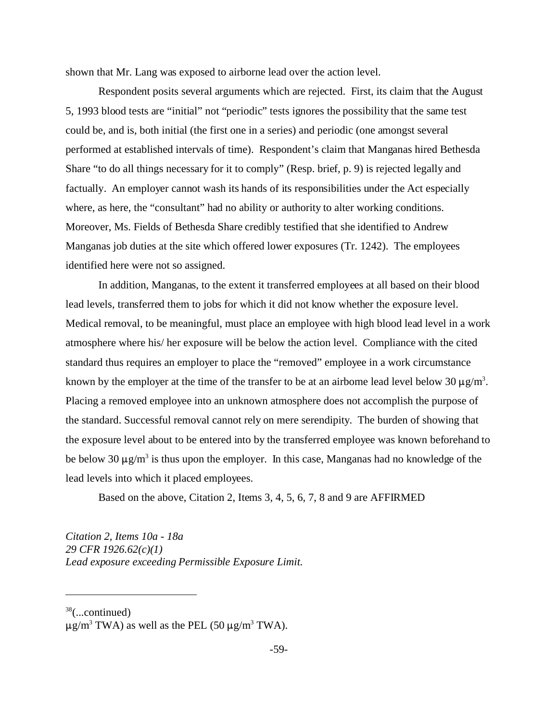shown that Mr. Lang was exposed to airborne lead over the action level.

Respondent posits several arguments which are rejected. First, its claim that the August 5, 1993 blood tests are "initial" not "periodic" tests ignores the possibility that the same test could be, and is, both initial (the first one in a series) and periodic (one amongst several performed at established intervals of time). Respondent's claim that Manganas hired Bethesda Share "to do all things necessary for it to comply" (Resp. brief, p. 9) is rejected legally and factually. An employer cannot wash its hands of its responsibilities under the Act especially where, as here, the "consultant" had no ability or authority to alter working conditions. Moreover, Ms. Fields of Bethesda Share credibly testified that she identified to Andrew Manganas job duties at the site which offered lower exposures (Tr. 1242). The employees identified here were not so assigned.

In addition, Manganas, to the extent it transferred employees at all based on their blood lead levels, transferred them to jobs for which it did not know whether the exposure level. Medical removal, to be meaningful, must place an employee with high blood lead level in a work atmosphere where his/ her exposure will be below the action level. Compliance with the cited standard thus requires an employer to place the "removed" employee in a work circumstance known by the employer at the time of the transfer to be at an airborne lead level below 30  $\mu$ g/m<sup>3</sup>. Placing a removed employee into an unknown atmosphere does not accomplish the purpose of the standard. Successful removal cannot rely on mere serendipity. The burden of showing that the exposure level about to be entered into by the transferred employee was known beforehand to be below 30  $\mu$ g/m<sup>3</sup> is thus upon the employer. In this case, Manganas had no knowledge of the lead levels into which it placed employees.

Based on the above, Citation 2, Items 3, 4, 5, 6, 7, 8 and 9 are AFFIRMED

*Citation 2, Items 10a - 18a 29 CFR 1926.62(c)(1) Lead exposure exceeding Permissible Exposure Limit*.

 $38$ (...continued)

 $\mu$ g/m<sup>3</sup> TWA) as well as the PEL (50  $\mu$ g/m<sup>3</sup> TWA).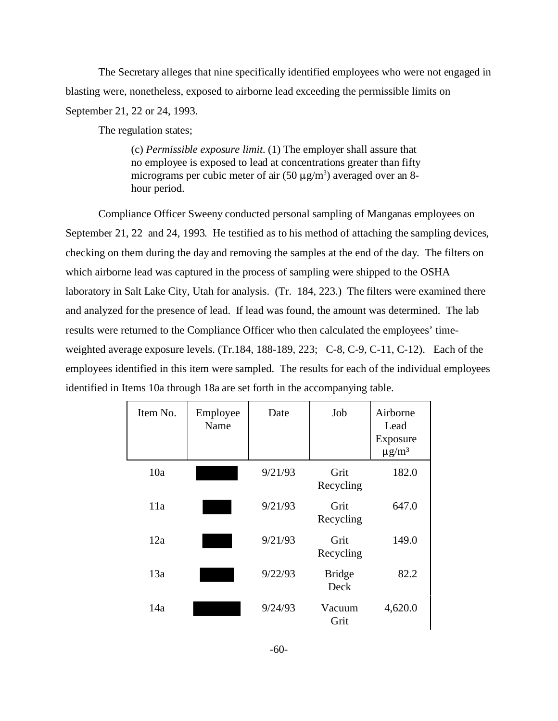The Secretary alleges that nine specifically identified employees who were not engaged in blasting were, nonetheless, exposed to airborne lead exceeding the permissible limits on September 21, 22 or 24, 1993.

The regulation states;

(c) *Permissible exposure limit.* (1) The employer shall assure that no employee is exposed to lead at concentrations greater than fifty micrograms per cubic meter of air  $(50 \mu g/m^3)$  averaged over an 8hour period.

Compliance Officer Sweeny conducted personal sampling of Manganas employees on September 21, 22 and 24, 1993. He testified as to his method of attaching the sampling devices, checking on them during the day and removing the samples at the end of the day. The filters on which airborne lead was captured in the process of sampling were shipped to the OSHA laboratory in Salt Lake City, Utah for analysis. (Tr. 184, 223.) The filters were examined there and analyzed for the presence of lead. If lead was found, the amount was determined. The lab results were returned to the Compliance Officer who then calculated the employees' timeweighted average exposure levels. (Tr.184, 188-189, 223; C-8, C-9, C-11, C-12). Each of the employees identified in this item were sampled. The results for each of the individual employees identified in Items 10a through 18a are set forth in the accompanying table.

| Item No. | Employee<br>Name | Date    | Job                   | Airborne<br>Lead<br>Exposure<br>$\mu$ g/m <sup>3</sup> |
|----------|------------------|---------|-----------------------|--------------------------------------------------------|
| 10a      |                  | 9/21/93 | Grit<br>Recycling     | 182.0                                                  |
| 11a      |                  | 9/21/93 | Grit<br>Recycling     | 647.0                                                  |
| 12a      |                  | 9/21/93 | Grit<br>Recycling     | 149.0                                                  |
| 13a      |                  | 9/22/93 | <b>Bridge</b><br>Deck | 82.2                                                   |
| 14a      |                  | 9/24/93 | Vacuum<br>Grit        | 4,620.0                                                |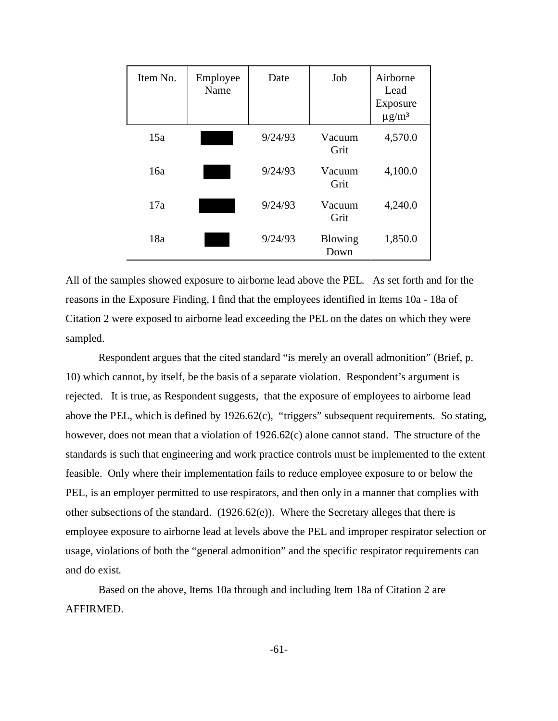| Item No. | Employee<br>Name | Date    | Job             | Airborne<br>Lead<br>Exposure<br>$\mu$ g/m <sup>3</sup> |
|----------|------------------|---------|-----------------|--------------------------------------------------------|
| 15a      |                  | 9/24/93 | Vacuum<br>Grit  | 4,570.0                                                |
| 16a      |                  | 9/24/93 | Vacuum<br>Grit  | 4,100.0                                                |
| 17a      |                  | 9/24/93 | Vacuum<br>Grit  | 4,240.0                                                |
| 18a      |                  | 9/24/93 | Blowing<br>Down | 1,850.0                                                |

All of the samples showed exposure to airborne lead above the PEL. As set forth and for the reasons in the Exposure Finding, I find that the employees identified in Items 10a - 18a of Citation 2 were exposed to airborne lead exceeding the PEL on the dates on which they were sampled.

Respondent argues that the cited standard "is merely an overall admonition" (Brief, p. 10) which cannot, by itself, be the basis of a separate violation. Respondent's argument is rejected. It is true, as Respondent suggests, that the exposure of employees to airborne lead above the PEL, which is defined by 1926.62(c), "triggers" subsequent requirements. So stating, however, does not mean that a violation of 1926.62(c) alone cannot stand. The structure of the standards is such that engineering and work practice controls must be implemented to the extent feasible. Only where their implementation fails to reduce employee exposure to or below the PEL, is an employer permitted to use respirators, and then only in a manner that complies with other subsections of the standard.  $(1926.62(e))$ . Where the Secretary alleges that there is employee exposure to airborne lead at levels above the PEL and improper respirator selection or usage, violations of both the "general admonition" and the specific respirator requirements can and do exist.

Based on the above, Items 10a through and including Item 18a of Citation 2 are AFFIRMED.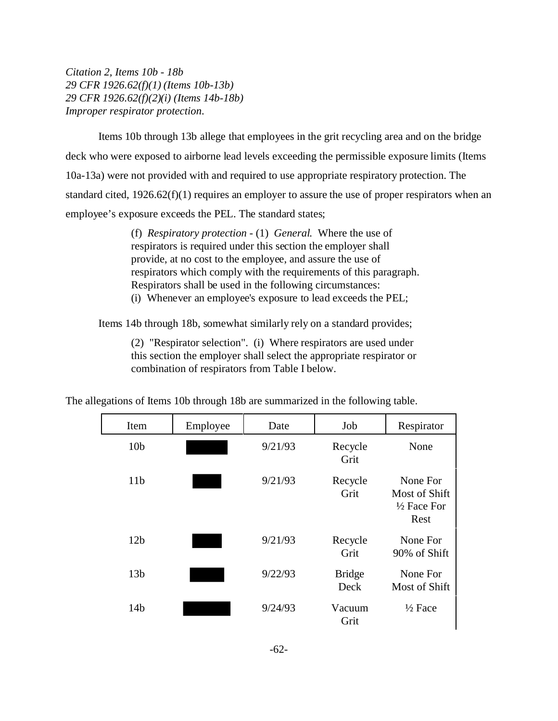*Citation 2, Items 10b - 18b 29 CFR 1926.62(f)(1) (Items 10b-13b) 29 CFR 1926.62(f)(2)(i) (Items 14b-18b) Improper respirator protection*.

Items 10b through 13b allege that employees in the grit recycling area and on the bridge deck who were exposed to airborne lead levels exceeding the permissible exposure limits (Items 10a-13a) were not provided with and required to use appropriate respiratory protection. The standard cited, 1926.62(f)(1) requires an employer to assure the use of proper respirators when an employee's exposure exceeds the PEL. The standard states;

> (f) *Respiratory protection* - (1) *General.* Where the use of respirators is required under this section the employer shall provide, at no cost to the employee, and assure the use of respirators which comply with the requirements of this paragraph. Respirators shall be used in the following circumstances: (i) Whenever an employee's exposure to lead exceeds the PEL;

Items 14b through 18b, somewhat similarly rely on a standard provides;

(2) "Respirator selection". (i) Where respirators are used under this section the employer shall select the appropriate respirator or combination of respirators from Table I below.

| Item            | Employee | Date    | Job                   | Respirator                                                  |
|-----------------|----------|---------|-----------------------|-------------------------------------------------------------|
| 10 <sub>b</sub> |          | 9/21/93 | Recycle<br>Grit       | None                                                        |
| 11 <sub>b</sub> |          | 9/21/93 | Recycle<br>Grit       | None For<br>Most of Shift<br>$\frac{1}{2}$ Face For<br>Rest |
| 12 <sub>b</sub> |          | 9/21/93 | Recycle<br>Grit       | None For<br>90% of Shift                                    |
| 13 <sub>b</sub> |          | 9/22/93 | <b>Bridge</b><br>Deck | None For<br>Most of Shift                                   |
| 14 <sub>b</sub> |          | 9/24/93 | Vacuum<br>Grit        | $\frac{1}{2}$ Face                                          |

The allegations of Items 10b through 18b are summarized in the following table.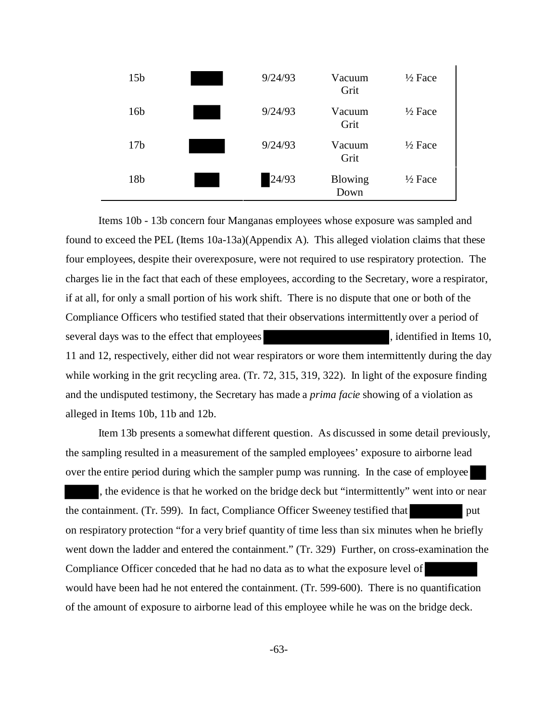| 15 <sub>b</sub> | 9/24/93 | Vacuum<br>Grit         | $\frac{1}{2}$ Face |
|-----------------|---------|------------------------|--------------------|
| 16 <sub>b</sub> | 9/24/93 | Vacuum<br>Grit         | $\frac{1}{2}$ Face |
| 17 <sub>b</sub> | 9/24/93 | Vacuum<br>Grit         | $\frac{1}{2}$ Face |
| 18 <sub>b</sub> | 24/93   | <b>Blowing</b><br>Down | $\frac{1}{2}$ Face |

Items 10b - 13b concern four Manganas employees whose exposure was sampled and found to exceed the PEL (Items 10a-13a)(Appendix A). This alleged violation claims that these four employees, despite their overexposure, were not required to use respiratory protection. The charges lie in the fact that each of these employees, according to the Secretary, wore a respirator, if at all, for only a small portion of his work shift. There is no dispute that one or both of the Compliance Officers who testified stated that their observations intermittently over a period of several days was to the effect that employees , identified in Items 10, 11 and 12, respectively, either did not wear respirators or wore them intermittently during the day while working in the grit recycling area. (Tr. 72, 315, 319, 322). In light of the exposure finding and the undisputed testimony, the Secretary has made a *prima facie* showing of a violation as alleged in Items 10b, 11b and 12b.

Item 13b presents a somewhat different question. As discussed in some detail previously, the sampling resulted in a measurement of the sampled employees' exposure to airborne lead over the entire period during which the sampler pump was running. In the case of employee , the evidence is that he worked on the bridge deck but "intermittently" went into or near the containment. (Tr. 599). In fact, Compliance Officer Sweeney testified that put on respiratory protection "for a very brief quantity of time less than six minutes when he briefly went down the ladder and entered the containment." (Tr. 329) Further, on cross-examination the Compliance Officer conceded that he had no data as to what the exposure level of would have been had he not entered the containment. (Tr. 599-600). There is no quantification of the amount of exposure to airborne lead of this employee while he was on the bridge deck.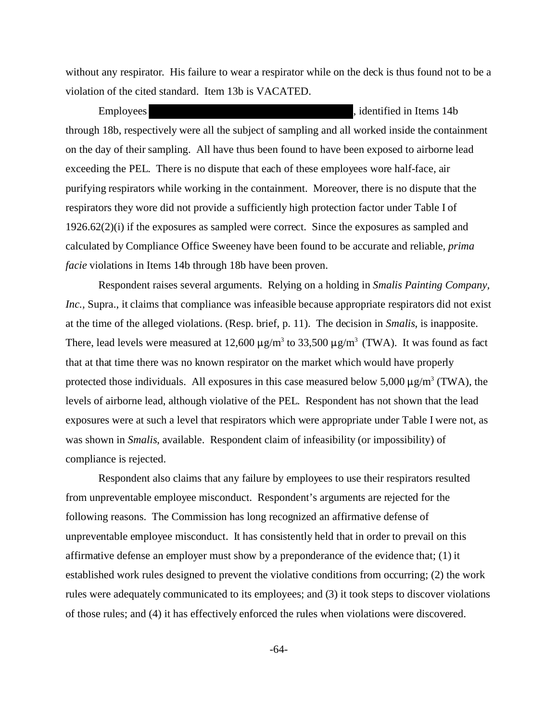without any respirator. His failure to wear a respirator while on the deck is thus found not to be a violation of the cited standard. Item 13b is VACATED.

Employees **Figure 2.1** and Employees **, identified in Items 14b** through 18b, respectively were all the subject of sampling and all worked inside the containment on the day of their sampling. All have thus been found to have been exposed to airborne lead exceeding the PEL. There is no dispute that each of these employees wore half-face, air purifying respirators while working in the containment. Moreover, there is no dispute that the respirators they wore did not provide a sufficiently high protection factor under Table I of 1926.62(2)(i) if the exposures as sampled were correct. Since the exposures as sampled and calculated by Compliance Office Sweeney have been found to be accurate and reliable, *prima facie* violations in Items 14b through 18b have been proven.

Respondent raises several arguments. Relying on a holding in *Smalis Painting Company, Inc.,* Supra., it claims that compliance was infeasible because appropriate respirators did not exist at the time of the alleged violations. (Resp. brief, p. 11). The decision in *Smalis*, is inapposite. There, lead levels were measured at 12,600  $\mu$ g/m<sup>3</sup> to 33,500  $\mu$ g/m<sup>3</sup> (TWA). It was found as fact that at that time there was no known respirator on the market which would have properly protected those individuals. All exposures in this case measured below  $5,000 \mu g/m^3$  (TWA), the levels of airborne lead, although violative of the PEL. Respondent has not shown that the lead exposures were at such a level that respirators which were appropriate under Table I were not, as was shown in *Smalis*, available. Respondent claim of infeasibility (or impossibility) of compliance is rejected.

Respondent also claims that any failure by employees to use their respirators resulted from unpreventable employee misconduct. Respondent's arguments are rejected for the following reasons. The Commission has long recognized an affirmative defense of unpreventable employee misconduct. It has consistently held that in order to prevail on this affirmative defense an employer must show by a preponderance of the evidence that; (1) it established work rules designed to prevent the violative conditions from occurring; (2) the work rules were adequately communicated to its employees; and (3) it took steps to discover violations of those rules; and (4) it has effectively enforced the rules when violations were discovered.

 $-64-$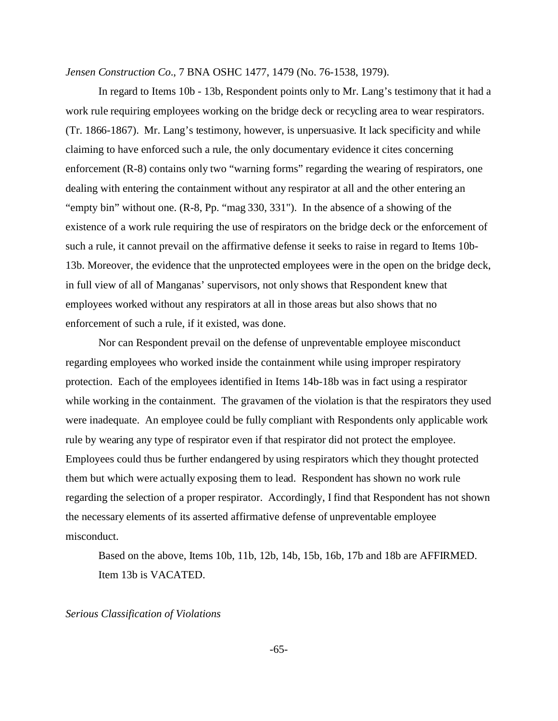*Jensen Construction Co*., 7 BNA OSHC 1477, 1479 (No. 76-1538, 1979).

In regard to Items 10b - 13b, Respondent points only to Mr. Lang's testimony that it had a work rule requiring employees working on the bridge deck or recycling area to wear respirators. (Tr. 1866-1867). Mr. Lang's testimony, however, is unpersuasive. It lack specificity and while claiming to have enforced such a rule, the only documentary evidence it cites concerning enforcement (R-8) contains only two "warning forms" regarding the wearing of respirators, one dealing with entering the containment without any respirator at all and the other entering an "empty bin" without one. (R-8, Pp. "mag 330, 331"). In the absence of a showing of the existence of a work rule requiring the use of respirators on the bridge deck or the enforcement of such a rule, it cannot prevail on the affirmative defense it seeks to raise in regard to Items 10b-13b. Moreover, the evidence that the unprotected employees were in the open on the bridge deck, in full view of all of Manganas' supervisors, not only shows that Respondent knew that employees worked without any respirators at all in those areas but also shows that no enforcement of such a rule, if it existed, was done.

Nor can Respondent prevail on the defense of unpreventable employee misconduct regarding employees who worked inside the containment while using improper respiratory protection. Each of the employees identified in Items 14b-18b was in fact using a respirator while working in the containment. The gravamen of the violation is that the respirators they used were inadequate. An employee could be fully compliant with Respondents only applicable work rule by wearing any type of respirator even if that respirator did not protect the employee. Employees could thus be further endangered by using respirators which they thought protected them but which were actually exposing them to lead. Respondent has shown no work rule regarding the selection of a proper respirator. Accordingly, I find that Respondent has not shown the necessary elements of its asserted affirmative defense of unpreventable employee misconduct.

Based on the above, Items 10b, 11b, 12b, 14b, 15b, 16b, 17b and 18b are AFFIRMED. Item 13b is VACATED.

*Serious Classification of Violations* 

 $-65-$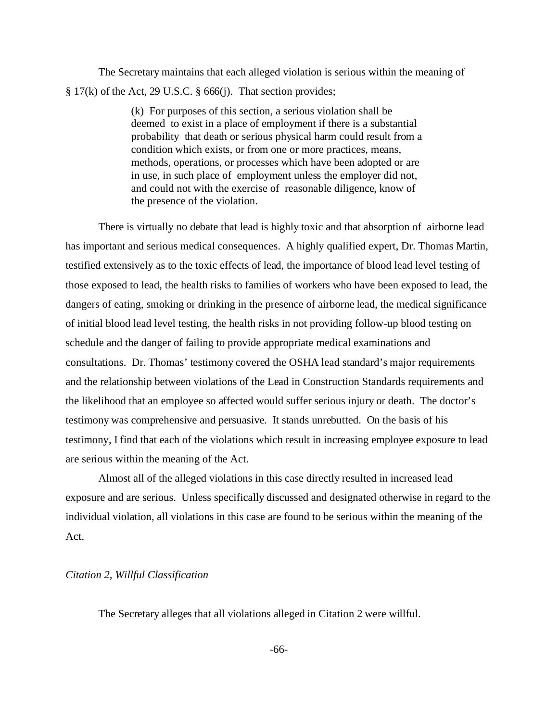The Secretary maintains that each alleged violation is serious within the meaning of  $\S 17(k)$  of the Act, 29 U.S.C.  $\S 666(i)$ . That section provides;

> (k) For purposes of this section, a serious violation shall be deemed to exist in a place of employment if there is a substantial probability that death or serious physical harm could result from a condition which exists, or from one or more practices, means, methods, operations, or processes which have been adopted or are in use, in such place of employment unless the employer did not, and could not with the exercise of reasonable diligence, know of the presence of the violation.

There is virtually no debate that lead is highly toxic and that absorption of airborne lead has important and serious medical consequences. A highly qualified expert, Dr. Thomas Martin, testified extensively as to the toxic effects of lead, the importance of blood lead level testing of those exposed to lead, the health risks to families of workers who have been exposed to lead, the dangers of eating, smoking or drinking in the presence of airborne lead, the medical significance of initial blood lead level testing, the health risks in not providing follow-up blood testing on schedule and the danger of failing to provide appropriate medical examinations and consultations. Dr. Thomas' testimony covered the OSHA lead standard's major requirements and the relationship between violations of the Lead in Construction Standards requirements and the likelihood that an employee so affected would suffer serious injury or death. The doctor's testimony was comprehensive and persuasive. It stands unrebutted. On the basis of his testimony, I find that each of the violations which result in increasing employee exposure to lead are serious within the meaning of the Act.

Almost all of the alleged violations in this case directly resulted in increased lead exposure and are serious. Unless specifically discussed and designated otherwise in regard to the individual violation, all violations in this case are found to be serious within the meaning of the Act.

#### *Citation 2, Willful Classification*

The Secretary alleges that all violations alleged in Citation 2 were willful.

-66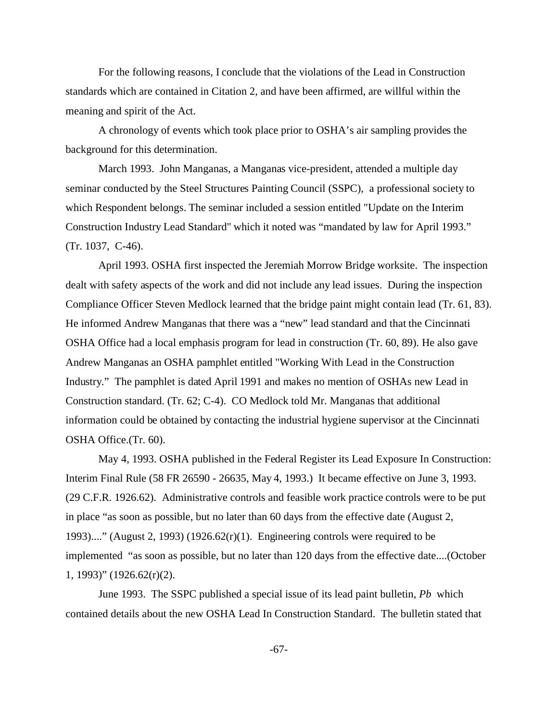For the following reasons, I conclude that the violations of the Lead in Construction standards which are contained in Citation 2, and have been affirmed, are willful within the meaning and spirit of the Act.

A chronology of events which took place prior to OSHA's air sampling provides the background for this determination.

March 1993. John Manganas, a Manganas vice-president, attended a multiple day seminar conducted by the Steel Structures Painting Council (SSPC), a professional society to which Respondent belongs. The seminar included a session entitled "Update on the Interim Construction Industry Lead Standard" which it noted was "mandated by law for April 1993." (Tr. 1037, C-46).

April 1993. OSHA first inspected the Jeremiah Morrow Bridge worksite. The inspection dealt with safety aspects of the work and did not include any lead issues. During the inspection Compliance Officer Steven Medlock learned that the bridge paint might contain lead (Tr. 61, 83). He informed Andrew Manganas that there was a "new" lead standard and that the Cincinnati OSHA Office had a local emphasis program for lead in construction (Tr. 60, 89). He also gave Andrew Manganas an OSHA pamphlet entitled "Working With Lead in the Construction Industry." The pamphlet is dated April 1991 and makes no mention of OSHAs new Lead in Construction standard. (Tr. 62; C-4). CO Medlock told Mr. Manganas that additional information could be obtained by contacting the industrial hygiene supervisor at the Cincinnati OSHA Office.(Tr. 60).

May 4, 1993. OSHA published in the Federal Register its Lead Exposure In Construction: Interim Final Rule (58 FR 26590 - 26635, May 4, 1993.) It became effective on June 3, 1993. (29 C.F.R. 1926.62). Administrative controls and feasible work practice controls were to be put in place "as soon as possible, but no later than 60 days from the effective date (August 2, 1993)...." (August 2, 1993) (1926.62 $(r)(1)$ . Engineering controls were required to be implemented "as soon as possible, but no later than 120 days from the effective date....(October 1, 1993)" (1926.62(r)(2).

June 1993. The SSPC published a special issue of its lead paint bulletin, *Pb* which contained details about the new OSHA Lead In Construction Standard. The bulletin stated that

 $-67-$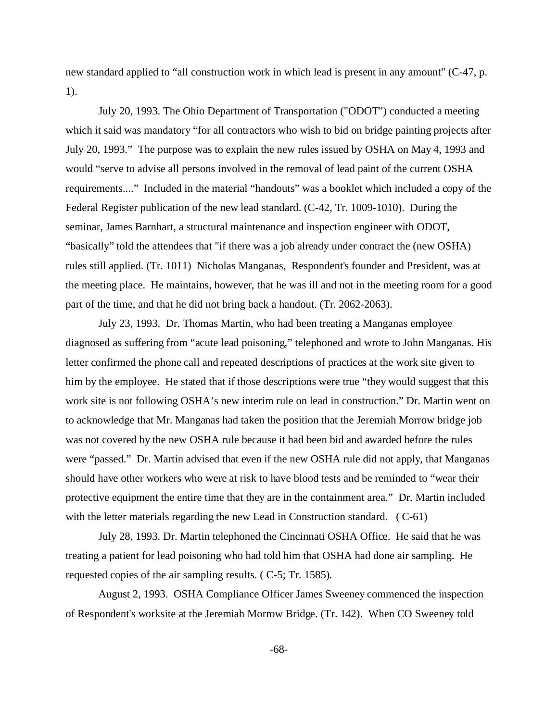new standard applied to "all construction work in which lead is present in any amount" (C-47, p. 1).

July 20, 1993. The Ohio Department of Transportation ("ODOT") conducted a meeting which it said was mandatory "for all contractors who wish to bid on bridge painting projects after July 20, 1993." The purpose was to explain the new rules issued by OSHA on May 4, 1993 and would "serve to advise all persons involved in the removal of lead paint of the current OSHA requirements...." Included in the material "handouts" was a booklet which included a copy of the Federal Register publication of the new lead standard. (C-42, Tr. 1009-1010). During the seminar, James Barnhart, a structural maintenance and inspection engineer with ODOT, "basically" told the attendees that "if there was a job already under contract the (new OSHA) rules still applied. (Tr. 1011) Nicholas Manganas, Respondent's founder and President, was at the meeting place. He maintains, however, that he was ill and not in the meeting room for a good part of the time, and that he did not bring back a handout. (Tr. 2062-2063).

July 23, 1993. Dr. Thomas Martin, who had been treating a Manganas employee diagnosed as suffering from "acute lead poisoning," telephoned and wrote to John Manganas. His letter confirmed the phone call and repeated descriptions of practices at the work site given to him by the employee. He stated that if those descriptions were true "they would suggest that this work site is not following OSHA's new interim rule on lead in construction." Dr. Martin went on to acknowledge that Mr. Manganas had taken the position that the Jeremiah Morrow bridge job was not covered by the new OSHA rule because it had been bid and awarded before the rules were "passed." Dr. Martin advised that even if the new OSHA rule did not apply, that Manganas should have other workers who were at risk to have blood tests and be reminded to "wear their protective equipment the entire time that they are in the containment area." Dr. Martin included with the letter materials regarding the new Lead in Construction standard. (C-61)

July 28, 1993. Dr. Martin telephoned the Cincinnati OSHA Office. He said that he was treating a patient for lead poisoning who had told him that OSHA had done air sampling. He requested copies of the air sampling results. ( C-5; Tr. 1585).

August 2, 1993. OSHA Compliance Officer James Sweeney commenced the inspection of Respondent's worksite at the Jeremiah Morrow Bridge. (Tr. 142). When CO Sweeney told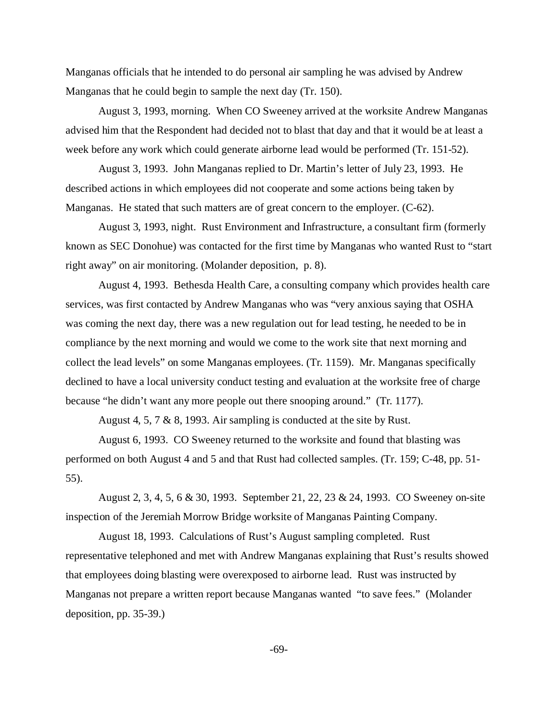Manganas officials that he intended to do personal air sampling he was advised by Andrew Manganas that he could begin to sample the next day (Tr. 150).

August 3, 1993, morning. When CO Sweeney arrived at the worksite Andrew Manganas advised him that the Respondent had decided not to blast that day and that it would be at least a week before any work which could generate airborne lead would be performed (Tr. 151-52).

August 3, 1993. John Manganas replied to Dr. Martin's letter of July 23, 1993. He described actions in which employees did not cooperate and some actions being taken by Manganas. He stated that such matters are of great concern to the employer. (C-62).

August 3, 1993, night. Rust Environment and Infrastructure, a consultant firm (formerly known as SEC Donohue) was contacted for the first time by Manganas who wanted Rust to "start right away" on air monitoring. (Molander deposition, p. 8).

August 4, 1993. Bethesda Health Care, a consulting company which provides health care services, was first contacted by Andrew Manganas who was "very anxious saying that OSHA was coming the next day, there was a new regulation out for lead testing, he needed to be in compliance by the next morning and would we come to the work site that next morning and collect the lead levels" on some Manganas employees. (Tr. 1159). Mr. Manganas specifically declined to have a local university conduct testing and evaluation at the worksite free of charge because "he didn't want any more people out there snooping around." (Tr. 1177).

August 4, 5, 7 & 8, 1993. Air sampling is conducted at the site by Rust.

August 6, 1993. CO Sweeney returned to the worksite and found that blasting was performed on both August 4 and 5 and that Rust had collected samples. (Tr. 159; C-48, pp. 51 55).

August 2, 3, 4, 5, 6 & 30, 1993. September 21, 22, 23 & 24, 1993. CO Sweeney on-site inspection of the Jeremiah Morrow Bridge worksite of Manganas Painting Company.

August 18, 1993. Calculations of Rust's August sampling completed. Rust representative telephoned and met with Andrew Manganas explaining that Rust's results showed that employees doing blasting were overexposed to airborne lead. Rust was instructed by Manganas not prepare a written report because Manganas wanted "to save fees." (Molander deposition, pp. 35-39.)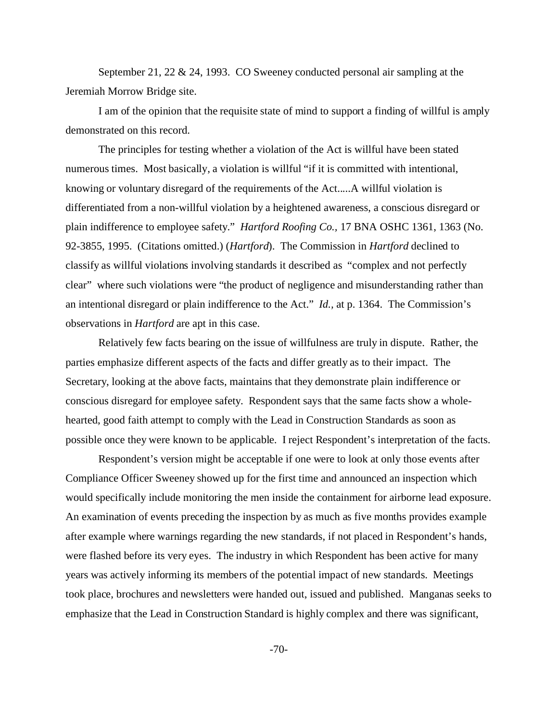September 21, 22 & 24, 1993. CO Sweeney conducted personal air sampling at the Jeremiah Morrow Bridge site.

I am of the opinion that the requisite state of mind to support a finding of willful is amply demonstrated on this record.

The principles for testing whether a violation of the Act is willful have been stated numerous times. Most basically, a violation is willful "if it is committed with intentional, knowing or voluntary disregard of the requirements of the Act.....A willful violation is differentiated from a non-willful violation by a heightened awareness, a conscious disregard or plain indifference to employee safety." *Hartford Roofing Co.,* 17 BNA OSHC 1361, 1363 (No. 92-3855, 1995. (Citations omitted.) (*Hartford*). The Commission in *Hartford* declined to classify as willful violations involving standards it described as "complex and not perfectly clear" where such violations were "the product of negligence and misunderstanding rather than an intentional disregard or plain indifference to the Act." *Id.,* at p. 1364. The Commission's observations in *Hartford* are apt in this case.

Relatively few facts bearing on the issue of willfulness are truly in dispute. Rather, the parties emphasize different aspects of the facts and differ greatly as to their impact. The Secretary, looking at the above facts, maintains that they demonstrate plain indifference or conscious disregard for employee safety. Respondent says that the same facts show a wholehearted, good faith attempt to comply with the Lead in Construction Standards as soon as possible once they were known to be applicable. I reject Respondent's interpretation of the facts.

Respondent's version might be acceptable if one were to look at only those events after Compliance Officer Sweeney showed up for the first time and announced an inspection which would specifically include monitoring the men inside the containment for airborne lead exposure. An examination of events preceding the inspection by as much as five months provides example after example where warnings regarding the new standards, if not placed in Respondent's hands, were flashed before its very eyes. The industry in which Respondent has been active for many years was actively informing its members of the potential impact of new standards. Meetings took place, brochures and newsletters were handed out, issued and published. Manganas seeks to emphasize that the Lead in Construction Standard is highly complex and there was significant,

 $-70-$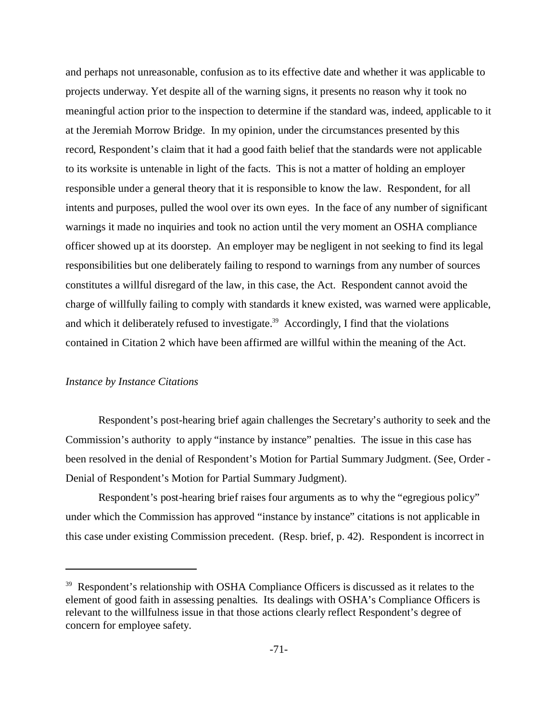and perhaps not unreasonable, confusion as to its effective date and whether it was applicable to projects underway. Yet despite all of the warning signs, it presents no reason why it took no meaningful action prior to the inspection to determine if the standard was, indeed, applicable to it at the Jeremiah Morrow Bridge. In my opinion, under the circumstances presented by this record, Respondent's claim that it had a good faith belief that the standards were not applicable to its worksite is untenable in light of the facts. This is not a matter of holding an employer responsible under a general theory that it is responsible to know the law. Respondent, for all intents and purposes, pulled the wool over its own eyes. In the face of any number of significant warnings it made no inquiries and took no action until the very moment an OSHA compliance officer showed up at its doorstep. An employer may be negligent in not seeking to find its legal responsibilities but one deliberately failing to respond to warnings from any number of sources constitutes a willful disregard of the law, in this case, the Act. Respondent cannot avoid the charge of willfully failing to comply with standards it knew existed, was warned were applicable, and which it deliberately refused to investigate.<sup>39</sup> Accordingly, I find that the violations contained in Citation 2 which have been affirmed are willful within the meaning of the Act.

### *Instance by Instance Citations*

Respondent's post-hearing brief again challenges the Secretary's authority to seek and the Commission's authority to apply "instance by instance" penalties. The issue in this case has been resolved in the denial of Respondent's Motion for Partial Summary Judgment. (See, Order Denial of Respondent's Motion for Partial Summary Judgment).

Respondent's post-hearing brief raises four arguments as to why the "egregious policy" under which the Commission has approved "instance by instance" citations is not applicable in this case under existing Commission precedent. (Resp. brief, p. 42). Respondent is incorrect in

<sup>&</sup>lt;sup>39</sup> Respondent's relationship with OSHA Compliance Officers is discussed as it relates to the element of good faith in assessing penalties. Its dealings with OSHA's Compliance Officers is relevant to the willfulness issue in that those actions clearly reflect Respondent's degree of concern for employee safety.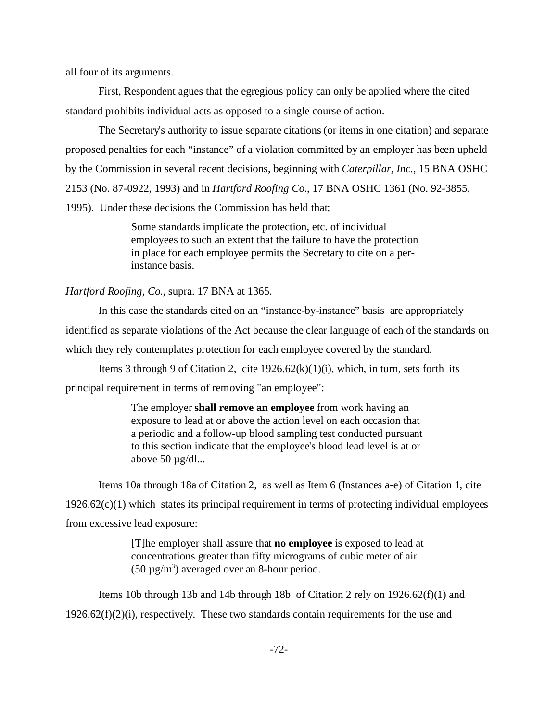all four of its arguments.

First, Respondent agues that the egregious policy can only be applied where the cited standard prohibits individual acts as opposed to a single course of action.

The Secretary's authority to issue separate citations (or items in one citation) and separate proposed penalties for each "instance" of a violation committed by an employer has been upheld by the Commission in several recent decisions, beginning with *Caterpillar, Inc.*, 15 BNA OSHC 2153 (No. 87-0922, 1993) and in *Hartford Roofing Co*., 17 BNA OSHC 1361 (No. 92-3855,

1995). Under these decisions the Commission has held that;

Some standards implicate the protection, etc. of individual employees to such an extent that the failure to have the protection in place for each employee permits the Secretary to cite on a perinstance basis.

*Hartford Roofing, Co*., supra. 17 BNA at 1365.

In this case the standards cited on an "instance-by-instance" basis are appropriately

identified as separate violations of the Act because the clear language of each of the standards on

which they rely contemplates protection for each employee covered by the standard.

Items 3 through 9 of Citation 2, cite  $1926.62(k)(1)(i)$ , which, in turn, sets forth its

principal requirement in terms of removing "an employee":

The employer **shall remove an employee** from work having an exposure to lead at or above the action level on each occasion that a periodic and a follow-up blood sampling test conducted pursuant to this section indicate that the employee's blood lead level is at or above  $50 \mu g/d$ l...

Items 10a through 18a of Citation 2, as well as Item 6 (Instances a-e) of Citation 1, cite  $1926.62(c)(1)$  which states its principal requirement in terms of protecting individual employees from excessive lead exposure:

> [T]he employer shall assure that **no employee** is exposed to lead at concentrations greater than fifty micrograms of cubic meter of air  $(50 \,\mu\text{g/m}^3)$  averaged over an 8-hour period.

Items 10b through 13b and 14b through 18b of Citation 2 rely on  $1926.62(f)(1)$  and  $1926.62(f)(2)(i)$ , respectively. These two standards contain requirements for the use and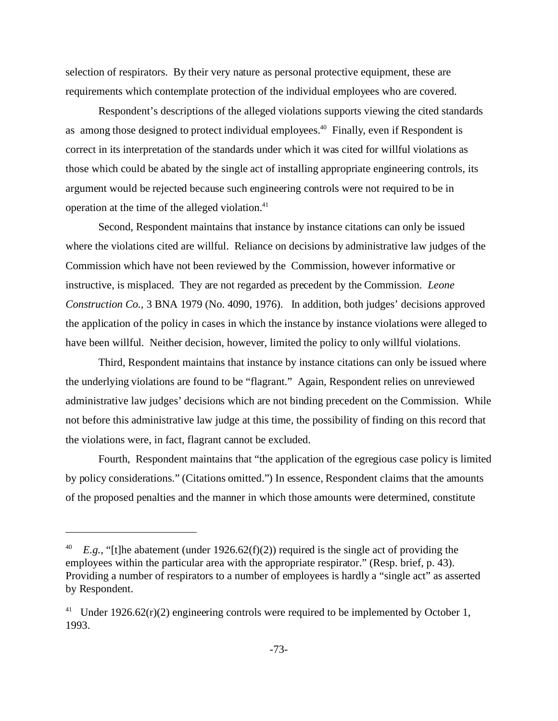selection of respirators. By their very nature as personal protective equipment, these are requirements which contemplate protection of the individual employees who are covered.

Respondent's descriptions of the alleged violations supports viewing the cited standards as among those designed to protect individual employees.<sup>40</sup> Finally, even if Respondent is correct in its interpretation of the standards under which it was cited for willful violations as those which could be abated by the single act of installing appropriate engineering controls, its argument would be rejected because such engineering controls were not required to be in operation at the time of the alleged violation.<sup>41</sup>

Second, Respondent maintains that instance by instance citations can only be issued where the violations cited are willful. Reliance on decisions by administrative law judges of the Commission which have not been reviewed by the Commission, however informative or instructive, is misplaced. They are not regarded as precedent by the Commission. *Leone Construction Co.,* 3 BNA 1979 (No. 4090, 1976). In addition, both judges' decisions approved the application of the policy in cases in which the instance by instance violations were alleged to have been willful. Neither decision, however, limited the policy to only willful violations.

Third, Respondent maintains that instance by instance citations can only be issued where the underlying violations are found to be "flagrant." Again, Respondent relies on unreviewed administrative law judges' decisions which are not binding precedent on the Commission. While not before this administrative law judge at this time, the possibility of finding on this record that the violations were, in fact, flagrant cannot be excluded.

Fourth, Respondent maintains that "the application of the egregious case policy is limited by policy considerations." (Citations omitted.") In essence, Respondent claims that the amounts of the proposed penalties and the manner in which those amounts were determined, constitute

 $E.g.,$  "[t]he abatement (under 1926.62(f)(2)) required is the single act of providing the employees within the particular area with the appropriate respirator." (Resp. brief, p. 43). Providing a number of respirators to a number of employees is hardly a "single act" as asserted by Respondent.

<sup>&</sup>lt;sup>41</sup> Under 1926.62(r)(2) engineering controls were required to be implemented by October 1, 1993.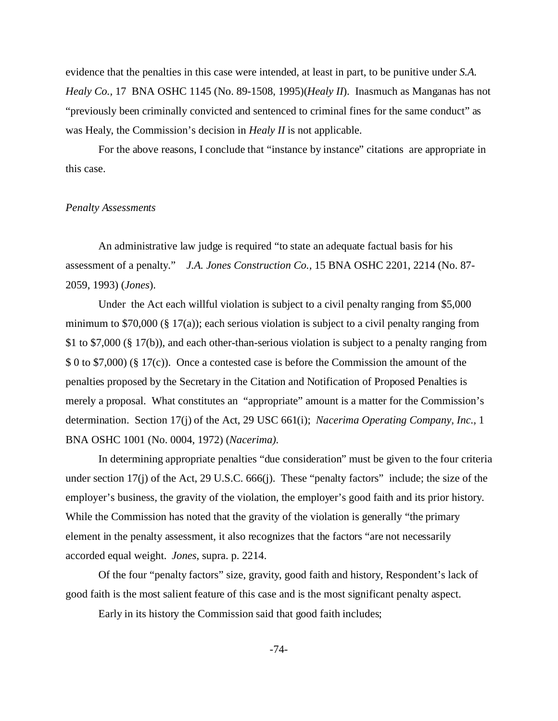evidence that the penalties in this case were intended, at least in part, to be punitive under *S.A. Healy Co.,* 17 BNA OSHC 1145 (No. 89-1508, 1995)(*Healy II*). Inasmuch as Manganas has not "previously been criminally convicted and sentenced to criminal fines for the same conduct" as was Healy, the Commission's decision in *Healy II* is not applicable.

For the above reasons, I conclude that "instance by instance" citations are appropriate in this case.

#### *Penalty Assessments*

An administrative law judge is required "to state an adequate factual basis for his assessment of a penalty." *J.A. Jones Construction Co.,* 15 BNA OSHC 2201, 2214 (No. 87 2059, 1993) (*Jones*).

Under the Act each willful violation is subject to a civil penalty ranging from \$5,000 minimum to  $$70,000$  ( $§$   $17(a)$ ); each serious violation is subject to a civil penalty ranging from \$1 to \$7,000 (§ 17(b)), and each other-than-serious violation is subject to a penalty ranging from \$ 0 to \$7,000) (§ 17(c)). Once a contested case is before the Commission the amount of the penalties proposed by the Secretary in the Citation and Notification of Proposed Penalties is merely a proposal. What constitutes an "appropriate" amount is a matter for the Commission's determination. Section 17(j) of the Act, 29 USC 661(i); *Nacerima Operating Company, Inc.,* 1 BNA OSHC 1001 (No. 0004, 1972) (*Nacerima)*.

In determining appropriate penalties "due consideration" must be given to the four criteria under section 17(j) of the Act, 29 U.S.C. 666(j). These "penalty factors" include; the size of the employer's business, the gravity of the violation, the employer's good faith and its prior history. While the Commission has noted that the gravity of the violation is generally "the primary element in the penalty assessment, it also recognizes that the factors "are not necessarily accorded equal weight. *Jones*, supra. p. 2214.

Of the four "penalty factors" size, gravity, good faith and history, Respondent's lack of good faith is the most salient feature of this case and is the most significant penalty aspect.

Early in its history the Commission said that good faith includes;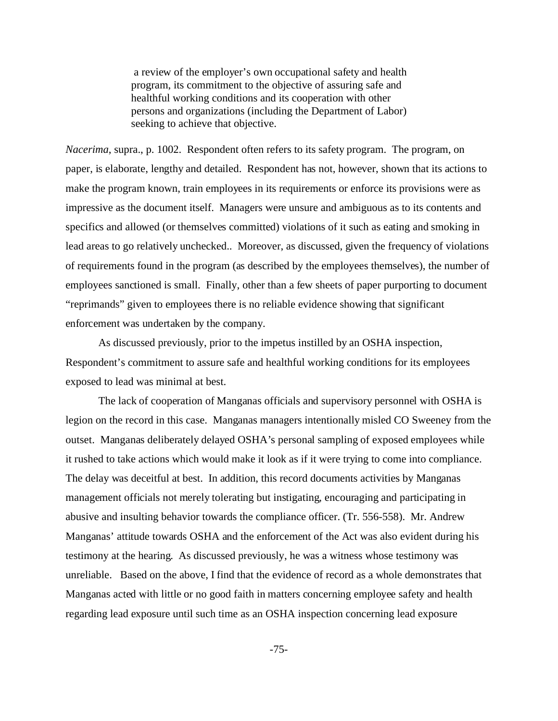a review of the employer's own occupational safety and health program, its commitment to the objective of assuring safe and healthful working conditions and its cooperation with other persons and organizations (including the Department of Labor) seeking to achieve that objective.

*Nacerima*, supra., p. 1002. Respondent often refers to its safety program. The program, on paper, is elaborate, lengthy and detailed. Respondent has not, however, shown that its actions to make the program known, train employees in its requirements or enforce its provisions were as impressive as the document itself. Managers were unsure and ambiguous as to its contents and specifics and allowed (or themselves committed) violations of it such as eating and smoking in lead areas to go relatively unchecked.. Moreover, as discussed, given the frequency of violations of requirements found in the program (as described by the employees themselves), the number of employees sanctioned is small. Finally, other than a few sheets of paper purporting to document "reprimands" given to employees there is no reliable evidence showing that significant enforcement was undertaken by the company.

As discussed previously, prior to the impetus instilled by an OSHA inspection, Respondent's commitment to assure safe and healthful working conditions for its employees exposed to lead was minimal at best.

The lack of cooperation of Manganas officials and supervisory personnel with OSHA is legion on the record in this case. Manganas managers intentionally misled CO Sweeney from the outset. Manganas deliberately delayed OSHA's personal sampling of exposed employees while it rushed to take actions which would make it look as if it were trying to come into compliance. The delay was deceitful at best. In addition, this record documents activities by Manganas management officials not merely tolerating but instigating, encouraging and participating in abusive and insulting behavior towards the compliance officer. (Tr. 556-558). Mr. Andrew Manganas' attitude towards OSHA and the enforcement of the Act was also evident during his testimony at the hearing. As discussed previously, he was a witness whose testimony was unreliable. Based on the above, I find that the evidence of record as a whole demonstrates that Manganas acted with little or no good faith in matters concerning employee safety and health regarding lead exposure until such time as an OSHA inspection concerning lead exposure

 $-75-$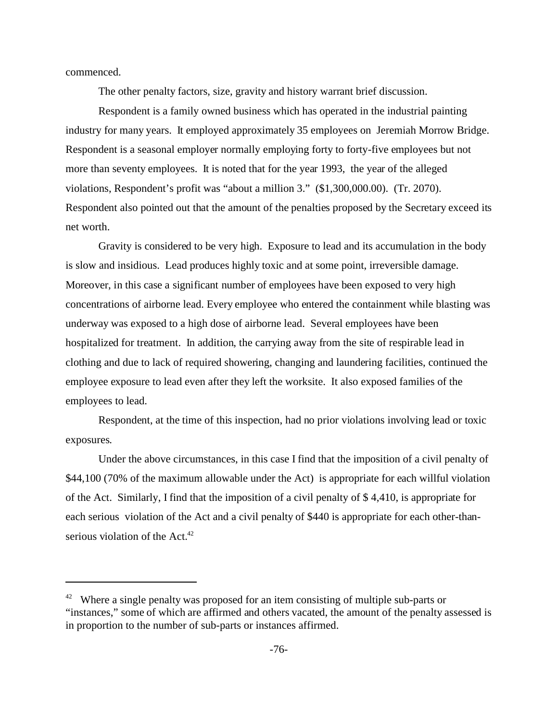commenced.

The other penalty factors, size, gravity and history warrant brief discussion.

Respondent is a family owned business which has operated in the industrial painting industry for many years. It employed approximately 35 employees on Jeremiah Morrow Bridge. Respondent is a seasonal employer normally employing forty to forty-five employees but not more than seventy employees. It is noted that for the year 1993, the year of the alleged violations, Respondent's profit was "about a million 3." (\$1,300,000.00). (Tr. 2070). Respondent also pointed out that the amount of the penalties proposed by the Secretary exceed its net worth.

Gravity is considered to be very high. Exposure to lead and its accumulation in the body is slow and insidious. Lead produces highly toxic and at some point, irreversible damage. Moreover, in this case a significant number of employees have been exposed to very high concentrations of airborne lead. Every employee who entered the containment while blasting was underway was exposed to a high dose of airborne lead. Several employees have been hospitalized for treatment. In addition, the carrying away from the site of respirable lead in clothing and due to lack of required showering, changing and laundering facilities, continued the employee exposure to lead even after they left the worksite. It also exposed families of the employees to lead.

Respondent, at the time of this inspection, had no prior violations involving lead or toxic exposures.

Under the above circumstances, in this case I find that the imposition of a civil penalty of \$44,100 (70% of the maximum allowable under the Act) is appropriate for each willful violation of the Act. Similarly, I find that the imposition of a civil penalty of \$ 4,410, is appropriate for each serious violation of the Act and a civil penalty of \$440 is appropriate for each other-thanserious violation of the Act.<sup>42</sup>

 $42$  Where a single penalty was proposed for an item consisting of multiple sub-parts or "instances," some of which are affirmed and others vacated, the amount of the penalty assessed is in proportion to the number of sub-parts or instances affirmed.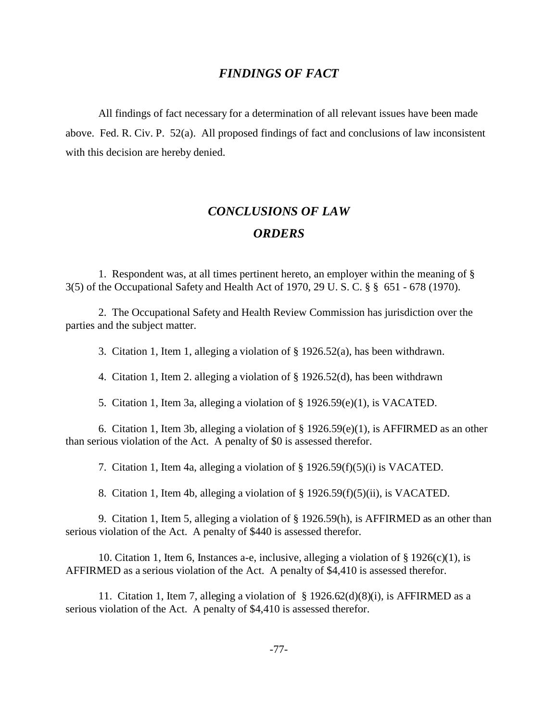## *FINDINGS OF FACT*

All findings of fact necessary for a determination of all relevant issues have been made above. Fed. R. Civ. P. 52(a). All proposed findings of fact and conclusions of law inconsistent with this decision are hereby denied.

# *CONCLUSIONS OF LAW ORDERS*

1. Respondent was, at all times pertinent hereto, an employer within the meaning of § 3(5) of the Occupational Safety and Health Act of 1970, 29 U. S. C. § § 651 - 678 (1970).

2. The Occupational Safety and Health Review Commission has jurisdiction over the parties and the subject matter.

3. Citation 1, Item 1, alleging a violation of § 1926.52(a), has been withdrawn.

4. Citation 1, Item 2. alleging a violation of § 1926.52(d), has been withdrawn

5. Citation 1, Item 3a, alleging a violation of § 1926.59(e)(1), is VACATED.

6. Citation 1, Item 3b, alleging a violation of § 1926.59(e)(1), is AFFIRMED as an other than serious violation of the Act. A penalty of \$0 is assessed therefor.

7. Citation 1, Item 4a, alleging a violation of § 1926.59(f)(5)(i) is VACATED.

8. Citation 1, Item 4b, alleging a violation of § 1926.59(f)(5)(ii), is VACATED.

9. Citation 1, Item 5, alleging a violation of § 1926.59(h), is AFFIRMED as an other than serious violation of the Act. A penalty of \$440 is assessed therefor.

10. Citation 1, Item 6, Instances a-e, inclusive, alleging a violation of  $\S 1926(c)(1)$ , is AFFIRMED as a serious violation of the Act. A penalty of \$4,410 is assessed therefor.

11. Citation 1, Item 7, alleging a violation of  $\S$  1926.62(d)(8)(i), is AFFIRMED as a serious violation of the Act. A penalty of \$4,410 is assessed therefor.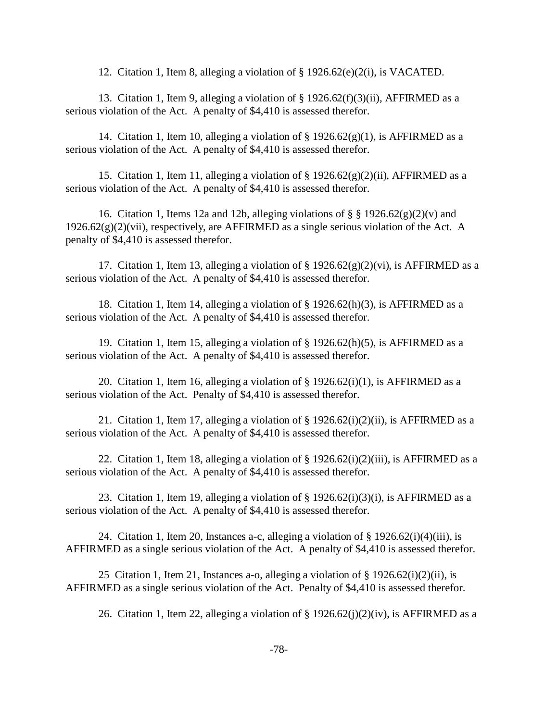12. Citation 1, Item 8, alleging a violation of § 1926.62(e)(2(i), is VACATED.

13. Citation 1, Item 9, alleging a violation of § 1926.62(f)(3)(ii), AFFIRMED as a serious violation of the Act. A penalty of \$4,410 is assessed therefor.

14. Citation 1, Item 10, alleging a violation of  $\S$  1926.62(g)(1), is AFFIRMED as a serious violation of the Act. A penalty of \$4,410 is assessed therefor.

15. Citation 1, Item 11, alleging a violation of  $\S 1926.62(g)(2)(ii)$ , AFFIRMED as a serious violation of the Act. A penalty of \$4,410 is assessed therefor.

16. Citation 1, Items 12a and 12b, alleging violations of  $\S$  § 1926.62(g)(2)(v) and  $1926.62(g)(2)(vii)$ , respectively, are AFFIRMED as a single serious violation of the Act. A penalty of \$4,410 is assessed therefor.

17. Citation 1, Item 13, alleging a violation of  $\S 1926.62(g)(2)(vi)$ , is AFFIRMED as a serious violation of the Act. A penalty of \$4,410 is assessed therefor.

18. Citation 1, Item 14, alleging a violation of § 1926.62(h)(3), is AFFIRMED as a serious violation of the Act. A penalty of \$4,410 is assessed therefor.

19. Citation 1, Item 15, alleging a violation of § 1926.62(h)(5), is AFFIRMED as a serious violation of the Act. A penalty of \$4,410 is assessed therefor.

20. Citation 1, Item 16, alleging a violation of  $\S$  1926.62(i)(1), is AFFIRMED as a serious violation of the Act. Penalty of \$4,410 is assessed therefor.

21. Citation 1, Item 17, alleging a violation of  $\S$  1926.62(i)(2)(ii), is AFFIRMED as a serious violation of the Act. A penalty of \$4,410 is assessed therefor.

22. Citation 1, Item 18, alleging a violation of  $\S$  1926.62(i)(2)(iii), is AFFIRMED as a serious violation of the Act. A penalty of \$4,410 is assessed therefor.

23. Citation 1, Item 19, alleging a violation of  $\S$  1926.62(i)(3)(i), is AFFIRMED as a serious violation of the Act. A penalty of \$4,410 is assessed therefor.

24. Citation 1, Item 20, Instances a-c, alleging a violation of  $\S$  1926.62(i)(4)(iii), is AFFIRMED as a single serious violation of the Act. A penalty of \$4,410 is assessed therefor.

25 Citation 1, Item 21, Instances a-o, alleging a violation of  $\S$  1926.62(i)(2)(ii), is AFFIRMED as a single serious violation of the Act. Penalty of \$4,410 is assessed therefor.

26. Citation 1, Item 22, alleging a violation of  $\S$  1926.62(j)(2)(iv), is AFFIRMED as a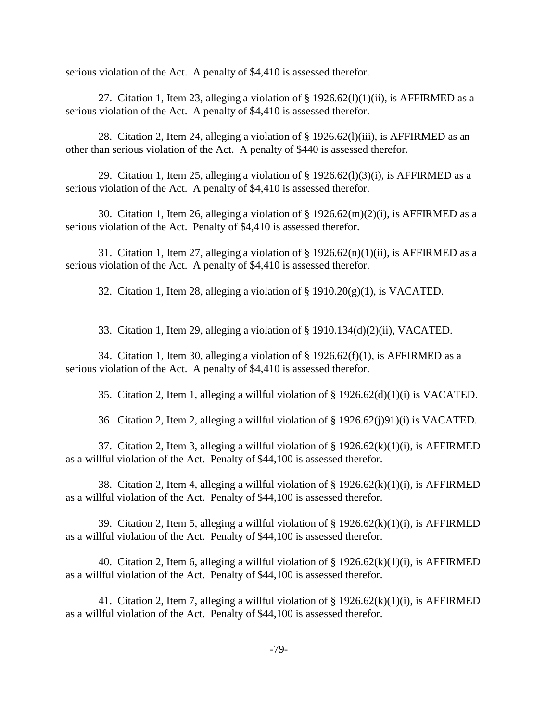serious violation of the Act. A penalty of \$4,410 is assessed therefor.

27. Citation 1, Item 23, alleging a violation of  $\S$  1926.62(1)(1)(ii), is AFFIRMED as a serious violation of the Act. A penalty of \$4,410 is assessed therefor.

28. Citation 2, Item 24, alleging a violation of § 1926.62(l)(iii), is AFFIRMED as an other than serious violation of the Act. A penalty of \$440 is assessed therefor.

29. Citation 1, Item 25, alleging a violation of  $\S$  1926.62(1)(3)(i), is AFFIRMED as a serious violation of the Act. A penalty of \$4,410 is assessed therefor.

30. Citation 1, Item 26, alleging a violation of  $\S 1926.62(m)(2)(i)$ , is AFFIRMED as a serious violation of the Act. Penalty of \$4,410 is assessed therefor.

31. Citation 1, Item 27, alleging a violation of  $\S$  1926.62(n)(1)(ii), is AFFIRMED as a serious violation of the Act. A penalty of \$4,410 is assessed therefor.

32. Citation 1, Item 28, alleging a violation of  $\S$  1910.20(g)(1), is VACATED.

33. Citation 1, Item 29, alleging a violation of § 1910.134(d)(2)(ii), VACATED.

34. Citation 1, Item 30, alleging a violation of  $\S 1926.62(f)(1)$ , is AFFIRMED as a serious violation of the Act. A penalty of \$4,410 is assessed therefor.

35. Citation 2, Item 1, alleging a willful violation of § 1926.62(d)(1)(i) is VACATED.

36 Citation 2, Item 2, alleging a willful violation of § 1926.62(j)91)(i) is VACATED.

37. Citation 2, Item 3, alleging a willful violation of  $\S$  1926.62(k)(1)(i), is AFFIRMED as a willful violation of the Act. Penalty of \$44,100 is assessed therefor.

38. Citation 2, Item 4, alleging a willful violation of  $\S$  1926.62(k)(1)(i), is AFFIRMED as a willful violation of the Act. Penalty of \$44,100 is assessed therefor.

39. Citation 2, Item 5, alleging a willful violation of  $\S$  1926.62(k)(1)(i), is AFFIRMED as a willful violation of the Act. Penalty of \$44,100 is assessed therefor.

40. Citation 2, Item 6, alleging a willful violation of  $\S$  1926.62(k)(1)(i), is AFFIRMED as a willful violation of the Act. Penalty of \$44,100 is assessed therefor.

41. Citation 2, Item 7, alleging a willful violation of  $\S$  1926.62(k)(1)(i), is AFFIRMED as a willful violation of the Act. Penalty of \$44,100 is assessed therefor.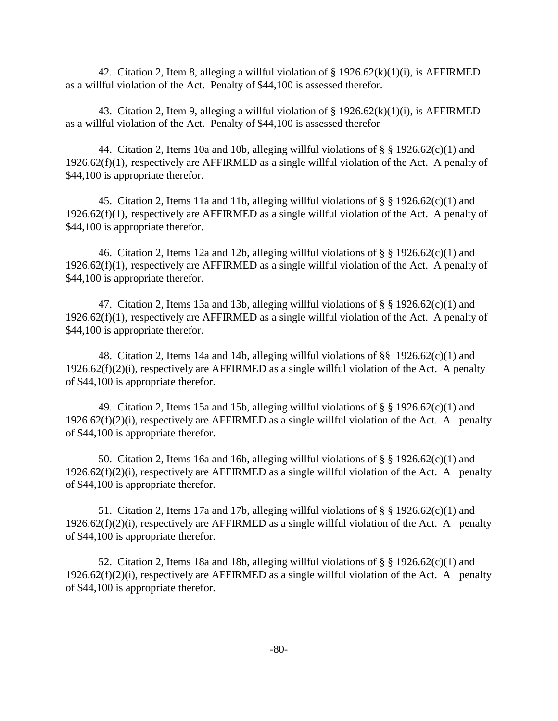42. Citation 2, Item 8, alleging a willful violation of  $\S$  1926.62(k)(1)(i), is AFFIRMED as a willful violation of the Act. Penalty of \$44,100 is assessed therefor.

43. Citation 2, Item 9, alleging a willful violation of  $\S$  1926.62(k)(1)(i), is AFFIRMED as a willful violation of the Act. Penalty of \$44,100 is assessed therefor

44. Citation 2, Items 10a and 10b, alleging willful violations of  $\S$  § 1926.62(c)(1) and 1926.62(f)(1), respectively are AFFIRMED as a single willful violation of the Act. A penalty of \$44,100 is appropriate therefor.

45. Citation 2, Items 11a and 11b, alleging willful violations of  $\S$  § 1926.62(c)(1) and 1926.62(f)(1), respectively are AFFIRMED as a single willful violation of the Act. A penalty of \$44,100 is appropriate therefor.

46. Citation 2, Items 12a and 12b, alleging willful violations of  $\S$  § 1926.62(c)(1) and 1926.62(f)(1), respectively are AFFIRMED as a single willful violation of the Act. A penalty of \$44,100 is appropriate therefor.

47. Citation 2, Items 13a and 13b, alleging willful violations of  $\S$  § 1926.62(c)(1) and 1926.62(f)(1), respectively are AFFIRMED as a single willful violation of the Act. A penalty of \$44,100 is appropriate therefor.

48. Citation 2, Items 14a and 14b, alleging willful violations of §§ 1926.62(c)(1) and  $1926.62(f)(2)(i)$ , respectively are AFFIRMED as a single will full violation of the Act. A penalty of \$44,100 is appropriate therefor.

49. Citation 2, Items 15a and 15b, alleging will full violations of  $\S$   $\S$  1926.62(c)(1) and  $1926.62(f)(2)(i)$ , respectively are AFFIRMED as a single willful violation of the Act. A penalty of \$44,100 is appropriate therefor.

50. Citation 2, Items 16a and 16b, alleging willful violations of  $\S$   $\S$  1926.62(c)(1) and  $1926.62(f)(2)(i)$ , respectively are AFFIRMED as a single willful violation of the Act. A penalty of \$44,100 is appropriate therefor.

51. Citation 2, Items 17a and 17b, alleging willful violations of  $\S$  § 1926.62(c)(1) and  $1926.62(f)(2)(i)$ , respectively are AFFIRMED as a single willful violation of the Act. A penalty of \$44,100 is appropriate therefor.

52. Citation 2, Items 18a and 18b, alleging willful violations of  $\S$   $\S$  1926.62(c)(1) and  $1926.62(f)(2)(i)$ , respectively are AFFIRMED as a single willful violation of the Act. A penalty of \$44,100 is appropriate therefor.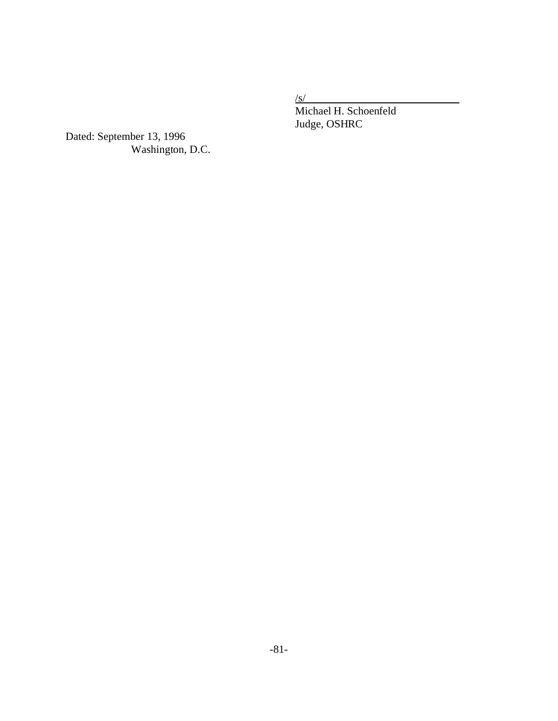$/s/$ 

Michael H. Schoenfeld Judge, OSHRC

Dated: September 13, 1996 Washington, D.C.